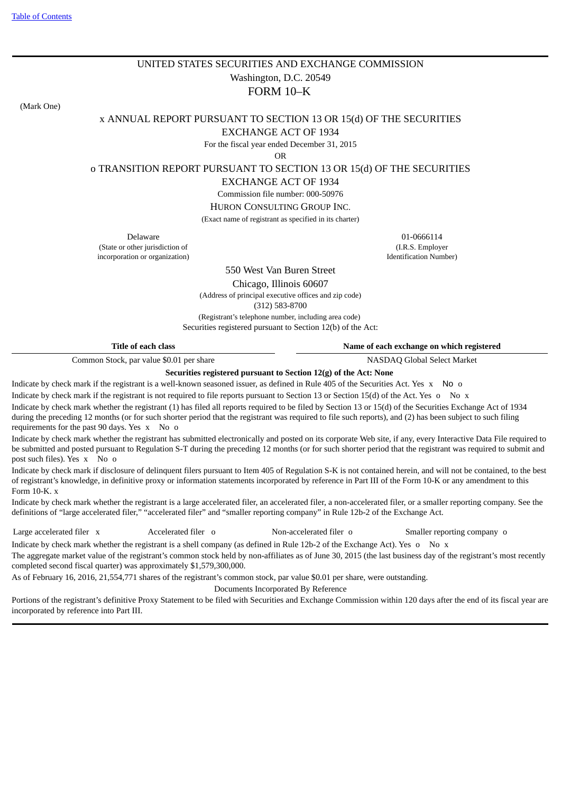# UNITED STATES SECURITIES AND EXCHANGE COMMISSION Washington, D.C. 20549 FORM 10–K

(Mark One)

x ANNUAL REPORT PURSUANT TO SECTION 13 OR 15(d) OF THE SECURITIES

EXCHANGE ACT OF 1934

For the fiscal year ended December 31, 2015

OR

o TRANSITION REPORT PURSUANT TO SECTION 13 OR 15(d) OF THE SECURITIES

EXCHANGE ACT OF 1934

Commission file number: 000-50976 HURON CONSULTING GROUP INC.

(Exact name of registrant as specified in its charter)

Delaware (State or other jurisdiction of incorporation or organization)

01-0666114 (I.R.S. Employer Identification Number)

550 West Van Buren Street Chicago, Illinois 60607 (Address of principal executive offices and zip code) (312) 583-8700 (Registrant's telephone number, including area code) Securities registered pursuant to Section 12(b) of the Act:

**Title of each class Name of each exchange on which registered**

Common Stock, par value \$0.01 per share NASDAQ Global Select Market

**Securities registered pursuant to Section 12(g) of the Act: None**

Indicate by check mark if the registrant is a well-known seasoned issuer, as defined in Rule 405 of the Securities Act. Yes x No o Indicate by check mark if the registrant is not required to file reports pursuant to Section 13 or Section 15(d) of the Act. Yes o No x Indicate by check mark whether the registrant (1) has filed all reports required to be filed by Section 13 or 15(d) of the Securities Exchange Act of 1934 during the preceding 12 months (or for such shorter period that the registrant was required to file such reports), and (2) has been subject to such filing requirements for the past 90 days. Yes x No o

Indicate by check mark whether the registrant has submitted electronically and posted on its corporate Web site, if any, every Interactive Data File required to be submitted and posted pursuant to Regulation S-T during the preceding 12 months (or for such shorter period that the registrant was required to submit and post such files). Yes x No o

Indicate by check mark if disclosure of delinquent filers pursuant to Item 405 of Regulation S-K is not contained herein, and will not be contained, to the best of registrant's knowledge, in definitive proxy or information statements incorporated by reference in Part III of the Form 10-K or any amendment to this Form 10-K. x

Indicate by check mark whether the registrant is a large accelerated filer, an accelerated filer, a non-accelerated filer, or a smaller reporting company. See the definitions of "large accelerated filer," "accelerated filer" and "smaller reporting company" in Rule 12b-2 of the Exchange Act.

Large accelerated filer x Accelerated filer o Non-accelerated filer o Smaller reporting company o

Indicate by check mark whether the registrant is a shell company (as defined in Rule 12b-2 of the Exchange Act). Yes o No x

The aggregate market value of the registrant's common stock held by non-affiliates as of June 30, 2015 (the last business day of the registrant's most recently completed second fiscal quarter) was approximately \$1,579,300,000.

As of February 16, 2016, 21,554,771 shares of the registrant's common stock, par value \$0.01 per share, were outstanding.

Documents Incorporated By Reference

<span id="page-0-0"></span>Portions of the registrant's definitive Proxy Statement to be filed with Securities and Exchange Commission within 120 days after the end of its fiscal year are incorporated by reference into Part III.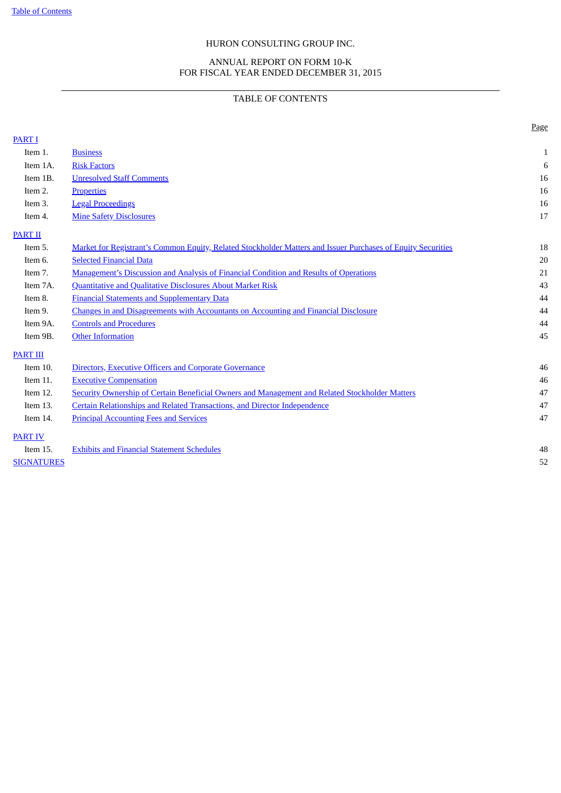## HURON CONSULTING GROUP INC.

## ANNUAL REPORT ON FORM 10-K FOR FISCAL YEAR ENDED DECEMBER 31, 2015

# TABLE OF CONTENTS

| <b>PART I</b>   |                                                                                                              |              |
|-----------------|--------------------------------------------------------------------------------------------------------------|--------------|
| Item 1.         | <b>Business</b>                                                                                              | $\mathbf{1}$ |
| Item 1A.        | <b>Risk Factors</b>                                                                                          | 6            |
| Item 1B.        | <b>Unresolved Staff Comments</b>                                                                             | 16           |
| Item 2.         | <b>Properties</b>                                                                                            | 16           |
| Item 3.         | <b>Legal Proceedings</b>                                                                                     | 16           |
| Item 4.         | <b>Mine Safety Disclosures</b>                                                                               | 17           |
| <b>PART II</b>  |                                                                                                              |              |
| Item 5.         | Market for Registrant's Common Equity, Related Stockholder Matters and Issuer Purchases of Equity Securities | 18           |
| Item 6.         | <b>Selected Financial Data</b>                                                                               | 20           |
| Item 7.         | <b>Management's Discussion and Analysis of Financial Condition and Results of Operations</b>                 | 21           |
| Item 7A.        | <b>Quantitative and Qualitative Disclosures About Market Risk</b>                                            | 43           |
| Item 8.         | <b>Financial Statements and Supplementary Data</b>                                                           | 44           |
| Item 9.         | Changes in and Disagreements with Accountants on Accounting and Financial Disclosure                         | 44           |
| Item 9A.        | <b>Controls and Procedures</b>                                                                               | 44           |
| Item 9B.        | <b>Other Information</b>                                                                                     | 45           |
| <b>PART III</b> |                                                                                                              |              |
| Item 10.        | Directors, Executive Officers and Corporate Governance                                                       | 46           |
| Item 11.        | <b>Executive Compensation</b>                                                                                | 46           |
| Item 12.        | <b>Security Ownership of Certain Beneficial Owners and Management and Related Stockholder Matters</b>        | 47           |
| Item 13.        | Certain Relationships and Related Transactions, and Director Independence                                    | 47           |
| Item 14.        | <b>Principal Accounting Fees and Services</b>                                                                | 47           |
| <b>PART IV</b>  |                                                                                                              |              |
| Item 15.        | <b>Exhibits and Financial Statement Schedules</b>                                                            | 48           |

**[SIGNATURES](#page-52-0)** [52](#page-52-0)

Page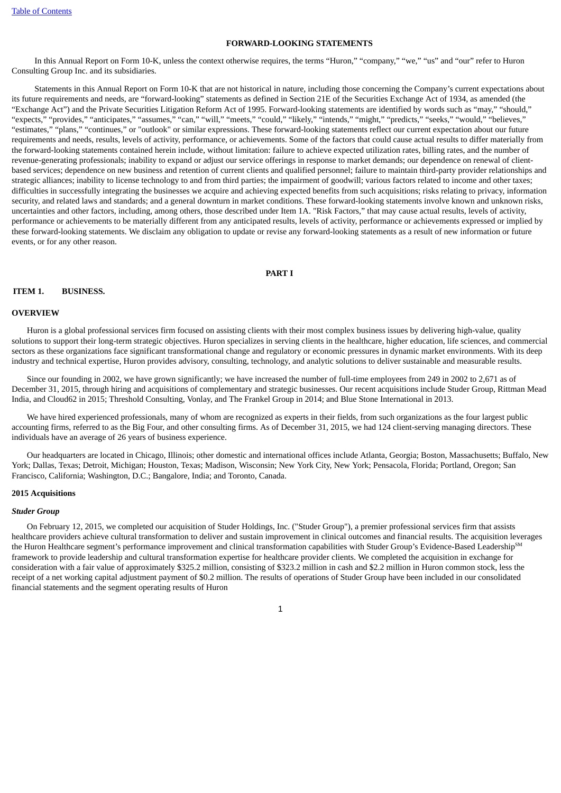## **FORWARD-LOOKING STATEMENTS**

In this Annual Report on Form 10-K, unless the context otherwise requires, the terms "Huron," "company," "we," "us" and "our" refer to Huron Consulting Group Inc. and its subsidiaries.

Statements in this Annual Report on Form 10-K that are not historical in nature, including those concerning the Company's current expectations about its future requirements and needs, are "forward-looking" statements as defined in Section 21E of the Securities Exchange Act of 1934, as amended (the "Exchange Act") and the Private Securities Litigation Reform Act of 1995. Forward-looking statements are identified by words such as "may," "should," "expects," "provides," "anticipates," "assumes," "can," "will," "meets," "could," "likely," "intends," "might," "predicts," "seeks," "would," "believes," "estimates," "plans," "continues," or "outlook" or similar expressions. These forward-looking statements reflect our current expectation about our future requirements and needs, results, levels of activity, performance, or achievements. Some of the factors that could cause actual results to differ materially from the forward-looking statements contained herein include, without limitation: failure to achieve expected utilization rates, billing rates, and the number of revenue-generating professionals; inability to expand or adjust our service offerings in response to market demands; our dependence on renewal of clientbased services; dependence on new business and retention of current clients and qualified personnel; failure to maintain third-party provider relationships and strategic alliances; inability to license technology to and from third parties; the impairment of goodwill; various factors related to income and other taxes; difficulties in successfully integrating the businesses we acquire and achieving expected benefits from such acquisitions; risks relating to privacy, information security, and related laws and standards; and a general downturn in market conditions. These forward-looking statements involve known and unknown risks, uncertainties and other factors, including, among others, those described under Item 1A. "Risk Factors," that may cause actual results, levels of activity, performance or achievements to be materially different from any anticipated results, levels of activity, performance or achievements expressed or implied by these forward-looking statements. We disclaim any obligation to update or revise any forward-looking statements as a result of new information or future events, or for any other reason.

## **PART I**

#### <span id="page-2-1"></span><span id="page-2-0"></span>**ITEM 1. BUSINESS.**

## **OVERVIEW**

Huron is a global professional services firm focused on assisting clients with their most complex business issues by delivering high-value, quality solutions to support their long-term strategic objectives. Huron specializes in serving clients in the healthcare, higher education, life sciences, and commercial sectors as these organizations face significant transformational change and regulatory or economic pressures in dynamic market environments. With its deep industry and technical expertise, Huron provides advisory, consulting, technology, and analytic solutions to deliver sustainable and measurable results.

Since our founding in 2002, we have grown significantly; we have increased the number of full-time employees from 249 in 2002 to 2,671 as of December 31, 2015, through hiring and acquisitions of complementary and strategic businesses. Our recent acquisitions include Studer Group, Rittman Mead India, and Cloud62 in 2015; Threshold Consulting, Vonlay, and The Frankel Group in 2014; and Blue Stone International in 2013.

We have hired experienced professionals, many of whom are recognized as experts in their fields, from such organizations as the four largest public accounting firms, referred to as the Big Four, and other consulting firms. As of December 31, 2015, we had 124 client-serving managing directors. These individuals have an average of 26 years of business experience.

Our headquarters are located in Chicago, Illinois; other domestic and international offices include Atlanta, Georgia; Boston, Massachusetts; Buffalo, New York; Dallas, Texas; Detroit, Michigan; Houston, Texas; Madison, Wisconsin; New York City, New York; Pensacola, Florida; Portland, Oregon; San Francisco, California; Washington, D.C.; Bangalore, India; and Toronto, Canada.

#### **2015 Acquisitions**

## *Studer Group*

On February 12, 2015, we completed our acquisition of Studer Holdings, Inc. ("Studer Group"), a premier professional services firm that assists healthcare providers achieve cultural transformation to deliver and sustain improvement in clinical outcomes and financial results. The acquisition leverages the Huron Healthcare segment's performance improvement and clinical transformation capabilities with Studer Group's Evidence-Based Leadership<sup>SM</sup> framework to provide leadership and cultural transformation expertise for healthcare provider clients. We completed the acquisition in exchange for consideration with a fair value of approximately \$325.2 million, consisting of \$323.2 million in cash and \$2.2 million in Huron common stock, less the receipt of a net working capital adjustment payment of \$0.2 million. The results of operations of Studer Group have been included in our consolidated financial statements and the segment operating results of Huron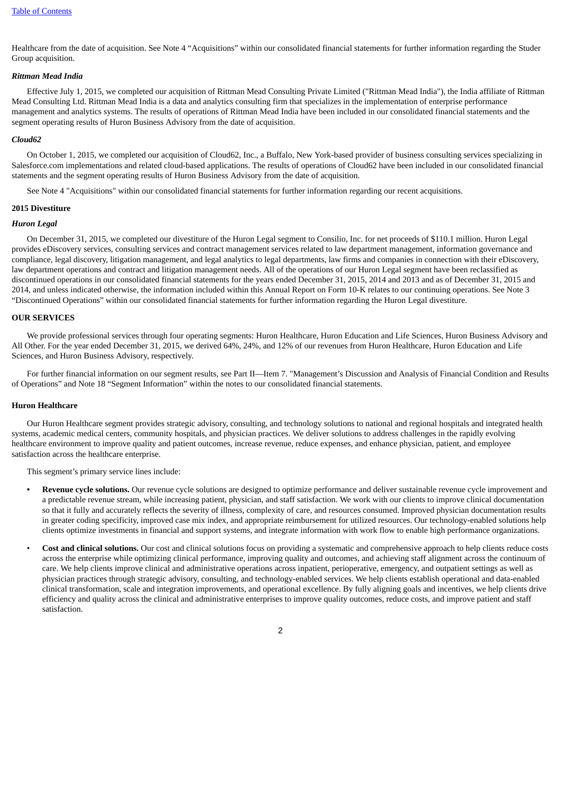Healthcare from the date of acquisition. See Note 4 "Acquisitions" within our consolidated financial statements for further information regarding the Studer Group acquisition.

## *Rittman Mead India*

Effective July 1, 2015, we completed our acquisition of Rittman Mead Consulting Private Limited ("Rittman Mead India"), the India affiliate of Rittman Mead Consulting Ltd. Rittman Mead India is a data and analytics consulting firm that specializes in the implementation of enterprise performance management and analytics systems. The results of operations of Rittman Mead India have been included in our consolidated financial statements and the segment operating results of Huron Business Advisory from the date of acquisition.

#### *Cloud62*

On October 1, 2015, we completed our acquisition of Cloud62, Inc., a Buffalo, New York-based provider of business consulting services specializing in Salesforce.com implementations and related cloud-based applications. The results of operations of Cloud62 have been included in our consolidated financial statements and the segment operating results of Huron Business Advisory from the date of acquisition.

See Note 4 "Acquisitions" within our consolidated financial statements for further information regarding our recent acquisitions.

#### **2015 Divestiture**

#### *Huron Legal*

On December 31, 2015, we completed our divestiture of the Huron Legal segment to Consilio, Inc. for net proceeds of \$110.1 million. Huron Legal provides eDiscovery services, consulting services and contract management services related to law department management, information governance and compliance, legal discovery, litigation management, and legal analytics to legal departments, law firms and companies in connection with their eDiscovery, law department operations and contract and litigation management needs. All of the operations of our Huron Legal segment have been reclassified as discontinued operations in our consolidated financial statements for the years ended December 31, 2015, 2014 and 2013 and as of December 31, 2015 and 2014, and unless indicated otherwise, the information included within this Annual Report on Form 10-K relates to our continuing operations. See Note 3 "Discontinued Operations" within our consolidated financial statements for further information regarding the Huron Legal divestiture.

## **OUR SERVICES**

We provide professional services through four operating segments: Huron Healthcare, Huron Education and Life Sciences, Huron Business Advisory and All Other. For the year ended December 31, 2015, we derived 64%, 24%, and 12% of our revenues from Huron Healthcare, Huron Education and Life Sciences, and Huron Business Advisory, respectively.

For further financial information on our segment results, see Part II—Item 7. "Management's Discussion and Analysis of Financial Condition and Results of Operations" and Note 18 "Segment Information" within the notes to our consolidated financial statements.

#### **Huron Healthcare**

Our Huron Healthcare segment provides strategic advisory, consulting, and technology solutions to national and regional hospitals and integrated health systems, academic medical centers, community hospitals, and physician practices. We deliver solutions to address challenges in the rapidly evolving healthcare environment to improve quality and patient outcomes, increase revenue, reduce expenses, and enhance physician, patient, and employee satisfaction across the healthcare enterprise.

This segment's primary service lines include:

- **• Revenue cycle solutions.** Our revenue cycle solutions are designed to optimize performance and deliver sustainable revenue cycle improvement and a predictable revenue stream, while increasing patient, physician, and staff satisfaction. We work with our clients to improve clinical documentation so that it fully and accurately reflects the severity of illness, complexity of care, and resources consumed. Improved physician documentation results in greater coding specificity, improved case mix index, and appropriate reimbursement for utilized resources. Our technology-enabled solutions help clients optimize investments in financial and support systems, and integrate information with work flow to enable high performance organizations.
- **Cost and clinical solutions.** Our cost and clinical solutions focus on providing a systematic and comprehensive approach to help clients reduce costs across the enterprise while optimizing clinical performance, improving quality and outcomes, and achieving staff alignment across the continuum of care. We help clients improve clinical and administrative operations across inpatient, perioperative, emergency, and outpatient settings as well as physician practices through strategic advisory, consulting, and technology-enabled services. We help clients establish operational and data-enabled clinical transformation, scale and integration improvements, and operational excellence. By fully aligning goals and incentives, we help clients drive efficiency and quality across the clinical and administrative enterprises to improve quality outcomes, reduce costs, and improve patient and staff satisfaction.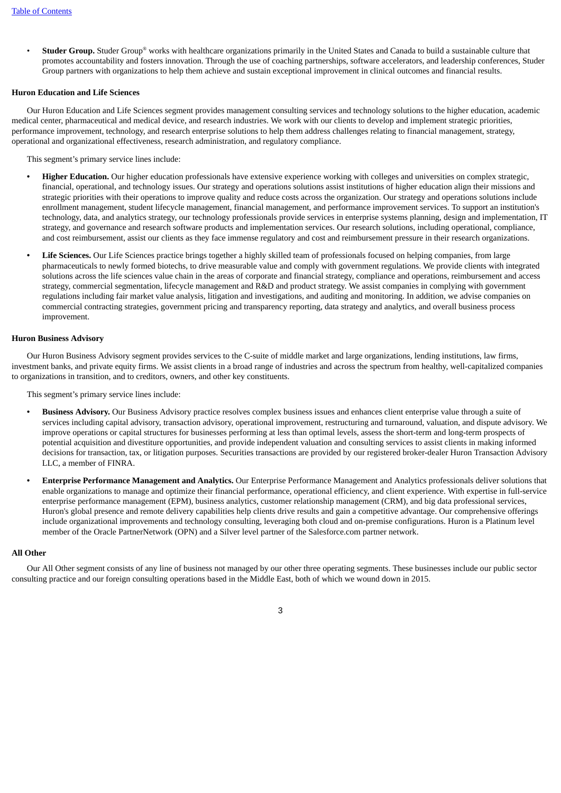**• Studer Group.** Studer Group<sup>®</sup> works with healthcare organizations primarily in the United States and Canada to build a sustainable culture that promotes accountability and fosters innovation. Through the use of coaching partnerships, software accelerators, and leadership conferences, Studer Group partners with organizations to help them achieve and sustain exceptional improvement in clinical outcomes and financial results.

## **Huron Education and Life Sciences**

Our Huron Education and Life Sciences segment provides management consulting services and technology solutions to the higher education, academic medical center, pharmaceutical and medical device, and research industries. We work with our clients to develop and implement strategic priorities, performance improvement, technology, and research enterprise solutions to help them address challenges relating to financial management, strategy, operational and organizational effectiveness, research administration, and regulatory compliance.

This segment's primary service lines include:

- **• Higher Education.** Our higher education professionals have extensive experience working with colleges and universities on complex strategic, financial, operational, and technology issues. Our strategy and operations solutions assist institutions of higher education align their missions and strategic priorities with their operations to improve quality and reduce costs across the organization. Our strategy and operations solutions include enrollment management, student lifecycle management, financial management, and performance improvement services. To support an institution's technology, data, and analytics strategy, our technology professionals provide services in enterprise systems planning, design and implementation, IT strategy, and governance and research software products and implementation services. Our research solutions, including operational, compliance, and cost reimbursement, assist our clients as they face immense regulatory and cost and reimbursement pressure in their research organizations.
- **• Life Sciences.** Our Life Sciences practice brings together a highly skilled team of professionals focused on helping companies, from large pharmaceuticals to newly formed biotechs, to drive measurable value and comply with government regulations. We provide clients with integrated solutions across the life sciences value chain in the areas of corporate and financial strategy, compliance and operations, reimbursement and access strategy, commercial segmentation, lifecycle management and R&D and product strategy. We assist companies in complying with government regulations including fair market value analysis, litigation and investigations, and auditing and monitoring. In addition, we advise companies on commercial contracting strategies, government pricing and transparency reporting, data strategy and analytics, and overall business process improvement.

### **Huron Business Advisory**

Our Huron Business Advisory segment provides services to the C-suite of middle market and large organizations, lending institutions, law firms, investment banks, and private equity firms. We assist clients in a broad range of industries and across the spectrum from healthy, well-capitalized companies to organizations in transition, and to creditors, owners, and other key constituents.

This segment's primary service lines include:

- **• Business Advisory.** Our Business Advisory practice resolves complex business issues and enhances client enterprise value through a suite of services including capital advisory, transaction advisory, operational improvement, restructuring and turnaround, valuation, and dispute advisory. We improve operations or capital structures for businesses performing at less than optimal levels, assess the short-term and long-term prospects of potential acquisition and divestiture opportunities, and provide independent valuation and consulting services to assist clients in making informed decisions for transaction, tax, or litigation purposes. Securities transactions are provided by our registered broker-dealer Huron Transaction Advisory LLC, a member of FINRA.
- **• Enterprise Performance Management and Analytics.** Our Enterprise Performance Management and Analytics professionals deliver solutions that enable organizations to manage and optimize their financial performance, operational efficiency, and client experience. With expertise in full-service enterprise performance management (EPM), business analytics, customer relationship management (CRM), and big data professional services, Huron's global presence and remote delivery capabilities help clients drive results and gain a competitive advantage. Our comprehensive offerings include organizational improvements and technology consulting, leveraging both cloud and on-premise configurations. Huron is a Platinum level member of the Oracle PartnerNetwork (OPN) and a Silver level partner of the Salesforce.com partner network.

## **All Other**

Our All Other segment consists of any line of business not managed by our other three operating segments. These businesses include our public sector consulting practice and our foreign consulting operations based in the Middle East, both of which we wound down in 2015.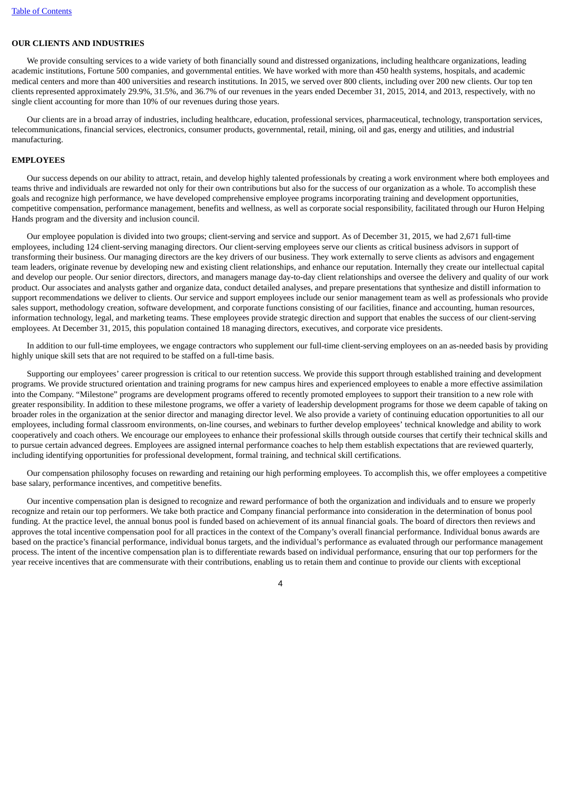## **OUR CLIENTS AND INDUSTRIES**

We provide consulting services to a wide variety of both financially sound and distressed organizations, including healthcare organizations, leading academic institutions, Fortune 500 companies, and governmental entities. We have worked with more than 450 health systems, hospitals, and academic medical centers and more than 400 universities and research institutions. In 2015, we served over 800 clients, including over 200 new clients. Our top ten clients represented approximately 29.9%, 31.5%, and 36.7% of our revenues in the years ended December 31, 2015, 2014, and 2013, respectively, with no single client accounting for more than 10% of our revenues during those years.

Our clients are in a broad array of industries, including healthcare, education, professional services, pharmaceutical, technology, transportation services, telecommunications, financial services, electronics, consumer products, governmental, retail, mining, oil and gas, energy and utilities, and industrial manufacturing.

## **EMPLOYEES**

Our success depends on our ability to attract, retain, and develop highly talented professionals by creating a work environment where both employees and teams thrive and individuals are rewarded not only for their own contributions but also for the success of our organization as a whole. To accomplish these goals and recognize high performance, we have developed comprehensive employee programs incorporating training and development opportunities, competitive compensation, performance management, benefits and wellness, as well as corporate social responsibility, facilitated through our Huron Helping Hands program and the diversity and inclusion council.

Our employee population is divided into two groups; client-serving and service and support. As of December 31, 2015, we had 2,671 full-time employees, including 124 client-serving managing directors. Our client-serving employees serve our clients as critical business advisors in support of transforming their business. Our managing directors are the key drivers of our business. They work externally to serve clients as advisors and engagement team leaders, originate revenue by developing new and existing client relationships, and enhance our reputation. Internally they create our intellectual capital and develop our people. Our senior directors, directors, and managers manage day-to-day client relationships and oversee the delivery and quality of our work product. Our associates and analysts gather and organize data, conduct detailed analyses, and prepare presentations that synthesize and distill information to support recommendations we deliver to clients. Our service and support employees include our senior management team as well as professionals who provide sales support, methodology creation, software development, and corporate functions consisting of our facilities, finance and accounting, human resources, information technology, legal, and marketing teams. These employees provide strategic direction and support that enables the success of our client-serving employees. At December 31, 2015, this population contained 18 managing directors, executives, and corporate vice presidents.

In addition to our full-time employees, we engage contractors who supplement our full-time client-serving employees on an as-needed basis by providing highly unique skill sets that are not required to be staffed on a full-time basis.

Supporting our employees' career progression is critical to our retention success. We provide this support through established training and development programs. We provide structured orientation and training programs for new campus hires and experienced employees to enable a more effective assimilation into the Company. "Milestone" programs are development programs offered to recently promoted employees to support their transition to a new role with greater responsibility. In addition to these milestone programs, we offer a variety of leadership development programs for those we deem capable of taking on broader roles in the organization at the senior director and managing director level. We also provide a variety of continuing education opportunities to all our employees, including formal classroom environments, on-line courses, and webinars to further develop employees' technical knowledge and ability to work cooperatively and coach others. We encourage our employees to enhance their professional skills through outside courses that certify their technical skills and to pursue certain advanced degrees. Employees are assigned internal performance coaches to help them establish expectations that are reviewed quarterly, including identifying opportunities for professional development, formal training, and technical skill certifications.

Our compensation philosophy focuses on rewarding and retaining our high performing employees. To accomplish this, we offer employees a competitive base salary, performance incentives, and competitive benefits.

Our incentive compensation plan is designed to recognize and reward performance of both the organization and individuals and to ensure we properly recognize and retain our top performers. We take both practice and Company financial performance into consideration in the determination of bonus pool funding. At the practice level, the annual bonus pool is funded based on achievement of its annual financial goals. The board of directors then reviews and approves the total incentive compensation pool for all practices in the context of the Company's overall financial performance. Individual bonus awards are based on the practice's financial performance, individual bonus targets, and the individual's performance as evaluated through our performance management process. The intent of the incentive compensation plan is to differentiate rewards based on individual performance, ensuring that our top performers for the year receive incentives that are commensurate with their contributions, enabling us to retain them and continue to provide our clients with exceptional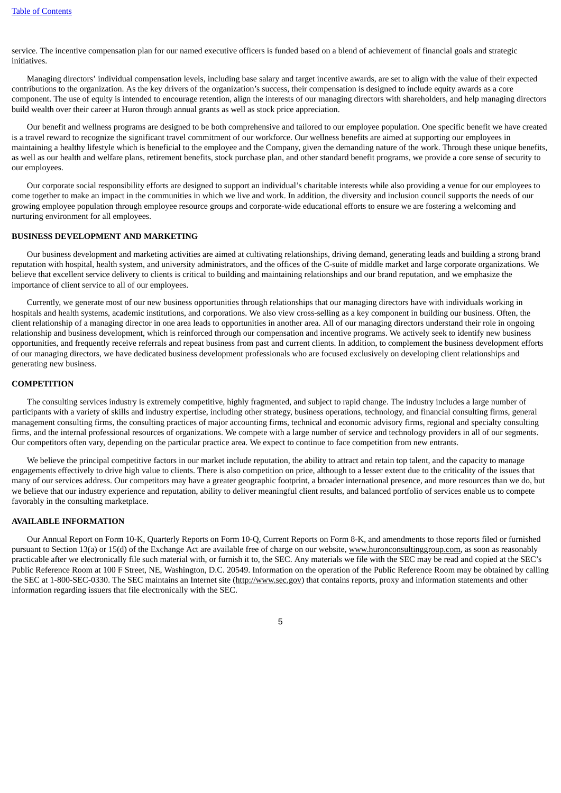service. The incentive compensation plan for our named executive officers is funded based on a blend of achievement of financial goals and strategic initiatives.

Managing directors' individual compensation levels, including base salary and target incentive awards, are set to align with the value of their expected contributions to the organization. As the key drivers of the organization's success, their compensation is designed to include equity awards as a core component. The use of equity is intended to encourage retention, align the interests of our managing directors with shareholders, and help managing directors build wealth over their career at Huron through annual grants as well as stock price appreciation.

Our benefit and wellness programs are designed to be both comprehensive and tailored to our employee population. One specific benefit we have created is a travel reward to recognize the significant travel commitment of our workforce. Our wellness benefits are aimed at supporting our employees in maintaining a healthy lifestyle which is beneficial to the employee and the Company, given the demanding nature of the work. Through these unique benefits, as well as our health and welfare plans, retirement benefits, stock purchase plan, and other standard benefit programs, we provide a core sense of security to our employees.

Our corporate social responsibility efforts are designed to support an individual's charitable interests while also providing a venue for our employees to come together to make an impact in the communities in which we live and work. In addition, the diversity and inclusion council supports the needs of our growing employee population through employee resource groups and corporate-wide educational efforts to ensure we are fostering a welcoming and nurturing environment for all employees.

### **BUSINESS DEVELOPMENT AND MARKETING**

Our business development and marketing activities are aimed at cultivating relationships, driving demand, generating leads and building a strong brand reputation with hospital, health system, and university administrators, and the offices of the C-suite of middle market and large corporate organizations. We believe that excellent service delivery to clients is critical to building and maintaining relationships and our brand reputation, and we emphasize the importance of client service to all of our employees.

Currently, we generate most of our new business opportunities through relationships that our managing directors have with individuals working in hospitals and health systems, academic institutions, and corporations. We also view cross-selling as a key component in building our business. Often, the client relationship of a managing director in one area leads to opportunities in another area. All of our managing directors understand their role in ongoing relationship and business development, which is reinforced through our compensation and incentive programs. We actively seek to identify new business opportunities, and frequently receive referrals and repeat business from past and current clients. In addition, to complement the business development efforts of our managing directors, we have dedicated business development professionals who are focused exclusively on developing client relationships and generating new business.

## **COMPETITION**

The consulting services industry is extremely competitive, highly fragmented, and subject to rapid change. The industry includes a large number of participants with a variety of skills and industry expertise, including other strategy, business operations, technology, and financial consulting firms, general management consulting firms, the consulting practices of major accounting firms, technical and economic advisory firms, regional and specialty consulting firms, and the internal professional resources of organizations. We compete with a large number of service and technology providers in all of our segments. Our competitors often vary, depending on the particular practice area. We expect to continue to face competition from new entrants.

We believe the principal competitive factors in our market include reputation, the ability to attract and retain top talent, and the capacity to manage engagements effectively to drive high value to clients. There is also competition on price, although to a lesser extent due to the criticality of the issues that many of our services address. Our competitors may have a greater geographic footprint, a broader international presence, and more resources than we do, but we believe that our industry experience and reputation, ability to deliver meaningful client results, and balanced portfolio of services enable us to compete favorably in the consulting marketplace.

## **AVAILABLE INFORMATION**

<span id="page-6-0"></span>Our Annual Report on Form 10-K, Quarterly Reports on Form 10-Q, Current Reports on Form 8-K, and amendments to those reports filed or furnished pursuant to Section 13(a) or 15(d) of the Exchange Act are available free of charge on our website, www.huronconsultinggroup.com, as soon as reasonably practicable after we electronically file such material with, or furnish it to, the SEC. Any materials we file with the SEC may be read and copied at the SEC's Public Reference Room at 100 F Street, NE, Washington, D.C. 20549. Information on the operation of the Public Reference Room may be obtained by calling the SEC at 1-800-SEC-0330. The SEC maintains an Internet site (http://www.sec.gov) that contains reports, proxy and information statements and other information regarding issuers that file electronically with the SEC.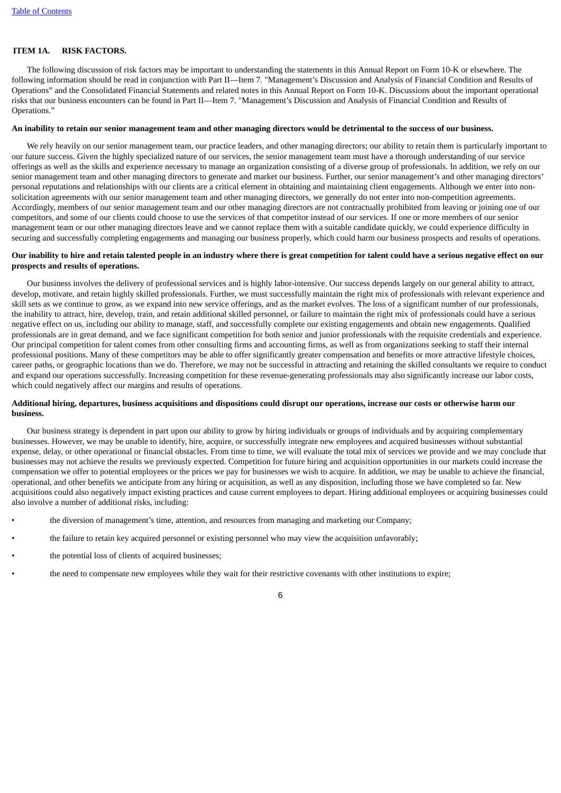## **ITEM 1A. RISK FACTORS.**

The following discussion of risk factors may be important to understanding the statements in this Annual Report on Form 10-K or elsewhere. The following information should be read in conjunction with Part II—Item 7. "Management's Discussion and Analysis of Financial Condition and Results of Operations" and the Consolidated Financial Statements and related notes in this Annual Report on Form 10-K. Discussions about the important operational risks that our business encounters can be found in Part II—Item 7. "Management's Discussion and Analysis of Financial Condition and Results of Operations."

### An inability to retain our senior management team and other managing directors would be detrimental to the success of our business.

We rely heavily on our senior management team, our practice leaders, and other managing directors; our ability to retain them is particularly important to our future success. Given the highly specialized nature of our services, the senior management team must have a thorough understanding of our service offerings as well as the skills and experience necessary to manage an organization consisting of a diverse group of professionals. In addition, we rely on our senior management team and other managing directors to generate and market our business. Further, our senior management's and other managing directors' personal reputations and relationships with our clients are a critical element in obtaining and maintaining client engagements. Although we enter into nonsolicitation agreements with our senior management team and other managing directors, we generally do not enter into non-competition agreements. Accordingly, members of our senior management team and our other managing directors are not contractually prohibited from leaving or joining one of our competitors, and some of our clients could choose to use the services of that competitor instead of our services. If one or more members of our senior management team or our other managing directors leave and we cannot replace them with a suitable candidate quickly, we could experience difficulty in securing and successfully completing engagements and managing our business properly, which could harm our business prospects and results of operations.

## Our inability to hire and retain talented people in an industry where there is great competition for talent could have a serious negative effect on our **prospects and results of operations.**

Our business involves the delivery of professional services and is highly labor-intensive. Our success depends largely on our general ability to attract, develop, motivate, and retain highly skilled professionals. Further, we must successfully maintain the right mix of professionals with relevant experience and skill sets as we continue to grow, as we expand into new service offerings, and as the market evolves. The loss of a significant number of our professionals, the inability to attract, hire, develop, train, and retain additional skilled personnel, or failure to maintain the right mix of professionals could have a serious negative effect on us, including our ability to manage, staff, and successfully complete our existing engagements and obtain new engagements. Qualified professionals are in great demand, and we face significant competition for both senior and junior professionals with the requisite credentials and experience. Our principal competition for talent comes from other consulting firms and accounting firms, as well as from organizations seeking to staff their internal professional positions. Many of these competitors may be able to offer significantly greater compensation and benefits or more attractive lifestyle choices, career paths, or geographic locations than we do. Therefore, we may not be successful in attracting and retaining the skilled consultants we require to conduct and expand our operations successfully. Increasing competition for these revenue-generating professionals may also significantly increase our labor costs, which could negatively affect our margins and results of operations.

### Additional hiring, departures, business acquisitions and dispositions could disrupt our operations, increase our costs or otherwise harm our **business.**

Our business strategy is dependent in part upon our ability to grow by hiring individuals or groups of individuals and by acquiring complementary businesses. However, we may be unable to identify, hire, acquire, or successfully integrate new employees and acquired businesses without substantial expense, delay, or other operational or financial obstacles. From time to time, we will evaluate the total mix of services we provide and we may conclude that businesses may not achieve the results we previously expected. Competition for future hiring and acquisition opportunities in our markets could increase the compensation we offer to potential employees or the prices we pay for businesses we wish to acquire. In addition, we may be unable to achieve the financial, operational, and other benefits we anticipate from any hiring or acquisition, as well as any disposition, including those we have completed so far. New acquisitions could also negatively impact existing practices and cause current employees to depart. Hiring additional employees or acquiring businesses could also involve a number of additional risks, including:

- the diversion of management's time, attention, and resources from managing and marketing our Company;
- the failure to retain key acquired personnel or existing personnel who may view the acquisition unfavorably;
- the potential loss of clients of acquired businesses;
- the need to compensate new employees while they wait for their restrictive covenants with other institutions to expire;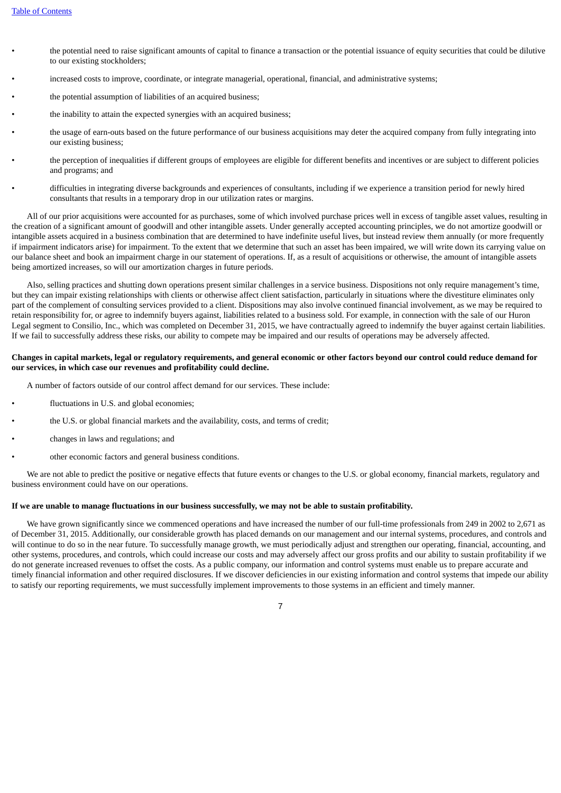- the potential need to raise significant amounts of capital to finance a transaction or the potential issuance of equity securities that could be dilutive to our existing stockholders;
- increased costs to improve, coordinate, or integrate managerial, operational, financial, and administrative systems;
- the potential assumption of liabilities of an acquired business;
- the inability to attain the expected synergies with an acquired business;
- the usage of earn-outs based on the future performance of our business acquisitions may deter the acquired company from fully integrating into our existing business;
- the perception of inequalities if different groups of employees are eligible for different benefits and incentives or are subject to different policies and programs; and
- difficulties in integrating diverse backgrounds and experiences of consultants, including if we experience a transition period for newly hired consultants that results in a temporary drop in our utilization rates or margins.

All of our prior acquisitions were accounted for as purchases, some of which involved purchase prices well in excess of tangible asset values, resulting in the creation of a significant amount of goodwill and other intangible assets. Under generally accepted accounting principles, we do not amortize goodwill or intangible assets acquired in a business combination that are determined to have indefinite useful lives, but instead review them annually (or more frequently if impairment indicators arise) for impairment. To the extent that we determine that such an asset has been impaired, we will write down its carrying value on our balance sheet and book an impairment charge in our statement of operations. If, as a result of acquisitions or otherwise, the amount of intangible assets being amortized increases, so will our amortization charges in future periods.

Also, selling practices and shutting down operations present similar challenges in a service business. Dispositions not only require management's time, but they can impair existing relationships with clients or otherwise affect client satisfaction, particularly in situations where the divestiture eliminates only part of the complement of consulting services provided to a client. Dispositions may also involve continued financial involvement, as we may be required to retain responsibility for, or agree to indemnify buyers against, liabilities related to a business sold. For example, in connection with the sale of our Huron Legal segment to Consilio, Inc., which was completed on December 31, 2015, we have contractually agreed to indemnify the buyer against certain liabilities. If we fail to successfully address these risks, our ability to compete may be impaired and our results of operations may be adversely affected.

## Changes in capital markets, legal or regulatory requirements, and general economic or other factors beyond our control could reduce demand for **our services, in which case our revenues and profitability could decline.**

A number of factors outside of our control affect demand for our services. These include:

- fluctuations in U.S. and global economies;
- the U.S. or global financial markets and the availability, costs, and terms of credit;
- changes in laws and regulations; and
- other economic factors and general business conditions.

We are not able to predict the positive or negative effects that future events or changes to the U.S. or global economy, financial markets, regulatory and business environment could have on our operations.

#### If we are unable to manage fluctuations in our business successfully, we may not be able to sustain profitability.

We have grown significantly since we commenced operations and have increased the number of our full-time professionals from 249 in 2002 to 2,671 as of December 31, 2015. Additionally, our considerable growth has placed demands on our management and our internal systems, procedures, and controls and will continue to do so in the near future. To successfully manage growth, we must periodically adjust and strengthen our operating, financial, accounting, and other systems, procedures, and controls, which could increase our costs and may adversely affect our gross profits and our ability to sustain profitability if we do not generate increased revenues to offset the costs. As a public company, our information and control systems must enable us to prepare accurate and timely financial information and other required disclosures. If we discover deficiencies in our existing information and control systems that impede our ability to satisfy our reporting requirements, we must successfully implement improvements to those systems in an efficient and timely manner.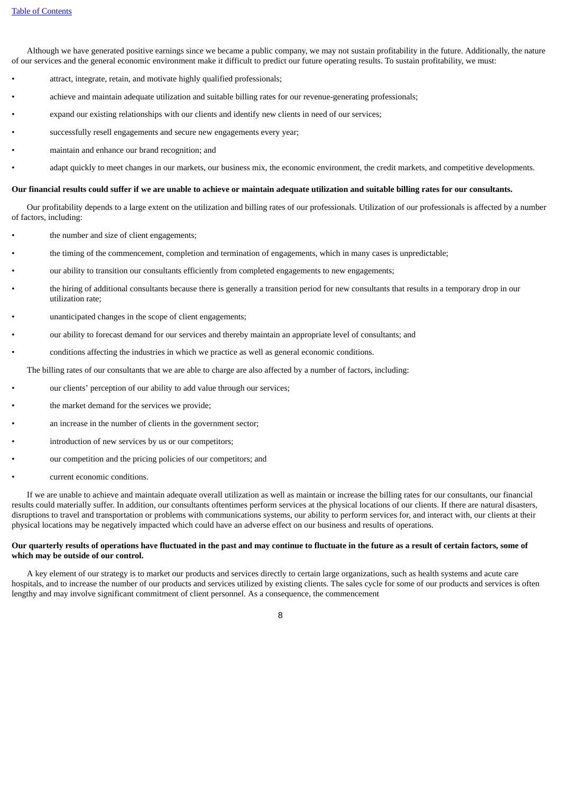Although we have generated positive earnings since we became a public company, we may not sustain profitability in the future. Additionally, the nature of our services and the general economic environment make it difficult to predict our future operating results. To sustain profitability, we must:

- attract, integrate, retain, and motivate highly qualified professionals;
- achieve and maintain adequate utilization and suitable billing rates for our revenue-generating professionals;
- expand our existing relationships with our clients and identify new clients in need of our services;
- successfully resell engagements and secure new engagements every year;
- maintain and enhance our brand recognition; and
- adapt quickly to meet changes in our markets, our business mix, the economic environment, the credit markets, and competitive developments.

## Our financial results could suffer if we are unable to achieve or maintain adequate utilization and suitable billing rates for our consultants.

Our profitability depends to a large extent on the utilization and billing rates of our professionals. Utilization of our professionals is affected by a number of factors, including:

- the number and size of client engagements;
- the timing of the commencement, completion and termination of engagements, which in many cases is unpredictable;
- our ability to transition our consultants efficiently from completed engagements to new engagements;
- the hiring of additional consultants because there is generally a transition period for new consultants that results in a temporary drop in our utilization rate;
- unanticipated changes in the scope of client engagements;
- our ability to forecast demand for our services and thereby maintain an appropriate level of consultants; and
- conditions affecting the industries in which we practice as well as general economic conditions.

The billing rates of our consultants that we are able to charge are also affected by a number of factors, including:

- our clients' perception of our ability to add value through our services;
- the market demand for the services we provide;
- an increase in the number of clients in the government sector;
- introduction of new services by us or our competitors;
- our competition and the pricing policies of our competitors; and
	- current economic conditions.

If we are unable to achieve and maintain adequate overall utilization as well as maintain or increase the billing rates for our consultants, our financial results could materially suffer. In addition, our consultants oftentimes perform services at the physical locations of our clients. If there are natural disasters, disruptions to travel and transportation or problems with communications systems, our ability to perform services for, and interact with, our clients at their physical locations may be negatively impacted which could have an adverse effect on our business and results of operations.

## Our quarterly results of operations have fluctuated in the past and may continue to fluctuate in the future as a result of certain factors, some of **which may be outside of our control.**

A key element of our strategy is to market our products and services directly to certain large organizations, such as health systems and acute care hospitals, and to increase the number of our products and services utilized by existing clients. The sales cycle for some of our products and services is often lengthy and may involve significant commitment of client personnel. As a consequence, the commencement

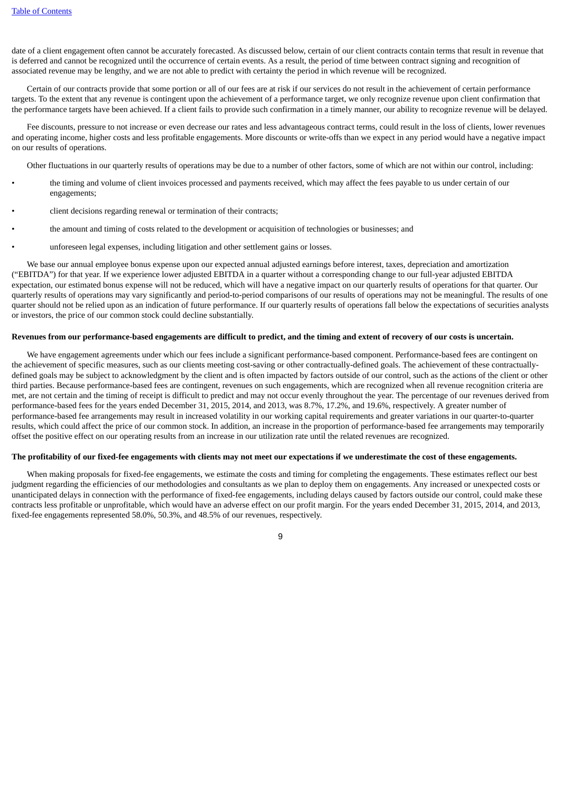date of a client engagement often cannot be accurately forecasted. As discussed below, certain of our client contracts contain terms that result in revenue that is deferred and cannot be recognized until the occurrence of certain events. As a result, the period of time between contract signing and recognition of associated revenue may be lengthy, and we are not able to predict with certainty the period in which revenue will be recognized.

Certain of our contracts provide that some portion or all of our fees are at risk if our services do not result in the achievement of certain performance targets. To the extent that any revenue is contingent upon the achievement of a performance target, we only recognize revenue upon client confirmation that the performance targets have been achieved. If a client fails to provide such confirmation in a timely manner, our ability to recognize revenue will be delayed.

Fee discounts, pressure to not increase or even decrease our rates and less advantageous contract terms, could result in the loss of clients, lower revenues and operating income, higher costs and less profitable engagements. More discounts or write-offs than we expect in any period would have a negative impact on our results of operations.

Other fluctuations in our quarterly results of operations may be due to a number of other factors, some of which are not within our control, including:

- the timing and volume of client invoices processed and payments received, which may affect the fees payable to us under certain of our engagements;
- client decisions regarding renewal or termination of their contracts;
- the amount and timing of costs related to the development or acquisition of technologies or businesses; and
- unforeseen legal expenses, including litigation and other settlement gains or losses.

We base our annual employee bonus expense upon our expected annual adjusted earnings before interest, taxes, depreciation and amortization ("EBITDA") for that year. If we experience lower adjusted EBITDA in a quarter without a corresponding change to our full-year adjusted EBITDA expectation, our estimated bonus expense will not be reduced, which will have a negative impact on our quarterly results of operations for that quarter. Our quarterly results of operations may vary significantly and period-to-period comparisons of our results of operations may not be meaningful. The results of one quarter should not be relied upon as an indication of future performance. If our quarterly results of operations fall below the expectations of securities analysts or investors, the price of our common stock could decline substantially.

## Revenues from our performance-based engagements are difficult to predict, and the timing and extent of recovery of our costs is uncertain.

We have engagement agreements under which our fees include a significant performance-based component. Performance-based fees are contingent on the achievement of specific measures, such as our clients meeting cost-saving or other contractually-defined goals. The achievement of these contractuallydefined goals may be subject to acknowledgment by the client and is often impacted by factors outside of our control, such as the actions of the client or other third parties. Because performance-based fees are contingent, revenues on such engagements, which are recognized when all revenue recognition criteria are met, are not certain and the timing of receipt is difficult to predict and may not occur evenly throughout the year. The percentage of our revenues derived from performance-based fees for the years ended December 31, 2015, 2014, and 2013, was 8.7%, 17.2%, and 19.6%, respectively. A greater number of performance-based fee arrangements may result in increased volatility in our working capital requirements and greater variations in our quarter-to-quarter results, which could affect the price of our common stock. In addition, an increase in the proportion of performance-based fee arrangements may temporarily offset the positive effect on our operating results from an increase in our utilization rate until the related revenues are recognized.

## The profitability of our fixed-fee engagements with clients may not meet our expectations if we underestimate the cost of these engagements.

When making proposals for fixed-fee engagements, we estimate the costs and timing for completing the engagements. These estimates reflect our best judgment regarding the efficiencies of our methodologies and consultants as we plan to deploy them on engagements. Any increased or unexpected costs or unanticipated delays in connection with the performance of fixed-fee engagements, including delays caused by factors outside our control, could make these contracts less profitable or unprofitable, which would have an adverse effect on our profit margin. For the years ended December 31, 2015, 2014, and 2013, fixed-fee engagements represented 58.0%, 50.3%, and 48.5% of our revenues, respectively.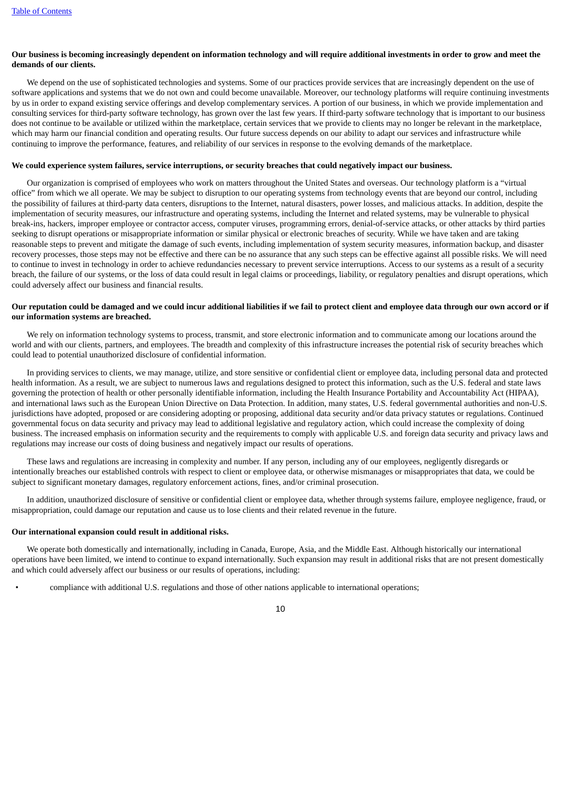## Our business is becoming increasingly dependent on information technology and will require additional investments in order to grow and meet the **demands of our clients.**

We depend on the use of sophisticated technologies and systems. Some of our practices provide services that are increasingly dependent on the use of software applications and systems that we do not own and could become unavailable. Moreover, our technology platforms will require continuing investments by us in order to expand existing service offerings and develop complementary services. A portion of our business, in which we provide implementation and consulting services for third-party software technology, has grown over the last few years. If third-party software technology that is important to our business does not continue to be available or utilized within the marketplace, certain services that we provide to clients may no longer be relevant in the marketplace, which may harm our financial condition and operating results. Our future success depends on our ability to adapt our services and infrastructure while continuing to improve the performance, features, and reliability of our services in response to the evolving demands of the marketplace.

### We could experience system failures, service interruptions, or security breaches that could negatively impact our business.

Our organization is comprised of employees who work on matters throughout the United States and overseas. Our technology platform is a "virtual office" from which we all operate. We may be subject to disruption to our operating systems from technology events that are beyond our control, including the possibility of failures at third-party data centers, disruptions to the Internet, natural disasters, power losses, and malicious attacks. In addition, despite the implementation of security measures, our infrastructure and operating systems, including the Internet and related systems, may be vulnerable to physical break-ins, hackers, improper employee or contractor access, computer viruses, programming errors, denial-of-service attacks, or other attacks by third parties seeking to disrupt operations or misappropriate information or similar physical or electronic breaches of security. While we have taken and are taking reasonable steps to prevent and mitigate the damage of such events, including implementation of system security measures, information backup, and disaster recovery processes, those steps may not be effective and there can be no assurance that any such steps can be effective against all possible risks. We will need to continue to invest in technology in order to achieve redundancies necessary to prevent service interruptions. Access to our systems as a result of a security breach, the failure of our systems, or the loss of data could result in legal claims or proceedings, liability, or regulatory penalties and disrupt operations, which could adversely affect our business and financial results.

## Our reputation could be damaged and we could incur additional liabilities if we fail to protect client and employee data through our own accord or if **our information systems are breached.**

We rely on information technology systems to process, transmit, and store electronic information and to communicate among our locations around the world and with our clients, partners, and employees. The breadth and complexity of this infrastructure increases the potential risk of security breaches which could lead to potential unauthorized disclosure of confidential information.

In providing services to clients, we may manage, utilize, and store sensitive or confidential client or employee data, including personal data and protected health information. As a result, we are subject to numerous laws and regulations designed to protect this information, such as the U.S. federal and state laws governing the protection of health or other personally identifiable information, including the Health Insurance Portability and Accountability Act (HIPAA), and international laws such as the European Union Directive on Data Protection. In addition, many states, U.S. federal governmental authorities and non-U.S. jurisdictions have adopted, proposed or are considering adopting or proposing, additional data security and/or data privacy statutes or regulations. Continued governmental focus on data security and privacy may lead to additional legislative and regulatory action, which could increase the complexity of doing business. The increased emphasis on information security and the requirements to comply with applicable U.S. and foreign data security and privacy laws and regulations may increase our costs of doing business and negatively impact our results of operations.

These laws and regulations are increasing in complexity and number. If any person, including any of our employees, negligently disregards or intentionally breaches our established controls with respect to client or employee data, or otherwise mismanages or misappropriates that data, we could be subject to significant monetary damages, regulatory enforcement actions, fines, and/or criminal prosecution.

In addition, unauthorized disclosure of sensitive or confidential client or employee data, whether through systems failure, employee negligence, fraud, or misappropriation, could damage our reputation and cause us to lose clients and their related revenue in the future.

## **Our international expansion could result in additional risks.**

We operate both domestically and internationally, including in Canada, Europe, Asia, and the Middle East. Although historically our international operations have been limited, we intend to continue to expand internationally. Such expansion may result in additional risks that are not present domestically and which could adversely affect our business or our results of operations, including:

• compliance with additional U.S. regulations and those of other nations applicable to international operations;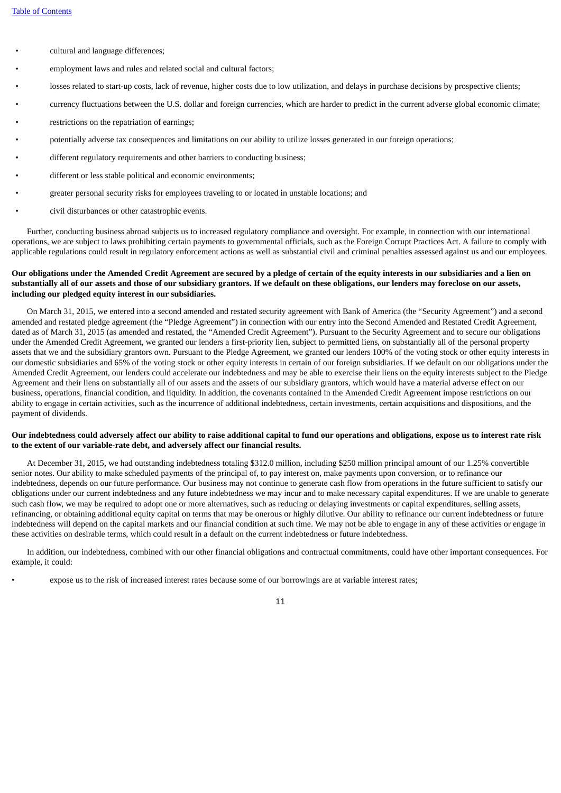- cultural and language differences;
- employment laws and rules and related social and cultural factors;
- losses related to start-up costs, lack of revenue, higher costs due to low utilization, and delays in purchase decisions by prospective clients;
- currency fluctuations between the U.S. dollar and foreign currencies, which are harder to predict in the current adverse global economic climate;
- restrictions on the repatriation of earnings;
- potentially adverse tax consequences and limitations on our ability to utilize losses generated in our foreign operations;
- different regulatory requirements and other barriers to conducting business;
- different or less stable political and economic environments;
- greater personal security risks for employees traveling to or located in unstable locations; and
- civil disturbances or other catastrophic events.

Further, conducting business abroad subjects us to increased regulatory compliance and oversight. For example, in connection with our international operations, we are subject to laws prohibiting certain payments to governmental officials, such as the Foreign Corrupt Practices Act. A failure to comply with applicable regulations could result in regulatory enforcement actions as well as substantial civil and criminal penalties assessed against us and our employees.

## Our obligations under the Amended Credit Agreement are secured by a pledge of certain of the equity interests in our subsidiaries and a lien on substantially all of our assets and those of our subsidiary grantors. If we default on these obligations, our lenders may foreclose on our assets, **including our pledged equity interest in our subsidiaries.**

On March 31, 2015, we entered into a second amended and restated security agreement with Bank of America (the "Security Agreement") and a second amended and restated pledge agreement (the "Pledge Agreement") in connection with our entry into the Second Amended and Restated Credit Agreement, dated as of March 31, 2015 (as amended and restated, the "Amended Credit Agreement"). Pursuant to the Security Agreement and to secure our obligations under the Amended Credit Agreement, we granted our lenders a first-priority lien, subject to permitted liens, on substantially all of the personal property assets that we and the subsidiary grantors own. Pursuant to the Pledge Agreement, we granted our lenders 100% of the voting stock or other equity interests in our domestic subsidiaries and 65% of the voting stock or other equity interests in certain of our foreign subsidiaries. If we default on our obligations under the Amended Credit Agreement, our lenders could accelerate our indebtedness and may be able to exercise their liens on the equity interests subject to the Pledge Agreement and their liens on substantially all of our assets and the assets of our subsidiary grantors, which would have a material adverse effect on our business, operations, financial condition, and liquidity. In addition, the covenants contained in the Amended Credit Agreement impose restrictions on our ability to engage in certain activities, such as the incurrence of additional indebtedness, certain investments, certain acquisitions and dispositions, and the payment of dividends.

## Our indebtedness could adversely affect our ability to raise additional capital to fund our operations and obligations, expose us to interest rate risk **to the extent of our variable-rate debt, and adversely affect our financial results.**

At December 31, 2015, we had outstanding indebtedness totaling \$312.0 million, including \$250 million principal amount of our 1.25% convertible senior notes. Our ability to make scheduled payments of the principal of, to pay interest on, make payments upon conversion, or to refinance our indebtedness, depends on our future performance. Our business may not continue to generate cash flow from operations in the future sufficient to satisfy our obligations under our current indebtedness and any future indebtedness we may incur and to make necessary capital expenditures. If we are unable to generate such cash flow, we may be required to adopt one or more alternatives, such as reducing or delaying investments or capital expenditures, selling assets, refinancing, or obtaining additional equity capital on terms that may be onerous or highly dilutive. Our ability to refinance our current indebtedness or future indebtedness will depend on the capital markets and our financial condition at such time. We may not be able to engage in any of these activities or engage in these activities on desirable terms, which could result in a default on the current indebtedness or future indebtedness.

In addition, our indebtedness, combined with our other financial obligations and contractual commitments, could have other important consequences. For example, it could:

• expose us to the risk of increased interest rates because some of our borrowings are at variable interest rates;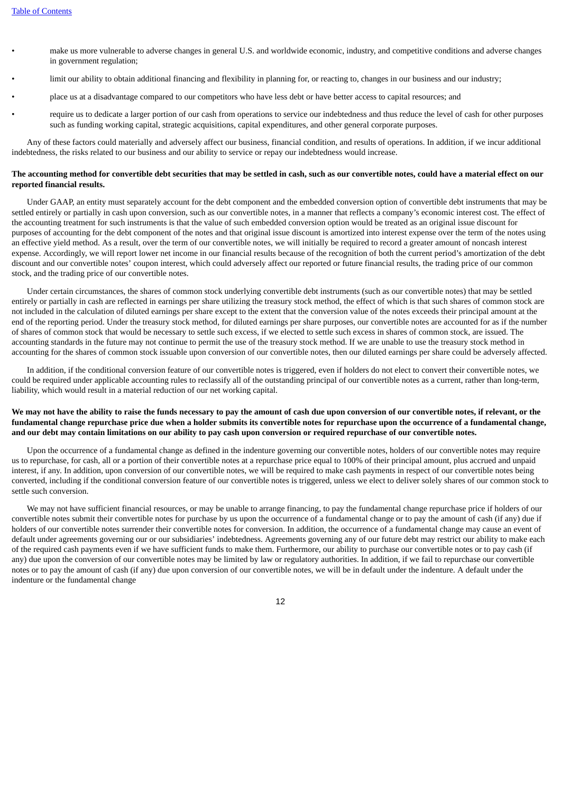- make us more vulnerable to adverse changes in general U.S. and worldwide economic, industry, and competitive conditions and adverse changes in government regulation;
- limit our ability to obtain additional financing and flexibility in planning for, or reacting to, changes in our business and our industry;
- place us at a disadvantage compared to our competitors who have less debt or have better access to capital resources; and
- require us to dedicate a larger portion of our cash from operations to service our indebtedness and thus reduce the level of cash for other purposes such as funding working capital, strategic acquisitions, capital expenditures, and other general corporate purposes.

Any of these factors could materially and adversely affect our business, financial condition, and results of operations. In addition, if we incur additional indebtedness, the risks related to our business and our ability to service or repay our indebtedness would increase.

## The accounting method for convertible debt securities that may be settled in cash, such as our convertible notes, could have a material effect on our **reported financial results.**

Under GAAP, an entity must separately account for the debt component and the embedded conversion option of convertible debt instruments that may be settled entirely or partially in cash upon conversion, such as our convertible notes, in a manner that reflects a company's economic interest cost. The effect of the accounting treatment for such instruments is that the value of such embedded conversion option would be treated as an original issue discount for purposes of accounting for the debt component of the notes and that original issue discount is amortized into interest expense over the term of the notes using an effective yield method. As a result, over the term of our convertible notes, we will initially be required to record a greater amount of noncash interest expense. Accordingly, we will report lower net income in our financial results because of the recognition of both the current period's amortization of the debt discount and our convertible notes' coupon interest, which could adversely affect our reported or future financial results, the trading price of our common stock, and the trading price of our convertible notes.

Under certain circumstances, the shares of common stock underlying convertible debt instruments (such as our convertible notes) that may be settled entirely or partially in cash are reflected in earnings per share utilizing the treasury stock method, the effect of which is that such shares of common stock are not included in the calculation of diluted earnings per share except to the extent that the conversion value of the notes exceeds their principal amount at the end of the reporting period. Under the treasury stock method, for diluted earnings per share purposes, our convertible notes are accounted for as if the number of shares of common stock that would be necessary to settle such excess, if we elected to settle such excess in shares of common stock, are issued. The accounting standards in the future may not continue to permit the use of the treasury stock method. If we are unable to use the treasury stock method in accounting for the shares of common stock issuable upon conversion of our convertible notes, then our diluted earnings per share could be adversely affected.

In addition, if the conditional conversion feature of our convertible notes is triggered, even if holders do not elect to convert their convertible notes, we could be required under applicable accounting rules to reclassify all of the outstanding principal of our convertible notes as a current, rather than long-term, liability, which would result in a material reduction of our net working capital.

## We may not have the ability to raise the funds necessary to pay the amount of cash due upon conversion of our convertible notes, if relevant, or the fundamental change repurchase price due when a holder submits its convertible notes for repurchase upon the occurrence of a fundamental change, and our debt may contain limitations on our ability to pay cash upon conversion or required repurchase of our convertible notes.

Upon the occurrence of a fundamental change as defined in the indenture governing our convertible notes, holders of our convertible notes may require us to repurchase, for cash, all or a portion of their convertible notes at a repurchase price equal to 100% of their principal amount, plus accrued and unpaid interest, if any. In addition, upon conversion of our convertible notes, we will be required to make cash payments in respect of our convertible notes being converted, including if the conditional conversion feature of our convertible notes is triggered, unless we elect to deliver solely shares of our common stock to settle such conversion.

We may not have sufficient financial resources, or may be unable to arrange financing, to pay the fundamental change repurchase price if holders of our convertible notes submit their convertible notes for purchase by us upon the occurrence of a fundamental change or to pay the amount of cash (if any) due if holders of our convertible notes surrender their convertible notes for conversion. In addition, the occurrence of a fundamental change may cause an event of default under agreements governing our or our subsidiaries' indebtedness. Agreements governing any of our future debt may restrict our ability to make each of the required cash payments even if we have sufficient funds to make them. Furthermore, our ability to purchase our convertible notes or to pay cash (if any) due upon the conversion of our convertible notes may be limited by law or regulatory authorities. In addition, if we fail to repurchase our convertible notes or to pay the amount of cash (if any) due upon conversion of our convertible notes, we will be in default under the indenture. A default under the indenture or the fundamental change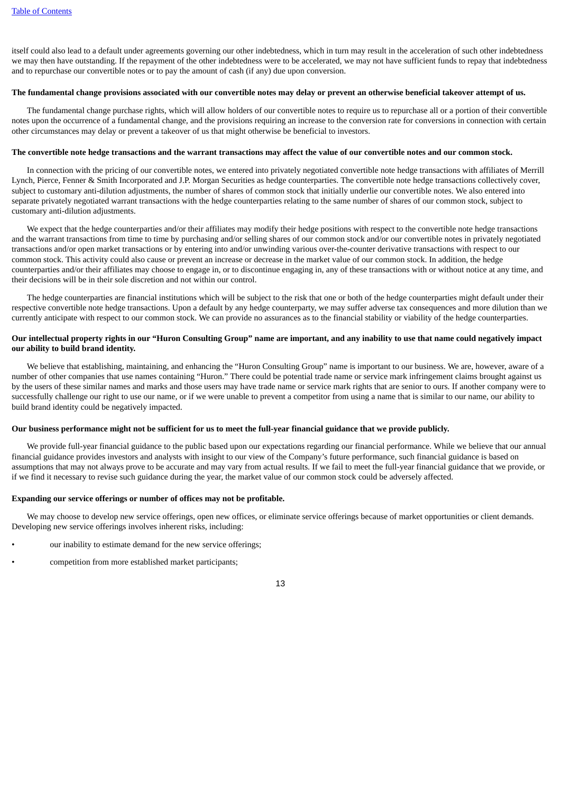itself could also lead to a default under agreements governing our other indebtedness, which in turn may result in the acceleration of such other indebtedness we may then have outstanding. If the repayment of the other indebtedness were to be accelerated, we may not have sufficient funds to repay that indebtedness and to repurchase our convertible notes or to pay the amount of cash (if any) due upon conversion.

## The fundamental change provisions associated with our convertible notes may delay or prevent an otherwise beneficial takeover attempt of us.

The fundamental change purchase rights, which will allow holders of our convertible notes to require us to repurchase all or a portion of their convertible notes upon the occurrence of a fundamental change, and the provisions requiring an increase to the conversion rate for conversions in connection with certain other circumstances may delay or prevent a takeover of us that might otherwise be beneficial to investors.

#### The convertible note hedge transactions and the warrant transactions may affect the value of our convertible notes and our common stock.

In connection with the pricing of our convertible notes, we entered into privately negotiated convertible note hedge transactions with affiliates of Merrill Lynch, Pierce, Fenner & Smith Incorporated and J.P. Morgan Securities as hedge counterparties. The convertible note hedge transactions collectively cover, subject to customary anti-dilution adjustments, the number of shares of common stock that initially underlie our convertible notes. We also entered into separate privately negotiated warrant transactions with the hedge counterparties relating to the same number of shares of our common stock, subject to customary anti-dilution adjustments.

We expect that the hedge counterparties and/or their affiliates may modify their hedge positions with respect to the convertible note hedge transactions and the warrant transactions from time to time by purchasing and/or selling shares of our common stock and/or our convertible notes in privately negotiated transactions and/or open market transactions or by entering into and/or unwinding various over-the-counter derivative transactions with respect to our common stock. This activity could also cause or prevent an increase or decrease in the market value of our common stock. In addition, the hedge counterparties and/or their affiliates may choose to engage in, or to discontinue engaging in, any of these transactions with or without notice at any time, and their decisions will be in their sole discretion and not within our control.

The hedge counterparties are financial institutions which will be subject to the risk that one or both of the hedge counterparties might default under their respective convertible note hedge transactions. Upon a default by any hedge counterparty, we may suffer adverse tax consequences and more dilution than we currently anticipate with respect to our common stock. We can provide no assurances as to the financial stability or viability of the hedge counterparties.

## Our intellectual property rights in our "Huron Consulting Group" name are important, and any inability to use that name could negatively impact **our ability to build brand identity.**

We believe that establishing, maintaining, and enhancing the "Huron Consulting Group" name is important to our business. We are, however, aware of a number of other companies that use names containing "Huron." There could be potential trade name or service mark infringement claims brought against us by the users of these similar names and marks and those users may have trade name or service mark rights that are senior to ours. If another company were to successfully challenge our right to use our name, or if we were unable to prevent a competitor from using a name that is similar to our name, our ability to build brand identity could be negatively impacted.

## Our business performance might not be sufficient for us to meet the full-year financial guidance that we provide publicly.

We provide full-year financial guidance to the public based upon our expectations regarding our financial performance. While we believe that our annual financial guidance provides investors and analysts with insight to our view of the Company's future performance, such financial guidance is based on assumptions that may not always prove to be accurate and may vary from actual results. If we fail to meet the full-year financial guidance that we provide, or if we find it necessary to revise such guidance during the year, the market value of our common stock could be adversely affected.

## **Expanding our service offerings or number of offices may not be profitable.**

We may choose to develop new service offerings, open new offices, or eliminate service offerings because of market opportunities or client demands. Developing new service offerings involves inherent risks, including:

- our inability to estimate demand for the new service offerings;
	- competition from more established market participants;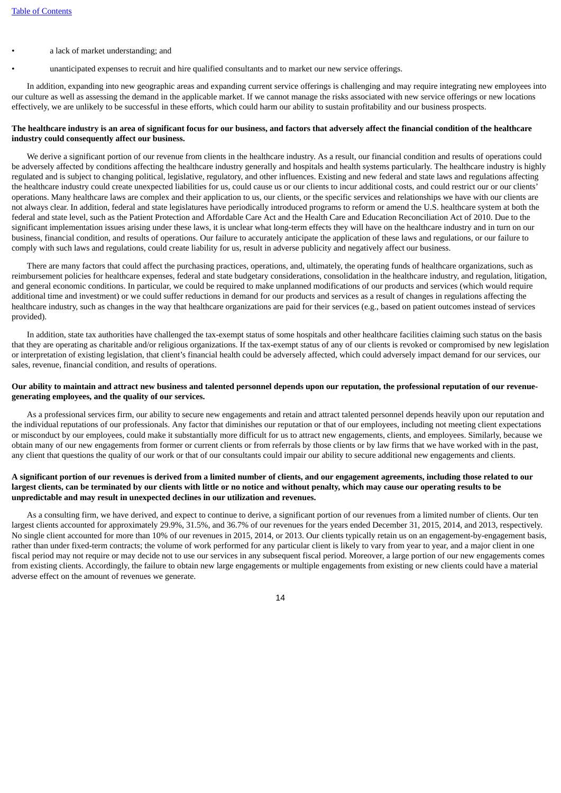- a lack of market understanding; and
- unanticipated expenses to recruit and hire qualified consultants and to market our new service offerings.

In addition, expanding into new geographic areas and expanding current service offerings is challenging and may require integrating new employees into our culture as well as assessing the demand in the applicable market. If we cannot manage the risks associated with new service offerings or new locations effectively, we are unlikely to be successful in these efforts, which could harm our ability to sustain profitability and our business prospects.

## The healthcare industry is an area of significant focus for our business, and factors that adversely affect the financial condition of the healthcare **industry could consequently affect our business.**

We derive a significant portion of our revenue from clients in the healthcare industry. As a result, our financial condition and results of operations could be adversely affected by conditions affecting the healthcare industry generally and hospitals and health systems particularly. The healthcare industry is highly regulated and is subject to changing political, legislative, regulatory, and other influences. Existing and new federal and state laws and regulations affecting the healthcare industry could create unexpected liabilities for us, could cause us or our clients to incur additional costs, and could restrict our or our clients' operations. Many healthcare laws are complex and their application to us, our clients, or the specific services and relationships we have with our clients are not always clear. In addition, federal and state legislatures have periodically introduced programs to reform or amend the U.S. healthcare system at both the federal and state level, such as the Patient Protection and Affordable Care Act and the Health Care and Education Reconciliation Act of 2010. Due to the significant implementation issues arising under these laws, it is unclear what long-term effects they will have on the healthcare industry and in turn on our business, financial condition, and results of operations. Our failure to accurately anticipate the application of these laws and regulations, or our failure to comply with such laws and regulations, could create liability for us, result in adverse publicity and negatively affect our business.

There are many factors that could affect the purchasing practices, operations, and, ultimately, the operating funds of healthcare organizations, such as reimbursement policies for healthcare expenses, federal and state budgetary considerations, consolidation in the healthcare industry, and regulation, litigation, and general economic conditions. In particular, we could be required to make unplanned modifications of our products and services (which would require additional time and investment) or we could suffer reductions in demand for our products and services as a result of changes in regulations affecting the healthcare industry, such as changes in the way that healthcare organizations are paid for their services (e.g., based on patient outcomes instead of services provided).

In addition, state tax authorities have challenged the tax-exempt status of some hospitals and other healthcare facilities claiming such status on the basis that they are operating as charitable and/or religious organizations. If the tax-exempt status of any of our clients is revoked or compromised by new legislation or interpretation of existing legislation, that client's financial health could be adversely affected, which could adversely impact demand for our services, our sales, revenue, financial condition, and results of operations.

## Our ability to maintain and attract new business and talented personnel depends upon our reputation, the professional reputation of our revenue**generating employees, and the quality of our services.**

As a professional services firm, our ability to secure new engagements and retain and attract talented personnel depends heavily upon our reputation and the individual reputations of our professionals. Any factor that diminishes our reputation or that of our employees, including not meeting client expectations or misconduct by our employees, could make it substantially more difficult for us to attract new engagements, clients, and employees. Similarly, because we obtain many of our new engagements from former or current clients or from referrals by those clients or by law firms that we have worked with in the past, any client that questions the quality of our work or that of our consultants could impair our ability to secure additional new engagements and clients.

## A significant portion of our revenues is derived from a limited number of clients, and our engagement agreements, including those related to our largest clients, can be terminated by our clients with little or no notice and without penalty, which may cause our operating results to be **unpredictable and may result in unexpected declines in our utilization and revenues.**

As a consulting firm, we have derived, and expect to continue to derive, a significant portion of our revenues from a limited number of clients. Our ten largest clients accounted for approximately 29.9%, 31.5%, and 36.7% of our revenues for the years ended December 31, 2015, 2014, and 2013, respectively. No single client accounted for more than 10% of our revenues in 2015, 2014, or 2013. Our clients typically retain us on an engagement-by-engagement basis, rather than under fixed-term contracts; the volume of work performed for any particular client is likely to vary from year to year, and a major client in one fiscal period may not require or may decide not to use our services in any subsequent fiscal period. Moreover, a large portion of our new engagements comes from existing clients. Accordingly, the failure to obtain new large engagements or multiple engagements from existing or new clients could have a material adverse effect on the amount of revenues we generate.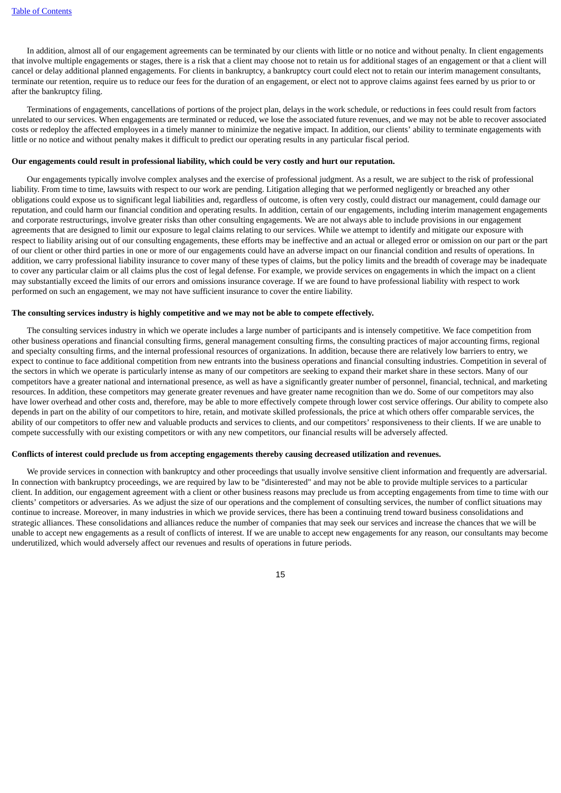In addition, almost all of our engagement agreements can be terminated by our clients with little or no notice and without penalty. In client engagements that involve multiple engagements or stages, there is a risk that a client may choose not to retain us for additional stages of an engagement or that a client will cancel or delay additional planned engagements. For clients in bankruptcy, a bankruptcy court could elect not to retain our interim management consultants, terminate our retention, require us to reduce our fees for the duration of an engagement, or elect not to approve claims against fees earned by us prior to or after the bankruptcy filing.

Terminations of engagements, cancellations of portions of the project plan, delays in the work schedule, or reductions in fees could result from factors unrelated to our services. When engagements are terminated or reduced, we lose the associated future revenues, and we may not be able to recover associated costs or redeploy the affected employees in a timely manner to minimize the negative impact. In addition, our clients' ability to terminate engagements with little or no notice and without penalty makes it difficult to predict our operating results in any particular fiscal period.

## **Our engagements could result in professional liability, which could be very costly and hurt our reputation.**

Our engagements typically involve complex analyses and the exercise of professional judgment. As a result, we are subject to the risk of professional liability. From time to time, lawsuits with respect to our work are pending. Litigation alleging that we performed negligently or breached any other obligations could expose us to significant legal liabilities and, regardless of outcome, is often very costly, could distract our management, could damage our reputation, and could harm our financial condition and operating results. In addition, certain of our engagements, including interim management engagements and corporate restructurings, involve greater risks than other consulting engagements. We are not always able to include provisions in our engagement agreements that are designed to limit our exposure to legal claims relating to our services. While we attempt to identify and mitigate our exposure with respect to liability arising out of our consulting engagements, these efforts may be ineffective and an actual or alleged error or omission on our part or the part of our client or other third parties in one or more of our engagements could have an adverse impact on our financial condition and results of operations. In addition, we carry professional liability insurance to cover many of these types of claims, but the policy limits and the breadth of coverage may be inadequate to cover any particular claim or all claims plus the cost of legal defense. For example, we provide services on engagements in which the impact on a client may substantially exceed the limits of our errors and omissions insurance coverage. If we are found to have professional liability with respect to work performed on such an engagement, we may not have sufficient insurance to cover the entire liability.

## **The consulting services industry is highly competitive and we may not be able to compete effectively.**

The consulting services industry in which we operate includes a large number of participants and is intensely competitive. We face competition from other business operations and financial consulting firms, general management consulting firms, the consulting practices of major accounting firms, regional and specialty consulting firms, and the internal professional resources of organizations. In addition, because there are relatively low barriers to entry, we expect to continue to face additional competition from new entrants into the business operations and financial consulting industries. Competition in several of the sectors in which we operate is particularly intense as many of our competitors are seeking to expand their market share in these sectors. Many of our competitors have a greater national and international presence, as well as have a significantly greater number of personnel, financial, technical, and marketing resources. In addition, these competitors may generate greater revenues and have greater name recognition than we do. Some of our competitors may also have lower overhead and other costs and, therefore, may be able to more effectively compete through lower cost service offerings. Our ability to compete also depends in part on the ability of our competitors to hire, retain, and motivate skilled professionals, the price at which others offer comparable services, the ability of our competitors to offer new and valuable products and services to clients, and our competitors' responsiveness to their clients. If we are unable to compete successfully with our existing competitors or with any new competitors, our financial results will be adversely affected.

#### **Conflicts of interest could preclude us from accepting engagements thereby causing decreased utilization and revenues.**

<span id="page-16-0"></span>We provide services in connection with bankruptcy and other proceedings that usually involve sensitive client information and frequently are adversarial. In connection with bankruptcy proceedings, we are required by law to be "disinterested" and may not be able to provide multiple services to a particular client. In addition, our engagement agreement with a client or other business reasons may preclude us from accepting engagements from time to time with our clients' competitors or adversaries. As we adjust the size of our operations and the complement of consulting services, the number of conflict situations may continue to increase. Moreover, in many industries in which we provide services, there has been a continuing trend toward business consolidations and strategic alliances. These consolidations and alliances reduce the number of companies that may seek our services and increase the chances that we will be unable to accept new engagements as a result of conflicts of interest. If we are unable to accept new engagements for any reason, our consultants may become underutilized, which would adversely affect our revenues and results of operations in future periods.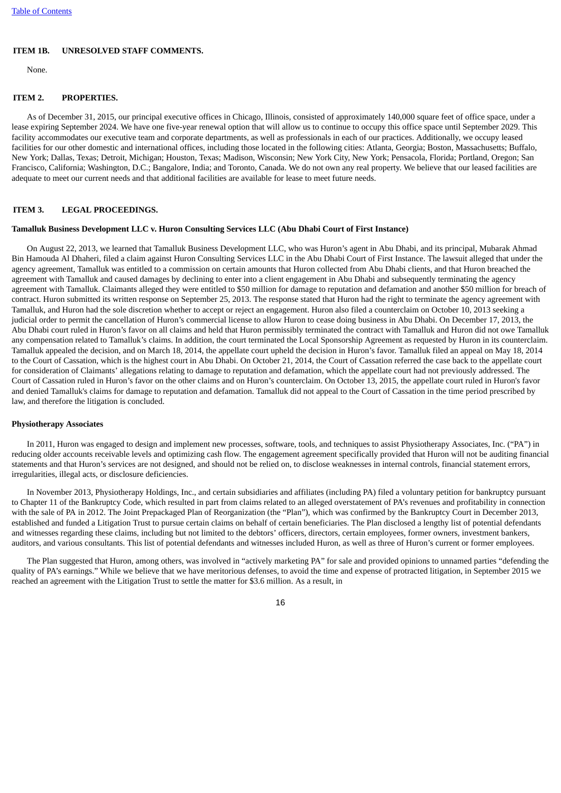### **ITEM 1B. UNRESOLVED STAFF COMMENTS.**

None.

### <span id="page-17-0"></span>**ITEM 2. PROPERTIES.**

As of December 31, 2015, our principal executive offices in Chicago, Illinois, consisted of approximately 140,000 square feet of office space, under a lease expiring September 2024. We have one five-year renewal option that will allow us to continue to occupy this office space until September 2029. This facility accommodates our executive team and corporate departments, as well as professionals in each of our practices. Additionally, we occupy leased facilities for our other domestic and international offices, including those located in the following cities: Atlanta, Georgia; Boston, Massachusetts; Buffalo, New York; Dallas, Texas; Detroit, Michigan; Houston, Texas; Madison, Wisconsin; New York City, New York; Pensacola, Florida; Portland, Oregon; San Francisco, California; Washington, D.C.; Bangalore, India; and Toronto, Canada. We do not own any real property. We believe that our leased facilities are adequate to meet our current needs and that additional facilities are available for lease to meet future needs.

## <span id="page-17-1"></span>**ITEM 3. LEGAL PROCEEDINGS.**

## **Tamalluk Business Development LLC v. Huron Consulting Services LLC (Abu Dhabi Court of First Instance)**

On August 22, 2013, we learned that Tamalluk Business Development LLC, who was Huron's agent in Abu Dhabi, and its principal, Mubarak Ahmad Bin Hamouda Al Dhaheri, filed a claim against Huron Consulting Services LLC in the Abu Dhabi Court of First Instance. The lawsuit alleged that under the agency agreement, Tamalluk was entitled to a commission on certain amounts that Huron collected from Abu Dhabi clients, and that Huron breached the agreement with Tamalluk and caused damages by declining to enter into a client engagement in Abu Dhabi and subsequently terminating the agency agreement with Tamalluk. Claimants alleged they were entitled to \$50 million for damage to reputation and defamation and another \$50 million for breach of contract. Huron submitted its written response on September 25, 2013. The response stated that Huron had the right to terminate the agency agreement with Tamalluk, and Huron had the sole discretion whether to accept or reject an engagement. Huron also filed a counterclaim on October 10, 2013 seeking a judicial order to permit the cancellation of Huron's commercial license to allow Huron to cease doing business in Abu Dhabi. On December 17, 2013, the Abu Dhabi court ruled in Huron's favor on all claims and held that Huron permissibly terminated the contract with Tamalluk and Huron did not owe Tamalluk any compensation related to Tamalluk's claims. In addition, the court terminated the Local Sponsorship Agreement as requested by Huron in its counterclaim. Tamalluk appealed the decision, and on March 18, 2014, the appellate court upheld the decision in Huron's favor. Tamalluk filed an appeal on May 18, 2014 to the Court of Cassation, which is the highest court in Abu Dhabi. On October 21, 2014, the Court of Cassation referred the case back to the appellate court for consideration of Claimants' allegations relating to damage to reputation and defamation, which the appellate court had not previously addressed. The Court of Cassation ruled in Huron's favor on the other claims and on Huron's counterclaim. On October 13, 2015, the appellate court ruled in Huron's favor and denied Tamalluk's claims for damage to reputation and defamation. Tamalluk did not appeal to the Court of Cassation in the time period prescribed by law, and therefore the litigation is concluded.

#### **Physiotherapy Associates**

In 2011, Huron was engaged to design and implement new processes, software, tools, and techniques to assist Physiotherapy Associates, Inc. ("PA") in reducing older accounts receivable levels and optimizing cash flow. The engagement agreement specifically provided that Huron will not be auditing financial statements and that Huron's services are not designed, and should not be relied on, to disclose weaknesses in internal controls, financial statement errors, irregularities, illegal acts, or disclosure deficiencies.

In November 2013, Physiotherapy Holdings, Inc., and certain subsidiaries and affiliates (including PA) filed a voluntary petition for bankruptcy pursuant to Chapter 11 of the Bankruptcy Code, which resulted in part from claims related to an alleged overstatement of PA's revenues and profitability in connection with the sale of PA in 2012. The Joint Prepackaged Plan of Reorganization (the "Plan"), which was confirmed by the Bankruptcy Court in December 2013, established and funded a Litigation Trust to pursue certain claims on behalf of certain beneficiaries. The Plan disclosed a lengthy list of potential defendants and witnesses regarding these claims, including but not limited to the debtors' officers, directors, certain employees, former owners, investment bankers, auditors, and various consultants. This list of potential defendants and witnesses included Huron, as well as three of Huron's current or former employees.

The Plan suggested that Huron, among others, was involved in "actively marketing PA" for sale and provided opinions to unnamed parties "defending the quality of PA's earnings." While we believe that we have meritorious defenses, to avoid the time and expense of protracted litigation, in September 2015 we reached an agreement with the Litigation Trust to settle the matter for \$3.6 million. As a result, in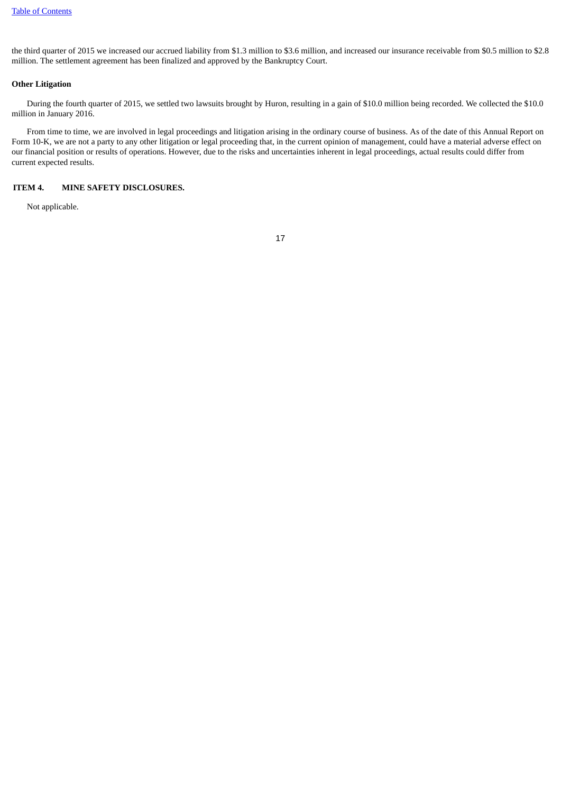the third quarter of 2015 we increased our accrued liability from \$1.3 million to \$3.6 million, and increased our insurance receivable from \$0.5 million to \$2.8 million. The settlement agreement has been finalized and approved by the Bankruptcy Court.

## **Other Litigation**

During the fourth quarter of 2015, we settled two lawsuits brought by Huron, resulting in a gain of \$10.0 million being recorded. We collected the \$10.0 million in January 2016.

From time to time, we are involved in legal proceedings and litigation arising in the ordinary course of business. As of the date of this Annual Report on Form 10-K, we are not a party to any other litigation or legal proceeding that, in the current opinion of management, could have a material adverse effect on our financial position or results of operations. However, due to the risks and uncertainties inherent in legal proceedings, actual results could differ from current expected results.

## <span id="page-18-0"></span>**ITEM 4. MINE SAFETY DISCLOSURES.**

<span id="page-18-1"></span>Not applicable.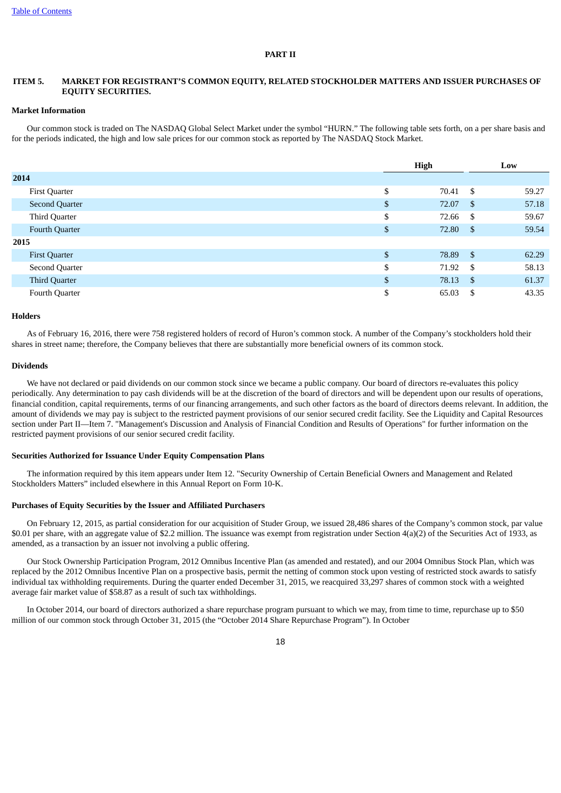## **PART II**

## <span id="page-19-0"></span>**ITEM 5. MARKET FOR REGISTRANT'S COMMON EQUITY, RELATED STOCKHOLDER MATTERS AND ISSUER PURCHASES OF EQUITY SECURITIES.**

### **Market Information**

Our common stock is traded on The NASDAQ Global Select Market under the symbol "HURN." The following table sets forth, on a per share basis and for the periods indicated, the high and low sale prices for our common stock as reported by The NASDAQ Stock Market.

|                       |                           | <b>High</b> |     | Low   |
|-----------------------|---------------------------|-------------|-----|-------|
| 2014                  |                           |             |     |       |
| <b>First Quarter</b>  | \$                        | 70.41       | \$  | 59.27 |
| <b>Second Quarter</b> | \$                        | 72.07       | -\$ | 57.18 |
| Third Quarter         | \$                        | 72.66       | -S  | 59.67 |
| Fourth Quarter        | \$                        | 72.80       | \$  | 59.54 |
| 2015                  |                           |             |     |       |
| <b>First Quarter</b>  | $\$$                      | 78.89       | -\$ | 62.29 |
| <b>Second Quarter</b> | \$                        | 71.92       | -\$ | 58.13 |
| <b>Third Quarter</b>  | $\boldsymbol{\mathsf{S}}$ | 78.13       | -\$ | 61.37 |
| Fourth Quarter        | \$                        | 65.03       | S   | 43.35 |

### **Holders**

As of February 16, 2016, there were 758 registered holders of record of Huron's common stock. A number of the Company's stockholders hold their shares in street name; therefore, the Company believes that there are substantially more beneficial owners of its common stock.

## **Dividends**

We have not declared or paid dividends on our common stock since we became a public company. Our board of directors re-evaluates this policy periodically. Any determination to pay cash dividends will be at the discretion of the board of directors and will be dependent upon our results of operations, financial condition, capital requirements, terms of our financing arrangements, and such other factors as the board of directors deems relevant. In addition, the amount of dividends we may pay is subject to the restricted payment provisions of our senior secured credit facility. See the Liquidity and Capital Resources section under Part II—Item 7. "Management's Discussion and Analysis of Financial Condition and Results of Operations" for further information on the restricted payment provisions of our senior secured credit facility.

### **Securities Authorized for Issuance Under Equity Compensation Plans**

The information required by this item appears under Item 12. "Security Ownership of Certain Beneficial Owners and Management and Related Stockholders Matters" included elsewhere in this Annual Report on Form 10-K.

## **Purchases of Equity Securities by the Issuer and Affiliated Purchasers**

On February 12, 2015, as partial consideration for our acquisition of Studer Group, we issued 28,486 shares of the Company's common stock, par value \$0.01 per share, with an aggregate value of \$2.2 million. The issuance was exempt from registration under Section 4(a)(2) of the Securities Act of 1933, as amended, as a transaction by an issuer not involving a public offering.

Our Stock Ownership Participation Program, 2012 Omnibus Incentive Plan (as amended and restated), and our 2004 Omnibus Stock Plan, which was replaced by the 2012 Omnibus Incentive Plan on a prospective basis, permit the netting of common stock upon vesting of restricted stock awards to satisfy individual tax withholding requirements. During the quarter ended December 31, 2015, we reacquired 33,297 shares of common stock with a weighted average fair market value of \$58.87 as a result of such tax withholdings.

In October 2014, our board of directors authorized a share repurchase program pursuant to which we may, from time to time, repurchase up to \$50 million of our common stock through October 31, 2015 (the "October 2014 Share Repurchase Program"). In October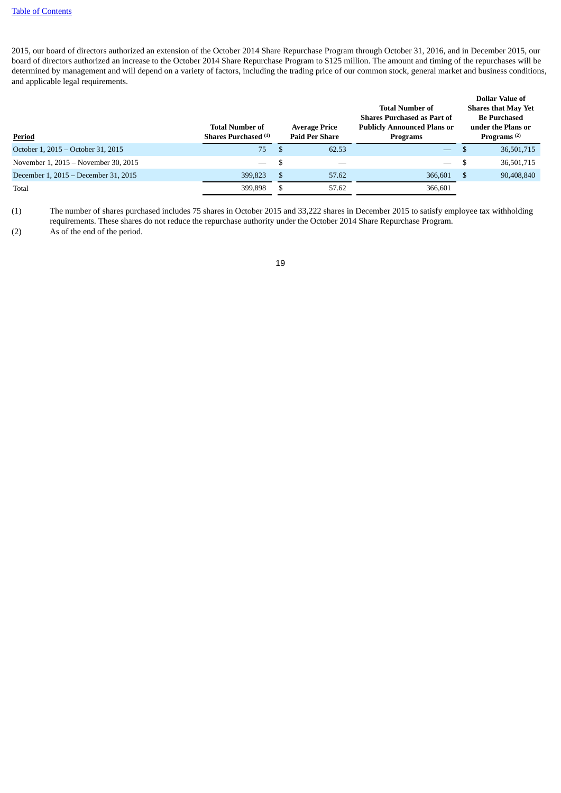2015, our board of directors authorized an extension of the October 2014 Share Repurchase Program through October 31, 2016, and in December 2015, our board of directors authorized an increase to the October 2014 Share Repurchase Program to \$125 million. The amount and timing of the repurchases will be determined by management and will depend on a variety of factors, including the trading price of our common stock, general market and business conditions, and applicable legal requirements.

| <b>Period</b>                        | <b>Total Number of</b><br>Shares Purchased <sup>(1)</sup> |  | <b>Average Price</b><br><b>Paid Per Share</b> | <b>Total Number of</b><br><b>Shares Purchased as Part of</b><br><b>Publicly Announced Plans or</b><br>Programs |              | <b>Dollar Value of</b><br><b>Shares that May Yet</b><br><b>Be Purchased</b><br>under the Plans or<br>Programs $(2)$ |  |  |
|--------------------------------------|-----------------------------------------------------------|--|-----------------------------------------------|----------------------------------------------------------------------------------------------------------------|--------------|---------------------------------------------------------------------------------------------------------------------|--|--|
| October 1, 2015 – October 31, 2015   | 75                                                        |  | 62.53                                         |                                                                                                                |              | 36,501,715                                                                                                          |  |  |
| November 1, 2015 – November 30, 2015 | $\overline{\phantom{0}}$                                  |  |                                               | $\qquad \qquad$                                                                                                | - \$         | 36,501,715                                                                                                          |  |  |
| December 1, 2015 – December 31, 2015 | 399,823                                                   |  | 57.62                                         | 366,601                                                                                                        | $\mathbf{S}$ | 90,408,840                                                                                                          |  |  |
| Total                                | 399,898                                                   |  | 57.62                                         | 366,601                                                                                                        |              |                                                                                                                     |  |  |

(1) The number of shares purchased includes 75 shares in October 2015 and 33,222 shares in December 2015 to satisfy employee tax withholding requirements. These shares do not reduce the repurchase authority under the October 2014 Share Repurchase Program.

<span id="page-20-0"></span>(2) As of the end of the period.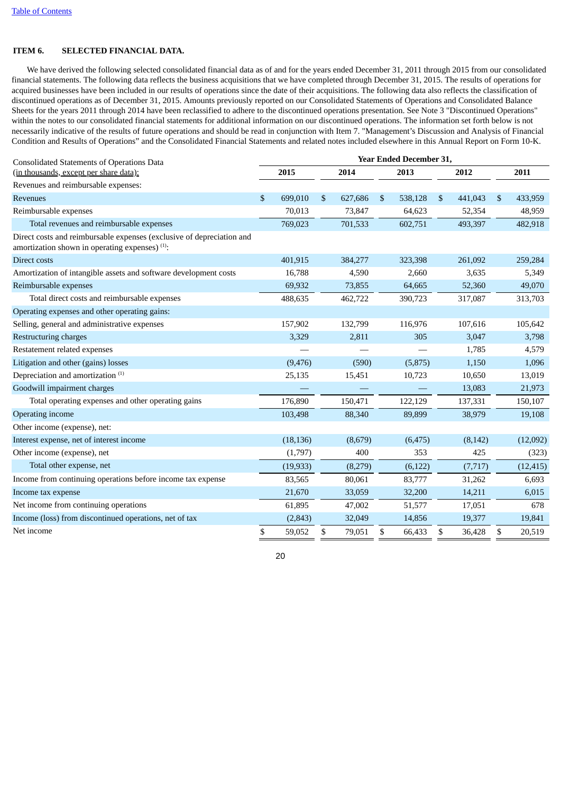## **ITEM 6. SELECTED FINANCIAL DATA.**

We have derived the following selected consolidated financial data as of and for the years ended December 31, 2011 through 2015 from our consolidated financial statements. The following data reflects the business acquisitions that we have completed through December 31, 2015. The results of operations for acquired businesses have been included in our results of operations since the date of their acquisitions. The following data also reflects the classification of discontinued operations as of December 31, 2015. Amounts previously reported on our Consolidated Statements of Operations and Consolidated Balance Sheets for the years 2011 through 2014 have been reclassified to adhere to the discontinued operations presentation. See Note 3 "Discontinued Operations" within the notes to our consolidated financial statements for additional information on our discontinued operations. The information set forth below is not necessarily indicative of the results of future operations and should be read in conjunction with Item 7. "Management's Discussion and Analysis of Financial Condition and Results of Operations" and the Consolidated Financial Statements and related notes included elsewhere in this Annual Report on Form 10-K.

| <b>Consolidated Statements of Operations Data</b>                                                                          | <b>Year Ended December 31,</b> |           |      |         |    |          |    |          |    |           |
|----------------------------------------------------------------------------------------------------------------------------|--------------------------------|-----------|------|---------|----|----------|----|----------|----|-----------|
| (in thousands, except per share data):                                                                                     |                                | 2015      | 2014 |         |    | 2013     |    | 2012     |    | 2011      |
| Revenues and reimbursable expenses:                                                                                        |                                |           |      |         |    |          |    |          |    |           |
| <b>Revenues</b>                                                                                                            | \$                             | 699,010   | \$   | 627,686 | \$ | 538,128  | \$ | 441,043  | \$ | 433,959   |
| Reimbursable expenses                                                                                                      |                                | 70,013    |      | 73,847  |    | 64,623   |    | 52,354   |    | 48,959    |
| Total revenues and reimbursable expenses                                                                                   |                                | 769,023   |      | 701,533 |    | 602,751  |    | 493,397  |    | 482,918   |
| Direct costs and reimbursable expenses (exclusive of depreciation and<br>amortization shown in operating expenses) $(1)$ : |                                |           |      |         |    |          |    |          |    |           |
| Direct costs                                                                                                               |                                | 401,915   |      | 384,277 |    | 323,398  |    | 261,092  |    | 259,284   |
| Amortization of intangible assets and software development costs                                                           |                                | 16,788    |      | 4,590   |    | 2,660    |    | 3,635    |    | 5,349     |
| Reimbursable expenses                                                                                                      |                                | 69,932    |      | 73,855  |    | 64,665   |    | 52,360   |    | 49,070    |
| Total direct costs and reimbursable expenses                                                                               |                                | 488,635   |      | 462,722 |    | 390,723  |    | 317,087  |    | 313,703   |
| Operating expenses and other operating gains:                                                                              |                                |           |      |         |    |          |    |          |    |           |
| Selling, general and administrative expenses                                                                               |                                | 157,902   |      | 132,799 |    | 116,976  |    | 107,616  |    | 105,642   |
| Restructuring charges                                                                                                      |                                | 3,329     |      | 2,811   |    | 305      |    | 3,047    |    | 3,798     |
| Restatement related expenses                                                                                               |                                |           |      |         |    |          |    | 1,785    |    | 4,579     |
| Litigation and other (gains) losses                                                                                        |                                | (9, 476)  |      | (590)   |    | (5,875)  |    | 1,150    |    | 1,096     |
| Depreciation and amortization <sup>(1)</sup>                                                                               |                                | 25,135    |      | 15,451  |    | 10,723   |    | 10,650   |    | 13,019    |
| Goodwill impairment charges                                                                                                |                                |           |      |         |    |          |    | 13,083   |    | 21,973    |
| Total operating expenses and other operating gains                                                                         |                                | 176,890   |      | 150,471 |    | 122,129  |    | 137,331  |    | 150,107   |
| Operating income                                                                                                           |                                | 103,498   |      | 88,340  |    | 89,899   |    | 38,979   |    | 19,108    |
| Other income (expense), net:                                                                                               |                                |           |      |         |    |          |    |          |    |           |
| Interest expense, net of interest income                                                                                   |                                | (18, 136) |      | (8,679) |    | (6, 475) |    | (8, 142) |    | (12,092)  |
| Other income (expense), net                                                                                                |                                | (1,797)   |      | 400     |    | 353      |    | 425      |    | (323)     |
| Total other expense, net                                                                                                   |                                | (19, 933) |      | (8,279) |    | (6, 122) |    | (7,717)  |    | (12, 415) |
| Income from continuing operations before income tax expense                                                                |                                | 83,565    |      | 80,061  |    | 83,777   |    | 31,262   |    | 6,693     |
| Income tax expense                                                                                                         |                                | 21,670    |      | 33,059  |    | 32,200   |    | 14,211   |    | 6,015     |
| Net income from continuing operations                                                                                      |                                | 61,895    |      | 47,002  |    | 51,577   |    | 17,051   |    | 678       |
| Income (loss) from discontinued operations, net of tax                                                                     |                                | (2,843)   |      | 32,049  |    | 14,856   |    | 19,377   |    | 19,841    |
| Net income                                                                                                                 | \$                             | 59,052    | \$   | 79,051  | \$ | 66,433   | \$ | 36,428   | \$ | 20,519    |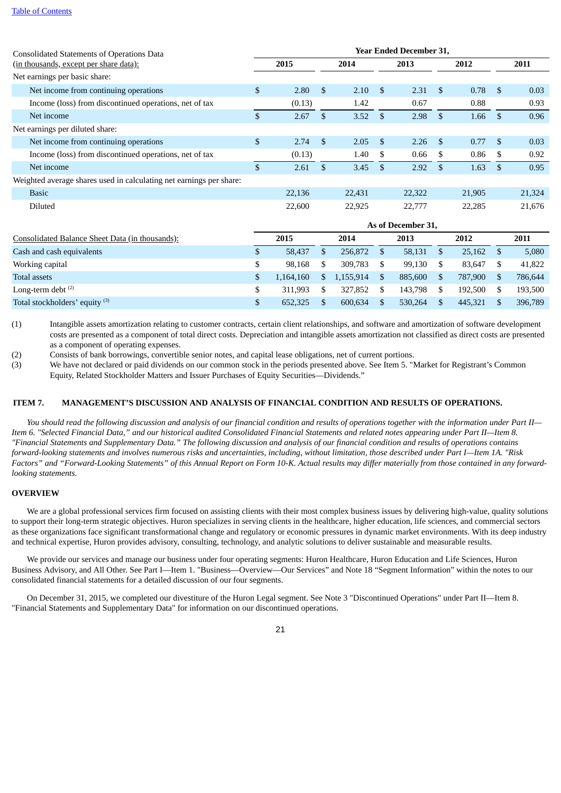| <b>Consolidated Statements of Operations Data</b>                   |              |        |               |        |     | <b>Year Ended December 31,</b> |               |        |               |        |
|---------------------------------------------------------------------|--------------|--------|---------------|--------|-----|--------------------------------|---------------|--------|---------------|--------|
| <u>(in thousands, except per share data):</u>                       |              | 2015   |               | 2014   |     | 2013                           |               | 2012   |               | 2011   |
| Net earnings per basic share:                                       |              |        |               |        |     |                                |               |        |               |        |
| Net income from continuing operations                               | \$           | 2.80   | <sup>\$</sup> | 2.10   | -S  | 2.31                           | - \$          | 0.78   | \$.           | 0.03   |
| Income (loss) from discontinued operations, net of tax              |              | (0.13) |               | 1.42   |     | 0.67                           |               | 0.88   |               | 0.93   |
| Net income                                                          | \$           | 2.67   | <sup>\$</sup> | 3.52   | -S  | 2.98                           | <sup>\$</sup> | 1.66   | \$.           | 0.96   |
| Net earnings per diluted share:                                     |              |        |               |        |     |                                |               |        |               |        |
| Net income from continuing operations                               | \$           | 2.74   | -\$           | 2.05   | -\$ | 2.26                           | - \$          | 0.77   | <sup>\$</sup> | 0.03   |
| Income (loss) from discontinued operations, net of tax              |              | (0.13) |               | 1.40   | S   | 0.66                           | \$.           | 0.86   | \$            | 0.92   |
| Net income                                                          | $\mathbb{S}$ | 2.61   | \$            | 3.45   | \$. | 2.92                           | <sup>\$</sup> | 1.63   | \$            | 0.95   |
| Weighted average shares used in calculating net earnings per share: |              |        |               |        |     |                                |               |        |               |        |
| <b>Basic</b>                                                        |              | 22,136 |               | 22,431 |     | 22,322                         |               | 21,905 |               | 21,324 |
| Diluted                                                             |              | 22,600 |               | 22,925 |     | 22,777                         |               | 22,285 |               | 21,676 |

|                                                 |    | As of December 31, |  |           |     |         |  |         |  |         |  |  |  |  |
|-------------------------------------------------|----|--------------------|--|-----------|-----|---------|--|---------|--|---------|--|--|--|--|
| Consolidated Balance Sheet Data (in thousands): |    | 2015               |  | 2014      |     | 2013    |  | 2012    |  | 2011    |  |  |  |  |
| Cash and cash equivalents                       | \$ | 58.437             |  | 256,872   |     | 58,131  |  | 25,162  |  | 5,080   |  |  |  |  |
| Working capital                                 | \$ | 98.168             |  | 309.783   | S   | 99.130  |  | 83.647  |  | 41,822  |  |  |  |  |
| <b>Total assets</b>                             | \$ | 1.164.160          |  | 1.155.914 | \$. | 885,600 |  | 787,900 |  | 786,644 |  |  |  |  |
| Long-term debt $(2)$                            | \$ | 311.993            |  | 327,852   | S   | 143.798 |  | 192.500 |  | 193,500 |  |  |  |  |
| Total stockholders' equity (3)                  | \$ | 652,325            |  | 600.634   |     | 530.264 |  | 445.321 |  | 396,789 |  |  |  |  |

(1) Intangible assets amortization relating to customer contracts, certain client relationships, and software and amortization of software development costs are presented as a component of total direct costs. Depreciation and intangible assets amortization not classified as direct costs are presented as a component of operating expenses.

(2) Consists of bank borrowings, convertible senior notes, and capital lease obligations, net of current portions.

(3) We have not declared or paid dividends on our common stock in the periods presented above. See Item 5. "Market for Registrant's Common Equity, Related Stockholder Matters and Issuer Purchases of Equity Securities—Dividends."

## <span id="page-22-0"></span>**ITEM 7. MANAGEMENT'S DISCUSSION AND ANALYSIS OF FINANCIAL CONDITION AND RESULTS OF OPERATIONS.**

You should read the following discussion and analysis of our financial condition and results of operations together with the information under Part II-Item 6. "Selected Financial Data," and our historical audited Consolidated Financial Statements and related notes appearing under Part II-ltem 8. "Financial Statements and Supplementary Data." The following discussion and analysis of our financial condition and results of operations contains forward-looking statements and involves numerous risks and uncertainties, including, without limitation, those described under Part I-Item 1A. "Risk Factors" and "Forward-Looking Statements" of this Annual Report on Form 10-K. Actual results may differ materially from those contained in any forward*looking statements.*

## **OVERVIEW**

We are a global professional services firm focused on assisting clients with their most complex business issues by delivering high-value, quality solutions to support their long-term strategic objectives. Huron specializes in serving clients in the healthcare, higher education, life sciences, and commercial sectors as these organizations face significant transformational change and regulatory or economic pressures in dynamic market environments. With its deep industry and technical expertise, Huron provides advisory, consulting, technology, and analytic solutions to deliver sustainable and measurable results.

We provide our services and manage our business under four operating segments: Huron Healthcare, Huron Education and Life Sciences, Huron Business Advisory, and All Other. See Part I—Item 1. "Business—Overview—Our Services" and Note 18 "Segment Information" within the notes to our consolidated financial statements for a detailed discussion of our four segments.

On December 31, 2015, we completed our divestiture of the Huron Legal segment. See Note 3 "Discontinued Operations" under Part II—Item 8. "Financial Statements and Supplementary Data" for information on our discontinued operations.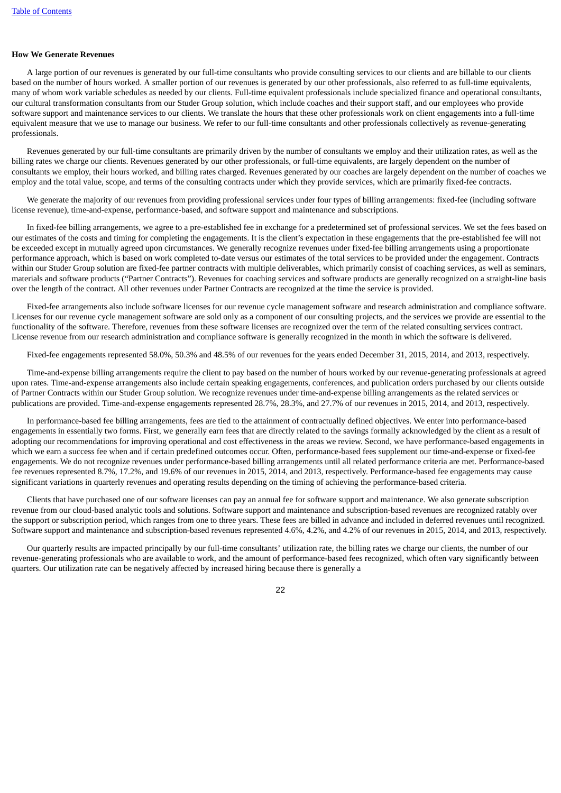#### **How We Generate Revenues**

A large portion of our revenues is generated by our full-time consultants who provide consulting services to our clients and are billable to our clients based on the number of hours worked. A smaller portion of our revenues is generated by our other professionals, also referred to as full-time equivalents, many of whom work variable schedules as needed by our clients. Full-time equivalent professionals include specialized finance and operational consultants, our cultural transformation consultants from our Studer Group solution, which include coaches and their support staff, and our employees who provide software support and maintenance services to our clients. We translate the hours that these other professionals work on client engagements into a full-time equivalent measure that we use to manage our business. We refer to our full-time consultants and other professionals collectively as revenue-generating professionals.

Revenues generated by our full-time consultants are primarily driven by the number of consultants we employ and their utilization rates, as well as the billing rates we charge our clients. Revenues generated by our other professionals, or full-time equivalents, are largely dependent on the number of consultants we employ, their hours worked, and billing rates charged. Revenues generated by our coaches are largely dependent on the number of coaches we employ and the total value, scope, and terms of the consulting contracts under which they provide services, which are primarily fixed-fee contracts.

We generate the majority of our revenues from providing professional services under four types of billing arrangements: fixed-fee (including software license revenue), time-and-expense, performance-based, and software support and maintenance and subscriptions.

In fixed-fee billing arrangements, we agree to a pre-established fee in exchange for a predetermined set of professional services. We set the fees based on our estimates of the costs and timing for completing the engagements. It is the client's expectation in these engagements that the pre-established fee will not be exceeded except in mutually agreed upon circumstances. We generally recognize revenues under fixed-fee billing arrangements using a proportionate performance approach, which is based on work completed to-date versus our estimates of the total services to be provided under the engagement. Contracts within our Studer Group solution are fixed-fee partner contracts with multiple deliverables, which primarily consist of coaching services, as well as seminars, materials and software products ("Partner Contracts"). Revenues for coaching services and software products are generally recognized on a straight-line basis over the length of the contract. All other revenues under Partner Contracts are recognized at the time the service is provided.

Fixed-fee arrangements also include software licenses for our revenue cycle management software and research administration and compliance software. Licenses for our revenue cycle management software are sold only as a component of our consulting projects, and the services we provide are essential to the functionality of the software. Therefore, revenues from these software licenses are recognized over the term of the related consulting services contract. License revenue from our research administration and compliance software is generally recognized in the month in which the software is delivered.

Fixed-fee engagements represented 58.0%, 50.3% and 48.5% of our revenues for the years ended December 31, 2015, 2014, and 2013, respectively.

Time-and-expense billing arrangements require the client to pay based on the number of hours worked by our revenue-generating professionals at agreed upon rates. Time-and-expense arrangements also include certain speaking engagements, conferences, and publication orders purchased by our clients outside of Partner Contracts within our Studer Group solution. We recognize revenues under time-and-expense billing arrangements as the related services or publications are provided. Time-and-expense engagements represented 28.7%, 28.3%, and 27.7% of our revenues in 2015, 2014, and 2013, respectively.

In performance-based fee billing arrangements, fees are tied to the attainment of contractually defined objectives. We enter into performance-based engagements in essentially two forms. First, we generally earn fees that are directly related to the savings formally acknowledged by the client as a result of adopting our recommendations for improving operational and cost effectiveness in the areas we review. Second, we have performance-based engagements in which we earn a success fee when and if certain predefined outcomes occur. Often, performance-based fees supplement our time-and-expense or fixed-fee engagements. We do not recognize revenues under performance-based billing arrangements until all related performance criteria are met. Performance-based fee revenues represented 8.7%, 17.2%, and 19.6% of our revenues in 2015, 2014, and 2013, respectively. Performance-based fee engagements may cause significant variations in quarterly revenues and operating results depending on the timing of achieving the performance-based criteria.

Clients that have purchased one of our software licenses can pay an annual fee for software support and maintenance. We also generate subscription revenue from our cloud-based analytic tools and solutions. Software support and maintenance and subscription-based revenues are recognized ratably over the support or subscription period, which ranges from one to three years. These fees are billed in advance and included in deferred revenues until recognized. Software support and maintenance and subscription-based revenues represented 4.6%, 4.2%, and 4.2% of our revenues in 2015, 2014, and 2013, respectively.

Our quarterly results are impacted principally by our full-time consultants' utilization rate, the billing rates we charge our clients, the number of our revenue-generating professionals who are available to work, and the amount of performance-based fees recognized, which often vary significantly between quarters. Our utilization rate can be negatively affected by increased hiring because there is generally a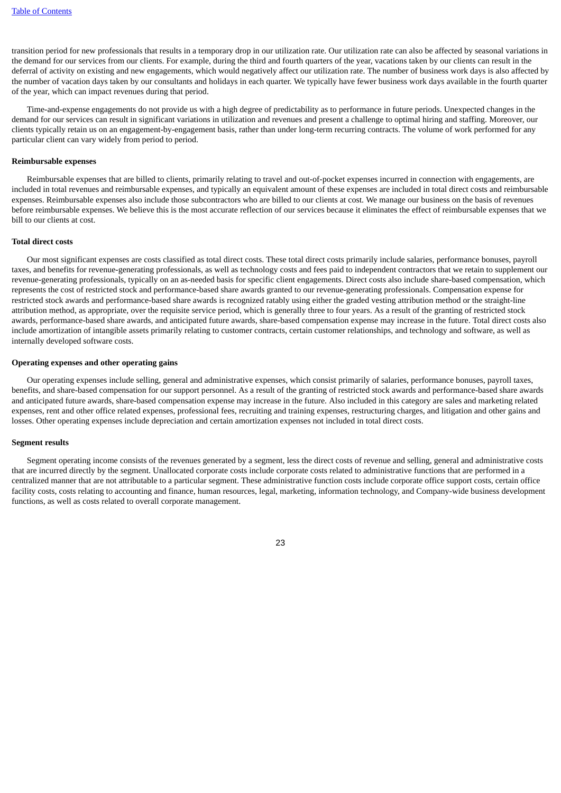transition period for new professionals that results in a temporary drop in our utilization rate. Our utilization rate can also be affected by seasonal variations in the demand for our services from our clients. For example, during the third and fourth quarters of the year, vacations taken by our clients can result in the deferral of activity on existing and new engagements, which would negatively affect our utilization rate. The number of business work days is also affected by the number of vacation days taken by our consultants and holidays in each quarter. We typically have fewer business work days available in the fourth quarter of the year, which can impact revenues during that period.

Time-and-expense engagements do not provide us with a high degree of predictability as to performance in future periods. Unexpected changes in the demand for our services can result in significant variations in utilization and revenues and present a challenge to optimal hiring and staffing. Moreover, our clients typically retain us on an engagement-by-engagement basis, rather than under long-term recurring contracts. The volume of work performed for any particular client can vary widely from period to period.

## **Reimbursable expenses**

Reimbursable expenses that are billed to clients, primarily relating to travel and out-of-pocket expenses incurred in connection with engagements, are included in total revenues and reimbursable expenses, and typically an equivalent amount of these expenses are included in total direct costs and reimbursable expenses. Reimbursable expenses also include those subcontractors who are billed to our clients at cost. We manage our business on the basis of revenues before reimbursable expenses. We believe this is the most accurate reflection of our services because it eliminates the effect of reimbursable expenses that we bill to our clients at cost.

## **Total direct costs**

Our most significant expenses are costs classified as total direct costs. These total direct costs primarily include salaries, performance bonuses, payroll taxes, and benefits for revenue-generating professionals, as well as technology costs and fees paid to independent contractors that we retain to supplement our revenue-generating professionals, typically on an as-needed basis for specific client engagements. Direct costs also include share-based compensation, which represents the cost of restricted stock and performance-based share awards granted to our revenue-generating professionals. Compensation expense for restricted stock awards and performance-based share awards is recognized ratably using either the graded vesting attribution method or the straight-line attribution method, as appropriate, over the requisite service period, which is generally three to four years. As a result of the granting of restricted stock awards, performance-based share awards, and anticipated future awards, share-based compensation expense may increase in the future. Total direct costs also include amortization of intangible assets primarily relating to customer contracts, certain customer relationships, and technology and software, as well as internally developed software costs.

#### **Operating expenses and other operating gains**

Our operating expenses include selling, general and administrative expenses, which consist primarily of salaries, performance bonuses, payroll taxes, benefits, and share-based compensation for our support personnel. As a result of the granting of restricted stock awards and performance-based share awards and anticipated future awards, share-based compensation expense may increase in the future. Also included in this category are sales and marketing related expenses, rent and other office related expenses, professional fees, recruiting and training expenses, restructuring charges, and litigation and other gains and losses. Other operating expenses include depreciation and certain amortization expenses not included in total direct costs.

#### **Segment results**

Segment operating income consists of the revenues generated by a segment, less the direct costs of revenue and selling, general and administrative costs that are incurred directly by the segment. Unallocated corporate costs include corporate costs related to administrative functions that are performed in a centralized manner that are not attributable to a particular segment. These administrative function costs include corporate office support costs, certain office facility costs, costs relating to accounting and finance, human resources, legal, marketing, information technology, and Company-wide business development functions, as well as costs related to overall corporate management.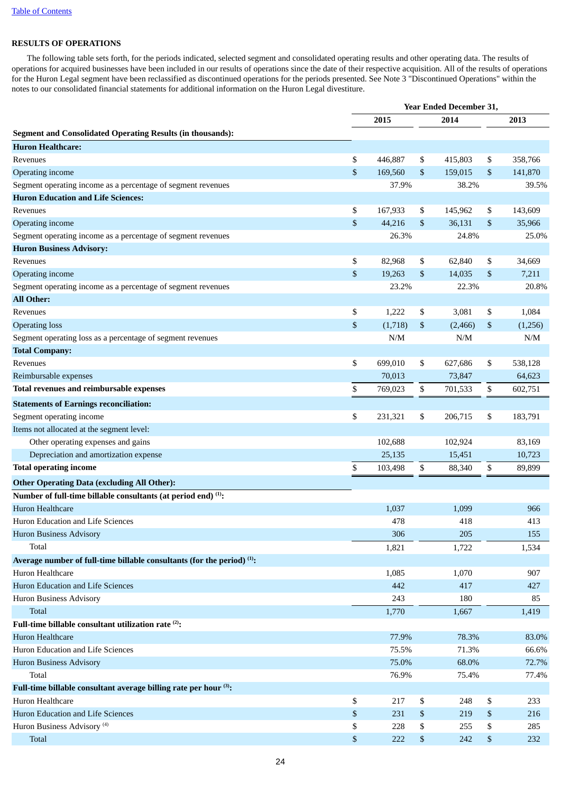## **RESULTS OF OPERATIONS**

The following table sets forth, for the periods indicated, selected segment and consolidated operating results and other operating data. The results of operations for acquired businesses have been included in our results of operations since the date of their respective acquisition. All of the results of operations for the Huron Legal segment have been reclassified as discontinued operations for the periods presented. See Note 3 "Discontinued Operations" within the notes to our consolidated financial statements for additional information on the Huron Legal divestiture.

|                                                                                    | <b>Year Ended December 31,</b> |    |          |    |         |
|------------------------------------------------------------------------------------|--------------------------------|----|----------|----|---------|
|                                                                                    | 2015                           |    | 2014     |    | 2013    |
| <b>Segment and Consolidated Operating Results (in thousands):</b>                  |                                |    |          |    |         |
| <b>Huron Healthcare:</b>                                                           |                                |    |          |    |         |
| Revenues                                                                           | \$<br>446,887                  | \$ | 415,803  | \$ | 358,766 |
| Operating income                                                                   | \$<br>169,560                  | \$ | 159,015  | \$ | 141,870 |
| Segment operating income as a percentage of segment revenues                       | 37.9%                          |    | 38.2%    |    | 39.5%   |
| <b>Huron Education and Life Sciences:</b>                                          |                                |    |          |    |         |
| Revenues                                                                           | \$<br>167,933                  | \$ | 145,962  | \$ | 143,609 |
| Operating income                                                                   | \$<br>44,216                   | \$ | 36,131   | \$ | 35,966  |
| Segment operating income as a percentage of segment revenues                       | 26.3%                          |    | 24.8%    |    | 25.0%   |
| <b>Huron Business Advisory:</b>                                                    |                                |    |          |    |         |
| Revenues                                                                           | \$<br>82,968                   | \$ | 62,840   | \$ | 34,669  |
| Operating income                                                                   | \$<br>19,263                   | \$ | 14,035   | \$ | 7,211   |
| Segment operating income as a percentage of segment revenues                       | 23.2%                          |    | 22.3%    |    | 20.8%   |
| <b>All Other:</b>                                                                  |                                |    |          |    |         |
| Revenues                                                                           | \$<br>1,222                    | \$ | 3,081    | \$ | 1,084   |
| <b>Operating loss</b>                                                              | \$<br>(1,718)                  | \$ | (2, 466) | \$ | (1,256) |
| Segment operating loss as a percentage of segment revenues                         | N/M                            |    | N/M      |    | N/M     |
| <b>Total Company:</b>                                                              |                                |    |          |    |         |
| Revenues                                                                           | \$<br>699,010                  | \$ | 627,686  | \$ | 538,128 |
| Reimbursable expenses                                                              | 70,013                         |    | 73,847   |    | 64,623  |
| <b>Total revenues and reimbursable expenses</b>                                    | \$<br>769,023                  | \$ | 701,533  | \$ | 602,751 |
| <b>Statements of Earnings reconciliation:</b>                                      |                                |    |          |    |         |
| Segment operating income                                                           | \$<br>231,321                  | \$ | 206,715  | \$ | 183,791 |
| Items not allocated at the segment level:                                          |                                |    |          |    |         |
| Other operating expenses and gains                                                 | 102,688                        |    | 102,924  |    | 83,169  |
| Depreciation and amortization expense                                              | 25,135                         |    | 15,451   |    | 10,723  |
| <b>Total operating income</b>                                                      | \$                             | \$ |          | \$ | 89,899  |
|                                                                                    | 103,498                        |    | 88,340   |    |         |
| <b>Other Operating Data (excluding All Other):</b>                                 |                                |    |          |    |         |
| Number of full-time billable consultants (at period end) <sup>(1)</sup> :          |                                |    |          |    |         |
| Huron Healthcare                                                                   | 1,037                          |    | 1,099    |    | 966     |
| Huron Education and Life Sciences                                                  | 478                            |    | 418      |    | 413     |
| <b>Huron Business Advisory</b>                                                     | 306                            |    | 205      |    | 155     |
| Total                                                                              | 1,821                          |    | 1,722    |    | 1,534   |
| Average number of full-time billable consultants (for the period) <sup>(1)</sup> : |                                |    |          |    |         |
| Huron Healthcare                                                                   | 1,085                          |    | 1,070    |    | 907     |
| Huron Education and Life Sciences                                                  | 442                            |    | 417      |    | 427     |
| Huron Business Advisory                                                            | 243                            |    | 180      |    | 85      |
| Total                                                                              | 1,770                          |    | 1,667    |    | 1,419   |
| Full-time billable consultant utilization rate (2):                                |                                |    |          |    |         |
| Huron Healthcare                                                                   | 77.9%                          |    | 78.3%    |    | 83.0%   |
| Huron Education and Life Sciences                                                  | 75.5%                          |    | 71.3%    |    | 66.6%   |
| <b>Huron Business Advisory</b>                                                     | 75.0%                          |    | 68.0%    |    | 72.7%   |
| Total                                                                              | 76.9%                          |    | 75.4%    |    | 77.4%   |
| Full-time billable consultant average billing rate per hour (3):                   |                                |    |          |    |         |
| Huron Healthcare                                                                   | \$<br>217                      | \$ | 248      | \$ | 233     |
| Huron Education and Life Sciences                                                  | \$<br>231                      | \$ | 219      | \$ | 216     |
| Huron Business Advisory <sup>(4)</sup>                                             | \$<br>228                      | \$ | 255      | \$ | 285     |
| <b>Total</b>                                                                       | \$<br>222                      | \$ | 242      | \$ | 232     |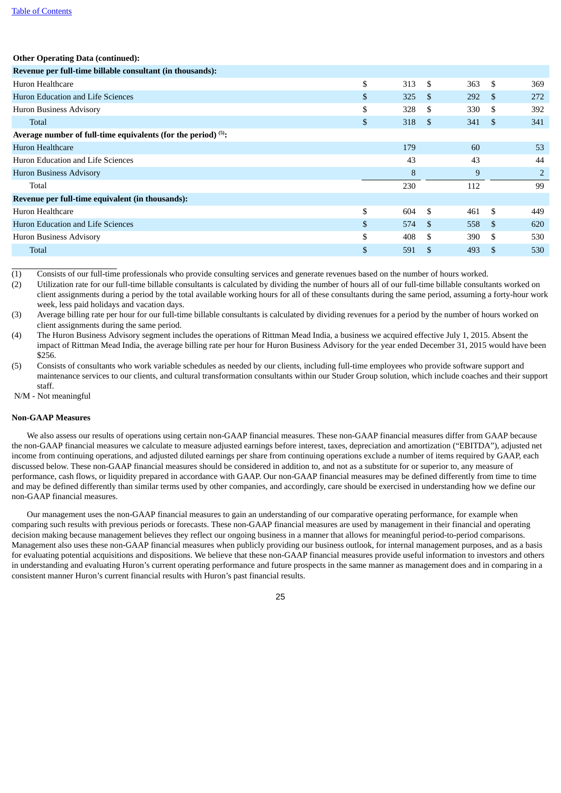## **Other Operating Data (continued):**

| Revenue per full-time billable consultant (in thousands):     |           |     |     |     |     |
|---------------------------------------------------------------|-----------|-----|-----|-----|-----|
| Huron Healthcare                                              | \$<br>313 | \$  | 363 | \$  | 369 |
| <b>Huron Education and Life Sciences</b>                      | \$<br>325 | \$  | 292 | \$. | 272 |
| <b>Huron Business Advisory</b>                                | \$<br>328 | S.  | 330 | \$  | 392 |
| Total                                                         | \$<br>318 | \$  | 341 | \$  | 341 |
| Average number of full-time equivalents (for the period) (5): |           |     |     |     |     |
| Huron Healthcare                                              | 179       |     | 60  |     | 53  |
| Huron Education and Life Sciences                             | 43        |     | 43  |     | 44  |
| <b>Huron Business Advisory</b>                                | 8         |     | 9   |     | 2   |
| Total                                                         | 230       |     | 112 |     | 99  |
| Revenue per full-time equivalent (in thousands):              |           |     |     |     |     |
| Huron Healthcare                                              | \$<br>604 | \$  | 461 | \$  | 449 |
| <b>Huron Education and Life Sciences</b>                      | \$<br>574 | -\$ | 558 | \$. | 620 |
| <b>Huron Business Advisory</b>                                | \$<br>408 | S.  | 390 | \$  | 530 |
| Total                                                         | \$<br>591 | \$  | 493 | S   | 530 |

 $(1)$  Consists of our full-time professionals who provide consulting services and generate revenues based on the number of hours worked.

(2) Utilization rate for our full-time billable consultants is calculated by dividing the number of hours all of our full-time billable consultants worked on client assignments during a period by the total available working hours for all of these consultants during the same period, assuming a forty-hour work week, less paid holidays and vacation days.

(3) Average billing rate per hour for our full-time billable consultants is calculated by dividing revenues for a period by the number of hours worked on client assignments during the same period.

(4) The Huron Business Advisory segment includes the operations of Rittman Mead India, a business we acquired effective July 1, 2015. Absent the impact of Rittman Mead India, the average billing rate per hour for Huron Business Advisory for the year ended December 31, 2015 would have been \$256.

(5) Consists of consultants who work variable schedules as needed by our clients, including full-time employees who provide software support and maintenance services to our clients, and cultural transformation consultants within our Studer Group solution, which include coaches and their support staff.

N/M - Not meaningful

## **Non-GAAP Measures**

We also assess our results of operations using certain non-GAAP financial measures. These non-GAAP financial measures differ from GAAP because the non-GAAP financial measures we calculate to measure adjusted earnings before interest, taxes, depreciation and amortization ("EBITDA"), adjusted net income from continuing operations, and adjusted diluted earnings per share from continuing operations exclude a number of items required by GAAP, each discussed below. These non-GAAP financial measures should be considered in addition to, and not as a substitute for or superior to, any measure of performance, cash flows, or liquidity prepared in accordance with GAAP. Our non-GAAP financial measures may be defined differently from time to time and may be defined differently than similar terms used by other companies, and accordingly, care should be exercised in understanding how we define our non-GAAP financial measures.

Our management uses the non-GAAP financial measures to gain an understanding of our comparative operating performance, for example when comparing such results with previous periods or forecasts. These non-GAAP financial measures are used by management in their financial and operating decision making because management believes they reflect our ongoing business in a manner that allows for meaningful period-to-period comparisons. Management also uses these non-GAAP financial measures when publicly providing our business outlook, for internal management purposes, and as a basis for evaluating potential acquisitions and dispositions. We believe that these non-GAAP financial measures provide useful information to investors and others in understanding and evaluating Huron's current operating performance and future prospects in the same manner as management does and in comparing in a consistent manner Huron's current financial results with Huron's past financial results.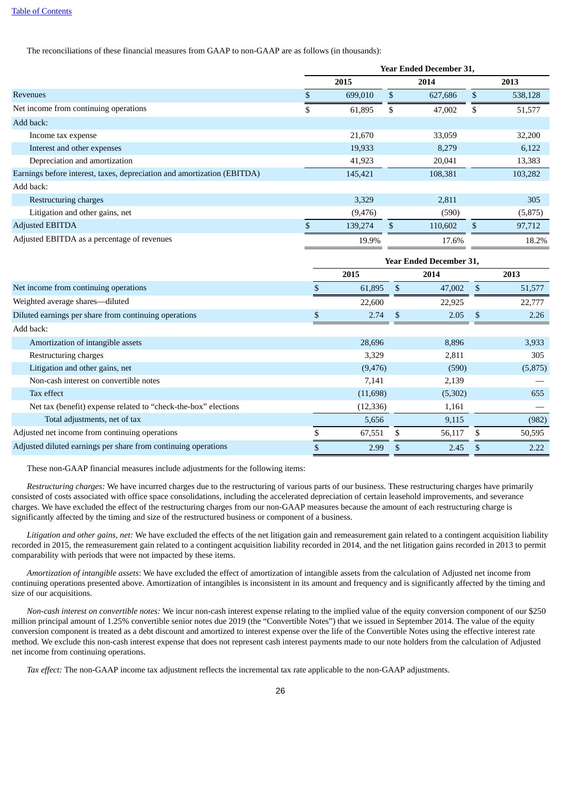The reconciliations of these financial measures from GAAP to non-GAAP are as follows (in thousands):

|                                                                         |   | <b>Year Ended December 31,</b> |    |         |         |         |  |  |  |
|-------------------------------------------------------------------------|---|--------------------------------|----|---------|---------|---------|--|--|--|
|                                                                         |   | 2015<br>2014                   |    |         | 2013    |         |  |  |  |
| <b>Revenues</b>                                                         |   | 699,010                        | \$ | 627,686 | \$      | 538,128 |  |  |  |
| Net income from continuing operations                                   | S | 61,895                         | \$ | 47,002  | \$      | 51,577  |  |  |  |
| Add back:                                                               |   |                                |    |         |         |         |  |  |  |
| Income tax expense                                                      |   | 21,670<br>33,059               |    |         |         | 32,200  |  |  |  |
| Interest and other expenses                                             |   | 19,933<br>8,279                |    |         |         | 6,122   |  |  |  |
| Depreciation and amortization                                           |   | 41,923                         |    | 20,041  |         | 13,383  |  |  |  |
| Earnings before interest, taxes, depreciation and amortization (EBITDA) |   | 145,421<br>108,381             |    |         |         | 103,282 |  |  |  |
| Add back:                                                               |   |                                |    |         |         |         |  |  |  |
| Restructuring charges                                                   |   | 3,329                          |    | 2,811   | 305     |         |  |  |  |
| Litigation and other gains, net                                         |   | (9, 476)                       |    | (590)   | (5,875) |         |  |  |  |
| <b>Adjusted EBITDA</b>                                                  |   | 139,274                        |    | 110,602 | \$      | 97,712  |  |  |  |
| Adjusted EBITDA as a percentage of revenues                             |   | 19.9%                          |    | 17.6%   |         | 18.2%   |  |  |  |
|                                                                         |   | <b>Year Ended December 31,</b> |    |         |         |         |  |  |  |
|                                                                         |   | 2015                           |    | 2014    |         | 2013    |  |  |  |
| Net income from continuing operations                                   | ፍ | 61 895                         | ፍ  | 47,002  | ፍ       | 51 577  |  |  |  |

| Net income from continuing operations                          | 61,895     | 47,002<br>-S          | 51,577  |
|----------------------------------------------------------------|------------|-----------------------|---------|
| Weighted average shares-diluted                                | 22,600     | 22,925                | 22,777  |
| Diluted earnings per share from continuing operations          | \$<br>2.74 | <sup>\$</sup><br>2.05 | 2.26    |
| Add back:                                                      |            |                       |         |
| Amortization of intangible assets                              | 28,696     | 8,896                 | 3,933   |
| Restructuring charges                                          | 3,329      | 2,811                 | 305     |
| Litigation and other gains, net                                | (9, 476)   | (590)                 | (5,875) |
| Non-cash interest on convertible notes                         | 7,141      | 2,139                 |         |
| Tax effect                                                     | (11,698)   | (5,302)               | 655     |
| Net tax (benefit) expense related to "check-the-box" elections | (12, 336)  | 1,161                 |         |
| Total adjustments, net of tax                                  | 5,656      | 9,115                 | (982)   |
| Adjusted net income from continuing operations                 | 67,551     | 56,117                | 50,595  |
| Adjusted diluted earnings per share from continuing operations | 2.99       | 2.45<br>-S            | 2.22    |

These non-GAAP financial measures include adjustments for the following items:

*Restructuring charges:* We have incurred charges due to the restructuring of various parts of our business. These restructuring charges have primarily consisted of costs associated with office space consolidations, including the accelerated depreciation of certain leasehold improvements, and severance charges. We have excluded the effect of the restructuring charges from our non-GAAP measures because the amount of each restructuring charge is significantly affected by the timing and size of the restructured business or component of a business.

*Litigation and other gains, net:* We have excluded the effects of the net litigation gain and remeasurement gain related to a contingent acquisition liability recorded in 2015, the remeasurement gain related to a contingent acquisition liability recorded in 2014, and the net litigation gains recorded in 2013 to permit comparability with periods that were not impacted by these items.

*Amortization of intangible assets*: We have excluded the effect of amortization of intangible assets from the calculation of Adjusted net income from continuing operations presented above. Amortization of intangibles is inconsistent in its amount and frequency and is significantly affected by the timing and size of our acquisitions.

*Non-cash interest on convertible notes:* We incur non-cash interest expense relating to the implied value of the equity conversion component of our \$250 million principal amount of 1.25% convertible senior notes due 2019 (the "Convertible Notes") that we issued in September 2014. The value of the equity conversion component is treated as a debt discount and amortized to interest expense over the life of the Convertible Notes using the effective interest rate method. We exclude this non-cash interest expense that does not represent cash interest payments made to our note holders from the calculation of Adjusted net income from continuing operations.

*Tax effect:* The non-GAAP income tax adjustment reflects the incremental tax rate applicable to the non-GAAP adjustments.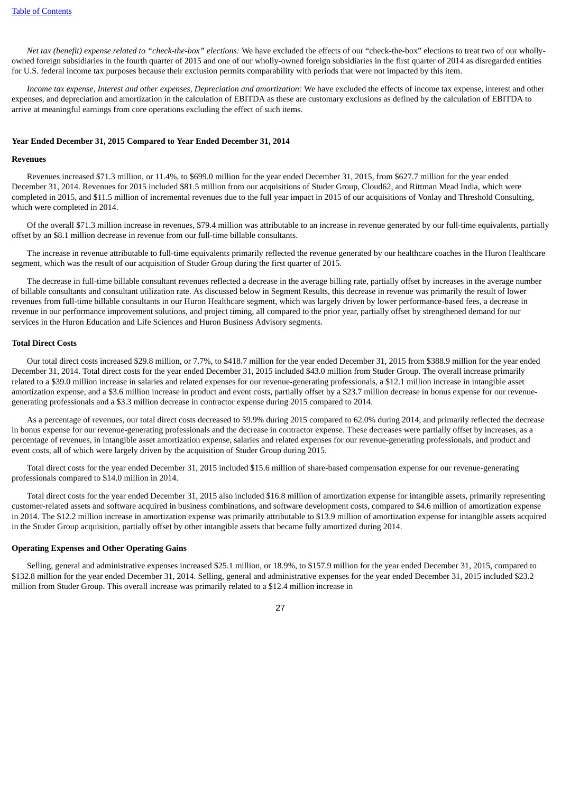*Net tax (benefit) expense related to "check-the-box" elections:* We have excluded the effects of our "check-the-box" elections to treat two of our whollyowned foreign subsidiaries in the fourth quarter of 2015 and one of our wholly-owned foreign subsidiaries in the first quarter of 2014 as disregarded entities for U.S. federal income tax purposes because their exclusion permits comparability with periods that were not impacted by this item.

*Income tax expense, Interest and other expenses, Depreciation and amortization:* We have excluded the effects of income tax expense, interest and other expenses, and depreciation and amortization in the calculation of EBITDA as these are customary exclusions as defined by the calculation of EBITDA to arrive at meaningful earnings from core operations excluding the effect of such items.

#### **Year Ended December 31, 2015 Compared to Year Ended December 31, 2014**

## **Revenues**

Revenues increased \$71.3 million, or 11.4%, to \$699.0 million for the year ended December 31, 2015, from \$627.7 million for the year ended December 31, 2014. Revenues for 2015 included \$81.5 million from our acquisitions of Studer Group, Cloud62, and Rittman Mead India, which were completed in 2015, and \$11.5 million of incremental revenues due to the full year impact in 2015 of our acquisitions of Vonlay and Threshold Consulting, which were completed in 2014.

Of the overall \$71.3 million increase in revenues, \$79.4 million was attributable to an increase in revenue generated by our full-time equivalents, partially offset by an \$8.1 million decrease in revenue from our full-time billable consultants.

The increase in revenue attributable to full-time equivalents primarily reflected the revenue generated by our healthcare coaches in the Huron Healthcare segment, which was the result of our acquisition of Studer Group during the first quarter of 2015.

The decrease in full-time billable consultant revenues reflected a decrease in the average billing rate, partially offset by increases in the average number of billable consultants and consultant utilization rate. As discussed below in Segment Results, this decrease in revenue was primarily the result of lower revenues from full-time billable consultants in our Huron Healthcare segment, which was largely driven by lower performance-based fees, a decrease in revenue in our performance improvement solutions, and project timing, all compared to the prior year, partially offset by strengthened demand for our services in the Huron Education and Life Sciences and Huron Business Advisory segments.

#### **Total Direct Costs**

Our total direct costs increased \$29.8 million, or 7.7%, to \$418.7 million for the year ended December 31, 2015 from \$388.9 million for the year ended December 31, 2014. Total direct costs for the year ended December 31, 2015 included \$43.0 million from Studer Group. The overall increase primarily related to a \$39.0 million increase in salaries and related expenses for our revenue-generating professionals, a \$12.1 million increase in intangible asset amortization expense, and a \$3.6 million increase in product and event costs, partially offset by a \$23.7 million decrease in bonus expense for our revenuegenerating professionals and a \$3.3 million decrease in contractor expense during 2015 compared to 2014.

As a percentage of revenues, our total direct costs decreased to 59.9% during 2015 compared to 62.0% during 2014, and primarily reflected the decrease in bonus expense for our revenue-generating professionals and the decrease in contractor expense. These decreases were partially offset by increases, as a percentage of revenues, in intangible asset amortization expense, salaries and related expenses for our revenue-generating professionals, and product and event costs, all of which were largely driven by the acquisition of Studer Group during 2015.

Total direct costs for the year ended December 31, 2015 included \$15.6 million of share-based compensation expense for our revenue-generating professionals compared to \$14.0 million in 2014.

Total direct costs for the year ended December 31, 2015 also included \$16.8 million of amortization expense for intangible assets, primarily representing customer-related assets and software acquired in business combinations, and software development costs, compared to \$4.6 million of amortization expense in 2014. The \$12.2 million increase in amortization expense was primarily attributable to \$13.9 million of amortization expense for intangible assets acquired in the Studer Group acquisition, partially offset by other intangible assets that became fully amortized during 2014.

## **Operating Expenses and Other Operating Gains**

Selling, general and administrative expenses increased \$25.1 million, or 18.9%, to \$157.9 million for the year ended December 31, 2015, compared to \$132.8 million for the year ended December 31, 2014. Selling, general and administrative expenses for the year ended December 31, 2015 included \$23.2 million from Studer Group. This overall increase was primarily related to a \$12.4 million increase in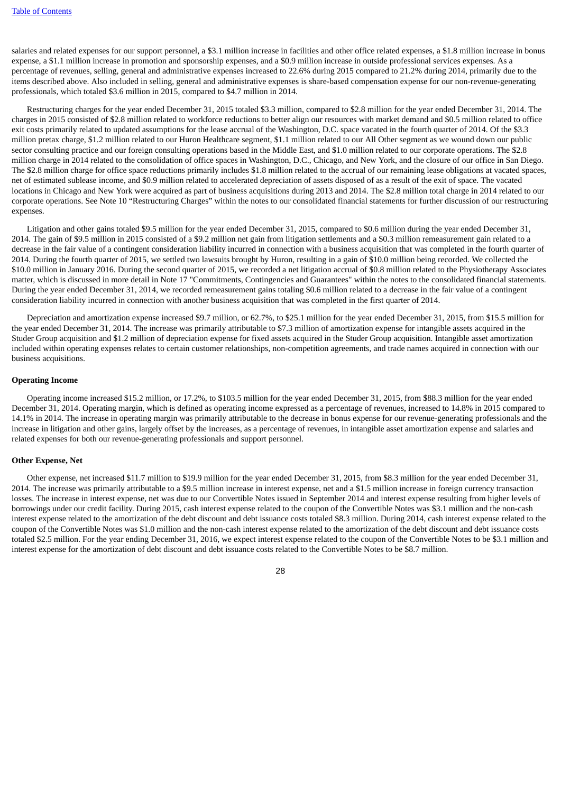salaries and related expenses for our support personnel, a \$3.1 million increase in facilities and other office related expenses, a \$1.8 million increase in bonus expense, a \$1.1 million increase in promotion and sponsorship expenses, and a \$0.9 million increase in outside professional services expenses. As a percentage of revenues, selling, general and administrative expenses increased to 22.6% during 2015 compared to 21.2% during 2014, primarily due to the items described above. Also included in selling, general and administrative expenses is share-based compensation expense for our non-revenue-generating professionals, which totaled \$3.6 million in 2015, compared to \$4.7 million in 2014.

Restructuring charges for the year ended December 31, 2015 totaled \$3.3 million, compared to \$2.8 million for the year ended December 31, 2014. The charges in 2015 consisted of \$2.8 million related to workforce reductions to better align our resources with market demand and \$0.5 million related to office exit costs primarily related to updated assumptions for the lease accrual of the Washington, D.C. space vacated in the fourth quarter of 2014. Of the \$3.3 million pretax charge, \$1.2 million related to our Huron Healthcare segment, \$1.1 million related to our All Other segment as we wound down our public sector consulting practice and our foreign consulting operations based in the Middle East, and \$1.0 million related to our corporate operations. The \$2.8 million charge in 2014 related to the consolidation of office spaces in Washington, D.C., Chicago, and New York, and the closure of our office in San Diego. The \$2.8 million charge for office space reductions primarily includes \$1.8 million related to the accrual of our remaining lease obligations at vacated spaces, net of estimated sublease income, and \$0.9 million related to accelerated depreciation of assets disposed of as a result of the exit of space. The vacated locations in Chicago and New York were acquired as part of business acquisitions during 2013 and 2014. The \$2.8 million total charge in 2014 related to our corporate operations. See Note 10 "Restructuring Charges" within the notes to our consolidated financial statements for further discussion of our restructuring expenses.

Litigation and other gains totaled \$9.5 million for the year ended December 31, 2015, compared to \$0.6 million during the year ended December 31, 2014. The gain of \$9.5 million in 2015 consisted of a \$9.2 million net gain from litigation settlements and a \$0.3 million remeasurement gain related to a decrease in the fair value of a contingent consideration liability incurred in connection with a business acquisition that was completed in the fourth quarter of 2014. During the fourth quarter of 2015, we settled two lawsuits brought by Huron, resulting in a gain of \$10.0 million being recorded. We collected the \$10.0 million in January 2016. During the second quarter of 2015, we recorded a net litigation accrual of \$0.8 million related to the Physiotherapy Associates matter, which is discussed in more detail in Note 17 "Commitments, Contingencies and Guarantees" within the notes to the consolidated financial statements. During the year ended December 31, 2014, we recorded remeasurement gains totaling \$0.6 million related to a decrease in the fair value of a contingent consideration liability incurred in connection with another business acquisition that was completed in the first quarter of 2014.

Depreciation and amortization expense increased \$9.7 million, or 62.7%, to \$25.1 million for the year ended December 31, 2015, from \$15.5 million for the year ended December 31, 2014. The increase was primarily attributable to \$7.3 million of amortization expense for intangible assets acquired in the Studer Group acquisition and \$1.2 million of depreciation expense for fixed assets acquired in the Studer Group acquisition. Intangible asset amortization included within operating expenses relates to certain customer relationships, non-competition agreements, and trade names acquired in connection with our business acquisitions.

#### **Operating Income**

Operating income increased \$15.2 million, or 17.2%, to \$103.5 million for the year ended December 31, 2015, from \$88.3 million for the year ended December 31, 2014. Operating margin, which is defined as operating income expressed as a percentage of revenues, increased to 14.8% in 2015 compared to 14.1% in 2014. The increase in operating margin was primarily attributable to the decrease in bonus expense for our revenue-generating professionals and the increase in litigation and other gains, largely offset by the increases, as a percentage of revenues, in intangible asset amortization expense and salaries and related expenses for both our revenue-generating professionals and support personnel.

## **Other Expense, Net**

Other expense, net increased \$11.7 million to \$19.9 million for the year ended December 31, 2015, from \$8.3 million for the year ended December 31, 2014. The increase was primarily attributable to a \$9.5 million increase in interest expense, net and a \$1.5 million increase in foreign currency transaction losses. The increase in interest expense, net was due to our Convertible Notes issued in September 2014 and interest expense resulting from higher levels of borrowings under our credit facility. During 2015, cash interest expense related to the coupon of the Convertible Notes was \$3.1 million and the non-cash interest expense related to the amortization of the debt discount and debt issuance costs totaled \$8.3 million. During 2014, cash interest expense related to the coupon of the Convertible Notes was \$1.0 million and the non-cash interest expense related to the amortization of the debt discount and debt issuance costs totaled \$2.5 million. For the year ending December 31, 2016, we expect interest expense related to the coupon of the Convertible Notes to be \$3.1 million and interest expense for the amortization of debt discount and debt issuance costs related to the Convertible Notes to be \$8.7 million.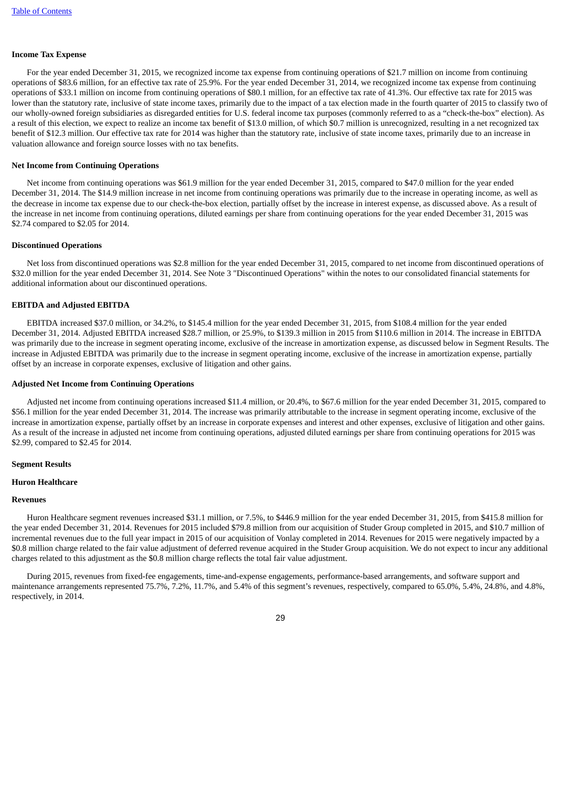#### **Income Tax Expense**

For the year ended December 31, 2015, we recognized income tax expense from continuing operations of \$21.7 million on income from continuing operations of \$83.6 million, for an effective tax rate of 25.9%. For the year ended December 31, 2014, we recognized income tax expense from continuing operations of \$33.1 million on income from continuing operations of \$80.1 million, for an effective tax rate of 41.3%. Our effective tax rate for 2015 was lower than the statutory rate, inclusive of state income taxes, primarily due to the impact of a tax election made in the fourth quarter of 2015 to classify two of our wholly-owned foreign subsidiaries as disregarded entities for U.S. federal income tax purposes (commonly referred to as a "check-the-box" election). As a result of this election, we expect to realize an income tax benefit of \$13.0 million, of which \$0.7 million is unrecognized, resulting in a net recognized tax benefit of \$12.3 million. Our effective tax rate for 2014 was higher than the statutory rate, inclusive of state income taxes, primarily due to an increase in valuation allowance and foreign source losses with no tax benefits.

#### **Net Income from Continuing Operations**

Net income from continuing operations was \$61.9 million for the year ended December 31, 2015, compared to \$47.0 million for the year ended December 31, 2014. The \$14.9 million increase in net income from continuing operations was primarily due to the increase in operating income, as well as the decrease in income tax expense due to our check-the-box election, partially offset by the increase in interest expense, as discussed above. As a result of the increase in net income from continuing operations, diluted earnings per share from continuing operations for the year ended December 31, 2015 was \$2.74 compared to \$2.05 for 2014.

### **Discontinued Operations**

Net loss from discontinued operations was \$2.8 million for the year ended December 31, 2015, compared to net income from discontinued operations of \$32.0 million for the year ended December 31, 2014. See Note 3 "Discontinued Operations" within the notes to our consolidated financial statements for additional information about our discontinued operations.

## **EBITDA and Adjusted EBITDA**

EBITDA increased \$37.0 million, or 34.2%, to \$145.4 million for the year ended December 31, 2015, from \$108.4 million for the year ended December 31, 2014. Adjusted EBITDA increased \$28.7 million, or 25.9%, to \$139.3 million in 2015 from \$110.6 million in 2014. The increase in EBITDA was primarily due to the increase in segment operating income, exclusive of the increase in amortization expense, as discussed below in Segment Results. The increase in Adjusted EBITDA was primarily due to the increase in segment operating income, exclusive of the increase in amortization expense, partially offset by an increase in corporate expenses, exclusive of litigation and other gains.

#### **Adjusted Net Income from Continuing Operations**

Adjusted net income from continuing operations increased \$11.4 million, or 20.4%, to \$67.6 million for the year ended December 31, 2015, compared to \$56.1 million for the year ended December 31, 2014. The increase was primarily attributable to the increase in segment operating income, exclusive of the increase in amortization expense, partially offset by an increase in corporate expenses and interest and other expenses, exclusive of litigation and other gains. As a result of the increase in adjusted net income from continuing operations, adjusted diluted earnings per share from continuing operations for 2015 was \$2.99, compared to \$2.45 for 2014.

#### **Segment Results**

#### **Huron Healthcare**

#### **Revenues**

Huron Healthcare segment revenues increased \$31.1 million, or 7.5%, to \$446.9 million for the year ended December 31, 2015, from \$415.8 million for the year ended December 31, 2014. Revenues for 2015 included \$79.8 million from our acquisition of Studer Group completed in 2015, and \$10.7 million of incremental revenues due to the full year impact in 2015 of our acquisition of Vonlay completed in 2014. Revenues for 2015 were negatively impacted by a \$0.8 million charge related to the fair value adjustment of deferred revenue acquired in the Studer Group acquisition. We do not expect to incur any additional charges related to this adjustment as the \$0.8 million charge reflects the total fair value adjustment.

During 2015, revenues from fixed-fee engagements, time-and-expense engagements, performance-based arrangements, and software support and maintenance arrangements represented 75.7%, 7.2%, 11.7%, and 5.4% of this segment's revenues, respectively, compared to 65.0%, 5.4%, 24.8%, and 4.8%, respectively, in 2014.

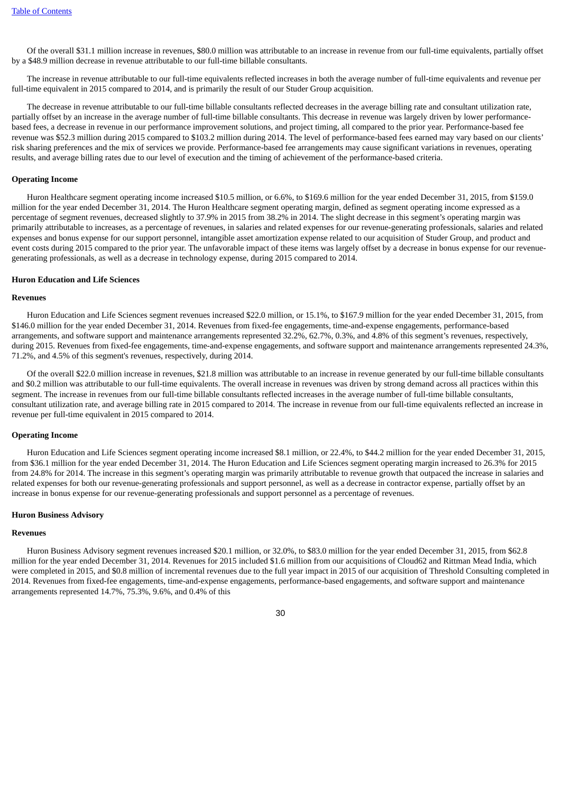Of the overall \$31.1 million increase in revenues, \$80.0 million was attributable to an increase in revenue from our full-time equivalents, partially offset by a \$48.9 million decrease in revenue attributable to our full-time billable consultants.

The increase in revenue attributable to our full-time equivalents reflected increases in both the average number of full-time equivalents and revenue per full-time equivalent in 2015 compared to 2014, and is primarily the result of our Studer Group acquisition.

The decrease in revenue attributable to our full-time billable consultants reflected decreases in the average billing rate and consultant utilization rate, partially offset by an increase in the average number of full-time billable consultants. This decrease in revenue was largely driven by lower performancebased fees, a decrease in revenue in our performance improvement solutions, and project timing, all compared to the prior year. Performance-based fee revenue was \$52.3 million during 2015 compared to \$103.2 million during 2014. The level of performance-based fees earned may vary based on our clients' risk sharing preferences and the mix of services we provide. Performance-based fee arrangements may cause significant variations in revenues, operating results, and average billing rates due to our level of execution and the timing of achievement of the performance-based criteria.

## **Operating Income**

Huron Healthcare segment operating income increased \$10.5 million, or 6.6%, to \$169.6 million for the year ended December 31, 2015, from \$159.0 million for the year ended December 31, 2014. The Huron Healthcare segment operating margin, defined as segment operating income expressed as a percentage of segment revenues, decreased slightly to 37.9% in 2015 from 38.2% in 2014. The slight decrease in this segment's operating margin was primarily attributable to increases, as a percentage of revenues, in salaries and related expenses for our revenue-generating professionals, salaries and related expenses and bonus expense for our support personnel, intangible asset amortization expense related to our acquisition of Studer Group, and product and event costs during 2015 compared to the prior year. The unfavorable impact of these items was largely offset by a decrease in bonus expense for our revenuegenerating professionals, as well as a decrease in technology expense, during 2015 compared to 2014.

#### **Huron Education and Life Sciences**

#### **Revenues**

Huron Education and Life Sciences segment revenues increased \$22.0 million, or 15.1%, to \$167.9 million for the year ended December 31, 2015, from \$146.0 million for the year ended December 31, 2014. Revenues from fixed-fee engagements, time-and-expense engagements, performance-based arrangements, and software support and maintenance arrangements represented 32.2%, 62.7%, 0.3%, and 4.8% of this segment's revenues, respectively, during 2015. Revenues from fixed-fee engagements, time-and-expense engagements, and software support and maintenance arrangements represented 24.3%, 71.2%, and 4.5% of this segment's revenues, respectively, during 2014.

Of the overall \$22.0 million increase in revenues, \$21.8 million was attributable to an increase in revenue generated by our full-time billable consultants and \$0.2 million was attributable to our full-time equivalents. The overall increase in revenues was driven by strong demand across all practices within this segment. The increase in revenues from our full-time billable consultants reflected increases in the average number of full-time billable consultants, consultant utilization rate, and average billing rate in 2015 compared to 2014. The increase in revenue from our full-time equivalents reflected an increase in revenue per full-time equivalent in 2015 compared to 2014.

#### **Operating Income**

Huron Education and Life Sciences segment operating income increased \$8.1 million, or 22.4%, to \$44.2 million for the year ended December 31, 2015, from \$36.1 million for the year ended December 31, 2014. The Huron Education and Life Sciences segment operating margin increased to 26.3% for 2015 from 24.8% for 2014. The increase in this segment's operating margin was primarily attributable to revenue growth that outpaced the increase in salaries and related expenses for both our revenue-generating professionals and support personnel, as well as a decrease in contractor expense, partially offset by an increase in bonus expense for our revenue-generating professionals and support personnel as a percentage of revenues.

#### **Huron Business Advisory**

#### **Revenues**

Huron Business Advisory segment revenues increased \$20.1 million, or 32.0%, to \$83.0 million for the year ended December 31, 2015, from \$62.8 million for the year ended December 31, 2014. Revenues for 2015 included \$1.6 million from our acquisitions of Cloud62 and Rittman Mead India, which were completed in 2015, and \$0.8 million of incremental revenues due to the full year impact in 2015 of our acquisition of Threshold Consulting completed in 2014. Revenues from fixed-fee engagements, time-and-expense engagements, performance-based engagements, and software support and maintenance arrangements represented 14.7%, 75.3%, 9.6%, and 0.4% of this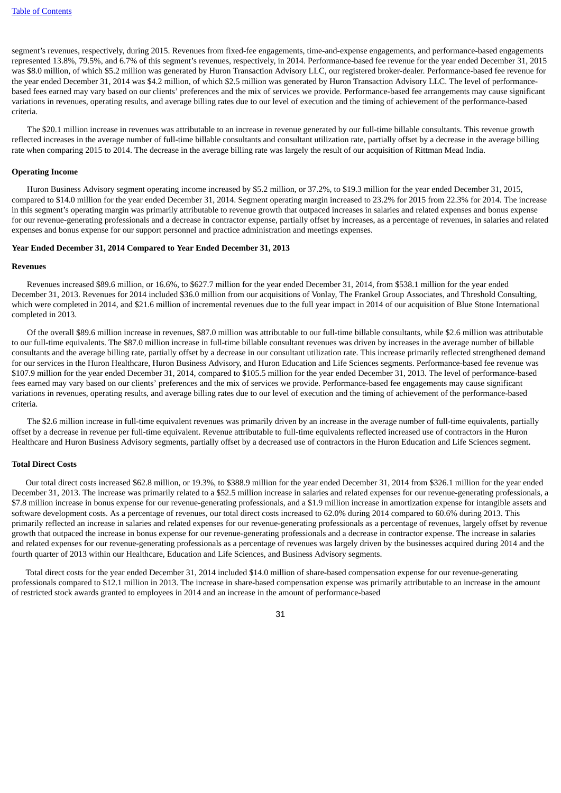segment's revenues, respectively, during 2015. Revenues from fixed-fee engagements, time-and-expense engagements, and performance-based engagements represented 13.8%, 79.5%, and 6.7% of this segment's revenues, respectively, in 2014. Performance-based fee revenue for the year ended December 31, 2015 was \$8.0 million, of which \$5.2 million was generated by Huron Transaction Advisory LLC, our registered broker-dealer. Performance-based fee revenue for the year ended December 31, 2014 was \$4.2 million, of which \$2.5 million was generated by Huron Transaction Advisory LLC. The level of performancebased fees earned may vary based on our clients' preferences and the mix of services we provide. Performance-based fee arrangements may cause significant variations in revenues, operating results, and average billing rates due to our level of execution and the timing of achievement of the performance-based criteria.

The \$20.1 million increase in revenues was attributable to an increase in revenue generated by our full-time billable consultants. This revenue growth reflected increases in the average number of full-time billable consultants and consultant utilization rate, partially offset by a decrease in the average billing rate when comparing 2015 to 2014. The decrease in the average billing rate was largely the result of our acquisition of Rittman Mead India.

## **Operating Income**

Huron Business Advisory segment operating income increased by \$5.2 million, or 37.2%, to \$19.3 million for the year ended December 31, 2015, compared to \$14.0 million for the year ended December 31, 2014. Segment operating margin increased to 23.2% for 2015 from 22.3% for 2014. The increase in this segment's operating margin was primarily attributable to revenue growth that outpaced increases in salaries and related expenses and bonus expense for our revenue-generating professionals and a decrease in contractor expense, partially offset by increases, as a percentage of revenues, in salaries and related expenses and bonus expense for our support personnel and practice administration and meetings expenses.

#### **Year Ended December 31, 2014 Compared to Year Ended December 31, 2013**

#### **Revenues**

Revenues increased \$89.6 million, or 16.6%, to \$627.7 million for the year ended December 31, 2014, from \$538.1 million for the year ended December 31, 2013. Revenues for 2014 included \$36.0 million from our acquisitions of Vonlay, The Frankel Group Associates, and Threshold Consulting, which were completed in 2014, and \$21.6 million of incremental revenues due to the full year impact in 2014 of our acquisition of Blue Stone International completed in 2013.

Of the overall \$89.6 million increase in revenues, \$87.0 million was attributable to our full-time billable consultants, while \$2.6 million was attributable to our full-time equivalents. The \$87.0 million increase in full-time billable consultant revenues was driven by increases in the average number of billable consultants and the average billing rate, partially offset by a decrease in our consultant utilization rate. This increase primarily reflected strengthened demand for our services in the Huron Healthcare, Huron Business Advisory, and Huron Education and Life Sciences segments. Performance-based fee revenue was \$107.9 million for the year ended December 31, 2014, compared to \$105.5 million for the year ended December 31, 2013. The level of performance-based fees earned may vary based on our clients' preferences and the mix of services we provide. Performance-based fee engagements may cause significant variations in revenues, operating results, and average billing rates due to our level of execution and the timing of achievement of the performance-based criteria.

The \$2.6 million increase in full-time equivalent revenues was primarily driven by an increase in the average number of full-time equivalents, partially offset by a decrease in revenue per full-time equivalent. Revenue attributable to full-time equivalents reflected increased use of contractors in the Huron Healthcare and Huron Business Advisory segments, partially offset by a decreased use of contractors in the Huron Education and Life Sciences segment.

#### **Total Direct Costs**

Our total direct costs increased \$62.8 million, or 19.3%, to \$388.9 million for the year ended December 31, 2014 from \$326.1 million for the year ended December 31, 2013. The increase was primarily related to a \$52.5 million increase in salaries and related expenses for our revenue-generating professionals, a \$7.8 million increase in bonus expense for our revenue-generating professionals, and a \$1.9 million increase in amortization expense for intangible assets and software development costs. As a percentage of revenues, our total direct costs increased to 62.0% during 2014 compared to 60.6% during 2013. This primarily reflected an increase in salaries and related expenses for our revenue-generating professionals as a percentage of revenues, largely offset by revenue growth that outpaced the increase in bonus expense for our revenue-generating professionals and a decrease in contractor expense. The increase in salaries and related expenses for our revenue-generating professionals as a percentage of revenues was largely driven by the businesses acquired during 2014 and the fourth quarter of 2013 within our Healthcare, Education and Life Sciences, and Business Advisory segments.

Total direct costs for the year ended December 31, 2014 included \$14.0 million of share-based compensation expense for our revenue-generating professionals compared to \$12.1 million in 2013. The increase in share-based compensation expense was primarily attributable to an increase in the amount of restricted stock awards granted to employees in 2014 and an increase in the amount of performance-based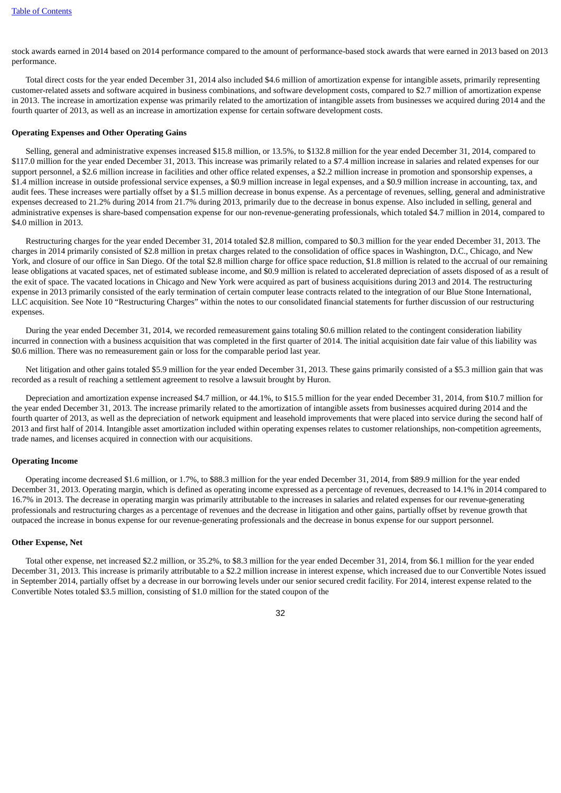stock awards earned in 2014 based on 2014 performance compared to the amount of performance-based stock awards that were earned in 2013 based on 2013 performance.

Total direct costs for the year ended December 31, 2014 also included \$4.6 million of amortization expense for intangible assets, primarily representing customer-related assets and software acquired in business combinations, and software development costs, compared to \$2.7 million of amortization expense in 2013. The increase in amortization expense was primarily related to the amortization of intangible assets from businesses we acquired during 2014 and the fourth quarter of 2013, as well as an increase in amortization expense for certain software development costs.

## **Operating Expenses and Other Operating Gains**

Selling, general and administrative expenses increased \$15.8 million, or 13.5%, to \$132.8 million for the year ended December 31, 2014, compared to \$117.0 million for the year ended December 31, 2013. This increase was primarily related to a \$7.4 million increase in salaries and related expenses for our support personnel, a \$2.6 million increase in facilities and other office related expenses, a \$2.2 million increase in promotion and sponsorship expenses, a \$1.4 million increase in outside professional service expenses, a \$0.9 million increase in legal expenses, and a \$0.9 million increase in accounting, tax, and audit fees. These increases were partially offset by a \$1.5 million decrease in bonus expense. As a percentage of revenues, selling, general and administrative expenses decreased to 21.2% during 2014 from 21.7% during 2013, primarily due to the decrease in bonus expense. Also included in selling, general and administrative expenses is share-based compensation expense for our non-revenue-generating professionals, which totaled \$4.7 million in 2014, compared to \$4.0 million in 2013.

Restructuring charges for the year ended December 31, 2014 totaled \$2.8 million, compared to \$0.3 million for the year ended December 31, 2013. The charges in 2014 primarily consisted of \$2.8 million in pretax charges related to the consolidation of office spaces in Washington, D.C., Chicago, and New York, and closure of our office in San Diego. Of the total \$2.8 million charge for office space reduction, \$1.8 million is related to the accrual of our remaining lease obligations at vacated spaces, net of estimated sublease income, and \$0.9 million is related to accelerated depreciation of assets disposed of as a result of the exit of space. The vacated locations in Chicago and New York were acquired as part of business acquisitions during 2013 and 2014. The restructuring expense in 2013 primarily consisted of the early termination of certain computer lease contracts related to the integration of our Blue Stone International, LLC acquisition. See Note 10 "Restructuring Charges" within the notes to our consolidated financial statements for further discussion of our restructuring expenses.

During the year ended December 31, 2014, we recorded remeasurement gains totaling \$0.6 million related to the contingent consideration liability incurred in connection with a business acquisition that was completed in the first quarter of 2014. The initial acquisition date fair value of this liability was \$0.6 million. There was no remeasurement gain or loss for the comparable period last year.

Net litigation and other gains totaled \$5.9 million for the year ended December 31, 2013. These gains primarily consisted of a \$5.3 million gain that was recorded as a result of reaching a settlement agreement to resolve a lawsuit brought by Huron.

Depreciation and amortization expense increased \$4.7 million, or 44.1%, to \$15.5 million for the year ended December 31, 2014, from \$10.7 million for the year ended December 31, 2013. The increase primarily related to the amortization of intangible assets from businesses acquired during 2014 and the fourth quarter of 2013, as well as the depreciation of network equipment and leasehold improvements that were placed into service during the second half of 2013 and first half of 2014. Intangible asset amortization included within operating expenses relates to customer relationships, non-competition agreements, trade names, and licenses acquired in connection with our acquisitions.

### **Operating Income**

Operating income decreased \$1.6 million, or 1.7%, to \$88.3 million for the year ended December 31, 2014, from \$89.9 million for the year ended December 31, 2013. Operating margin, which is defined as operating income expressed as a percentage of revenues, decreased to 14.1% in 2014 compared to 16.7% in 2013. The decrease in operating margin was primarily attributable to the increases in salaries and related expenses for our revenue-generating professionals and restructuring charges as a percentage of revenues and the decrease in litigation and other gains, partially offset by revenue growth that outpaced the increase in bonus expense for our revenue-generating professionals and the decrease in bonus expense for our support personnel.

## **Other Expense, Net**

Total other expense, net increased \$2.2 million, or 35.2%, to \$8.3 million for the year ended December 31, 2014, from \$6.1 million for the year ended December 31, 2013. This increase is primarily attributable to a \$2.2 million increase in interest expense, which increased due to our Convertible Notes issued in September 2014, partially offset by a decrease in our borrowing levels under our senior secured credit facility. For 2014, interest expense related to the Convertible Notes totaled \$3.5 million, consisting of \$1.0 million for the stated coupon of the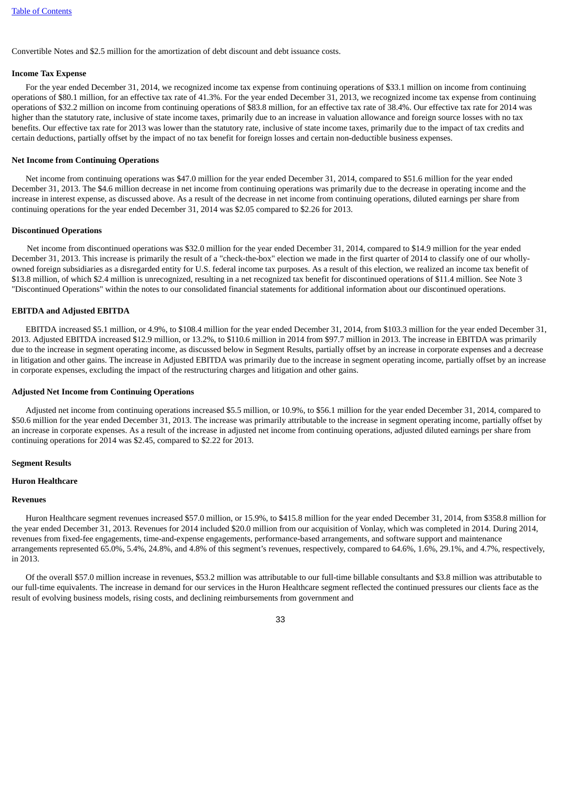Convertible Notes and \$2.5 million for the amortization of debt discount and debt issuance costs.

## **Income Tax Expense**

For the year ended December 31, 2014, we recognized income tax expense from continuing operations of \$33.1 million on income from continuing operations of \$80.1 million, for an effective tax rate of 41.3%. For the year ended December 31, 2013, we recognized income tax expense from continuing operations of \$32.2 million on income from continuing operations of \$83.8 million, for an effective tax rate of 38.4%. Our effective tax rate for 2014 was higher than the statutory rate, inclusive of state income taxes, primarily due to an increase in valuation allowance and foreign source losses with no tax benefits. Our effective tax rate for 2013 was lower than the statutory rate, inclusive of state income taxes, primarily due to the impact of tax credits and certain deductions, partially offset by the impact of no tax benefit for foreign losses and certain non-deductible business expenses.

#### **Net Income from Continuing Operations**

Net income from continuing operations was \$47.0 million for the year ended December 31, 2014, compared to \$51.6 million for the year ended December 31, 2013. The \$4.6 million decrease in net income from continuing operations was primarily due to the decrease in operating income and the increase in interest expense, as discussed above. As a result of the decrease in net income from continuing operations, diluted earnings per share from continuing operations for the year ended December 31, 2014 was \$2.05 compared to \$2.26 for 2013.

#### **Discontinued Operations**

Net income from discontinued operations was \$32.0 million for the year ended December 31, 2014, compared to \$14.9 million for the year ended December 31, 2013. This increase is primarily the result of a "check-the-box" election we made in the first quarter of 2014 to classify one of our whollyowned foreign subsidiaries as a disregarded entity for U.S. federal income tax purposes. As a result of this election, we realized an income tax benefit of \$13.8 million, of which \$2.4 million is unrecognized, resulting in a net recognized tax benefit for discontinued operations of \$11.4 million. See Note 3 "Discontinued Operations" within the notes to our consolidated financial statements for additional information about our discontinued operations.

#### **EBITDA and Adjusted EBITDA**

EBITDA increased \$5.1 million, or 4.9%, to \$108.4 million for the year ended December 31, 2014, from \$103.3 million for the year ended December 31, 2013. Adjusted EBITDA increased \$12.9 million, or 13.2%, to \$110.6 million in 2014 from \$97.7 million in 2013. The increase in EBITDA was primarily due to the increase in segment operating income, as discussed below in Segment Results, partially offset by an increase in corporate expenses and a decrease in litigation and other gains. The increase in Adjusted EBITDA was primarily due to the increase in segment operating income, partially offset by an increase in corporate expenses, excluding the impact of the restructuring charges and litigation and other gains.

### **Adjusted Net Income from Continuing Operations**

Adjusted net income from continuing operations increased \$5.5 million, or 10.9%, to \$56.1 million for the year ended December 31, 2014, compared to \$50.6 million for the year ended December 31, 2013. The increase was primarily attributable to the increase in segment operating income, partially offset by an increase in corporate expenses. As a result of the increase in adjusted net income from continuing operations, adjusted diluted earnings per share from continuing operations for 2014 was \$2.45, compared to \$2.22 for 2013.

#### **Segment Results**

## **Huron Healthcare**

## **Revenues**

Huron Healthcare segment revenues increased \$57.0 million, or 15.9%, to \$415.8 million for the year ended December 31, 2014, from \$358.8 million for the year ended December 31, 2013. Revenues for 2014 included \$20.0 million from our acquisition of Vonlay, which was completed in 2014. During 2014, revenues from fixed-fee engagements, time-and-expense engagements, performance-based arrangements, and software support and maintenance arrangements represented 65.0%, 5.4%, 24.8%, and 4.8% of this segment's revenues, respectively, compared to 64.6%, 1.6%, 29.1%, and 4.7%, respectively, in 2013.

Of the overall \$57.0 million increase in revenues, \$53.2 million was attributable to our full-time billable consultants and \$3.8 million was attributable to our full-time equivalents. The increase in demand for our services in the Huron Healthcare segment reflected the continued pressures our clients face as the result of evolving business models, rising costs, and declining reimbursements from government and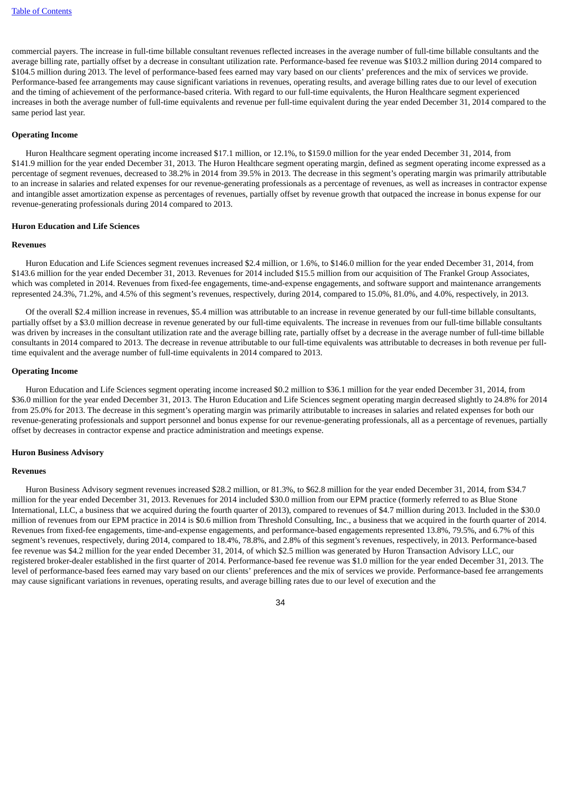commercial payers. The increase in full-time billable consultant revenues reflected increases in the average number of full-time billable consultants and the average billing rate, partially offset by a decrease in consultant utilization rate. Performance-based fee revenue was \$103.2 million during 2014 compared to \$104.5 million during 2013. The level of performance-based fees earned may vary based on our clients' preferences and the mix of services we provide. Performance-based fee arrangements may cause significant variations in revenues, operating results, and average billing rates due to our level of execution and the timing of achievement of the performance-based criteria. With regard to our full-time equivalents, the Huron Healthcare segment experienced increases in both the average number of full-time equivalents and revenue per full-time equivalent during the year ended December 31, 2014 compared to the same period last year.

## **Operating Income**

Huron Healthcare segment operating income increased \$17.1 million, or 12.1%, to \$159.0 million for the year ended December 31, 2014, from \$141.9 million for the year ended December 31, 2013. The Huron Healthcare segment operating margin, defined as segment operating income expressed as a percentage of segment revenues, decreased to 38.2% in 2014 from 39.5% in 2013. The decrease in this segment's operating margin was primarily attributable to an increase in salaries and related expenses for our revenue-generating professionals as a percentage of revenues, as well as increases in contractor expense and intangible asset amortization expense as percentages of revenues, partially offset by revenue growth that outpaced the increase in bonus expense for our revenue-generating professionals during 2014 compared to 2013.

#### **Huron Education and Life Sciences**

#### **Revenues**

Huron Education and Life Sciences segment revenues increased \$2.4 million, or 1.6%, to \$146.0 million for the year ended December 31, 2014, from \$143.6 million for the year ended December 31, 2013. Revenues for 2014 included \$15.5 million from our acquisition of The Frankel Group Associates, which was completed in 2014. Revenues from fixed-fee engagements, time-and-expense engagements, and software support and maintenance arrangements represented 24.3%, 71.2%, and 4.5% of this segment's revenues, respectively, during 2014, compared to 15.0%, 81.0%, and 4.0%, respectively, in 2013.

Of the overall \$2.4 million increase in revenues, \$5.4 million was attributable to an increase in revenue generated by our full-time billable consultants, partially offset by a \$3.0 million decrease in revenue generated by our full-time equivalents. The increase in revenues from our full-time billable consultants was driven by increases in the consultant utilization rate and the average billing rate, partially offset by a decrease in the average number of full-time billable consultants in 2014 compared to 2013. The decrease in revenue attributable to our full-time equivalents was attributable to decreases in both revenue per fulltime equivalent and the average number of full-time equivalents in 2014 compared to 2013.

#### **Operating Income**

Huron Education and Life Sciences segment operating income increased \$0.2 million to \$36.1 million for the year ended December 31, 2014, from \$36.0 million for the year ended December 31, 2013. The Huron Education and Life Sciences segment operating margin decreased slightly to 24.8% for 2014 from 25.0% for 2013. The decrease in this segment's operating margin was primarily attributable to increases in salaries and related expenses for both our revenue-generating professionals and support personnel and bonus expense for our revenue-generating professionals, all as a percentage of revenues, partially offset by decreases in contractor expense and practice administration and meetings expense.

#### **Huron Business Advisory**

## **Revenues**

Huron Business Advisory segment revenues increased \$28.2 million, or 81.3%, to \$62.8 million for the year ended December 31, 2014, from \$34.7 million for the year ended December 31, 2013. Revenues for 2014 included \$30.0 million from our EPM practice (formerly referred to as Blue Stone International, LLC, a business that we acquired during the fourth quarter of 2013), compared to revenues of \$4.7 million during 2013. Included in the \$30.0 million of revenues from our EPM practice in 2014 is \$0.6 million from Threshold Consulting, Inc., a business that we acquired in the fourth quarter of 2014. Revenues from fixed-fee engagements, time-and-expense engagements, and performance-based engagements represented 13.8%, 79.5%, and 6.7% of this segment's revenues, respectively, during 2014, compared to 18.4%, 78.8%, and 2.8% of this segment's revenues, respectively, in 2013. Performance-based fee revenue was \$4.2 million for the year ended December 31, 2014, of which \$2.5 million was generated by Huron Transaction Advisory LLC, our registered broker-dealer established in the first quarter of 2014. Performance-based fee revenue was \$1.0 million for the year ended December 31, 2013. The level of performance-based fees earned may vary based on our clients' preferences and the mix of services we provide. Performance-based fee arrangements may cause significant variations in revenues, operating results, and average billing rates due to our level of execution and the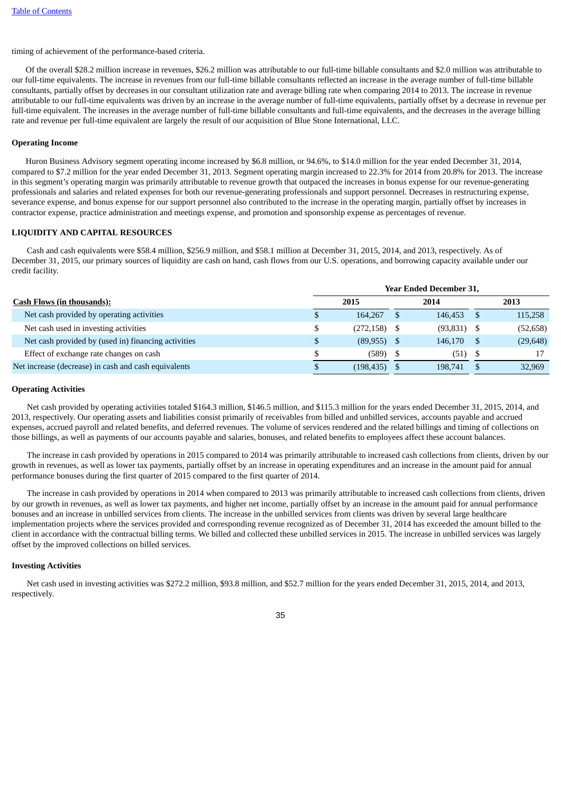timing of achievement of the performance-based criteria.

Of the overall \$28.2 million increase in revenues, \$26.2 million was attributable to our full-time billable consultants and \$2.0 million was attributable to our full-time equivalents. The increase in revenues from our full-time billable consultants reflected an increase in the average number of full-time billable consultants, partially offset by decreases in our consultant utilization rate and average billing rate when comparing 2014 to 2013. The increase in revenue attributable to our full-time equivalents was driven by an increase in the average number of full-time equivalents, partially offset by a decrease in revenue per full-time equivalent. The increases in the average number of full-time billable consultants and full-time equivalents, and the decreases in the average billing rate and revenue per full-time equivalent are largely the result of our acquisition of Blue Stone International, LLC.

### **Operating Income**

Huron Business Advisory segment operating income increased by \$6.8 million, or 94.6%, to \$14.0 million for the year ended December 31, 2014, compared to \$7.2 million for the year ended December 31, 2013. Segment operating margin increased to 22.3% for 2014 from 20.8% for 2013. The increase in this segment's operating margin was primarily attributable to revenue growth that outpaced the increases in bonus expense for our revenue-generating professionals and salaries and related expenses for both our revenue-generating professionals and support personnel. Decreases in restructuring expense, severance expense, and bonus expense for our support personnel also contributed to the increase in the operating margin, partially offset by increases in contractor expense, practice administration and meetings expense, and promotion and sponsorship expense as percentages of revenue.

### **LIQUIDITY AND CAPITAL RESOURCES**

Cash and cash equivalents were \$58.4 million, \$256.9 million, and \$58.1 million at December 31, 2015, 2014, and 2013, respectively. As of December 31, 2015, our primary sources of liquidity are cash on hand, cash flows from our U.S. operations, and borrowing capacity available under our credit facility.

|                                                      |    | <b>Year Ended December 31,</b> |          |               |  |           |  |
|------------------------------------------------------|----|--------------------------------|----------|---------------|--|-----------|--|
| <b>Cash Flows (in thousands):</b>                    |    | 2015                           |          | 2014          |  | 2013      |  |
| Net cash provided by operating activities            | \$ | 164,267                        | <b>S</b> | 146,453       |  | 115,258   |  |
| Net cash used in investing activities                | \$ | $(272, 158)$ \$                |          | $(93,831)$ \$ |  | (52, 658) |  |
| Net cash provided by (used in) financing activities  | \$ | $(89,955)$ \$                  |          | 146,170       |  | (29, 648) |  |
| Effect of exchange rate changes on cash              |    | $(589)$ \$                     |          | $(51)$ \$     |  | 17        |  |
| Net increase (decrease) in cash and cash equivalents | D  | $(198, 435)$ \$                |          | 198.741       |  | 32,969    |  |

### **Operating Activities**

Net cash provided by operating activities totaled \$164.3 million, \$146.5 million, and \$115.3 million for the years ended December 31, 2015, 2014, and 2013, respectively. Our operating assets and liabilities consist primarily of receivables from billed and unbilled services, accounts payable and accrued expenses, accrued payroll and related benefits, and deferred revenues. The volume of services rendered and the related billings and timing of collections on those billings, as well as payments of our accounts payable and salaries, bonuses, and related benefits to employees affect these account balances.

The increase in cash provided by operations in 2015 compared to 2014 was primarily attributable to increased cash collections from clients, driven by our growth in revenues, as well as lower tax payments, partially offset by an increase in operating expenditures and an increase in the amount paid for annual performance bonuses during the first quarter of 2015 compared to the first quarter of 2014.

The increase in cash provided by operations in 2014 when compared to 2013 was primarily attributable to increased cash collections from clients, driven by our growth in revenues, as well as lower tax payments, and higher net income, partially offset by an increase in the amount paid for annual performance bonuses and an increase in unbilled services from clients. The increase in the unbilled services from clients was driven by several large healthcare implementation projects where the services provided and corresponding revenue recognized as of December 31, 2014 has exceeded the amount billed to the client in accordance with the contractual billing terms. We billed and collected these unbilled services in 2015. The increase in unbilled services was largely offset by the improved collections on billed services.

### **Investing Activities**

Net cash used in investing activities was \$272.2 million, \$93.8 million, and \$52.7 million for the years ended December 31, 2015, 2014, and 2013, respectively.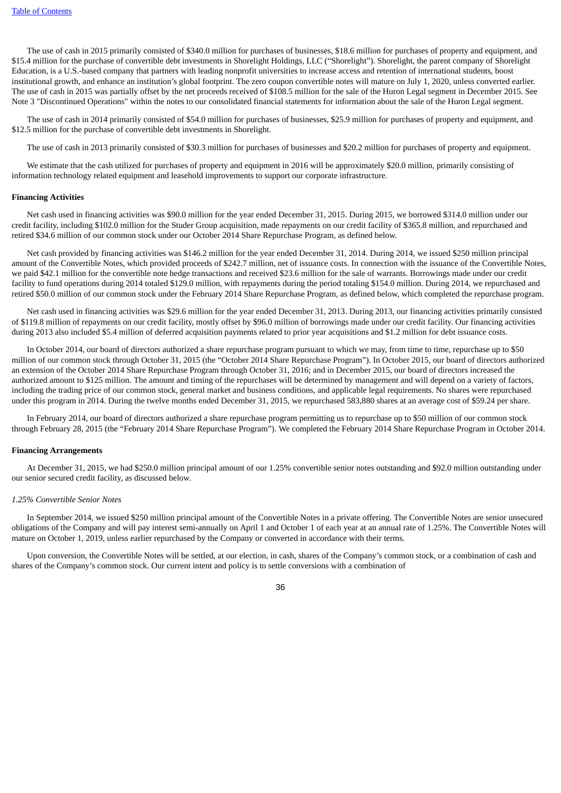The use of cash in 2015 primarily consisted of \$340.0 million for purchases of businesses, \$18.6 million for purchases of property and equipment, and \$15.4 million for the purchase of convertible debt investments in Shorelight Holdings, LLC ("Shorelight"). Shorelight, the parent company of Shorelight Education, is a U.S.-based company that partners with leading nonprofit universities to increase access and retention of international students, boost institutional growth, and enhance an institution's global footprint. The zero coupon convertible notes will mature on July 1, 2020, unless converted earlier. The use of cash in 2015 was partially offset by the net proceeds received of \$108.5 million for the sale of the Huron Legal segment in December 2015. See Note 3 "Discontinued Operations" within the notes to our consolidated financial statements for information about the sale of the Huron Legal segment.

The use of cash in 2014 primarily consisted of \$54.0 million for purchases of businesses, \$25.9 million for purchases of property and equipment, and \$12.5 million for the purchase of convertible debt investments in Shorelight.

The use of cash in 2013 primarily consisted of \$30.3 million for purchases of businesses and \$20.2 million for purchases of property and equipment.

We estimate that the cash utilized for purchases of property and equipment in 2016 will be approximately \$20.0 million, primarily consisting of information technology related equipment and leasehold improvements to support our corporate infrastructure.

### **Financing Activities**

Net cash used in financing activities was \$90.0 million for the year ended December 31, 2015. During 2015, we borrowed \$314.0 million under our credit facility, including \$102.0 million for the Studer Group acquisition, made repayments on our credit facility of \$365.8 million, and repurchased and retired \$34.6 million of our common stock under our October 2014 Share Repurchase Program, as defined below.

Net cash provided by financing activities was \$146.2 million for the year ended December 31, 2014. During 2014, we issued \$250 million principal amount of the Convertible Notes, which provided proceeds of \$242.7 million, net of issuance costs. In connection with the issuance of the Convertible Notes, we paid \$42.1 million for the convertible note hedge transactions and received \$23.6 million for the sale of warrants. Borrowings made under our credit facility to fund operations during 2014 totaled \$129.0 million, with repayments during the period totaling \$154.0 million. During 2014, we repurchased and retired \$50.0 million of our common stock under the February 2014 Share Repurchase Program, as defined below, which completed the repurchase program.

Net cash used in financing activities was \$29.6 million for the year ended December 31, 2013. During 2013, our financing activities primarily consisted of \$119.8 million of repayments on our credit facility, mostly offset by \$96.0 million of borrowings made under our credit facility. Our financing activities during 2013 also included \$5.4 million of deferred acquisition payments related to prior year acquisitions and \$1.2 million for debt issuance costs.

In October 2014, our board of directors authorized a share repurchase program pursuant to which we may, from time to time, repurchase up to \$50 million of our common stock through October 31, 2015 (the "October 2014 Share Repurchase Program"). In October 2015, our board of directors authorized an extension of the October 2014 Share Repurchase Program through October 31, 2016; and in December 2015, our board of directors increased the authorized amount to \$125 million. The amount and timing of the repurchases will be determined by management and will depend on a variety of factors, including the trading price of our common stock, general market and business conditions, and applicable legal requirements. No shares were repurchased under this program in 2014. During the twelve months ended December 31, 2015, we repurchased 583,880 shares at an average cost of \$59.24 per share.

In February 2014, our board of directors authorized a share repurchase program permitting us to repurchase up to \$50 million of our common stock through February 28, 2015 (the "February 2014 Share Repurchase Program"). We completed the February 2014 Share Repurchase Program in October 2014.

#### **Financing Arrangements**

At December 31, 2015, we had \$250.0 million principal amount of our 1.25% convertible senior notes outstanding and \$92.0 million outstanding under our senior secured credit facility, as discussed below.

### *1.25% Convertible Senior Notes*

In September 2014, we issued \$250 million principal amount of the Convertible Notes in a private offering. The Convertible Notes are senior unsecured obligations of the Company and will pay interest semi-annually on April 1 and October 1 of each year at an annual rate of 1.25%. The Convertible Notes will mature on October 1, 2019, unless earlier repurchased by the Company or converted in accordance with their terms.

Upon conversion, the Convertible Notes will be settled, at our election, in cash, shares of the Company's common stock, or a combination of cash and shares of the Company's common stock. Our current intent and policy is to settle conversions with a combination of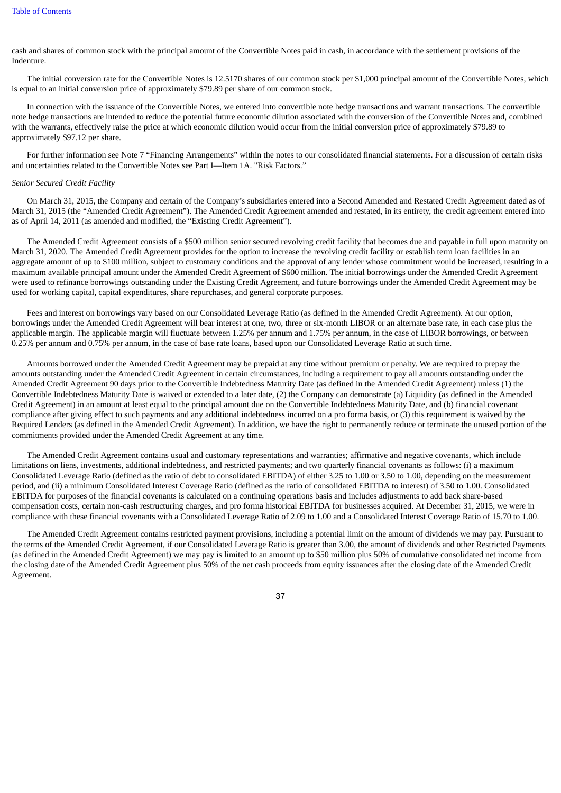cash and shares of common stock with the principal amount of the Convertible Notes paid in cash, in accordance with the settlement provisions of the Indenture.

The initial conversion rate for the Convertible Notes is 12.5170 shares of our common stock per \$1,000 principal amount of the Convertible Notes, which is equal to an initial conversion price of approximately \$79.89 per share of our common stock.

In connection with the issuance of the Convertible Notes, we entered into convertible note hedge transactions and warrant transactions. The convertible note hedge transactions are intended to reduce the potential future economic dilution associated with the conversion of the Convertible Notes and, combined with the warrants, effectively raise the price at which economic dilution would occur from the initial conversion price of approximately \$79.89 to approximately \$97.12 per share.

For further information see Note 7 "Financing Arrangements" within the notes to our consolidated financial statements. For a discussion of certain risks and uncertainties related to the Convertible Notes see Part I—Item 1A. "Risk Factors."

### *Senior Secured Credit Facility*

On March 31, 2015, the Company and certain of the Company's subsidiaries entered into a Second Amended and Restated Credit Agreement dated as of March 31, 2015 (the "Amended Credit Agreement"). The Amended Credit Agreement amended and restated, in its entirety, the credit agreement entered into as of April 14, 2011 (as amended and modified, the "Existing Credit Agreement").

The Amended Credit Agreement consists of a \$500 million senior secured revolving credit facility that becomes due and payable in full upon maturity on March 31, 2020. The Amended Credit Agreement provides for the option to increase the revolving credit facility or establish term loan facilities in an aggregate amount of up to \$100 million, subject to customary conditions and the approval of any lender whose commitment would be increased, resulting in a maximum available principal amount under the Amended Credit Agreement of \$600 million. The initial borrowings under the Amended Credit Agreement were used to refinance borrowings outstanding under the Existing Credit Agreement, and future borrowings under the Amended Credit Agreement may be used for working capital, capital expenditures, share repurchases, and general corporate purposes.

Fees and interest on borrowings vary based on our Consolidated Leverage Ratio (as defined in the Amended Credit Agreement). At our option, borrowings under the Amended Credit Agreement will bear interest at one, two, three or six-month LIBOR or an alternate base rate, in each case plus the applicable margin. The applicable margin will fluctuate between 1.25% per annum and 1.75% per annum, in the case of LIBOR borrowings, or between 0.25% per annum and 0.75% per annum, in the case of base rate loans, based upon our Consolidated Leverage Ratio at such time.

Amounts borrowed under the Amended Credit Agreement may be prepaid at any time without premium or penalty. We are required to prepay the amounts outstanding under the Amended Credit Agreement in certain circumstances, including a requirement to pay all amounts outstanding under the Amended Credit Agreement 90 days prior to the Convertible Indebtedness Maturity Date (as defined in the Amended Credit Agreement) unless (1) the Convertible Indebtedness Maturity Date is waived or extended to a later date, (2) the Company can demonstrate (a) Liquidity (as defined in the Amended Credit Agreement) in an amount at least equal to the principal amount due on the Convertible Indebtedness Maturity Date, and (b) financial covenant compliance after giving effect to such payments and any additional indebtedness incurred on a pro forma basis, or (3) this requirement is waived by the Required Lenders (as defined in the Amended Credit Agreement). In addition, we have the right to permanently reduce or terminate the unused portion of the commitments provided under the Amended Credit Agreement at any time.

The Amended Credit Agreement contains usual and customary representations and warranties; affirmative and negative covenants, which include limitations on liens, investments, additional indebtedness, and restricted payments; and two quarterly financial covenants as follows: (i) a maximum Consolidated Leverage Ratio (defined as the ratio of debt to consolidated EBITDA) of either 3.25 to 1.00 or 3.50 to 1.00, depending on the measurement period, and (ii) a minimum Consolidated Interest Coverage Ratio (defined as the ratio of consolidated EBITDA to interest) of 3.50 to 1.00. Consolidated EBITDA for purposes of the financial covenants is calculated on a continuing operations basis and includes adjustments to add back share-based compensation costs, certain non-cash restructuring charges, and pro forma historical EBITDA for businesses acquired. At December 31, 2015, we were in compliance with these financial covenants with a Consolidated Leverage Ratio of 2.09 to 1.00 and a Consolidated Interest Coverage Ratio of 15.70 to 1.00.

The Amended Credit Agreement contains restricted payment provisions, including a potential limit on the amount of dividends we may pay. Pursuant to the terms of the Amended Credit Agreement, if our Consolidated Leverage Ratio is greater than 3.00, the amount of dividends and other Restricted Payments (as defined in the Amended Credit Agreement) we may pay is limited to an amount up to \$50 million plus 50% of cumulative consolidated net income from the closing date of the Amended Credit Agreement plus 50% of the net cash proceeds from equity issuances after the closing date of the Amended Credit Agreement.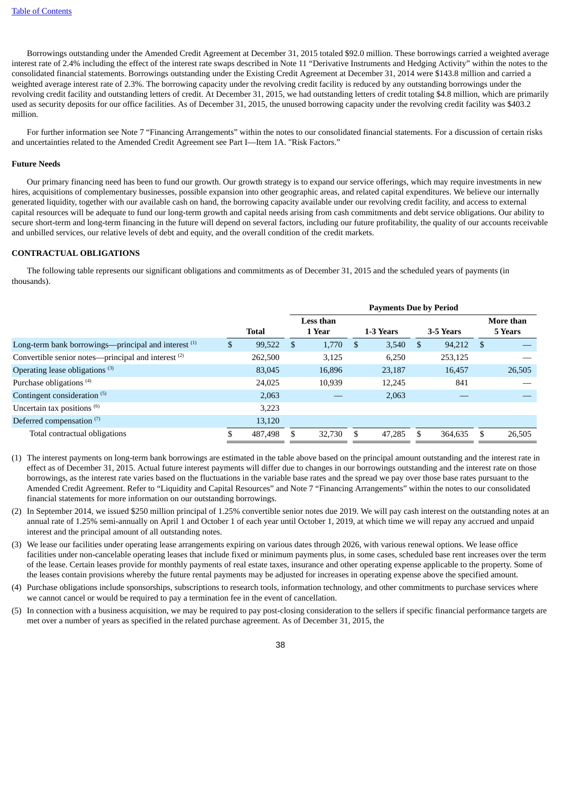Borrowings outstanding under the Amended Credit Agreement at December 31, 2015 totaled \$92.0 million. These borrowings carried a weighted average interest rate of 2.4% including the effect of the interest rate swaps described in Note 11 "Derivative Instruments and Hedging Activity" within the notes to the consolidated financial statements. Borrowings outstanding under the Existing Credit Agreement at December 31, 2014 were \$143.8 million and carried a weighted average interest rate of 2.3%. The borrowing capacity under the revolving credit facility is reduced by any outstanding borrowings under the revolving credit facility and outstanding letters of credit. At December 31, 2015, we had outstanding letters of credit totaling \$4.8 million, which are primarily used as security deposits for our office facilities. As of December 31, 2015, the unused borrowing capacity under the revolving credit facility was \$403.2 million.

For further information see Note 7 "Financing Arrangements" within the notes to our consolidated financial statements. For a discussion of certain risks and uncertainties related to the Amended Credit Agreement see Part I—Item 1A. "Risk Factors."

### **Future Needs**

Our primary financing need has been to fund our growth. Our growth strategy is to expand our service offerings, which may require investments in new hires, acquisitions of complementary businesses, possible expansion into other geographic areas, and related capital expenditures. We believe our internally generated liquidity, together with our available cash on hand, the borrowing capacity available under our revolving credit facility, and access to external capital resources will be adequate to fund our long-term growth and capital needs arising from cash commitments and debt service obligations. Our ability to secure short-term and long-term financing in the future will depend on several factors, including our future profitability, the quality of our accounts receivable and unbilled services, our relative levels of debt and equity, and the overall condition of the credit markets.

### **CONTRACTUAL OBLIGATIONS**

The following table represents our significant obligations and commitments as of December 31, 2015 and the scheduled years of payments (in thousands).

|                                                                 |              |    | <b>Payments Due by Period</b> |    |           |     |           |               |                      |
|-----------------------------------------------------------------|--------------|----|-------------------------------|----|-----------|-----|-----------|---------------|----------------------|
|                                                                 | <b>Total</b> |    | <b>Less than</b><br>1 Year    |    | 1-3 Years |     | 3-5 Years |               | More than<br>5 Years |
| Long-term bank borrowings—principal and interest <sup>(1)</sup> | 99,522       | S  | 1,770                         | S  | 3,540     | \$. | 94.212    | <sup>\$</sup> |                      |
| Convertible senior notes—principal and interest <sup>(2)</sup>  | 262,500      |    | 3,125                         |    | 6,250     |     | 253,125   |               |                      |
| Operating lease obligations <sup>(3)</sup>                      | 83,045       |    | 16,896                        |    | 23,187    |     | 16.457    |               | 26,505               |
| Purchase obligations <sup>(4)</sup>                             | 24,025       |    | 10.939                        |    | 12.245    |     | 841       |               |                      |
| Contingent consideration <sup>(5)</sup>                         | 2,063        |    |                               |    | 2,063     |     |           |               |                      |
| Uncertain tax positions <sup>(6)</sup>                          | 3.223        |    |                               |    |           |     |           |               |                      |
| Deferred compensation $(7)$                                     | 13,120       |    |                               |    |           |     |           |               |                      |
| Total contractual obligations                                   | 487,498      | S. | 32,730                        | S. | 47,285    | S.  | 364,635   |               | 26,505               |

- (1) The interest payments on long-term bank borrowings are estimated in the table above based on the principal amount outstanding and the interest rate in effect as of December 31, 2015. Actual future interest payments will differ due to changes in our borrowings outstanding and the interest rate on those borrowings, as the interest rate varies based on the fluctuations in the variable base rates and the spread we pay over those base rates pursuant to the Amended Credit Agreement. Refer to "Liquidity and Capital Resources" and Note 7 "Financing Arrangements" within the notes to our consolidated financial statements for more information on our outstanding borrowings.
- (2) In September 2014, we issued \$250 million principal of 1.25% convertible senior notes due 2019. We will pay cash interest on the outstanding notes at an annual rate of 1.25% semi-annually on April 1 and October 1 of each year until October 1, 2019, at which time we will repay any accrued and unpaid interest and the principal amount of all outstanding notes.
- (3) We lease our facilities under operating lease arrangements expiring on various dates through 2026, with various renewal options. We lease office facilities under non-cancelable operating leases that include fixed or minimum payments plus, in some cases, scheduled base rent increases over the term of the lease. Certain leases provide for monthly payments of real estate taxes, insurance and other operating expense applicable to the property. Some of the leases contain provisions whereby the future rental payments may be adjusted for increases in operating expense above the specified amount.
- (4) Purchase obligations include sponsorships, subscriptions to research tools, information technology, and other commitments to purchase services where we cannot cancel or would be required to pay a termination fee in the event of cancellation.
- (5) In connection with a business acquisition, we may be required to pay post-closing consideration to the sellers if specific financial performance targets are met over a number of years as specified in the related purchase agreement. As of December 31, 2015, the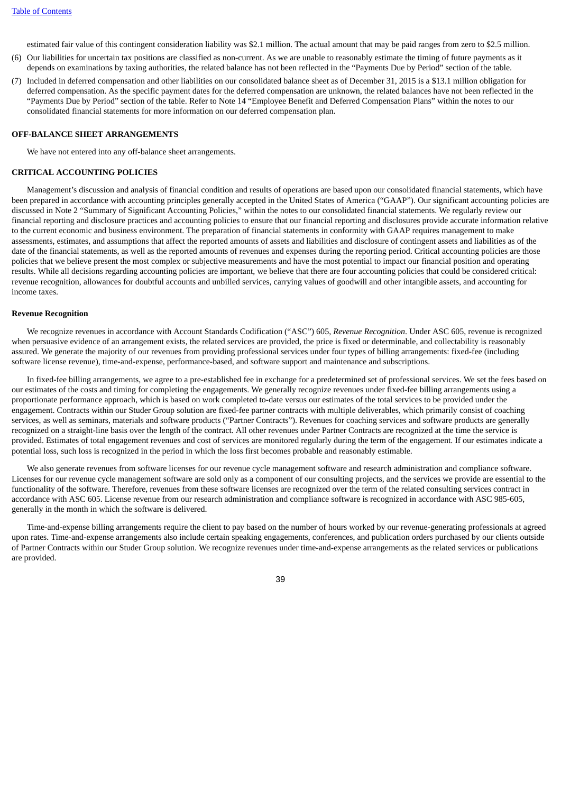estimated fair value of this contingent consideration liability was \$2.1 million. The actual amount that may be paid ranges from zero to \$2.5 million.

- (6) Our liabilities for uncertain tax positions are classified as non-current. As we are unable to reasonably estimate the timing of future payments as it depends on examinations by taxing authorities, the related balance has not been reflected in the "Payments Due by Period" section of the table.
- (7) Included in deferred compensation and other liabilities on our consolidated balance sheet as of December 31, 2015 is a \$13.1 million obligation for deferred compensation. As the specific payment dates for the deferred compensation are unknown, the related balances have not been reflected in the "Payments Due by Period" section of the table. Refer to Note 14 "Employee Benefit and Deferred Compensation Plans" within the notes to our consolidated financial statements for more information on our deferred compensation plan.

### **OFF-BALANCE SHEET ARRANGEMENTS**

We have not entered into any off-balance sheet arrangements.

# **CRITICAL ACCOUNTING POLICIES**

Management's discussion and analysis of financial condition and results of operations are based upon our consolidated financial statements, which have been prepared in accordance with accounting principles generally accepted in the United States of America ("GAAP"). Our significant accounting policies are discussed in Note 2 "Summary of Significant Accounting Policies," within the notes to our consolidated financial statements. We regularly review our financial reporting and disclosure practices and accounting policies to ensure that our financial reporting and disclosures provide accurate information relative to the current economic and business environment. The preparation of financial statements in conformity with GAAP requires management to make assessments, estimates, and assumptions that affect the reported amounts of assets and liabilities and disclosure of contingent assets and liabilities as of the date of the financial statements, as well as the reported amounts of revenues and expenses during the reporting period. Critical accounting policies are those policies that we believe present the most complex or subjective measurements and have the most potential to impact our financial position and operating results. While all decisions regarding accounting policies are important, we believe that there are four accounting policies that could be considered critical: revenue recognition, allowances for doubtful accounts and unbilled services, carrying values of goodwill and other intangible assets, and accounting for income taxes.

### **Revenue Recognition**

We recognize revenues in accordance with Account Standards Codification ("ASC") 605, *Revenue Recognition*. Under ASC 605, revenue is recognized when persuasive evidence of an arrangement exists, the related services are provided, the price is fixed or determinable, and collectability is reasonably assured. We generate the majority of our revenues from providing professional services under four types of billing arrangements: fixed-fee (including software license revenue), time-and-expense, performance-based, and software support and maintenance and subscriptions.

In fixed-fee billing arrangements, we agree to a pre-established fee in exchange for a predetermined set of professional services. We set the fees based on our estimates of the costs and timing for completing the engagements. We generally recognize revenues under fixed-fee billing arrangements using a proportionate performance approach, which is based on work completed to-date versus our estimates of the total services to be provided under the engagement. Contracts within our Studer Group solution are fixed-fee partner contracts with multiple deliverables, which primarily consist of coaching services, as well as seminars, materials and software products ("Partner Contracts"). Revenues for coaching services and software products are generally recognized on a straight-line basis over the length of the contract. All other revenues under Partner Contracts are recognized at the time the service is provided. Estimates of total engagement revenues and cost of services are monitored regularly during the term of the engagement. If our estimates indicate a potential loss, such loss is recognized in the period in which the loss first becomes probable and reasonably estimable.

We also generate revenues from software licenses for our revenue cycle management software and research administration and compliance software. Licenses for our revenue cycle management software are sold only as a component of our consulting projects, and the services we provide are essential to the functionality of the software. Therefore, revenues from these software licenses are recognized over the term of the related consulting services contract in accordance with ASC 605. License revenue from our research administration and compliance software is recognized in accordance with ASC 985-605, generally in the month in which the software is delivered.

Time-and-expense billing arrangements require the client to pay based on the number of hours worked by our revenue-generating professionals at agreed upon rates. Time-and-expense arrangements also include certain speaking engagements, conferences, and publication orders purchased by our clients outside of Partner Contracts within our Studer Group solution. We recognize revenues under time-and-expense arrangements as the related services or publications are provided.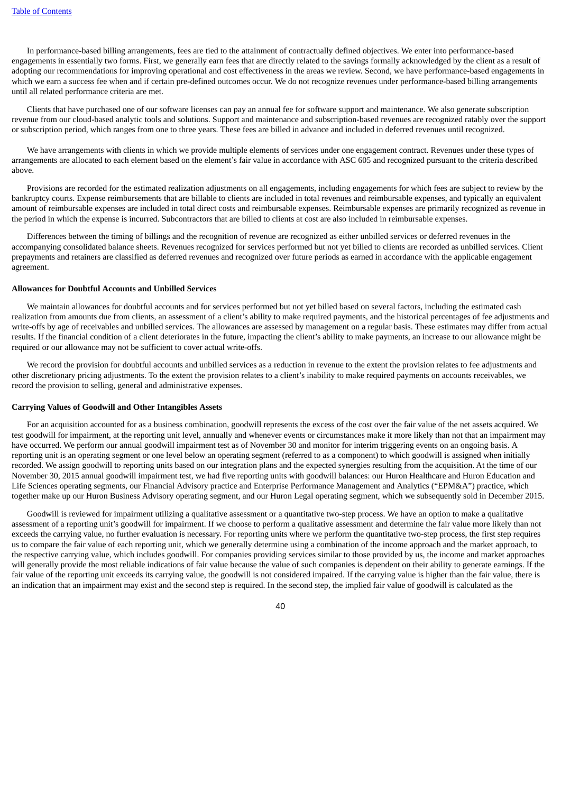In performance-based billing arrangements, fees are tied to the attainment of contractually defined objectives. We enter into performance-based engagements in essentially two forms. First, we generally earn fees that are directly related to the savings formally acknowledged by the client as a result of adopting our recommendations for improving operational and cost effectiveness in the areas we review. Second, we have performance-based engagements in which we earn a success fee when and if certain pre-defined outcomes occur. We do not recognize revenues under performance-based billing arrangements until all related performance criteria are met.

Clients that have purchased one of our software licenses can pay an annual fee for software support and maintenance. We also generate subscription revenue from our cloud-based analytic tools and solutions. Support and maintenance and subscription-based revenues are recognized ratably over the support or subscription period, which ranges from one to three years. These fees are billed in advance and included in deferred revenues until recognized.

We have arrangements with clients in which we provide multiple elements of services under one engagement contract. Revenues under these types of arrangements are allocated to each element based on the element's fair value in accordance with ASC 605 and recognized pursuant to the criteria described above.

Provisions are recorded for the estimated realization adjustments on all engagements, including engagements for which fees are subject to review by the bankruptcy courts. Expense reimbursements that are billable to clients are included in total revenues and reimbursable expenses, and typically an equivalent amount of reimbursable expenses are included in total direct costs and reimbursable expenses. Reimbursable expenses are primarily recognized as revenue in the period in which the expense is incurred. Subcontractors that are billed to clients at cost are also included in reimbursable expenses.

Differences between the timing of billings and the recognition of revenue are recognized as either unbilled services or deferred revenues in the accompanying consolidated balance sheets. Revenues recognized for services performed but not yet billed to clients are recorded as unbilled services. Client prepayments and retainers are classified as deferred revenues and recognized over future periods as earned in accordance with the applicable engagement agreement.

### **Allowances for Doubtful Accounts and Unbilled Services**

We maintain allowances for doubtful accounts and for services performed but not yet billed based on several factors, including the estimated cash realization from amounts due from clients, an assessment of a client's ability to make required payments, and the historical percentages of fee adjustments and write-offs by age of receivables and unbilled services. The allowances are assessed by management on a regular basis. These estimates may differ from actual results. If the financial condition of a client deteriorates in the future, impacting the client's ability to make payments, an increase to our allowance might be required or our allowance may not be sufficient to cover actual write-offs.

We record the provision for doubtful accounts and unbilled services as a reduction in revenue to the extent the provision relates to fee adjustments and other discretionary pricing adjustments. To the extent the provision relates to a client's inability to make required payments on accounts receivables, we record the provision to selling, general and administrative expenses.

### **Carrying Values of Goodwill and Other Intangibles Assets**

For an acquisition accounted for as a business combination, goodwill represents the excess of the cost over the fair value of the net assets acquired. We test goodwill for impairment, at the reporting unit level, annually and whenever events or circumstances make it more likely than not that an impairment may have occurred. We perform our annual goodwill impairment test as of November 30 and monitor for interim triggering events on an ongoing basis. A reporting unit is an operating segment or one level below an operating segment (referred to as a component) to which goodwill is assigned when initially recorded. We assign goodwill to reporting units based on our integration plans and the expected synergies resulting from the acquisition. At the time of our November 30, 2015 annual goodwill impairment test, we had five reporting units with goodwill balances: our Huron Healthcare and Huron Education and Life Sciences operating segments, our Financial Advisory practice and Enterprise Performance Management and Analytics ("EPM&A") practice, which together make up our Huron Business Advisory operating segment, and our Huron Legal operating segment, which we subsequently sold in December 2015.

Goodwill is reviewed for impairment utilizing a qualitative assessment or a quantitative two-step process. We have an option to make a qualitative assessment of a reporting unit's goodwill for impairment. If we choose to perform a qualitative assessment and determine the fair value more likely than not exceeds the carrying value, no further evaluation is necessary. For reporting units where we perform the quantitative two-step process, the first step requires us to compare the fair value of each reporting unit, which we generally determine using a combination of the income approach and the market approach, to the respective carrying value, which includes goodwill. For companies providing services similar to those provided by us, the income and market approaches will generally provide the most reliable indications of fair value because the value of such companies is dependent on their ability to generate earnings. If the fair value of the reporting unit exceeds its carrying value, the goodwill is not considered impaired. If the carrying value is higher than the fair value, there is an indication that an impairment may exist and the second step is required. In the second step, the implied fair value of goodwill is calculated as the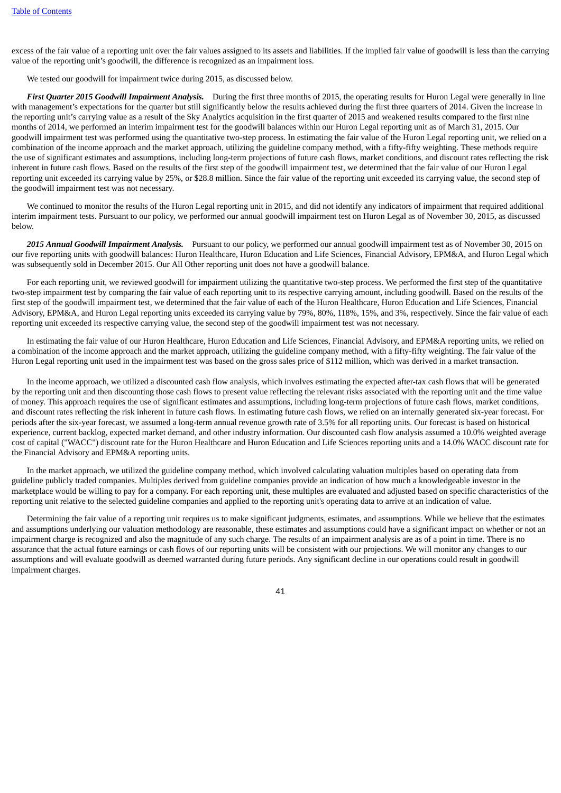excess of the fair value of a reporting unit over the fair values assigned to its assets and liabilities. If the implied fair value of goodwill is less than the carrying value of the reporting unit's goodwill, the difference is recognized as an impairment loss.

We tested our goodwill for impairment twice during 2015, as discussed below.

*First Quarter 2015 Goodwill Impairment Analysis.* During the first three months of 2015, the operating results for Huron Legal were generally in line with management's expectations for the quarter but still significantly below the results achieved during the first three quarters of 2014. Given the increase in the reporting unit's carrying value as a result of the Sky Analytics acquisition in the first quarter of 2015 and weakened results compared to the first nine months of 2014, we performed an interim impairment test for the goodwill balances within our Huron Legal reporting unit as of March 31, 2015. Our goodwill impairment test was performed using the quantitative two-step process. In estimating the fair value of the Huron Legal reporting unit, we relied on a combination of the income approach and the market approach, utilizing the guideline company method, with a fifty-fifty weighting. These methods require the use of significant estimates and assumptions, including long-term projections of future cash flows, market conditions, and discount rates reflecting the risk inherent in future cash flows. Based on the results of the first step of the goodwill impairment test, we determined that the fair value of our Huron Legal reporting unit exceeded its carrying value by 25%, or \$28.8 million. Since the fair value of the reporting unit exceeded its carrying value, the second step of the goodwill impairment test was not necessary.

We continued to monitor the results of the Huron Legal reporting unit in 2015, and did not identify any indicators of impairment that required additional interim impairment tests. Pursuant to our policy, we performed our annual goodwill impairment test on Huron Legal as of November 30, 2015, as discussed below.

*2015 Annual Goodwill Impairment Analysis.* Pursuant to our policy, we performed our annual goodwill impairment test as of November 30, 2015 on our five reporting units with goodwill balances: Huron Healthcare, Huron Education and Life Sciences, Financial Advisory, EPM&A, and Huron Legal which was subsequently sold in December 2015. Our All Other reporting unit does not have a goodwill balance.

For each reporting unit, we reviewed goodwill for impairment utilizing the quantitative two-step process. We performed the first step of the quantitative two-step impairment test by comparing the fair value of each reporting unit to its respective carrying amount, including goodwill. Based on the results of the first step of the goodwill impairment test, we determined that the fair value of each of the Huron Healthcare, Huron Education and Life Sciences, Financial Advisory, EPM&A, and Huron Legal reporting units exceeded its carrying value by 79%, 80%, 118%, 15%, and 3%, respectively. Since the fair value of each reporting unit exceeded its respective carrying value, the second step of the goodwill impairment test was not necessary.

In estimating the fair value of our Huron Healthcare, Huron Education and Life Sciences, Financial Advisory, and EPM&A reporting units, we relied on a combination of the income approach and the market approach, utilizing the guideline company method, with a fifty-fifty weighting. The fair value of the Huron Legal reporting unit used in the impairment test was based on the gross sales price of \$112 million, which was derived in a market transaction.

In the income approach, we utilized a discounted cash flow analysis, which involves estimating the expected after-tax cash flows that will be generated by the reporting unit and then discounting those cash flows to present value reflecting the relevant risks associated with the reporting unit and the time value of money. This approach requires the use of significant estimates and assumptions, including long-term projections of future cash flows, market conditions, and discount rates reflecting the risk inherent in future cash flows. In estimating future cash flows, we relied on an internally generated six-year forecast. For periods after the six-year forecast, we assumed a long-term annual revenue growth rate of 3.5% for all reporting units. Our forecast is based on historical experience, current backlog, expected market demand, and other industry information. Our discounted cash flow analysis assumed a 10.0% weighted average cost of capital ("WACC") discount rate for the Huron Healthcare and Huron Education and Life Sciences reporting units and a 14.0% WACC discount rate for the Financial Advisory and EPM&A reporting units.

In the market approach, we utilized the guideline company method, which involved calculating valuation multiples based on operating data from guideline publicly traded companies. Multiples derived from guideline companies provide an indication of how much a knowledgeable investor in the marketplace would be willing to pay for a company. For each reporting unit, these multiples are evaluated and adjusted based on specific characteristics of the reporting unit relative to the selected guideline companies and applied to the reporting unit's operating data to arrive at an indication of value.

Determining the fair value of a reporting unit requires us to make significant judgments, estimates, and assumptions. While we believe that the estimates and assumptions underlying our valuation methodology are reasonable, these estimates and assumptions could have a significant impact on whether or not an impairment charge is recognized and also the magnitude of any such charge. The results of an impairment analysis are as of a point in time. There is no assurance that the actual future earnings or cash flows of our reporting units will be consistent with our projections. We will monitor any changes to our assumptions and will evaluate goodwill as deemed warranted during future periods. Any significant decline in our operations could result in goodwill impairment charges.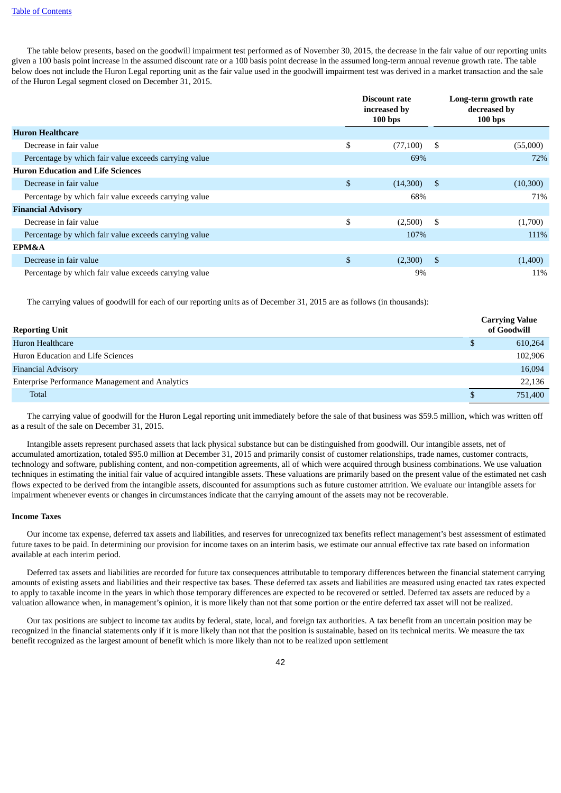The table below presents, based on the goodwill impairment test performed as of November 30, 2015, the decrease in the fair value of our reporting units given a 100 basis point increase in the assumed discount rate or a 100 basis point decrease in the assumed long-term annual revenue growth rate. The table below does not include the Huron Legal reporting unit as the fair value used in the goodwill impairment test was derived in a market transaction and the sale of the Huron Legal segment closed on December 31, 2015.

|                                                       |              | <b>Discount rate</b><br>increased by<br>100 bps |      | Long-term growth rate<br>decreased by<br>100 bps |
|-------------------------------------------------------|--------------|-------------------------------------------------|------|--------------------------------------------------|
| <b>Huron Healthcare</b>                               |              |                                                 |      |                                                  |
| Decrease in fair value                                | \$           | (77,100)                                        | \$   | (55,000)                                         |
| Percentage by which fair value exceeds carrying value |              | 69%                                             |      | 72%                                              |
| <b>Huron Education and Life Sciences</b>              |              |                                                 |      |                                                  |
| Decrease in fair value                                | \$           | (14,300)                                        | - \$ | (10,300)                                         |
| Percentage by which fair value exceeds carrying value |              | 68%                                             |      | 71%                                              |
| <b>Financial Advisory</b>                             |              |                                                 |      |                                                  |
| Decrease in fair value                                | \$           | (2,500)                                         | -\$  | (1,700)                                          |
| Percentage by which fair value exceeds carrying value |              | 107%                                            |      | 111%                                             |
| EPM&A                                                 |              |                                                 |      |                                                  |
| Decrease in fair value                                | $\mathbb{S}$ | $(2,300)$ \$                                    |      | (1,400)                                          |
| Percentage by which fair value exceeds carrying value |              | 9%                                              |      | 11%                                              |

The carrying values of goodwill for each of our reporting units as of December 31, 2015 are as follows (in thousands):

| <b>Reporting Unit</b>                                  | <b>Carrying Value</b><br>of Goodwill |
|--------------------------------------------------------|--------------------------------------|
| Huron Healthcare                                       | \$<br>610,264                        |
| Huron Education and Life Sciences                      | 102,906                              |
| <b>Financial Advisory</b>                              | 16,094                               |
| <b>Enterprise Performance Management and Analytics</b> | 22,136                               |
| Total                                                  | 751,400                              |

The carrying value of goodwill for the Huron Legal reporting unit immediately before the sale of that business was \$59.5 million, which was written off as a result of the sale on December 31, 2015.

Intangible assets represent purchased assets that lack physical substance but can be distinguished from goodwill. Our intangible assets, net of accumulated amortization, totaled \$95.0 million at December 31, 2015 and primarily consist of customer relationships, trade names, customer contracts, technology and software, publishing content, and non-competition agreements, all of which were acquired through business combinations. We use valuation techniques in estimating the initial fair value of acquired intangible assets. These valuations are primarily based on the present value of the estimated net cash flows expected to be derived from the intangible assets, discounted for assumptions such as future customer attrition. We evaluate our intangible assets for impairment whenever events or changes in circumstances indicate that the carrying amount of the assets may not be recoverable.

### **Income Taxes**

Our income tax expense, deferred tax assets and liabilities, and reserves for unrecognized tax benefits reflect management's best assessment of estimated future taxes to be paid. In determining our provision for income taxes on an interim basis, we estimate our annual effective tax rate based on information available at each interim period.

Deferred tax assets and liabilities are recorded for future tax consequences attributable to temporary differences between the financial statement carrying amounts of existing assets and liabilities and their respective tax bases. These deferred tax assets and liabilities are measured using enacted tax rates expected to apply to taxable income in the years in which those temporary differences are expected to be recovered or settled. Deferred tax assets are reduced by a valuation allowance when, in management's opinion, it is more likely than not that some portion or the entire deferred tax asset will not be realized.

Our tax positions are subject to income tax audits by federal, state, local, and foreign tax authorities. A tax benefit from an uncertain position may be recognized in the financial statements only if it is more likely than not that the position is sustainable, based on its technical merits. We measure the tax benefit recognized as the largest amount of benefit which is more likely than not to be realized upon settlement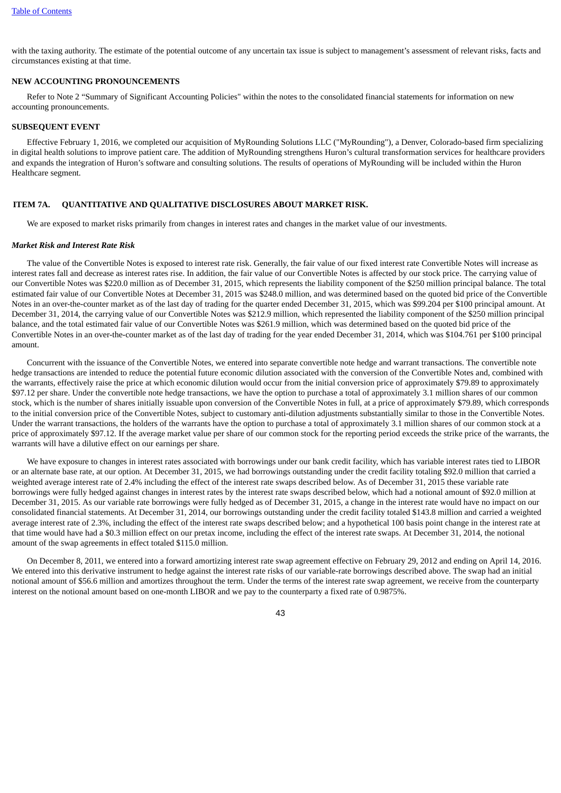with the taxing authority. The estimate of the potential outcome of any uncertain tax issue is subject to management's assessment of relevant risks, facts and circumstances existing at that time.

### **NEW ACCOUNTING PRONOUNCEMENTS**

Refer to Note 2 "Summary of Significant Accounting Policies" within the notes to the consolidated financial statements for information on new accounting pronouncements.

### **SUBSEQUENT EVENT**

Effective February 1, 2016, we completed our acquisition of MyRounding Solutions LLC ("MyRounding"), a Denver, Colorado-based firm specializing in digital health solutions to improve patient care. The addition of MyRounding strengthens Huron's cultural transformation services for healthcare providers and expands the integration of Huron's software and consulting solutions. The results of operations of MyRounding will be included within the Huron Healthcare segment.

### **ITEM 7A. QUANTITATIVE AND QUALITATIVE DISCLOSURES ABOUT MARKET RISK.**

We are exposed to market risks primarily from changes in interest rates and changes in the market value of our investments.

#### *Market Risk and Interest Rate Risk*

The value of the Convertible Notes is exposed to interest rate risk. Generally, the fair value of our fixed interest rate Convertible Notes will increase as interest rates fall and decrease as interest rates rise. In addition, the fair value of our Convertible Notes is affected by our stock price. The carrying value of our Convertible Notes was \$220.0 million as of December 31, 2015, which represents the liability component of the \$250 million principal balance. The total estimated fair value of our Convertible Notes at December 31, 2015 was \$248.0 million, and was determined based on the quoted bid price of the Convertible Notes in an over-the-counter market as of the last day of trading for the quarter ended December 31, 2015, which was \$99.204 per \$100 principal amount. At December 31, 2014, the carrying value of our Convertible Notes was \$212.9 million, which represented the liability component of the \$250 million principal balance, and the total estimated fair value of our Convertible Notes was \$261.9 million, which was determined based on the quoted bid price of the Convertible Notes in an over-the-counter market as of the last day of trading for the year ended December 31, 2014, which was \$104.761 per \$100 principal amount.

Concurrent with the issuance of the Convertible Notes, we entered into separate convertible note hedge and warrant transactions. The convertible note hedge transactions are intended to reduce the potential future economic dilution associated with the conversion of the Convertible Notes and, combined with the warrants, effectively raise the price at which economic dilution would occur from the initial conversion price of approximately \$79.89 to approximately \$97.12 per share. Under the convertible note hedge transactions, we have the option to purchase a total of approximately 3.1 million shares of our common stock, which is the number of shares initially issuable upon conversion of the Convertible Notes in full, at a price of approximately \$79.89, which corresponds to the initial conversion price of the Convertible Notes, subject to customary anti-dilution adjustments substantially similar to those in the Convertible Notes. Under the warrant transactions, the holders of the warrants have the option to purchase a total of approximately 3.1 million shares of our common stock at a price of approximately \$97.12. If the average market value per share of our common stock for the reporting period exceeds the strike price of the warrants, the warrants will have a dilutive effect on our earnings per share.

We have exposure to changes in interest rates associated with borrowings under our bank credit facility, which has variable interest rates tied to LIBOR or an alternate base rate, at our option. At December 31, 2015, we had borrowings outstanding under the credit facility totaling \$92.0 million that carried a weighted average interest rate of 2.4% including the effect of the interest rate swaps described below. As of December 31, 2015 these variable rate borrowings were fully hedged against changes in interest rates by the interest rate swaps described below, which had a notional amount of \$92.0 million at December 31, 2015. As our variable rate borrowings were fully hedged as of December 31, 2015, a change in the interest rate would have no impact on our consolidated financial statements. At December 31, 2014, our borrowings outstanding under the credit facility totaled \$143.8 million and carried a weighted average interest rate of 2.3%, including the effect of the interest rate swaps described below; and a hypothetical 100 basis point change in the interest rate at that time would have had a \$0.3 million effect on our pretax income, including the effect of the interest rate swaps. At December 31, 2014, the notional amount of the swap agreements in effect totaled \$115.0 million.

On December 8, 2011, we entered into a forward amortizing interest rate swap agreement effective on February 29, 2012 and ending on April 14, 2016. We entered into this derivative instrument to hedge against the interest rate risks of our variable-rate borrowings described above. The swap had an initial notional amount of \$56.6 million and amortizes throughout the term. Under the terms of the interest rate swap agreement, we receive from the counterparty interest on the notional amount based on one-month LIBOR and we pay to the counterparty a fixed rate of 0.9875%.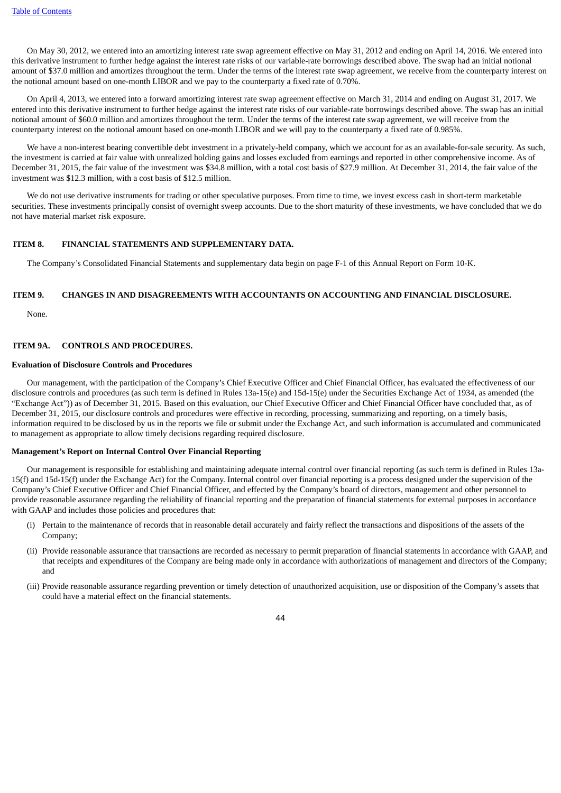On May 30, 2012, we entered into an amortizing interest rate swap agreement effective on May 31, 2012 and ending on April 14, 2016. We entered into this derivative instrument to further hedge against the interest rate risks of our variable-rate borrowings described above. The swap had an initial notional amount of \$37.0 million and amortizes throughout the term. Under the terms of the interest rate swap agreement, we receive from the counterparty interest on the notional amount based on one-month LIBOR and we pay to the counterparty a fixed rate of 0.70%.

On April 4, 2013, we entered into a forward amortizing interest rate swap agreement effective on March 31, 2014 and ending on August 31, 2017. We entered into this derivative instrument to further hedge against the interest rate risks of our variable-rate borrowings described above. The swap has an initial notional amount of \$60.0 million and amortizes throughout the term. Under the terms of the interest rate swap agreement, we will receive from the counterparty interest on the notional amount based on one-month LIBOR and we will pay to the counterparty a fixed rate of 0.985%.

We have a non-interest bearing convertible debt investment in a privately-held company, which we account for as an available-for-sale security. As such, the investment is carried at fair value with unrealized holding gains and losses excluded from earnings and reported in other comprehensive income. As of December 31, 2015, the fair value of the investment was \$34.8 million, with a total cost basis of \$27.9 million. At December 31, 2014, the fair value of the investment was \$12.3 million, with a cost basis of \$12.5 million.

We do not use derivative instruments for trading or other speculative purposes. From time to time, we invest excess cash in short-term marketable securities. These investments principally consist of overnight sweep accounts. Due to the short maturity of these investments, we have concluded that we do not have material market risk exposure.

# **ITEM 8. FINANCIAL STATEMENTS AND SUPPLEMENTARY DATA.**

The Company's Consolidated Financial Statements and supplementary data begin on page F-1 of this Annual Report on Form 10-K.

# **ITEM 9. CHANGES IN AND DISAGREEMENTS WITH ACCOUNTANTS ON ACCOUNTING AND FINANCIAL DISCLOSURE.**

None.

## **ITEM 9A. CONTROLS AND PROCEDURES.**

# **Evaluation of Disclosure Controls and Procedures**

Our management, with the participation of the Company's Chief Executive Officer and Chief Financial Officer, has evaluated the effectiveness of our disclosure controls and procedures (as such term is defined in Rules 13a-15(e) and 15d-15(e) under the Securities Exchange Act of 1934, as amended (the "Exchange Act")) as of December 31, 2015. Based on this evaluation, our Chief Executive Officer and Chief Financial Officer have concluded that, as of December 31, 2015, our disclosure controls and procedures were effective in recording, processing, summarizing and reporting, on a timely basis, information required to be disclosed by us in the reports we file or submit under the Exchange Act, and such information is accumulated and communicated to management as appropriate to allow timely decisions regarding required disclosure.

### **Management's Report on Internal Control Over Financial Reporting**

Our management is responsible for establishing and maintaining adequate internal control over financial reporting (as such term is defined in Rules 13a-15(f) and 15d-15(f) under the Exchange Act) for the Company. Internal control over financial reporting is a process designed under the supervision of the Company's Chief Executive Officer and Chief Financial Officer, and effected by the Company's board of directors, management and other personnel to provide reasonable assurance regarding the reliability of financial reporting and the preparation of financial statements for external purposes in accordance with GAAP and includes those policies and procedures that:

- (i) Pertain to the maintenance of records that in reasonable detail accurately and fairly reflect the transactions and dispositions of the assets of the Company;
- (ii) Provide reasonable assurance that transactions are recorded as necessary to permit preparation of financial statements in accordance with GAAP, and that receipts and expenditures of the Company are being made only in accordance with authorizations of management and directors of the Company; and
- (iii) Provide reasonable assurance regarding prevention or timely detection of unauthorized acquisition, use or disposition of the Company's assets that could have a material effect on the financial statements.

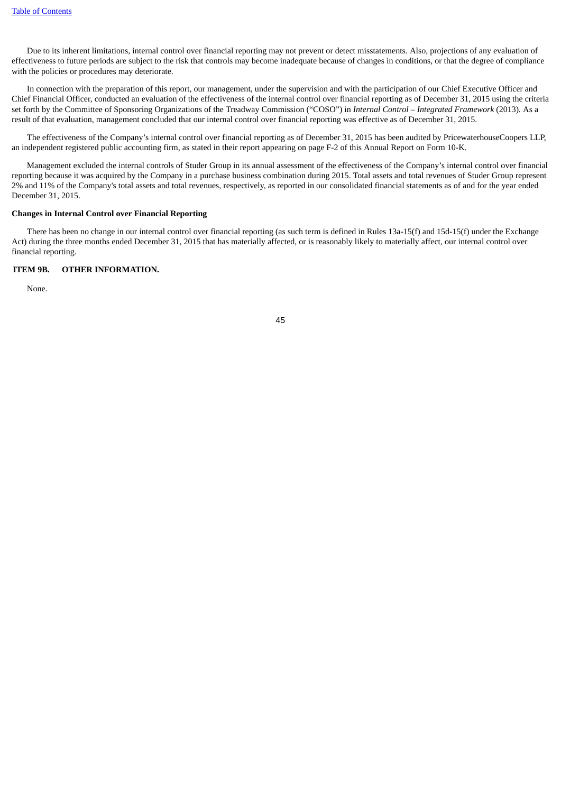Due to its inherent limitations, internal control over financial reporting may not prevent or detect misstatements. Also, projections of any evaluation of effectiveness to future periods are subject to the risk that controls may become inadequate because of changes in conditions, or that the degree of compliance with the policies or procedures may deteriorate.

In connection with the preparation of this report, our management, under the supervision and with the participation of our Chief Executive Officer and Chief Financial Officer, conducted an evaluation of the effectiveness of the internal control over financial reporting as of December 31, 2015 using the criteria set forth by the Committee of Sponsoring Organizations of the Treadway Commission ("COSO") in *Internal Control – Integrated Framework* (2013)*.* As a result of that evaluation, management concluded that our internal control over financial reporting was effective as of December 31, 2015.

The effectiveness of the Company's internal control over financial reporting as of December 31, 2015 has been audited by PricewaterhouseCoopers LLP, an independent registered public accounting firm, as stated in their report appearing on page F-2 of this Annual Report on Form 10-K.

Management excluded the internal controls of Studer Group in its annual assessment of the effectiveness of the Company's internal control over financial reporting because it was acquired by the Company in a purchase business combination during 2015. Total assets and total revenues of Studer Group represent 2% and 11% of the Company's total assets and total revenues, respectively, as reported in our consolidated financial statements as of and for the year ended December 31, 2015.

## **Changes in Internal Control over Financial Reporting**

There has been no change in our internal control over financial reporting (as such term is defined in Rules 13a-15(f) and 15d-15(f) under the Exchange Act) during the three months ended December 31, 2015 that has materially affected, or is reasonably likely to materially affect, our internal control over financial reporting.

### **ITEM 9B. OTHER INFORMATION.**

None.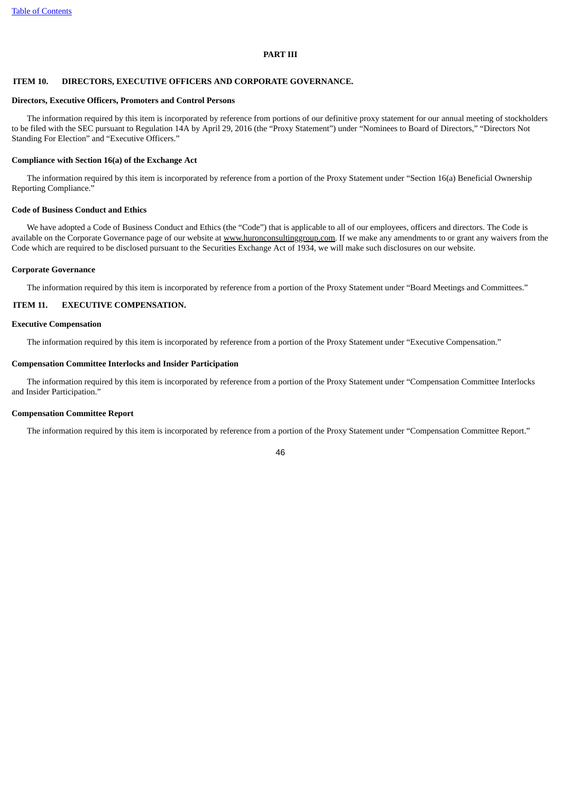### **PART III**

### **ITEM 10. DIRECTORS, EXECUTIVE OFFICERS AND CORPORATE GOVERNANCE.**

### **Directors, Executive Officers, Promoters and Control Persons**

The information required by this item is incorporated by reference from portions of our definitive proxy statement for our annual meeting of stockholders to be filed with the SEC pursuant to Regulation 14A by April 29, 2016 (the "Proxy Statement") under "Nominees to Board of Directors," "Directors Not Standing For Election" and "Executive Officers."

# **Compliance with Section 16(a) of the Exchange Act**

The information required by this item is incorporated by reference from a portion of the Proxy Statement under "Section 16(a) Beneficial Ownership Reporting Compliance."

### **Code of Business Conduct and Ethics**

We have adopted a Code of Business Conduct and Ethics (the "Code") that is applicable to all of our employees, officers and directors. The Code is available on the Corporate Governance page of our website at www.huronconsultinggroup.com. If we make any amendments to or grant any waivers from the Code which are required to be disclosed pursuant to the Securities Exchange Act of 1934, we will make such disclosures on our website.

### **Corporate Governance**

The information required by this item is incorporated by reference from a portion of the Proxy Statement under "Board Meetings and Committees."

# **ITEM 11. EXECUTIVE COMPENSATION.**

### **Executive Compensation**

The information required by this item is incorporated by reference from a portion of the Proxy Statement under "Executive Compensation."

### **Compensation Committee Interlocks and Insider Participation**

The information required by this item is incorporated by reference from a portion of the Proxy Statement under "Compensation Committee Interlocks and Insider Participation."

# **Compensation Committee Report**

The information required by this item is incorporated by reference from a portion of the Proxy Statement under "Compensation Committee Report."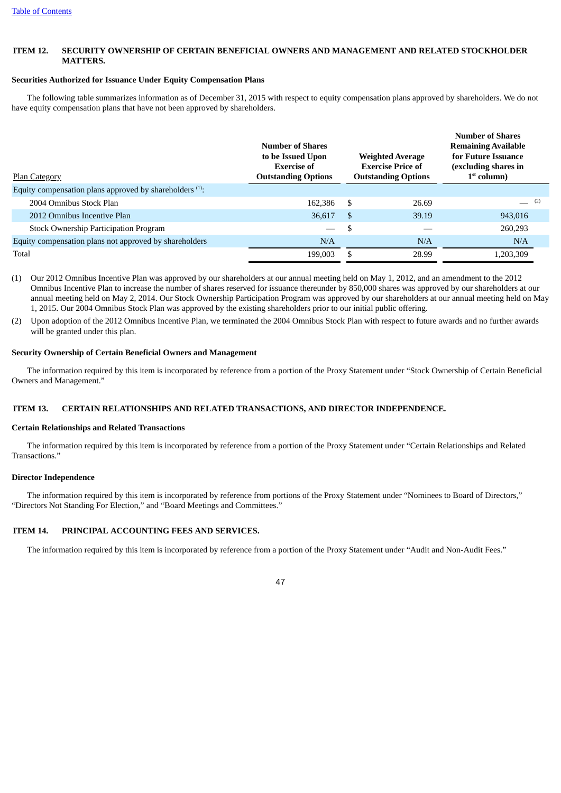# **ITEM 12. SECURITY OWNERSHIP OF CERTAIN BENEFICIAL OWNERS AND MANAGEMENT AND RELATED STOCKHOLDER MATTERS.**

# **Securities Authorized for Issuance Under Equity Compensation Plans**

The following table summarizes information as of December 31, 2015 with respect to equity compensation plans approved by shareholders. We do not have equity compensation plans that have not been approved by shareholders.

| <b>Plan Category</b>                                                | <b>Number of Shares</b><br>to be Issued Upon<br><b>Exercise of</b><br><b>Outstanding Options</b> |     | <b>Weighted Average</b><br><b>Exercise Price of</b><br><b>Outstanding Options</b> | <b>Number of Shares</b><br><b>Remaining Available</b><br>for Future Issuance<br>(excluding shares in<br>$1st$ column) |
|---------------------------------------------------------------------|--------------------------------------------------------------------------------------------------|-----|-----------------------------------------------------------------------------------|-----------------------------------------------------------------------------------------------------------------------|
| Equity compensation plans approved by shareholders <sup>(1)</sup> : |                                                                                                  |     |                                                                                   |                                                                                                                       |
| 2004 Omnibus Stock Plan                                             | 162,386                                                                                          | -\$ | 26.69                                                                             | (2)                                                                                                                   |
| 2012 Omnibus Incentive Plan                                         | 36,617                                                                                           | S   | 39.19                                                                             | 943,016                                                                                                               |
| <b>Stock Ownership Participation Program</b>                        | $\overline{\phantom{0}}$                                                                         | \$  |                                                                                   | 260,293                                                                                                               |
| Equity compensation plans not approved by shareholders              | N/A                                                                                              |     | N/A                                                                               | N/A                                                                                                                   |
| Total                                                               | 199,003                                                                                          |     | 28.99                                                                             | 1,203,309                                                                                                             |

- (1) Our 2012 Omnibus Incentive Plan was approved by our shareholders at our annual meeting held on May 1, 2012, and an amendment to the 2012 Omnibus Incentive Plan to increase the number of shares reserved for issuance thereunder by 850,000 shares was approved by our shareholders at our annual meeting held on May 2, 2014. Our Stock Ownership Participation Program was approved by our shareholders at our annual meeting held on May 1, 2015. Our 2004 Omnibus Stock Plan was approved by the existing shareholders prior to our initial public offering.
- (2) Upon adoption of the 2012 Omnibus Incentive Plan, we terminated the 2004 Omnibus Stock Plan with respect to future awards and no further awards will be granted under this plan.

# **Security Ownership of Certain Beneficial Owners and Management**

The information required by this item is incorporated by reference from a portion of the Proxy Statement under "Stock Ownership of Certain Beneficial Owners and Management."

# **ITEM 13. CERTAIN RELATIONSHIPS AND RELATED TRANSACTIONS, AND DIRECTOR INDEPENDENCE.**

# **Certain Relationships and Related Transactions**

The information required by this item is incorporated by reference from a portion of the Proxy Statement under "Certain Relationships and Related Transactions."

# **Director Independence**

The information required by this item is incorporated by reference from portions of the Proxy Statement under "Nominees to Board of Directors," "Directors Not Standing For Election," and "Board Meetings and Committees."

# **ITEM 14. PRINCIPAL ACCOUNTING FEES AND SERVICES.**

The information required by this item is incorporated by reference from a portion of the Proxy Statement under "Audit and Non-Audit Fees."

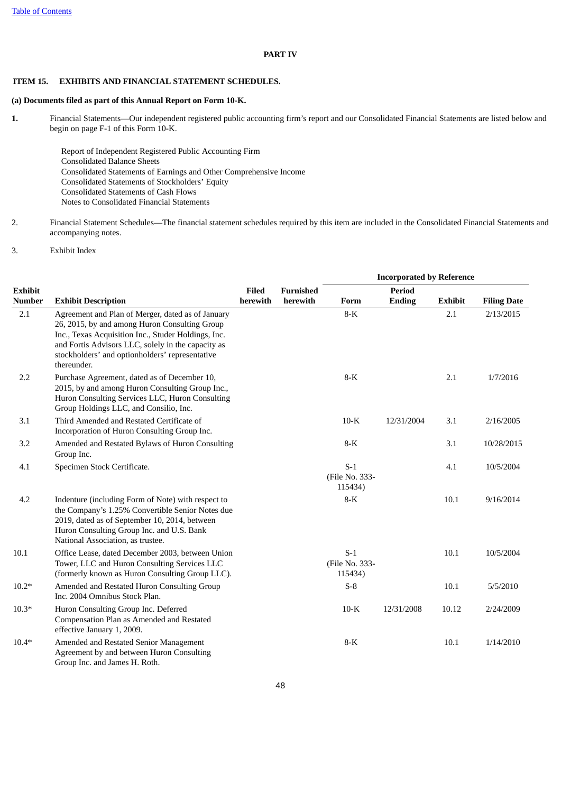### **PART IV**

# **ITEM 15. EXHIBITS AND FINANCIAL STATEMENT SCHEDULES.**

# **(a) Documents filed as part of this Annual Report on Form 10-K.**

**1.** Financial Statements—Our independent registered public accounting firm's report and our Consolidated Financial Statements are listed below and begin on page F-1 of this Form 10-K.

Report of Independent Registered Public Accounting Firm Consolidated Balance Sheets Consolidated Statements of Earnings and Other Comprehensive Income Consolidated Statements of Stockholders' Equity Consolidated Statements of Cash Flows Notes to Consolidated Financial Statements

- 2. Financial Statement Schedules—The financial statement schedules required by this item are included in the Consolidated Financial Statements and accompanying notes.
- 3. Exhibit Index

|                |                                                                                                                                                                                                                                                                                   |              |           | <b>Incorporated by Reference</b>   |               |                |                    |  |  |
|----------------|-----------------------------------------------------------------------------------------------------------------------------------------------------------------------------------------------------------------------------------------------------------------------------------|--------------|-----------|------------------------------------|---------------|----------------|--------------------|--|--|
| <b>Exhibit</b> |                                                                                                                                                                                                                                                                                   | <b>Filed</b> | Furnished |                                    | <b>Period</b> |                |                    |  |  |
| <b>Number</b>  | <b>Exhibit Description</b>                                                                                                                                                                                                                                                        | herewith     | herewith  | Form                               | <b>Ending</b> | <b>Exhibit</b> | <b>Filing Date</b> |  |  |
| 2.1            | Agreement and Plan of Merger, dated as of January<br>26, 2015, by and among Huron Consulting Group<br>Inc., Texas Acquisition Inc., Studer Holdings, Inc.<br>and Fortis Advisors LLC, solely in the capacity as<br>stockholders' and optionholders' representative<br>thereunder. |              |           | $8-K$                              |               | 2.1            | 2/13/2015          |  |  |
| 2.2            | Purchase Agreement, dated as of December 10,<br>2015, by and among Huron Consulting Group Inc.,<br>Huron Consulting Services LLC, Huron Consulting<br>Group Holdings LLC, and Consilio, Inc.                                                                                      |              |           | $8-K$                              |               | 2.1            | 1/7/2016           |  |  |
| 3.1            | Third Amended and Restated Certificate of<br>Incorporation of Huron Consulting Group Inc.                                                                                                                                                                                         |              |           | $10-K$                             | 12/31/2004    | 3.1            | 2/16/2005          |  |  |
| 3.2            | Amended and Restated Bylaws of Huron Consulting<br>Group Inc.                                                                                                                                                                                                                     |              |           | $8-K$                              |               | 3.1            | 10/28/2015         |  |  |
| 4.1            | Specimen Stock Certificate.                                                                                                                                                                                                                                                       |              |           | $S-1$<br>(File No. 333-<br>115434) |               | 4.1            | 10/5/2004          |  |  |
| 4.2            | Indenture (including Form of Note) with respect to<br>the Company's 1.25% Convertible Senior Notes due<br>2019, dated as of September 10, 2014, between<br>Huron Consulting Group Inc. and U.S. Bank<br>National Association, as trustee.                                         |              |           | $8-K$                              |               | 10.1           | 9/16/2014          |  |  |
| 10.1           | Office Lease, dated December 2003, between Union<br>Tower, LLC and Huron Consulting Services LLC<br>(formerly known as Huron Consulting Group LLC).                                                                                                                               |              |           | $S-1$<br>(File No. 333-<br>115434) |               | 10.1           | 10/5/2004          |  |  |
| $10.2*$        | Amended and Restated Huron Consulting Group<br>Inc. 2004 Omnibus Stock Plan.                                                                                                                                                                                                      |              |           | $S-8$                              |               | 10.1           | 5/5/2010           |  |  |
| $10.3*$        | Huron Consulting Group Inc. Deferred<br>Compensation Plan as Amended and Restated<br>effective January 1, 2009.                                                                                                                                                                   |              |           | $10-K$                             | 12/31/2008    | 10.12          | 2/24/2009          |  |  |
| $10.4*$        | Amended and Restated Senior Management<br>Agreement by and between Huron Consulting<br>Group Inc. and James H. Roth.                                                                                                                                                              |              |           | $8-K$                              |               | 10.1           | 1/14/2010          |  |  |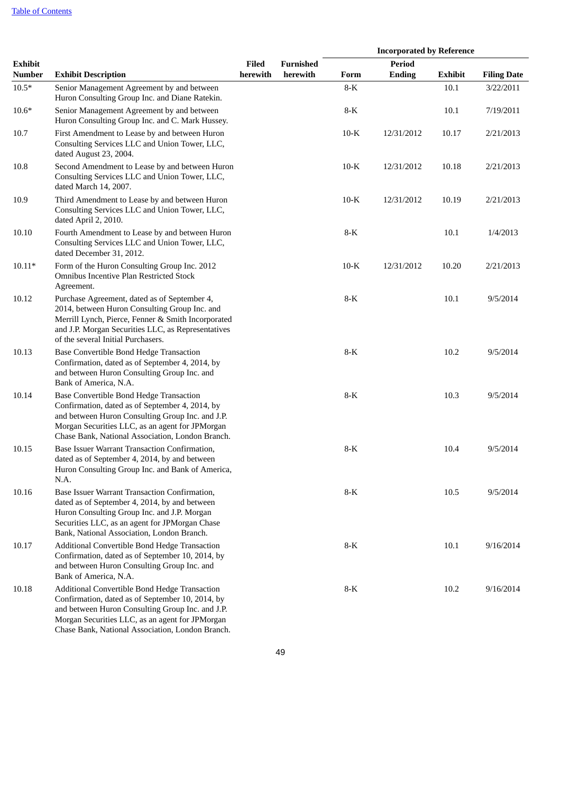|                                 |                                                                                                                                                                                                                                                              |                          |                       |        | <b>Incorporated by Reference</b> |                |                    |
|---------------------------------|--------------------------------------------------------------------------------------------------------------------------------------------------------------------------------------------------------------------------------------------------------------|--------------------------|-----------------------|--------|----------------------------------|----------------|--------------------|
| <b>Exhibit</b><br><b>Number</b> | <b>Exhibit Description</b>                                                                                                                                                                                                                                   | <b>Filed</b><br>herewith | Furnished<br>herewith | Form   | <b>Period</b><br><b>Ending</b>   | <b>Exhibit</b> | <b>Filing Date</b> |
| $10.5*$                         | Senior Management Agreement by and between<br>Huron Consulting Group Inc. and Diane Ratekin.                                                                                                                                                                 |                          |                       | $8-K$  |                                  | $10.1\,$       | 3/22/2011          |
| $10.6*$                         | Senior Management Agreement by and between<br>Huron Consulting Group Inc. and C. Mark Hussey.                                                                                                                                                                |                          |                       | 8-K    |                                  | 10.1           | 7/19/2011          |
| 10.7                            | First Amendment to Lease by and between Huron<br>Consulting Services LLC and Union Tower, LLC,<br>dated August 23, 2004.                                                                                                                                     |                          |                       | $10-K$ | 12/31/2012                       | 10.17          | 2/21/2013          |
| 10.8                            | Second Amendment to Lease by and between Huron<br>Consulting Services LLC and Union Tower, LLC,<br>dated March 14, 2007.                                                                                                                                     |                          |                       | $10-K$ | 12/31/2012                       | 10.18          | 2/21/2013          |
| 10.9                            | Third Amendment to Lease by and between Huron<br>Consulting Services LLC and Union Tower, LLC,<br>dated April 2, 2010.                                                                                                                                       |                          |                       | $10-K$ | 12/31/2012                       | 10.19          | 2/21/2013          |
| 10.10                           | Fourth Amendment to Lease by and between Huron<br>Consulting Services LLC and Union Tower, LLC,<br>dated December 31, 2012.                                                                                                                                  |                          |                       | $8-K$  |                                  | 10.1           | 1/4/2013           |
| $10.11*$                        | Form of the Huron Consulting Group Inc. 2012<br>Omnibus Incentive Plan Restricted Stock<br>Agreement.                                                                                                                                                        |                          |                       | $10-K$ | 12/31/2012                       | 10.20          | 2/21/2013          |
| 10.12                           | Purchase Agreement, dated as of September 4,<br>2014, between Huron Consulting Group Inc. and<br>Merrill Lynch, Pierce, Fenner & Smith Incorporated<br>and J.P. Morgan Securities LLC, as Representatives<br>of the several Initial Purchasers.              |                          |                       | $8-K$  |                                  | 10.1           | 9/5/2014           |
| 10.13                           | Base Convertible Bond Hedge Transaction<br>Confirmation, dated as of September 4, 2014, by<br>and between Huron Consulting Group Inc. and<br>Bank of America, N.A.                                                                                           |                          |                       | $8-K$  |                                  | 10.2           | 9/5/2014           |
| 10.14                           | Base Convertible Bond Hedge Transaction<br>Confirmation, dated as of September 4, 2014, by<br>and between Huron Consulting Group Inc. and J.P.<br>Morgan Securities LLC, as an agent for JPMorgan<br>Chase Bank, National Association, London Branch.        |                          |                       | $8-K$  |                                  | 10.3           | 9/5/2014           |
| 10.15                           | Base Issuer Warrant Transaction Confirmation,<br>dated as of September 4, 2014, by and between<br>Huron Consulting Group Inc. and Bank of America,<br>N.A.                                                                                                   |                          |                       | $8-K$  |                                  | 10.4           | 9/5/2014           |
| 10.16                           | Base Issuer Warrant Transaction Confirmation,<br>dated as of September 4, 2014, by and between<br>Huron Consulting Group Inc. and J.P. Morgan<br>Securities LLC, as an agent for JPMorgan Chase<br>Bank, National Association, London Branch.                |                          |                       | $8-K$  |                                  | 10.5           | 9/5/2014           |
| 10.17                           | Additional Convertible Bond Hedge Transaction<br>Confirmation, dated as of September 10, 2014, by<br>and between Huron Consulting Group Inc. and<br>Bank of America, N.A.                                                                                    |                          |                       | 8-K    |                                  | 10.1           | 9/16/2014          |
| 10.18                           | Additional Convertible Bond Hedge Transaction<br>Confirmation, dated as of September 10, 2014, by<br>and between Huron Consulting Group Inc. and J.P.<br>Morgan Securities LLC, as an agent for JPMorgan<br>Chase Bank, National Association, London Branch. |                          |                       | 8-K    |                                  | 10.2           | 9/16/2014          |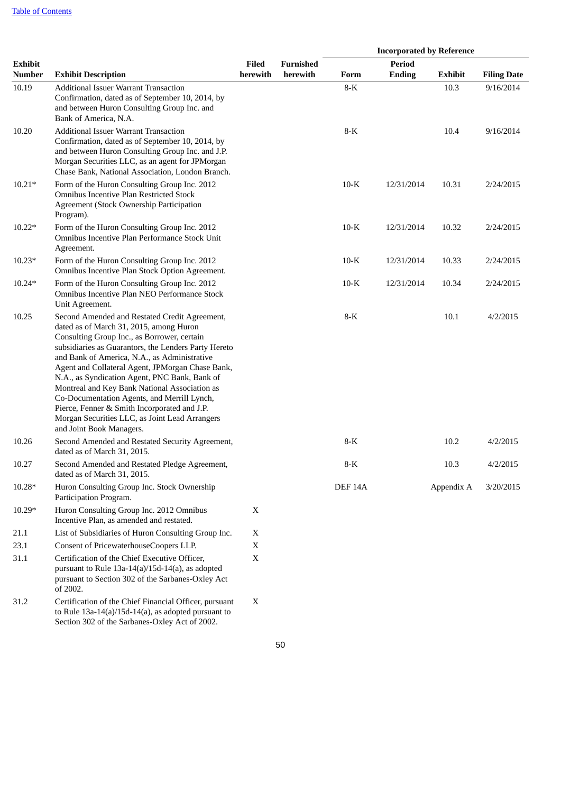|                                 |                                                                                                                                                                                                                                                                                                                                                                                                                                                                                                                                                                                    |                          |                              | <b>Incorporated by Reference</b> |                                |                |                    |
|---------------------------------|------------------------------------------------------------------------------------------------------------------------------------------------------------------------------------------------------------------------------------------------------------------------------------------------------------------------------------------------------------------------------------------------------------------------------------------------------------------------------------------------------------------------------------------------------------------------------------|--------------------------|------------------------------|----------------------------------|--------------------------------|----------------|--------------------|
| <b>Exhibit</b><br><b>Number</b> | <b>Exhibit Description</b>                                                                                                                                                                                                                                                                                                                                                                                                                                                                                                                                                         | <b>Filed</b><br>herewith | <b>Furnished</b><br>herewith | Form                             | <b>Period</b><br><b>Ending</b> | <b>Exhibit</b> | <b>Filing Date</b> |
| 10.19                           | Additional Issuer Warrant Transaction<br>Confirmation, dated as of September 10, 2014, by<br>and between Huron Consulting Group Inc. and<br>Bank of America, N.A.                                                                                                                                                                                                                                                                                                                                                                                                                  |                          |                              | $8-K$                            |                                | 10.3           | 9/16/2014          |
| 10.20                           | <b>Additional Issuer Warrant Transaction</b><br>Confirmation, dated as of September 10, 2014, by<br>and between Huron Consulting Group Inc. and J.P.<br>Morgan Securities LLC, as an agent for JPMorgan<br>Chase Bank, National Association, London Branch.                                                                                                                                                                                                                                                                                                                        |                          |                              | $8-K$                            |                                | 10.4           | 9/16/2014          |
| $10.21*$                        | Form of the Huron Consulting Group Inc. 2012<br><b>Omnibus Incentive Plan Restricted Stock</b><br>Agreement (Stock Ownership Participation<br>Program).                                                                                                                                                                                                                                                                                                                                                                                                                            |                          |                              | $10-K$                           | 12/31/2014                     | 10.31          | 2/24/2015          |
| $10.22*$                        | Form of the Huron Consulting Group Inc. 2012<br>Omnibus Incentive Plan Performance Stock Unit<br>Agreement.                                                                                                                                                                                                                                                                                                                                                                                                                                                                        |                          |                              | $10-K$                           | 12/31/2014                     | 10.32          | 2/24/2015          |
| $10.23*$                        | Form of the Huron Consulting Group Inc. 2012<br>Omnibus Incentive Plan Stock Option Agreement.                                                                                                                                                                                                                                                                                                                                                                                                                                                                                     |                          |                              | $10-K$                           | 12/31/2014                     | 10.33          | 2/24/2015          |
| 10.24*                          | Form of the Huron Consulting Group Inc. 2012<br>Omnibus Incentive Plan NEO Performance Stock<br>Unit Agreement.                                                                                                                                                                                                                                                                                                                                                                                                                                                                    |                          |                              | $10-K$                           | 12/31/2014                     | 10.34          | 2/24/2015          |
| 10.25                           | Second Amended and Restated Credit Agreement,<br>dated as of March 31, 2015, among Huron<br>Consulting Group Inc., as Borrower, certain<br>subsidiaries as Guarantors, the Lenders Party Hereto<br>and Bank of America, N.A., as Administrative<br>Agent and Collateral Agent, JPMorgan Chase Bank,<br>N.A., as Syndication Agent, PNC Bank, Bank of<br>Montreal and Key Bank National Association as<br>Co-Documentation Agents, and Merrill Lynch,<br>Pierce, Fenner & Smith Incorporated and J.P.<br>Morgan Securities LLC, as Joint Lead Arrangers<br>and Joint Book Managers. |                          |                              | $8-K$                            |                                | 10.1           | 4/2/2015           |
| 10.26                           | Second Amended and Restated Security Agreement,<br>dated as of March 31, 2015.                                                                                                                                                                                                                                                                                                                                                                                                                                                                                                     |                          |                              | $8-K$                            |                                | 10.2           | 4/2/2015           |
| 10.27                           | Second Amended and Restated Pledge Agreement,<br>dated as of March 31, 2015.                                                                                                                                                                                                                                                                                                                                                                                                                                                                                                       |                          |                              | $8-K$                            |                                | 10.3           | 4/2/2015           |
| 10.28*                          | Huron Consulting Group Inc. Stock Ownership<br>Participation Program.                                                                                                                                                                                                                                                                                                                                                                                                                                                                                                              |                          |                              | DEF <sub>14</sub> A              |                                | Appendix A     | 3/20/2015          |
| 10.29*                          | Huron Consulting Group Inc. 2012 Omnibus<br>Incentive Plan, as amended and restated.                                                                                                                                                                                                                                                                                                                                                                                                                                                                                               | X                        |                              |                                  |                                |                |                    |
| 21.1                            | List of Subsidiaries of Huron Consulting Group Inc.                                                                                                                                                                                                                                                                                                                                                                                                                                                                                                                                | Χ                        |                              |                                  |                                |                |                    |
| 23.1                            | Consent of PricewaterhouseCoopers LLP.                                                                                                                                                                                                                                                                                                                                                                                                                                                                                                                                             | X                        |                              |                                  |                                |                |                    |
| 31.1                            | Certification of the Chief Executive Officer,<br>pursuant to Rule 13a-14(a)/15d-14(a), as adopted<br>pursuant to Section 302 of the Sarbanes-Oxley Act<br>of 2002.                                                                                                                                                                                                                                                                                                                                                                                                                 | X                        |                              |                                  |                                |                |                    |
| 31.2                            | Certification of the Chief Financial Officer, pursuant<br>to Rule 13a-14(a)/15d-14(a), as adopted pursuant to<br>Section 302 of the Sarbanes-Oxley Act of 2002.                                                                                                                                                                                                                                                                                                                                                                                                                    | X                        |                              |                                  |                                |                |                    |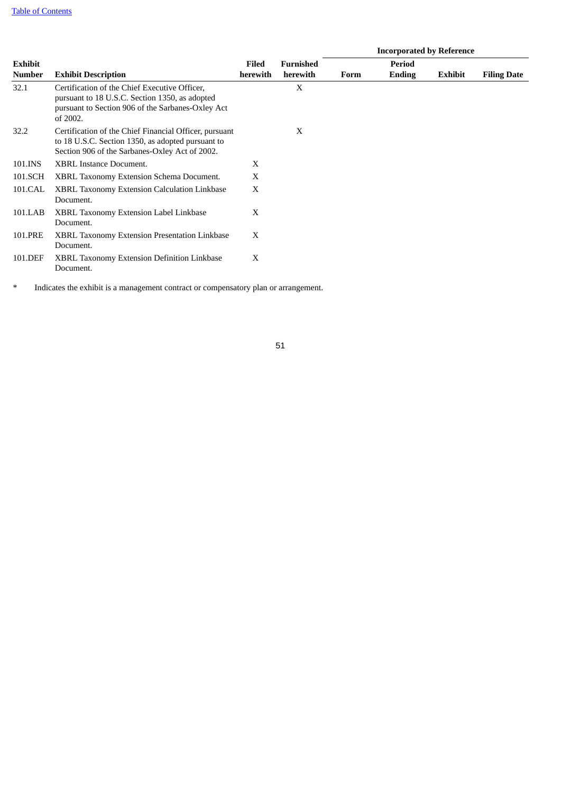|         |                                                                                                                                                                  |          |                  |      | <b>Incorporated by Reference</b> |         |                    |  |
|---------|------------------------------------------------------------------------------------------------------------------------------------------------------------------|----------|------------------|------|----------------------------------|---------|--------------------|--|
| Exhibit |                                                                                                                                                                  | Filed    | <b>Furnished</b> |      | Period                           |         |                    |  |
| Number  | <b>Exhibit Description</b>                                                                                                                                       | herewith | herewith         | Form | Ending                           | Exhibit | <b>Filing Date</b> |  |
| 32.1    | Certification of the Chief Executive Officer,<br>pursuant to 18 U.S.C. Section 1350, as adopted<br>pursuant to Section 906 of the Sarbanes-Oxley Act<br>of 2002. |          | X                |      |                                  |         |                    |  |
| 32.2    | Certification of the Chief Financial Officer, pursuant<br>to 18 U.S.C. Section 1350, as adopted pursuant to<br>Section 906 of the Sarbanes-Oxley Act of 2002.    |          | X                |      |                                  |         |                    |  |
| 101.INS | <b>XBRL Instance Document.</b>                                                                                                                                   | X        |                  |      |                                  |         |                    |  |
| 101.SCH | XBRL Taxonomy Extension Schema Document.                                                                                                                         | X        |                  |      |                                  |         |                    |  |
| 101.CAL | <b>XBRL Taxonomy Extension Calculation Linkbase</b><br>Document.                                                                                                 | X        |                  |      |                                  |         |                    |  |
| 101.LAB | XBRL Taxonomy Extension Label Linkbase<br>Document.                                                                                                              | X        |                  |      |                                  |         |                    |  |
| 101.PRE | <b>XBRL Taxonomy Extension Presentation Linkbase</b><br>Document.                                                                                                | X        |                  |      |                                  |         |                    |  |
| 101.DEF | <b>XBRL Taxonomy Extension Definition Linkbase</b><br>Document.                                                                                                  | X        |                  |      |                                  |         |                    |  |

\* Indicates the exhibit is a management contract or compensatory plan or arrangement.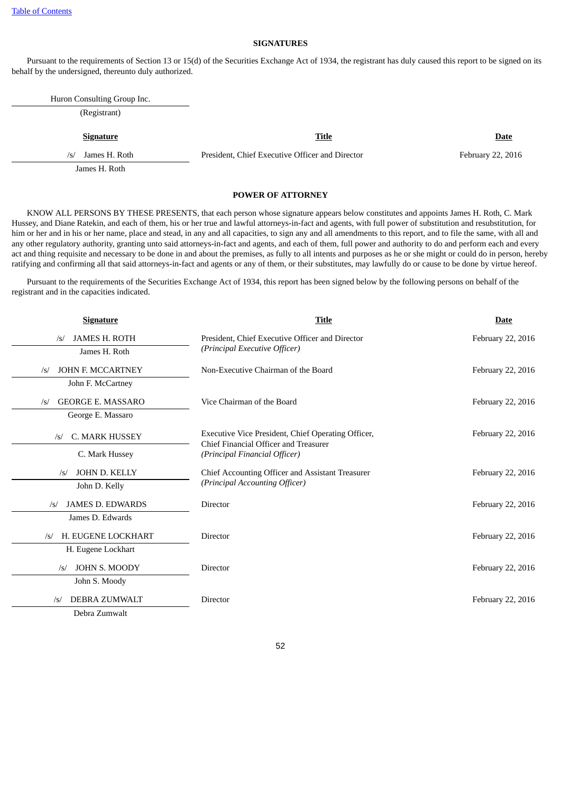### **SIGNATURES**

Pursuant to the requirements of Section 13 or 15(d) of the Securities Exchange Act of 1934, the registrant has duly caused this report to be signed on its behalf by the undersigned, thereunto duly authorized.

Huron Consulting Group Inc.

(Registrant)

**Signature Title Date**

/s/ James H. Roth President, Chief Executive Officer and Director February 22, 2016

James H. Roth

# **POWER OF ATTORNEY**

KNOW ALL PERSONS BY THESE PRESENTS, that each person whose signature appears below constitutes and appoints James H. Roth, C. Mark Hussey, and Diane Ratekin, and each of them, his or her true and lawful attorneys-in-fact and agents, with full power of substitution and resubstitution, for him or her and in his or her name, place and stead, in any and all capacities, to sign any and all amendments to this report, and to file the same, with all and any other regulatory authority, granting unto said attorneys-in-fact and agents, and each of them, full power and authority to do and perform each and every act and thing requisite and necessary to be done in and about the premises, as fully to all intents and purposes as he or she might or could do in person, hereby ratifying and confirming all that said attorneys-in-fact and agents or any of them, or their substitutes, may lawfully do or cause to be done by virtue hereof.

Pursuant to the requirements of the Securities Exchange Act of 1934, this report has been signed below by the following persons on behalf of the registrant and in the capacities indicated.

| <b>Signature</b>                       | <b>Title</b>                                                                                | <b>Date</b>       |
|----------------------------------------|---------------------------------------------------------------------------------------------|-------------------|
| <b>JAMES H. ROTH</b><br>$\sqrt{s}$     | President, Chief Executive Officer and Director                                             | February 22, 2016 |
| James H. Roth                          | (Principal Executive Officer)                                                               |                   |
| JOHN F. MCCARTNEY<br>$\sqrt{s}$        | Non-Executive Chairman of the Board                                                         | February 22, 2016 |
| John F. McCartney                      |                                                                                             |                   |
| <b>GEORGE E. MASSARO</b><br>$\sqrt{s}$ | Vice Chairman of the Board                                                                  | February 22, 2016 |
| George E. Massaro                      |                                                                                             |                   |
| <b>C. MARK HUSSEY</b><br>$\sqrt{s}$    | Executive Vice President, Chief Operating Officer,<br>Chief Financial Officer and Treasurer | February 22, 2016 |
| C. Mark Hussey                         | (Principal Financial Officer)                                                               |                   |
| JOHN D. KELLY<br>$\sqrt{s}$            | Chief Accounting Officer and Assistant Treasurer                                            | February 22, 2016 |
| John D. Kelly                          | (Principal Accounting Officer)                                                              |                   |
| <b>JAMES D. EDWARDS</b><br>$\sqrt{s}$  | Director                                                                                    | February 22, 2016 |
| James D. Edwards                       |                                                                                             |                   |
| H. EUGENE LOCKHART<br>$\sqrt{s}$       | Director                                                                                    | February 22, 2016 |
| H. Eugene Lockhart                     |                                                                                             |                   |
| <b>JOHN S. MOODY</b><br>$\sqrt{s}$     | <b>Director</b>                                                                             | February 22, 2016 |
| John S. Moody                          |                                                                                             |                   |
| DEBRA ZUMWALT<br>/s/                   | Director                                                                                    | February 22, 2016 |
| Debra Zumwalt                          |                                                                                             |                   |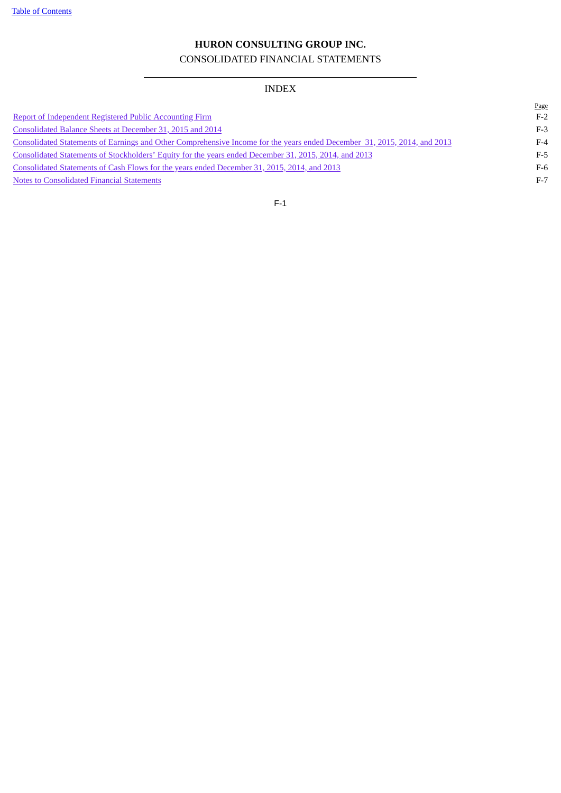# **HURON CONSULTING GROUP INC.** CONSOLIDATED FINANCIAL STATEMENTS

# INDEX

<span id="page-54-0"></span>

|                                                                                                                          | Page  |
|--------------------------------------------------------------------------------------------------------------------------|-------|
| <b>Report of Independent Registered Public Accounting Firm</b>                                                           | $F-2$ |
| Consolidated Balance Sheets at December 31, 2015 and 2014                                                                | $F-3$ |
| Consolidated Statements of Earnings and Other Comprehensive Income for the years ended December 31, 2015, 2014, and 2013 | $F-4$ |
| <u>Consolidated Statements of Stockholders' Equity for the years ended December 31, 2015, 2014, and 2013</u>             | F-5   |
| Consolidated Statements of Cash Flows for the years ended December 31, 2015, 2014, and 2013                              | $F-6$ |
| <b>Notes to Consolidated Financial Statements</b>                                                                        | $F-7$ |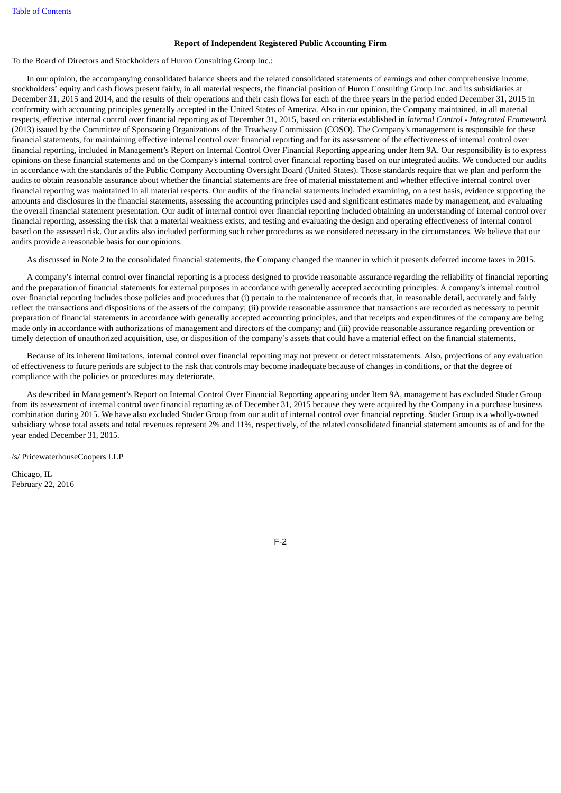### **Report of Independent Registered Public Accounting Firm**

To the Board of Directors and Stockholders of Huron Consulting Group Inc.:

In our opinion, the accompanying consolidated balance sheets and the related consolidated statements of earnings and other comprehensive income, stockholders' equity and cash flows present fairly, in all material respects, the financial position of Huron Consulting Group Inc. and its subsidiaries at December 31, 2015 and 2014, and the results of their operations and their cash flows for each of the three years in the period ended December 31, 2015 in conformity with accounting principles generally accepted in the United States of America. Also in our opinion, the Company maintained, in all material respects, effective internal control over financial reporting as of December 31, 2015, based on criteria established in *Internal Control - Integrated Framework* (2013) issued by the Committee of Sponsoring Organizations of the Treadway Commission (COSO). The Company's management is responsible for these financial statements, for maintaining effective internal control over financial reporting and for its assessment of the effectiveness of internal control over financial reporting, included in Management's Report on Internal Control Over Financial Reporting appearing under Item 9A. Our responsibility is to express opinions on these financial statements and on the Company's internal control over financial reporting based on our integrated audits. We conducted our audits in accordance with the standards of the Public Company Accounting Oversight Board (United States). Those standards require that we plan and perform the audits to obtain reasonable assurance about whether the financial statements are free of material misstatement and whether effective internal control over financial reporting was maintained in all material respects. Our audits of the financial statements included examining, on a test basis, evidence supporting the amounts and disclosures in the financial statements, assessing the accounting principles used and significant estimates made by management, and evaluating the overall financial statement presentation. Our audit of internal control over financial reporting included obtaining an understanding of internal control over financial reporting, assessing the risk that a material weakness exists, and testing and evaluating the design and operating effectiveness of internal control based on the assessed risk. Our audits also included performing such other procedures as we considered necessary in the circumstances. We believe that our audits provide a reasonable basis for our opinions.

As discussed in Note 2 to the consolidated financial statements, the Company changed the manner in which it presents deferred income taxes in 2015.

A company's internal control over financial reporting is a process designed to provide reasonable assurance regarding the reliability of financial reporting and the preparation of financial statements for external purposes in accordance with generally accepted accounting principles. A company's internal control over financial reporting includes those policies and procedures that (i) pertain to the maintenance of records that, in reasonable detail, accurately and fairly reflect the transactions and dispositions of the assets of the company; (ii) provide reasonable assurance that transactions are recorded as necessary to permit preparation of financial statements in accordance with generally accepted accounting principles, and that receipts and expenditures of the company are being made only in accordance with authorizations of management and directors of the company; and (iii) provide reasonable assurance regarding prevention or timely detection of unauthorized acquisition, use, or disposition of the company's assets that could have a material effect on the financial statements.

Because of its inherent limitations, internal control over financial reporting may not prevent or detect misstatements. Also, projections of any evaluation of effectiveness to future periods are subject to the risk that controls may become inadequate because of changes in conditions, or that the degree of compliance with the policies or procedures may deteriorate.

As described in Management's Report on Internal Control Over Financial Reporting appearing under Item 9A, management has excluded Studer Group from its assessment of internal control over financial reporting as of December 31, 2015 because they were acquired by the Company in a purchase business combination during 2015. We have also excluded Studer Group from our audit of internal control over financial reporting. Studer Group is a wholly-owned subsidiary whose total assets and total revenues represent 2% and 11%, respectively, of the related consolidated financial statement amounts as of and for the year ended December 31, 2015.

/s/ PricewaterhouseCoopers LLP

<span id="page-55-0"></span>Chicago, IL February 22, 2016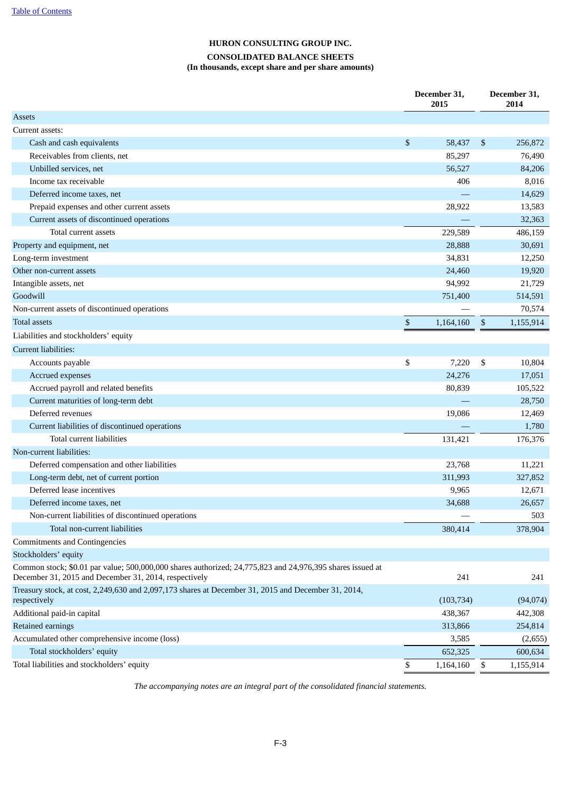# **CONSOLIDATED BALANCE SHEETS (In thousands, except share and per share amounts)**

|                                                                                                                                                                    |               | December 31,<br>2015 |              | December 31,<br>2014 |
|--------------------------------------------------------------------------------------------------------------------------------------------------------------------|---------------|----------------------|--------------|----------------------|
| Assets                                                                                                                                                             |               |                      |              |                      |
| Current assets:                                                                                                                                                    |               |                      |              |                      |
| Cash and cash equivalents                                                                                                                                          | $\$$          | 58,437               | \$           | 256,872              |
| Receivables from clients, net                                                                                                                                      |               | 85,297               |              | 76,490               |
| Unbilled services, net                                                                                                                                             |               | 56,527               |              | 84,206               |
| Income tax receivable                                                                                                                                              |               | 406                  |              | 8,016                |
| Deferred income taxes, net                                                                                                                                         |               |                      |              | 14,629               |
| Prepaid expenses and other current assets                                                                                                                          |               | 28,922               |              | 13,583               |
| Current assets of discontinued operations                                                                                                                          |               |                      |              | 32,363               |
| Total current assets                                                                                                                                               |               | 229,589              |              | 486,159              |
| Property and equipment, net                                                                                                                                        |               | 28,888               |              | 30,691               |
| Long-term investment                                                                                                                                               |               | 34,831               |              | 12,250               |
| Other non-current assets                                                                                                                                           |               | 24,460               |              | 19,920               |
| Intangible assets, net                                                                                                                                             |               | 94,992               |              | 21,729               |
| Goodwill                                                                                                                                                           |               | 751,400              |              | 514,591              |
| Non-current assets of discontinued operations                                                                                                                      |               |                      |              | 70,574               |
| <b>Total assets</b>                                                                                                                                                | ${\mathbb S}$ | 1,164,160            | $\mathbb{S}$ | 1,155,914            |
| Liabilities and stockholders' equity                                                                                                                               |               |                      |              |                      |
| <b>Current liabilities:</b>                                                                                                                                        |               |                      |              |                      |
| Accounts payable                                                                                                                                                   | \$            | 7,220                | \$           | 10,804               |
| Accrued expenses                                                                                                                                                   |               | 24,276               |              | 17,051               |
| Accrued payroll and related benefits                                                                                                                               |               | 80,839               |              | 105,522              |
| Current maturities of long-term debt                                                                                                                               |               |                      |              | 28,750               |
| Deferred revenues                                                                                                                                                  |               | 19,086               |              | 12,469               |
| Current liabilities of discontinued operations                                                                                                                     |               |                      |              | 1,780                |
| Total current liabilities                                                                                                                                          |               | 131,421              |              | 176,376              |
| Non-current liabilities:                                                                                                                                           |               |                      |              |                      |
| Deferred compensation and other liabilities                                                                                                                        |               | 23,768               |              | 11,221               |
| Long-term debt, net of current portion                                                                                                                             |               | 311,993              |              | 327,852              |
| Deferred lease incentives                                                                                                                                          |               | 9,965                |              | 12,671               |
| Deferred income taxes, net                                                                                                                                         |               | 34,688               |              | 26,657               |
| Non-current liabilities of discontinued operations                                                                                                                 |               |                      |              | 503                  |
| Total non-current liabilities                                                                                                                                      |               | 380,414              |              | 378,904              |
| <b>Commitments and Contingencies</b>                                                                                                                               |               |                      |              |                      |
| Stockholders' equity                                                                                                                                               |               |                      |              |                      |
| Common stock; \$0.01 par value; 500,000,000 shares authorized; 24,775,823 and 24,976,395 shares issued at<br>December 31, 2015 and December 31, 2014, respectively |               | 241                  |              | 241                  |
| Treasury stock, at cost, 2,249,630 and 2,097,173 shares at December 31, 2015 and December 31, 2014,<br>respectively                                                |               | (103, 734)           |              | (94,074)             |
| Additional paid-in capital                                                                                                                                         |               | 438,367              |              | 442,308              |
| Retained earnings                                                                                                                                                  |               | 313,866              |              | 254,814              |
| Accumulated other comprehensive income (loss)                                                                                                                      |               | 3,585                |              | (2,655)              |
| Total stockholders' equity                                                                                                                                         |               | 652,325              |              | 600,634              |
| Total liabilities and stockholders' equity                                                                                                                         | \$            | 1,164,160            | $\$$         | 1,155,914            |

<span id="page-56-0"></span>*The accompanying notes are an integral part of the consolidated financial statements.*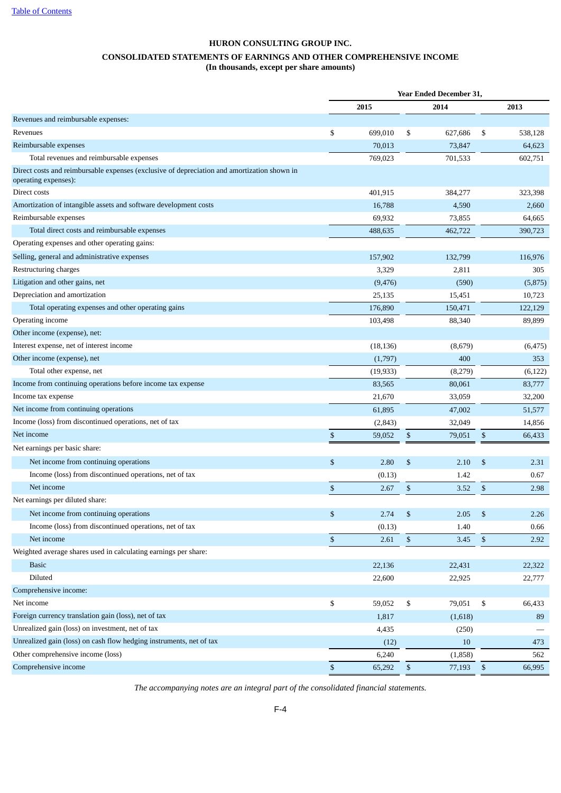# **CONSOLIDATED STATEMENTS OF EARNINGS AND OTHER COMPREHENSIVE INCOME (In thousands, except per share amounts)**

|                                                                                                                     | Year Ended December 31, |           |              |         |                           |          |
|---------------------------------------------------------------------------------------------------------------------|-------------------------|-----------|--------------|---------|---------------------------|----------|
|                                                                                                                     |                         | 2015      |              | 2014    |                           | 2013     |
| Revenues and reimbursable expenses:                                                                                 |                         |           |              |         |                           |          |
| Revenues                                                                                                            | \$                      | 699,010   | \$           | 627,686 | \$                        | 538,128  |
| Reimbursable expenses                                                                                               |                         | 70,013    |              | 73,847  |                           | 64,623   |
| Total revenues and reimbursable expenses                                                                            |                         | 769,023   |              | 701,533 |                           | 602,751  |
| Direct costs and reimbursable expenses (exclusive of depreciation and amortization shown in<br>operating expenses): |                         |           |              |         |                           |          |
| Direct costs                                                                                                        |                         | 401,915   |              | 384,277 |                           | 323,398  |
| Amortization of intangible assets and software development costs                                                    |                         | 16,788    |              | 4,590   |                           | 2,660    |
| Reimbursable expenses                                                                                               |                         | 69,932    |              | 73,855  |                           | 64,665   |
| Total direct costs and reimbursable expenses                                                                        |                         | 488,635   |              | 462,722 |                           | 390,723  |
| Operating expenses and other operating gains:                                                                       |                         |           |              |         |                           |          |
| Selling, general and administrative expenses                                                                        |                         | 157,902   |              | 132,799 |                           | 116,976  |
| Restructuring charges                                                                                               |                         | 3,329     |              | 2,811   |                           | 305      |
| Litigation and other gains, net                                                                                     |                         | (9, 476)  |              | (590)   |                           | (5,875)  |
| Depreciation and amortization                                                                                       |                         | 25,135    |              | 15,451  |                           | 10,723   |
| Total operating expenses and other operating gains                                                                  |                         | 176,890   |              | 150,471 |                           | 122,129  |
| Operating income                                                                                                    |                         | 103,498   |              | 88,340  |                           | 89,899   |
| Other income (expense), net:                                                                                        |                         |           |              |         |                           |          |
| Interest expense, net of interest income                                                                            |                         | (18, 136) |              | (8,679) |                           | (6, 475) |
| Other income (expense), net                                                                                         |                         | (1,797)   |              | 400     |                           | 353      |
| Total other expense, net                                                                                            |                         | (19, 933) |              | (8,279) |                           | (6, 122) |
| Income from continuing operations before income tax expense                                                         |                         | 83,565    |              | 80,061  |                           | 83,777   |
| Income tax expense                                                                                                  |                         | 21,670    |              | 33,059  |                           | 32,200   |
| Net income from continuing operations                                                                               |                         | 61,895    |              | 47,002  |                           | 51,577   |
| Income (loss) from discontinued operations, net of tax                                                              |                         | (2, 843)  |              | 32,049  |                           | 14,856   |
| Net income                                                                                                          | \$                      | 59,052    | \$           | 79,051  | $\mathfrak{S}$            | 66,433   |
| Net earnings per basic share:                                                                                       |                         |           |              |         |                           |          |
| Net income from continuing operations                                                                               | \$                      | 2.80      | \$           | 2.10    | $\mathfrak{S}$            | 2.31     |
| Income (loss) from discontinued operations, net of tax                                                              |                         | (0.13)    |              | 1.42    |                           | 0.67     |
| Net income                                                                                                          | \$                      | 2.67      | \$           | 3.52    | \$                        | 2.98     |
| Net earnings per diluted share:                                                                                     |                         |           |              |         |                           |          |
| Net income from continuing operations                                                                               | \$                      | 2.74      | \$           | 2.05    | $\boldsymbol{\mathsf{s}}$ | 2.26     |
| Income (loss) from discontinued operations, net of tax                                                              |                         | (0.13)    |              | 1.40    |                           | 0.66     |
| Net income                                                                                                          | \$                      | 2.61      | $\mathbb{S}$ | 3.45    | $\mathbb{S}$              | 2.92     |
| Weighted average shares used in calculating earnings per share:                                                     |                         |           |              |         |                           |          |
| <b>Basic</b>                                                                                                        |                         | 22,136    |              | 22,431  |                           | 22,322   |
| Diluted                                                                                                             |                         | 22,600    |              | 22,925  |                           | 22,777   |
| Comprehensive income:                                                                                               |                         |           |              |         |                           |          |
| Net income                                                                                                          | \$                      | 59,052    | \$           | 79,051  | \$                        | 66,433   |
| Foreign currency translation gain (loss), net of tax                                                                |                         | 1,817     |              | (1,618) |                           | 89       |
| Unrealized gain (loss) on investment, net of tax                                                                    |                         | 4,435     |              | (250)   |                           |          |
| Unrealized gain (loss) on cash flow hedging instruments, net of tax                                                 |                         | (12)      |              | 10      |                           | 473      |
| Other comprehensive income (loss)                                                                                   |                         | 6,240     |              | (1,858) |                           | 562      |
| Comprehensive income                                                                                                | \$                      | 65,292    | \$           | 77,193  | $\sqrt{5}$                | 66,995   |
|                                                                                                                     |                         |           |              |         |                           |          |

<span id="page-57-0"></span>*The accompanying notes are an integral part of the consolidated financial statements.*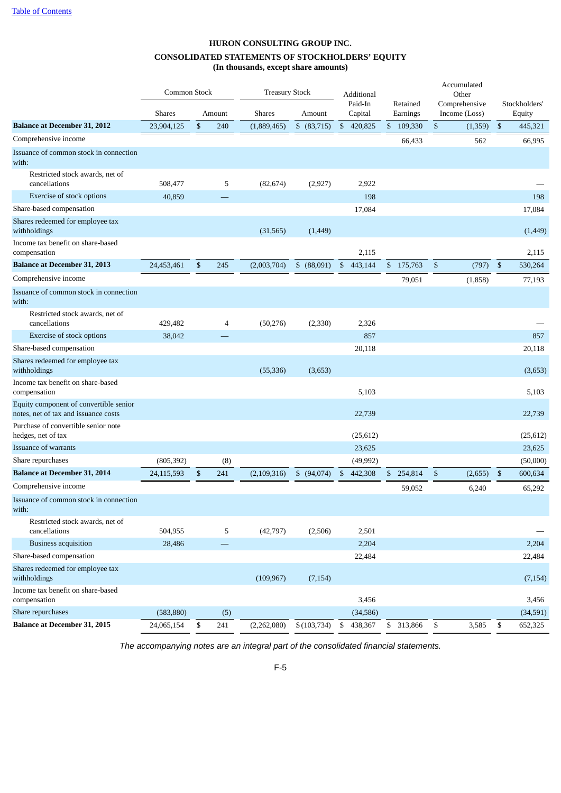# **CONSOLIDATED STATEMENTS OF STOCKHOLDERS' EQUITY (In thousands, except share amounts)**

|                                                                                | Common Stock  |           |               | <b>Treasury Stock</b> |               | Additional         |    |                      | Accumulated<br>Other |                                |                |                         |
|--------------------------------------------------------------------------------|---------------|-----------|---------------|-----------------------|---------------|--------------------|----|----------------------|----------------------|--------------------------------|----------------|-------------------------|
|                                                                                | <b>Shares</b> | Amount    | <b>Shares</b> | Amount                |               | Paid-In<br>Capital |    | Retained<br>Earnings |                      | Comprehensive<br>Income (Loss) |                | Stockholders'<br>Equity |
| <b>Balance at December 31, 2012</b>                                            | 23,904,125    | \$<br>240 | (1,889,465)   | \$ (83,715)           | \$            | 420,825            |    | \$ 109,330           | \$                   | (1,359)                        | \$             | 445,321                 |
| Comprehensive income                                                           |               |           |               |                       |               |                    |    | 66,433               |                      | 562                            |                | 66,995                  |
| Issuance of common stock in connection<br>with:                                |               |           |               |                       |               |                    |    |                      |                      |                                |                |                         |
| Restricted stock awards, net of<br>cancellations                               | 508,477       | 5         | (82, 674)     | (2,927)               |               | 2,922              |    |                      |                      |                                |                |                         |
| Exercise of stock options                                                      | 40,859        |           |               |                       |               | 198                |    |                      |                      |                                |                | 198                     |
| Share-based compensation                                                       |               |           |               |                       |               | 17,084             |    |                      |                      |                                |                | 17,084                  |
| Shares redeemed for employee tax<br>withholdings                               |               |           | (31, 565)     | (1,449)               |               |                    |    |                      |                      |                                |                | (1,449)                 |
| Income tax benefit on share-based<br>compensation                              |               |           |               |                       |               | 2,115              |    |                      |                      |                                |                | 2,115                   |
| <b>Balance at December 31, 2013</b>                                            | 24,453,461    | \$<br>245 | (2,003,704)   | \$ (88,091)           | $\sqrt[6]{3}$ | 443,144            | \$ | 175,763              | \$                   | (797)                          | $$\mathbb{S}$$ | 530,264                 |
| Comprehensive income                                                           |               |           |               |                       |               |                    |    | 79,051               |                      | (1,858)                        |                | 77,193                  |
| Issuance of common stock in connection<br>with:                                |               |           |               |                       |               |                    |    |                      |                      |                                |                |                         |
| Restricted stock awards, net of<br>cancellations                               | 429,482       | 4         | (50, 276)     | (2,330)               |               | 2,326              |    |                      |                      |                                |                |                         |
| Exercise of stock options                                                      | 38,042        |           |               |                       |               | 857                |    |                      |                      |                                |                | 857                     |
| Share-based compensation                                                       |               |           |               |                       |               | 20,118             |    |                      |                      |                                |                | 20,118                  |
| Shares redeemed for employee tax<br>withholdings                               |               |           | (55, 336)     | (3,653)               |               |                    |    |                      |                      |                                |                | (3,653)                 |
| Income tax benefit on share-based<br>compensation                              |               |           |               |                       |               | 5,103              |    |                      |                      |                                |                | 5,103                   |
| Equity component of convertible senior<br>notes, net of tax and issuance costs |               |           |               |                       |               | 22,739             |    |                      |                      |                                |                | 22,739                  |
| Purchase of convertible senior note<br>hedges, net of tax                      |               |           |               |                       |               | (25, 612)          |    |                      |                      |                                |                | (25, 612)               |
| <b>Issuance of warrants</b>                                                    |               |           |               |                       |               | 23,625             |    |                      |                      |                                |                | 23,625                  |
| Share repurchases                                                              | (805, 392)    | (8)       |               |                       |               | (49, 992)          |    |                      |                      |                                |                | (50,000)                |
| <b>Balance at December 31, 2014</b>                                            | 24,115,593    | \$<br>241 | (2,109,316)   | \$ (94,074)           | \$            | 442,308            | \$ | 254,814              | \$                   | (2,655)                        | \$             | 600,634                 |
| Comprehensive income                                                           |               |           |               |                       |               |                    |    | 59,052               |                      | 6,240                          |                | 65,292                  |
| Issuance of common stock in connection<br>with:                                |               |           |               |                       |               |                    |    |                      |                      |                                |                |                         |
| Restricted stock awards, net of<br>cancellations                               | 504,955       | 5         | (42, 797)     | (2,506)               |               | 2,501              |    |                      |                      |                                |                |                         |
| <b>Business acquisition</b>                                                    | 28,486        |           |               |                       |               | 2,204              |    |                      |                      |                                |                | 2,204                   |
| Share-based compensation                                                       |               |           |               |                       |               | 22,484             |    |                      |                      |                                |                | 22,484                  |
| Shares redeemed for employee tax<br>withholdings                               |               |           | (109, 967)    | (7, 154)              |               |                    |    |                      |                      |                                |                | (7, 154)                |
| Income tax benefit on share-based<br>compensation                              |               |           |               |                       |               | 3,456              |    |                      |                      |                                |                | 3,456                   |
| Share repurchases                                                              | (583, 880)    | (5)       |               |                       |               | (34, 586)          |    |                      |                      |                                |                | (34,591)                |
| <b>Balance at December 31, 2015</b>                                            | 24,065,154    | \$<br>241 | (2,262,080)   | \$(103,734)           | \$            | 438,367            |    | \$ 313,866           | \$                   | 3,585                          | \$             | 652,325                 |

<span id="page-58-0"></span>*The accompanying notes are an integral part of the consolidated financial statements.*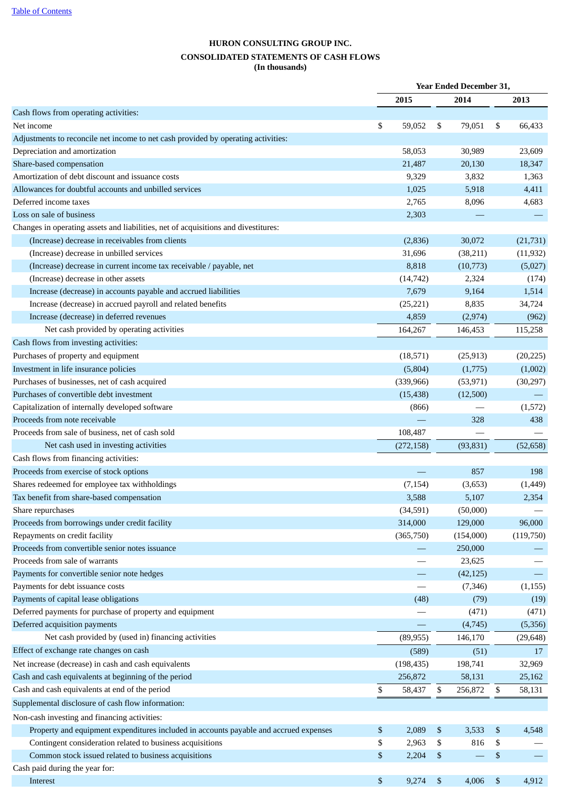# **CONSOLIDATED STATEMENTS OF CASH FLOWS**

**(In thousands)**

|                                                                                       | <b>Year Ended December 31,</b> |            |    |           |              |           |  |  |
|---------------------------------------------------------------------------------------|--------------------------------|------------|----|-----------|--------------|-----------|--|--|
|                                                                                       |                                | 2015       |    | 2014      |              | 2013      |  |  |
| Cash flows from operating activities:                                                 |                                |            |    |           |              |           |  |  |
| Net income                                                                            | \$                             | 59,052     | \$ | 79,051    | \$           | 66,433    |  |  |
| Adjustments to reconcile net income to net cash provided by operating activities:     |                                |            |    |           |              |           |  |  |
| Depreciation and amortization                                                         |                                | 58,053     |    | 30,989    |              | 23,609    |  |  |
| Share-based compensation                                                              |                                | 21,487     |    | 20,130    |              | 18,347    |  |  |
| Amortization of debt discount and issuance costs                                      |                                | 9,329      |    | 3,832     |              | 1,363     |  |  |
| Allowances for doubtful accounts and unbilled services                                |                                | 1,025      |    | 5,918     |              | 4,411     |  |  |
| Deferred income taxes                                                                 |                                | 2,765      |    | 8,096     |              | 4,683     |  |  |
| Loss on sale of business                                                              |                                | 2,303      |    |           |              |           |  |  |
| Changes in operating assets and liabilities, net of acquisitions and divestitures:    |                                |            |    |           |              |           |  |  |
| (Increase) decrease in receivables from clients                                       |                                | (2,836)    |    | 30,072    |              | (21, 731) |  |  |
| (Increase) decrease in unbilled services                                              |                                | 31,696     |    | (38, 211) |              | (11, 932) |  |  |
| (Increase) decrease in current income tax receivable / payable, net                   |                                | 8,818      |    | (10,773)  |              | (5,027)   |  |  |
| (Increase) decrease in other assets                                                   |                                | (14, 742)  |    | 2,324     |              | (174)     |  |  |
| Increase (decrease) in accounts payable and accrued liabilities                       |                                | 7,679      |    | 9,164     |              | 1,514     |  |  |
| Increase (decrease) in accrued payroll and related benefits                           |                                | (25, 221)  |    | 8,835     |              | 34,724    |  |  |
| Increase (decrease) in deferred revenues                                              |                                | 4,859      |    | (2,974)   |              | (962)     |  |  |
| Net cash provided by operating activities                                             |                                | 164,267    |    | 146,453   |              | 115,258   |  |  |
| Cash flows from investing activities:                                                 |                                |            |    |           |              |           |  |  |
| Purchases of property and equipment                                                   |                                | (18, 571)  |    | (25, 913) |              | (20, 225) |  |  |
| Investment in life insurance policies                                                 |                                | (5,804)    |    | (1,775)   |              | (1,002)   |  |  |
| Purchases of businesses, net of cash acquired                                         |                                | (339, 966) |    | (53, 971) |              | (30, 297) |  |  |
| Purchases of convertible debt investment                                              |                                |            |    | (12,500)  |              |           |  |  |
| Capitalization of internally developed software                                       |                                | (15, 438)  |    |           |              | (1,572)   |  |  |
| Proceeds from note receivable                                                         |                                | (866)      |    | 328       |              | 438       |  |  |
| Proceeds from sale of business, net of cash sold                                      |                                | 108,487    |    |           |              |           |  |  |
| Net cash used in investing activities                                                 |                                |            |    |           |              |           |  |  |
|                                                                                       |                                | (272, 158) |    | (93, 831) |              | (52, 658) |  |  |
| Cash flows from financing activities:                                                 |                                |            |    |           |              |           |  |  |
| Proceeds from exercise of stock options                                               |                                |            |    | 857       |              | 198       |  |  |
| Shares redeemed for employee tax withholdings                                         |                                | (7, 154)   |    | (3,653)   |              | (1, 449)  |  |  |
| Tax benefit from share-based compensation                                             |                                | 3,588      |    | 5,107     |              | 2,354     |  |  |
| Share repurchases                                                                     |                                | (34,591)   |    | (50,000)  |              |           |  |  |
| Proceeds from borrowings under credit facility                                        |                                | 314,000    |    | 129,000   |              | 96,000    |  |  |
| Repayments on credit facility                                                         |                                | (365, 750) |    | (154,000) |              | (119,750) |  |  |
| Proceeds from convertible senior notes issuance                                       |                                |            |    | 250,000   |              |           |  |  |
| Proceeds from sale of warrants                                                        |                                |            |    | 23,625    |              |           |  |  |
| Payments for convertible senior note hedges                                           |                                |            |    | (42, 125) |              |           |  |  |
| Payments for debt issuance costs                                                      |                                |            |    | (7, 346)  |              | (1, 155)  |  |  |
| Payments of capital lease obligations                                                 |                                | (48)       |    | (79)      |              | (19)      |  |  |
| Deferred payments for purchase of property and equipment                              |                                |            |    | (471)     |              | (471)     |  |  |
| Deferred acquisition payments                                                         |                                |            |    | (4,745)   |              | (5,356)   |  |  |
| Net cash provided by (used in) financing activities                                   |                                | (89, 955)  |    | 146,170   |              | (29, 648) |  |  |
| Effect of exchange rate changes on cash                                               |                                | (589)      |    | (51)      |              | 17        |  |  |
| Net increase (decrease) in cash and cash equivalents                                  |                                | (198, 435) |    | 198,741   |              | 32,969    |  |  |
| Cash and cash equivalents at beginning of the period                                  |                                | 256,872    |    | 58,131    |              | 25,162    |  |  |
| Cash and cash equivalents at end of the period                                        | \$                             | 58,437     | \$ | 256,872   | \$           | 58,131    |  |  |
| Supplemental disclosure of cash flow information:                                     |                                |            |    |           |              |           |  |  |
| Non-cash investing and financing activities:                                          |                                |            |    |           |              |           |  |  |
| Property and equipment expenditures included in accounts payable and accrued expenses | \$                             | 2,089      | \$ | 3,533     | $\mathbb{S}$ | 4,548     |  |  |
| Contingent consideration related to business acquisitions                             | \$                             | 2,963      | \$ | 816       | \$           |           |  |  |
| Common stock issued related to business acquisitions                                  | \$                             | 2,204      | \$ |           | $\mathbb{S}$ |           |  |  |
| Cash paid during the year for:                                                        |                                |            |    |           |              |           |  |  |
| Interest                                                                              | $\boldsymbol{\mathsf{S}}$      | 9,274      | \$ | 4,006     | \$           | 4,912     |  |  |
|                                                                                       |                                |            |    |           |              |           |  |  |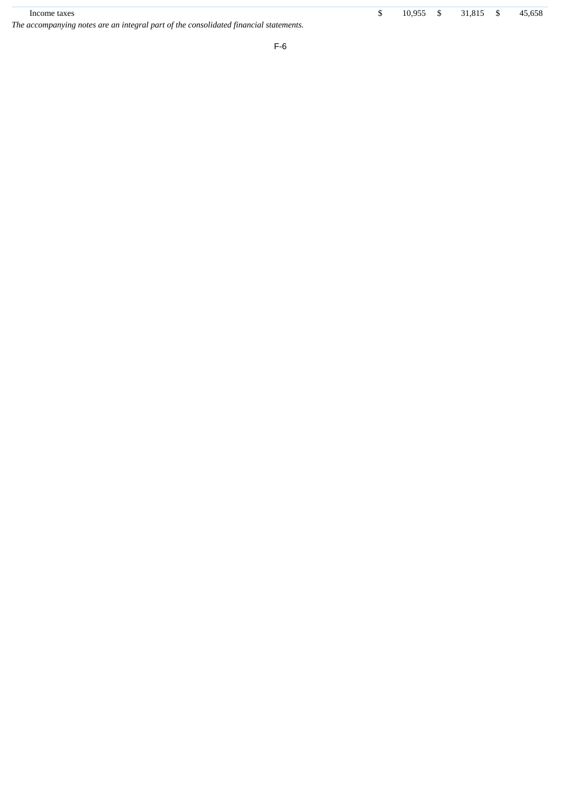<span id="page-60-0"></span>

| Income taxes                                                                          |  | 10.955 \$ 31.815 \$ | 45.658 |
|---------------------------------------------------------------------------------------|--|---------------------|--------|
| The accompanying notes are an integral part of the consolidated financial statements. |  |                     |        |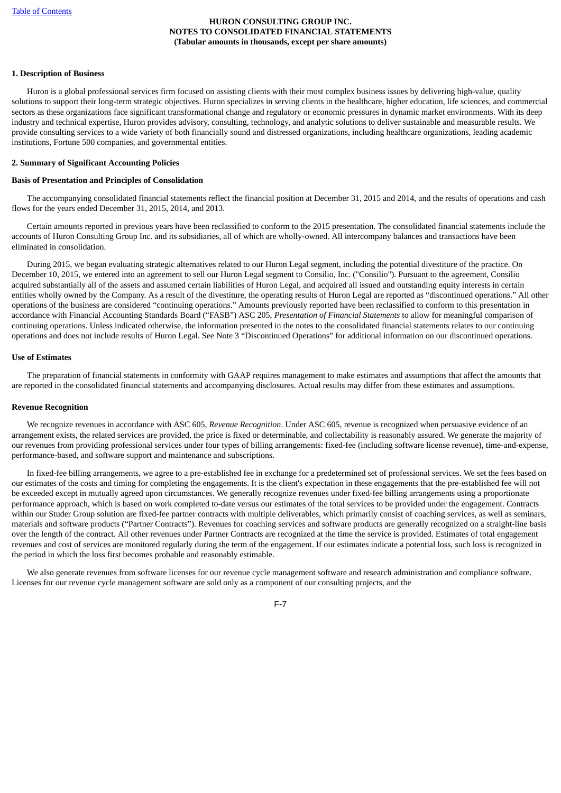### **1. Description of Business**

Huron is a global professional services firm focused on assisting clients with their most complex business issues by delivering high-value, quality solutions to support their long-term strategic objectives. Huron specializes in serving clients in the healthcare, higher education, life sciences, and commercial sectors as these organizations face significant transformational change and regulatory or economic pressures in dynamic market environments. With its deep industry and technical expertise, Huron provides advisory, consulting, technology, and analytic solutions to deliver sustainable and measurable results. We provide consulting services to a wide variety of both financially sound and distressed organizations, including healthcare organizations, leading academic institutions, Fortune 500 companies, and governmental entities.

### **2. Summary of Significant Accounting Policies**

# **Basis of Presentation and Principles of Consolidation**

The accompanying consolidated financial statements reflect the financial position at December 31, 2015 and 2014, and the results of operations and cash flows for the years ended December 31, 2015, 2014, and 2013.

Certain amounts reported in previous years have been reclassified to conform to the 2015 presentation. The consolidated financial statements include the accounts of Huron Consulting Group Inc. and its subsidiaries, all of which are wholly-owned. All intercompany balances and transactions have been eliminated in consolidation.

During 2015, we began evaluating strategic alternatives related to our Huron Legal segment, including the potential divestiture of the practice. On December 10, 2015, we entered into an agreement to sell our Huron Legal segment to Consilio, Inc. ("Consilio"). Pursuant to the agreement, Consilio acquired substantially all of the assets and assumed certain liabilities of Huron Legal, and acquired all issued and outstanding equity interests in certain entities wholly owned by the Company. As a result of the divestiture, the operating results of Huron Legal are reported as "discontinued operations." All other operations of the business are considered "continuing operations." Amounts previously reported have been reclassified to conform to this presentation in accordance with Financial Accounting Standards Board ("FASB") ASC 205, *Presentation of Financial Statements* to allow for meaningful comparison of continuing operations. Unless indicated otherwise, the information presented in the notes to the consolidated financial statements relates to our continuing operations and does not include results of Huron Legal. See Note 3 "Discontinued Operations" for additional information on our discontinued operations.

### **Use of Estimates**

The preparation of financial statements in conformity with GAAP requires management to make estimates and assumptions that affect the amounts that are reported in the consolidated financial statements and accompanying disclosures. Actual results may differ from these estimates and assumptions.

### **Revenue Recognition**

We recognize revenues in accordance with ASC 605, *Revenue Recognition*. Under ASC 605, revenue is recognized when persuasive evidence of an arrangement exists, the related services are provided, the price is fixed or determinable, and collectability is reasonably assured. We generate the majority of our revenues from providing professional services under four types of billing arrangements: fixed-fee (including software license revenue), time-and-expense, performance-based, and software support and maintenance and subscriptions.

In fixed-fee billing arrangements, we agree to a pre-established fee in exchange for a predetermined set of professional services. We set the fees based on our estimates of the costs and timing for completing the engagements. It is the client's expectation in these engagements that the pre-established fee will not be exceeded except in mutually agreed upon circumstances. We generally recognize revenues under fixed-fee billing arrangements using a proportionate performance approach, which is based on work completed to-date versus our estimates of the total services to be provided under the engagement. Contracts within our Studer Group solution are fixed-fee partner contracts with multiple deliverables, which primarily consist of coaching services, as well as seminars, materials and software products ("Partner Contracts"). Revenues for coaching services and software products are generally recognized on a straight-line basis over the length of the contract. All other revenues under Partner Contracts are recognized at the time the service is provided. Estimates of total engagement revenues and cost of services are monitored regularly during the term of the engagement. If our estimates indicate a potential loss, such loss is recognized in the period in which the loss first becomes probable and reasonably estimable.

We also generate revenues from software licenses for our revenue cycle management software and research administration and compliance software. Licenses for our revenue cycle management software are sold only as a component of our consulting projects, and the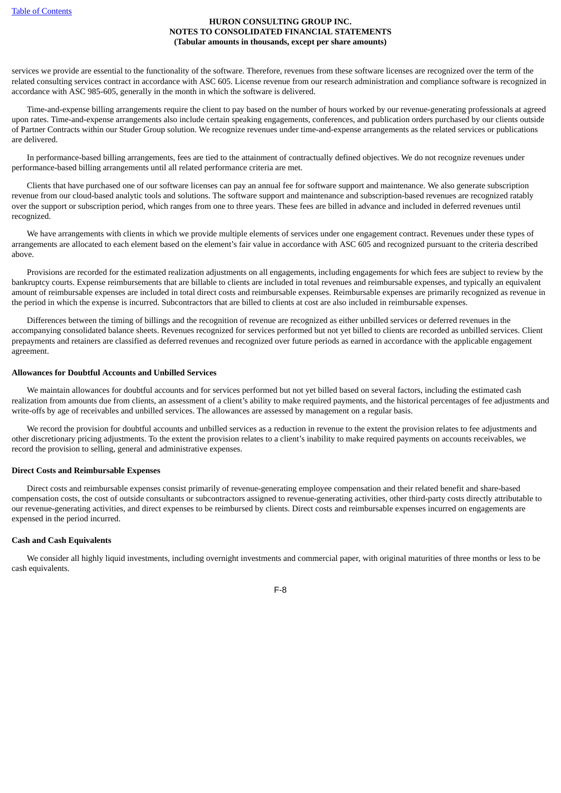services we provide are essential to the functionality of the software. Therefore, revenues from these software licenses are recognized over the term of the related consulting services contract in accordance with ASC 605. License revenue from our research administration and compliance software is recognized in accordance with ASC 985-605, generally in the month in which the software is delivered.

Time-and-expense billing arrangements require the client to pay based on the number of hours worked by our revenue-generating professionals at agreed upon rates. Time-and-expense arrangements also include certain speaking engagements, conferences, and publication orders purchased by our clients outside of Partner Contracts within our Studer Group solution. We recognize revenues under time-and-expense arrangements as the related services or publications are delivered.

In performance-based billing arrangements, fees are tied to the attainment of contractually defined objectives. We do not recognize revenues under performance-based billing arrangements until all related performance criteria are met.

Clients that have purchased one of our software licenses can pay an annual fee for software support and maintenance. We also generate subscription revenue from our cloud-based analytic tools and solutions. The software support and maintenance and subscription-based revenues are recognized ratably over the support or subscription period, which ranges from one to three years. These fees are billed in advance and included in deferred revenues until recognized.

We have arrangements with clients in which we provide multiple elements of services under one engagement contract. Revenues under these types of arrangements are allocated to each element based on the element's fair value in accordance with ASC 605 and recognized pursuant to the criteria described above.

Provisions are recorded for the estimated realization adjustments on all engagements, including engagements for which fees are subject to review by the bankruptcy courts. Expense reimbursements that are billable to clients are included in total revenues and reimbursable expenses, and typically an equivalent amount of reimbursable expenses are included in total direct costs and reimbursable expenses. Reimbursable expenses are primarily recognized as revenue in the period in which the expense is incurred. Subcontractors that are billed to clients at cost are also included in reimbursable expenses.

Differences between the timing of billings and the recognition of revenue are recognized as either unbilled services or deferred revenues in the accompanying consolidated balance sheets. Revenues recognized for services performed but not yet billed to clients are recorded as unbilled services. Client prepayments and retainers are classified as deferred revenues and recognized over future periods as earned in accordance with the applicable engagement agreement.

### **Allowances for Doubtful Accounts and Unbilled Services**

We maintain allowances for doubtful accounts and for services performed but not yet billed based on several factors, including the estimated cash realization from amounts due from clients, an assessment of a client's ability to make required payments, and the historical percentages of fee adjustments and write-offs by age of receivables and unbilled services. The allowances are assessed by management on a regular basis.

We record the provision for doubtful accounts and unbilled services as a reduction in revenue to the extent the provision relates to fee adjustments and other discretionary pricing adjustments. To the extent the provision relates to a client's inability to make required payments on accounts receivables, we record the provision to selling, general and administrative expenses.

# **Direct Costs and Reimbursable Expenses**

Direct costs and reimbursable expenses consist primarily of revenue-generating employee compensation and their related benefit and share-based compensation costs, the cost of outside consultants or subcontractors assigned to revenue-generating activities, other third-party costs directly attributable to our revenue-generating activities, and direct expenses to be reimbursed by clients. Direct costs and reimbursable expenses incurred on engagements are expensed in the period incurred.

# **Cash and Cash Equivalents**

We consider all highly liquid investments, including overnight investments and commercial paper, with original maturities of three months or less to be cash equivalents.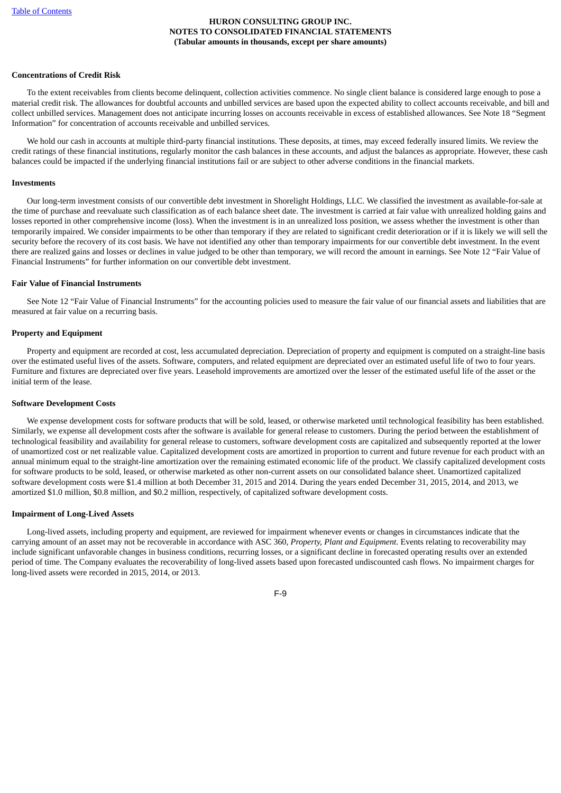### **Concentrations of Credit Risk**

To the extent receivables from clients become delinquent, collection activities commence. No single client balance is considered large enough to pose a material credit risk. The allowances for doubtful accounts and unbilled services are based upon the expected ability to collect accounts receivable, and bill and collect unbilled services. Management does not anticipate incurring losses on accounts receivable in excess of established allowances. See Note 18 "Segment Information" for concentration of accounts receivable and unbilled services.

We hold our cash in accounts at multiple third-party financial institutions. These deposits, at times, may exceed federally insured limits. We review the credit ratings of these financial institutions, regularly monitor the cash balances in these accounts, and adjust the balances as appropriate. However, these cash balances could be impacted if the underlying financial institutions fail or are subject to other adverse conditions in the financial markets.

### **Investments**

Our long-term investment consists of our convertible debt investment in Shorelight Holdings, LLC. We classified the investment as available-for-sale at the time of purchase and reevaluate such classification as of each balance sheet date. The investment is carried at fair value with unrealized holding gains and losses reported in other comprehensive income (loss). When the investment is in an unrealized loss position, we assess whether the investment is other than temporarily impaired. We consider impairments to be other than temporary if they are related to significant credit deterioration or if it is likely we will sell the security before the recovery of its cost basis. We have not identified any other than temporary impairments for our convertible debt investment. In the event there are realized gains and losses or declines in value judged to be other than temporary, we will record the amount in earnings. See Note 12 "Fair Value of Financial Instruments" for further information on our convertible debt investment.

# **Fair Value of Financial Instruments**

See Note 12 "Fair Value of Financial Instruments" for the accounting policies used to measure the fair value of our financial assets and liabilities that are measured at fair value on a recurring basis.

# **Property and Equipment**

Property and equipment are recorded at cost, less accumulated depreciation. Depreciation of property and equipment is computed on a straight-line basis over the estimated useful lives of the assets. Software, computers, and related equipment are depreciated over an estimated useful life of two to four years. Furniture and fixtures are depreciated over five years. Leasehold improvements are amortized over the lesser of the estimated useful life of the asset or the initial term of the lease.

### **Software Development Costs**

We expense development costs for software products that will be sold, leased, or otherwise marketed until technological feasibility has been established. Similarly, we expense all development costs after the software is available for general release to customers. During the period between the establishment of technological feasibility and availability for general release to customers, software development costs are capitalized and subsequently reported at the lower of unamortized cost or net realizable value. Capitalized development costs are amortized in proportion to current and future revenue for each product with an annual minimum equal to the straight-line amortization over the remaining estimated economic life of the product. We classify capitalized development costs for software products to be sold, leased, or otherwise marketed as other non-current assets on our consolidated balance sheet. Unamortized capitalized software development costs were \$1.4 million at both December 31, 2015 and 2014. During the years ended December 31, 2015, 2014, and 2013, we amortized \$1.0 million, \$0.8 million, and \$0.2 million, respectively, of capitalized software development costs.

### **Impairment of Long-Lived Assets**

Long-lived assets, including property and equipment, are reviewed for impairment whenever events or changes in circumstances indicate that the carrying amount of an asset may not be recoverable in accordance with ASC 360, *Property, Plant and Equipment*. Events relating to recoverability may include significant unfavorable changes in business conditions, recurring losses, or a significant decline in forecasted operating results over an extended period of time. The Company evaluates the recoverability of long-lived assets based upon forecasted undiscounted cash flows. No impairment charges for long-lived assets were recorded in 2015, 2014, or 2013.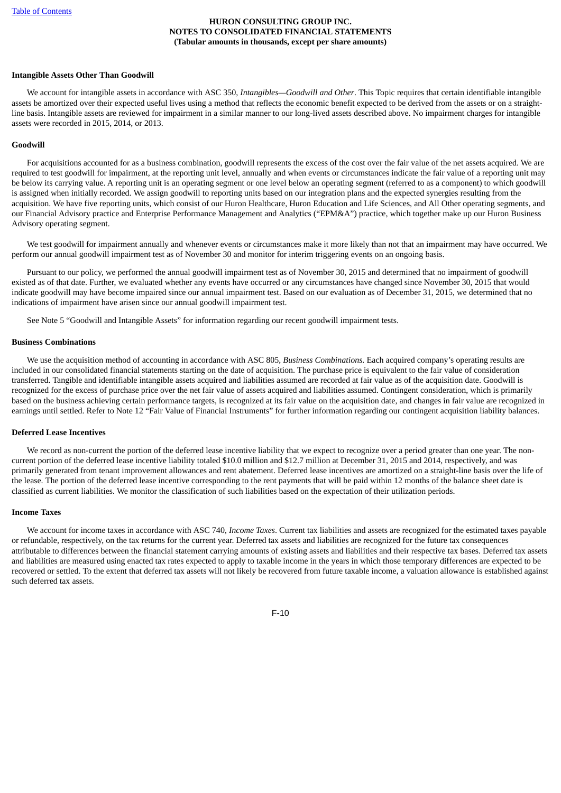### **Intangible Assets Other Than Goodwill**

We account for intangible assets in accordance with ASC 350, *Intangibles—Goodwill and Other*. This Topic requires that certain identifiable intangible assets be amortized over their expected useful lives using a method that reflects the economic benefit expected to be derived from the assets or on a straightline basis. Intangible assets are reviewed for impairment in a similar manner to our long-lived assets described above. No impairment charges for intangible assets were recorded in 2015, 2014, or 2013.

### **Goodwill**

For acquisitions accounted for as a business combination, goodwill represents the excess of the cost over the fair value of the net assets acquired. We are required to test goodwill for impairment, at the reporting unit level, annually and when events or circumstances indicate the fair value of a reporting unit may be below its carrying value. A reporting unit is an operating segment or one level below an operating segment (referred to as a component) to which goodwill is assigned when initially recorded. We assign goodwill to reporting units based on our integration plans and the expected synergies resulting from the acquisition. We have five reporting units, which consist of our Huron Healthcare, Huron Education and Life Sciences, and All Other operating segments, and our Financial Advisory practice and Enterprise Performance Management and Analytics ("EPM&A") practice, which together make up our Huron Business Advisory operating segment.

We test goodwill for impairment annually and whenever events or circumstances make it more likely than not that an impairment may have occurred. We perform our annual goodwill impairment test as of November 30 and monitor for interim triggering events on an ongoing basis.

Pursuant to our policy, we performed the annual goodwill impairment test as of November 30, 2015 and determined that no impairment of goodwill existed as of that date. Further, we evaluated whether any events have occurred or any circumstances have changed since November 30, 2015 that would indicate goodwill may have become impaired since our annual impairment test. Based on our evaluation as of December 31, 2015, we determined that no indications of impairment have arisen since our annual goodwill impairment test.

See Note 5 "Goodwill and Intangible Assets" for information regarding our recent goodwill impairment tests.

### **Business Combinations**

We use the acquisition method of accounting in accordance with ASC 805, *Business Combinations.* Each acquired company's operating results are included in our consolidated financial statements starting on the date of acquisition. The purchase price is equivalent to the fair value of consideration transferred. Tangible and identifiable intangible assets acquired and liabilities assumed are recorded at fair value as of the acquisition date. Goodwill is recognized for the excess of purchase price over the net fair value of assets acquired and liabilities assumed. Contingent consideration, which is primarily based on the business achieving certain performance targets, is recognized at its fair value on the acquisition date, and changes in fair value are recognized in earnings until settled. Refer to Note 12 "Fair Value of Financial Instruments" for further information regarding our contingent acquisition liability balances.

# **Deferred Lease Incentives**

We record as non-current the portion of the deferred lease incentive liability that we expect to recognize over a period greater than one year. The noncurrent portion of the deferred lease incentive liability totaled \$10.0 million and \$12.7 million at December 31, 2015 and 2014, respectively, and was primarily generated from tenant improvement allowances and rent abatement. Deferred lease incentives are amortized on a straight-line basis over the life of the lease. The portion of the deferred lease incentive corresponding to the rent payments that will be paid within 12 months of the balance sheet date is classified as current liabilities. We monitor the classification of such liabilities based on the expectation of their utilization periods.

### **Income Taxes**

We account for income taxes in accordance with ASC 740, *Income Taxes*. Current tax liabilities and assets are recognized for the estimated taxes payable or refundable, respectively, on the tax returns for the current year. Deferred tax assets and liabilities are recognized for the future tax consequences attributable to differences between the financial statement carrying amounts of existing assets and liabilities and their respective tax bases. Deferred tax assets and liabilities are measured using enacted tax rates expected to apply to taxable income in the years in which those temporary differences are expected to be recovered or settled. To the extent that deferred tax assets will not likely be recovered from future taxable income, a valuation allowance is established against such deferred tax assets.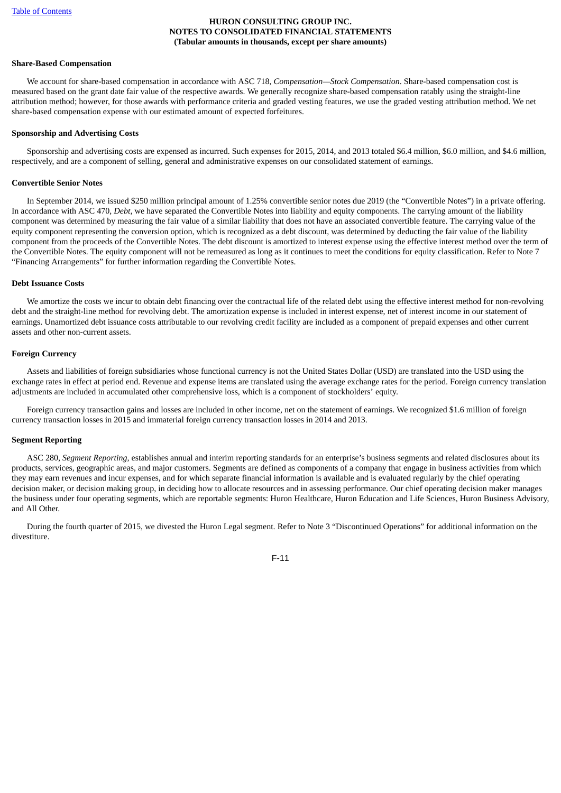### **Share-Based Compensation**

We account for share-based compensation in accordance with ASC 718, *Compensation—Stock Compensation*. Share-based compensation cost is measured based on the grant date fair value of the respective awards. We generally recognize share-based compensation ratably using the straight-line attribution method; however, for those awards with performance criteria and graded vesting features, we use the graded vesting attribution method. We net share-based compensation expense with our estimated amount of expected forfeitures.

### **Sponsorship and Advertising Costs**

Sponsorship and advertising costs are expensed as incurred. Such expenses for 2015, 2014, and 2013 totaled \$6.4 million, \$6.0 million, and \$4.6 million, respectively, and are a component of selling, general and administrative expenses on our consolidated statement of earnings.

### **Convertible Senior Notes**

In September 2014, we issued \$250 million principal amount of 1.25% convertible senior notes due 2019 (the "Convertible Notes") in a private offering. In accordance with ASC 470, *Debt*, we have separated the Convertible Notes into liability and equity components. The carrying amount of the liability component was determined by measuring the fair value of a similar liability that does not have an associated convertible feature. The carrying value of the equity component representing the conversion option, which is recognized as a debt discount, was determined by deducting the fair value of the liability component from the proceeds of the Convertible Notes. The debt discount is amortized to interest expense using the effective interest method over the term of the Convertible Notes. The equity component will not be remeasured as long as it continues to meet the conditions for equity classification. Refer to Note 7 "Financing Arrangements" for further information regarding the Convertible Notes.

# **Debt Issuance Costs**

We amortize the costs we incur to obtain debt financing over the contractual life of the related debt using the effective interest method for non-revolving debt and the straight-line method for revolving debt. The amortization expense is included in interest expense, net of interest income in our statement of earnings. Unamortized debt issuance costs attributable to our revolving credit facility are included as a component of prepaid expenses and other current assets and other non-current assets.

### **Foreign Currency**

Assets and liabilities of foreign subsidiaries whose functional currency is not the United States Dollar (USD) are translated into the USD using the exchange rates in effect at period end. Revenue and expense items are translated using the average exchange rates for the period. Foreign currency translation adjustments are included in accumulated other comprehensive loss, which is a component of stockholders' equity.

Foreign currency transaction gains and losses are included in other income, net on the statement of earnings. We recognized \$1.6 million of foreign currency transaction losses in 2015 and immaterial foreign currency transaction losses in 2014 and 2013.

### **Segment Reporting**

ASC 280, *Segment Reporting,* establishes annual and interim reporting standards for an enterprise's business segments and related disclosures about its products, services, geographic areas, and major customers. Segments are defined as components of a company that engage in business activities from which they may earn revenues and incur expenses, and for which separate financial information is available and is evaluated regularly by the chief operating decision maker, or decision making group, in deciding how to allocate resources and in assessing performance. Our chief operating decision maker manages the business under four operating segments, which are reportable segments: Huron Healthcare, Huron Education and Life Sciences, Huron Business Advisory, and All Other.

During the fourth quarter of 2015, we divested the Huron Legal segment. Refer to Note 3 "Discontinued Operations" for additional information on the divestiture.

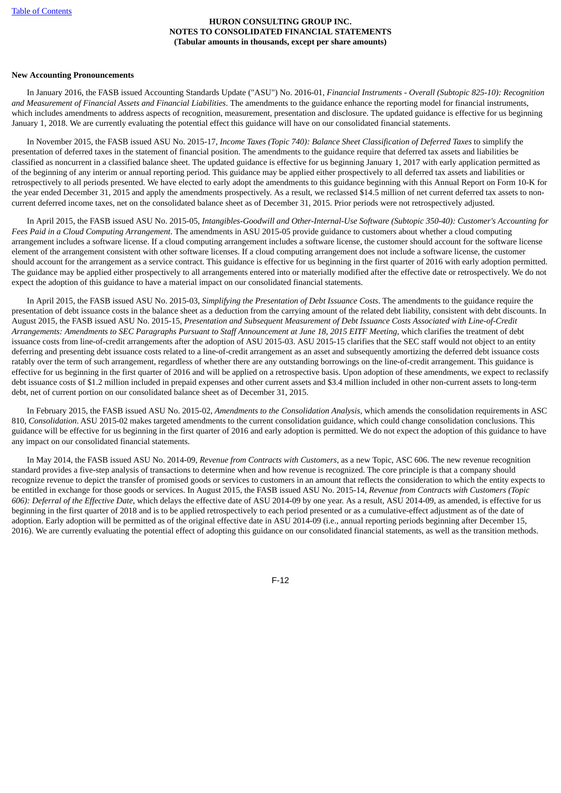### **New Accounting Pronouncements**

In January 2016, the FASB issued Accounting Standards Update ("ASU") No. 2016-01, *Financial Instruments - Overall (Subtopic 825-10): Recognition and Measurement of Financial Assets and Financial Liabilities*. The amendments to the guidance enhance the reporting model for financial instruments, which includes amendments to address aspects of recognition, measurement, presentation and disclosure. The updated guidance is effective for us beginning January 1, 2018. We are currently evaluating the potential effect this guidance will have on our consolidated financial statements.

In November 2015, the FASB issued ASU No. 2015-17, *Income Taxes (Topic 740): Balance Sheet Classification of Deferred Taxes* to simplify the presentation of deferred taxes in the statement of financial position. The amendments to the guidance require that deferred tax assets and liabilities be classified as noncurrent in a classified balance sheet. The updated guidance is effective for us beginning January 1, 2017 with early application permitted as of the beginning of any interim or annual reporting period. This guidance may be applied either prospectively to all deferred tax assets and liabilities or retrospectively to all periods presented. We have elected to early adopt the amendments to this guidance beginning with this Annual Report on Form 10-K for the year ended December 31, 2015 and apply the amendments prospectively. As a result, we reclassed \$14.5 million of net current deferred tax assets to noncurrent deferred income taxes, net on the consolidated balance sheet as of December 31, 2015. Prior periods were not retrospectively adjusted.

In April 2015, the FASB issued ASU No. 2015-05, *Intangibles-Goodwill and Other-Internal-Use Software (Subtopic 350-40): Customer's Accounting for Fees Paid in a Cloud Computing Arrangement*. The amendments in ASU 2015-05 provide guidance to customers about whether a cloud computing arrangement includes a software license. If a cloud computing arrangement includes a software license, the customer should account for the software license element of the arrangement consistent with other software licenses. If a cloud computing arrangement does not include a software license, the customer should account for the arrangement as a service contract. This guidance is effective for us beginning in the first quarter of 2016 with early adoption permitted. The guidance may be applied either prospectively to all arrangements entered into or materially modified after the effective date or retrospectively. We do not expect the adoption of this guidance to have a material impact on our consolidated financial statements.

In April 2015, the FASB issued ASU No. 2015-03, *Simplifying the Presentation of Debt Issuance Costs*. The amendments to the guidance require the presentation of debt issuance costs in the balance sheet as a deduction from the carrying amount of the related debt liability, consistent with debt discounts. In August 2015, the FASB issued ASU No. 2015-15, *Presentation and Subsequent Measurement of Debt Issuance Costs Associated with Line-of-Credit* Arrangements: Amendments to SEC Paragraphs Pursuant to Staff Announcement at June 18, 2015 EITF Meeting, which clarifies the treatment of debt issuance costs from line-of-credit arrangements after the adoption of ASU 2015-03. ASU 2015-15 clarifies that the SEC staff would not object to an entity deferring and presenting debt issuance costs related to a line-of-credit arrangement as an asset and subsequently amortizing the deferred debt issuance costs ratably over the term of such arrangement, regardless of whether there are any outstanding borrowings on the line-of-credit arrangement. This guidance is effective for us beginning in the first quarter of 2016 and will be applied on a retrospective basis. Upon adoption of these amendments, we expect to reclassify debt issuance costs of \$1.2 million included in prepaid expenses and other current assets and \$3.4 million included in other non-current assets to long-term debt, net of current portion on our consolidated balance sheet as of December 31, 2015.

In February 2015, the FASB issued ASU No. 2015-02, *Amendments to the Consolidation Analysis*, which amends the consolidation requirements in ASC 810, *Consolidation*. ASU 2015-02 makes targeted amendments to the current consolidation guidance, which could change consolidation conclusions. This guidance will be effective for us beginning in the first quarter of 2016 and early adoption is permitted. We do not expect the adoption of this guidance to have any impact on our consolidated financial statements.

In May 2014, the FASB issued ASU No. 2014-09, *Revenue from Contracts with Customers*, as a new Topic, ASC 606. The new revenue recognition standard provides a five-step analysis of transactions to determine when and how revenue is recognized. The core principle is that a company should recognize revenue to depict the transfer of promised goods or services to customers in an amount that reflects the consideration to which the entity expects to be entitled in exchange for those goods or services. In August 2015, the FASB issued ASU No. 2015-14, *Revenue from Contracts with Customers (Topic 606): Deferral of the Effective Date*, which delays the effective date of ASU 2014-09 by one year. As a result, ASU 2014-09, as amended, is effective for us beginning in the first quarter of 2018 and is to be applied retrospectively to each period presented or as a cumulative-effect adjustment as of the date of adoption. Early adoption will be permitted as of the original effective date in ASU 2014-09 (i.e., annual reporting periods beginning after December 15, 2016). We are currently evaluating the potential effect of adopting this guidance on our consolidated financial statements, as well as the transition methods.

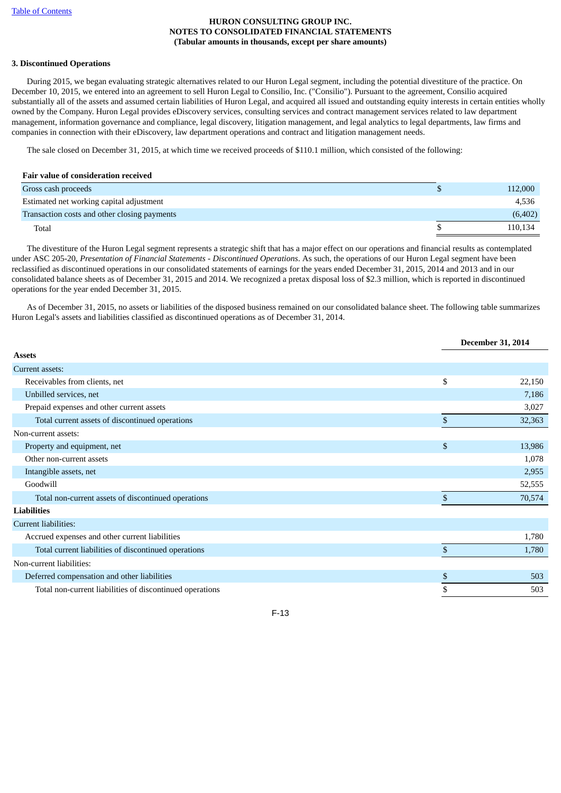# **3. Discontinued Operations**

During 2015, we began evaluating strategic alternatives related to our Huron Legal segment, including the potential divestiture of the practice. On December 10, 2015, we entered into an agreement to sell Huron Legal to Consilio, Inc. ("Consilio"). Pursuant to the agreement, Consilio acquired substantially all of the assets and assumed certain liabilities of Huron Legal, and acquired all issued and outstanding equity interests in certain entities wholly owned by the Company. Huron Legal provides eDiscovery services, consulting services and contract management services related to law department management, information governance and compliance, legal discovery, litigation management, and legal analytics to legal departments, law firms and companies in connection with their eDiscovery, law department operations and contract and litigation management needs.

The sale closed on December 31, 2015, at which time we received proceeds of \$110.1 million, which consisted of the following:

### **Fair value of consideration received**

| Gross cash proceeds                          | 112,000  |
|----------------------------------------------|----------|
| Estimated net working capital adjustment     | 4,536    |
| Transaction costs and other closing payments | (6, 402) |
| Total                                        | 110,134  |

The divestiture of the Huron Legal segment represents a strategic shift that has a major effect on our operations and financial results as contemplated under ASC 205-20, *Presentation of Financial Statements - Discontinued Operations*. As such, the operations of our Huron Legal segment have been reclassified as discontinued operations in our consolidated statements of earnings for the years ended December 31, 2015, 2014 and 2013 and in our consolidated balance sheets as of December 31, 2015 and 2014. We recognized a pretax disposal loss of \$2.3 million, which is reported in discontinued operations for the year ended December 31, 2015.

As of December 31, 2015, no assets or liabilities of the disposed business remained on our consolidated balance sheet. The following table summarizes Huron Legal's assets and liabilities classified as discontinued operations as of December 31, 2014.

|                                                          | <b>December 31, 2014</b> |        |  |  |
|----------------------------------------------------------|--------------------------|--------|--|--|
| <b>Assets</b>                                            |                          |        |  |  |
| Current assets:                                          |                          |        |  |  |
| Receivables from clients, net                            | \$                       | 22,150 |  |  |
| Unbilled services, net                                   |                          | 7,186  |  |  |
| Prepaid expenses and other current assets                |                          | 3,027  |  |  |
| Total current assets of discontinued operations          | \$                       | 32,363 |  |  |
| Non-current assets:                                      |                          |        |  |  |
| Property and equipment, net                              | \$                       | 13,986 |  |  |
| Other non-current assets                                 |                          | 1,078  |  |  |
| Intangible assets, net                                   |                          | 2,955  |  |  |
| Goodwill                                                 |                          | 52,555 |  |  |
| Total non-current assets of discontinued operations      | \$                       | 70,574 |  |  |
| <b>Liabilities</b>                                       |                          |        |  |  |
| Current liabilities:                                     |                          |        |  |  |
| Accrued expenses and other current liabilities           |                          | 1,780  |  |  |
| Total current liabilities of discontinued operations     | \$                       | 1,780  |  |  |
| Non-current liabilities:                                 |                          |        |  |  |
| Deferred compensation and other liabilities              | \$                       | 503    |  |  |
| Total non-current liabilities of discontinued operations | \$                       | 503    |  |  |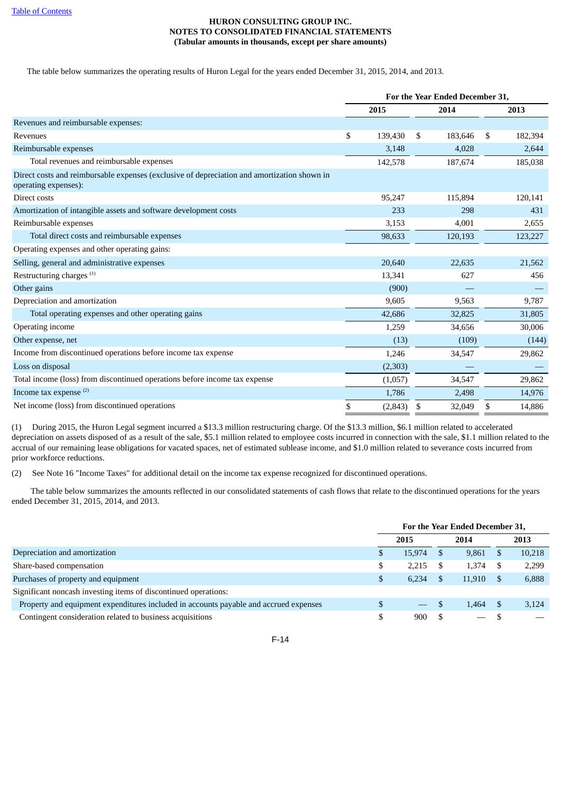The table below summarizes the operating results of Huron Legal for the years ended December 31, 2015, 2014, and 2013.

|                                                                                                                     | For the Year Ended December 31. |          |      |         |    |         |
|---------------------------------------------------------------------------------------------------------------------|---------------------------------|----------|------|---------|----|---------|
|                                                                                                                     | 2015                            |          | 2014 |         |    | 2013    |
| Revenues and reimbursable expenses:                                                                                 |                                 |          |      |         |    |         |
| <b>Revenues</b>                                                                                                     | \$                              | 139,430  | S    | 183,646 | \$ | 182,394 |
| Reimbursable expenses                                                                                               |                                 | 3,148    |      | 4,028   |    | 2,644   |
| Total revenues and reimbursable expenses                                                                            |                                 | 142,578  |      | 187,674 |    | 185,038 |
| Direct costs and reimbursable expenses (exclusive of depreciation and amortization shown in<br>operating expenses): |                                 |          |      |         |    |         |
| Direct costs                                                                                                        |                                 | 95,247   |      | 115,894 |    | 120,141 |
| Amortization of intangible assets and software development costs                                                    |                                 | 233      |      | 298     |    | 431     |
| Reimbursable expenses                                                                                               |                                 | 3,153    |      | 4,001   |    | 2,655   |
| Total direct costs and reimbursable expenses                                                                        |                                 | 98,633   |      | 120,193 |    | 123,227 |
| Operating expenses and other operating gains:                                                                       |                                 |          |      |         |    |         |
| Selling, general and administrative expenses                                                                        |                                 | 20,640   |      | 22,635  |    | 21,562  |
| Restructuring charges <sup>(1)</sup>                                                                                |                                 | 13,341   |      | 627     |    | 456     |
| Other gains                                                                                                         |                                 | (900)    |      |         |    |         |
| Depreciation and amortization                                                                                       |                                 | 9,605    |      | 9,563   |    | 9,787   |
| Total operating expenses and other operating gains                                                                  |                                 | 42,686   |      | 32,825  |    | 31,805  |
| Operating income                                                                                                    |                                 | 1,259    |      | 34,656  |    | 30,006  |
| Other expense, net                                                                                                  |                                 | (13)     |      | (109)   |    | (144)   |
| Income from discontinued operations before income tax expense                                                       |                                 | 1,246    |      | 34,547  |    | 29,862  |
| Loss on disposal                                                                                                    |                                 | (2,303)  |      |         |    |         |
| Total income (loss) from discontinued operations before income tax expense                                          |                                 | (1,057)  |      | 34,547  |    | 29,862  |
| Income tax expense $(2)$                                                                                            |                                 | 1,786    |      | 2,498   |    | 14,976  |
| Net income (loss) from discontinued operations                                                                      | \$                              | (2, 843) | -\$  | 32,049  | \$ | 14,886  |

(1) During 2015, the Huron Legal segment incurred a \$13.3 million restructuring charge. Of the \$13.3 million, \$6.1 million related to accelerated depreciation on assets disposed of as a result of the sale, \$5.1 million related to employee costs incurred in connection with the sale, \$1.1 million related to the accrual of our remaining lease obligations for vacated spaces, net of estimated sublease income, and \$1.0 million related to severance costs incurred from prior workforce reductions.

(2) See Note 16 "Income Taxes" for additional detail on the income tax expense recognized for discontinued operations.

The table below summarizes the amounts reflected in our consolidated statements of cash flows that relate to the discontinued operations for the years ended December 31, 2015, 2014, and 2013.

|                                                                                       | For the Year Ended December 31, |                                 |  |                   |  |        |  |
|---------------------------------------------------------------------------------------|---------------------------------|---------------------------------|--|-------------------|--|--------|--|
|                                                                                       |                                 | 2015                            |  | 2014              |  | 2013   |  |
| Depreciation and amortization                                                         |                                 | 15.974                          |  | 9.861             |  | 10,218 |  |
| Share-based compensation                                                              |                                 | 2.215                           |  | 1,374             |  | 2,299  |  |
| Purchases of property and equipment                                                   |                                 | 6.234                           |  | 11.910            |  | 6,888  |  |
| Significant noncash investing items of discontinued operations:                       |                                 |                                 |  |                   |  |        |  |
| Property and equipment expenditures included in accounts payable and accrued expenses |                                 | $\hspace{0.1mm}-\hspace{0.1mm}$ |  | 1.464             |  | 3,124  |  |
| Contingent consideration related to business acquisitions                             | S                               | 900                             |  | $\hspace{0.05cm}$ |  |        |  |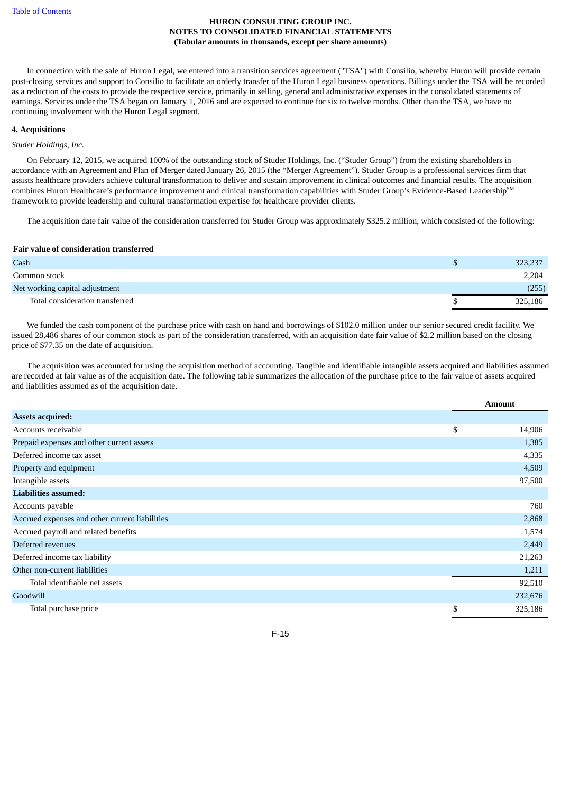In connection with the sale of Huron Legal, we entered into a transition services agreement ("TSA") with Consilio, whereby Huron will provide certain post-closing services and support to Consilio to facilitate an orderly transfer of the Huron Legal business operations. Billings under the TSA will be recorded as a reduction of the costs to provide the respective service, primarily in selling, general and administrative expenses in the consolidated statements of earnings. Services under the TSA began on January 1, 2016 and are expected to continue for six to twelve months. Other than the TSA, we have no continuing involvement with the Huron Legal segment.

# **4. Acquisitions**

# *Studer Holdings, Inc.*

On February 12, 2015, we acquired 100% of the outstanding stock of Studer Holdings, Inc. ("Studer Group") from the existing shareholders in accordance with an Agreement and Plan of Merger dated January 26, 2015 (the "Merger Agreement"). Studer Group is a professional services firm that assists healthcare providers achieve cultural transformation to deliver and sustain improvement in clinical outcomes and financial results. The acquisition combines Huron Healthcare's performance improvement and clinical transformation capabilities with Studer Group's Evidence-Based Leadership $^{\rm SM}$ framework to provide leadership and cultural transformation expertise for healthcare provider clients.

The acquisition date fair value of the consideration transferred for Studer Group was approximately \$325.2 million, which consisted of the following:

### **Fair value of consideration transferred**

| Cash                            | 323,237 |
|---------------------------------|---------|
| Common stock                    | 2,204   |
| Net working capital adjustment  | (255)   |
| Total consideration transferred | 325,186 |

We funded the cash component of the purchase price with cash on hand and borrowings of \$102.0 million under our senior secured credit facility. We issued 28,486 shares of our common stock as part of the consideration transferred, with an acquisition date fair value of \$2.2 million based on the closing price of \$77.35 on the date of acquisition.

The acquisition was accounted for using the acquisition method of accounting. Tangible and identifiable intangible assets acquired and liabilities assumed are recorded at fair value as of the acquisition date. The following table summarizes the allocation of the purchase price to the fair value of assets acquired and liabilities assumed as of the acquisition date.

|                                                | <b>Amount</b> |
|------------------------------------------------|---------------|
| <b>Assets acquired:</b>                        |               |
| Accounts receivable                            | \$<br>14,906  |
| Prepaid expenses and other current assets      | 1,385         |
| Deferred income tax asset                      | 4,335         |
| Property and equipment                         | 4,509         |
| Intangible assets                              | 97,500        |
| <b>Liabilities assumed:</b>                    |               |
| Accounts payable                               | 760           |
| Accrued expenses and other current liabilities | 2,868         |
| Accrued payroll and related benefits           | 1,574         |
| Deferred revenues                              | 2,449         |
| Deferred income tax liability                  | 21,263        |
| Other non-current liabilities                  | 1,211         |
| Total identifiable net assets                  | 92,510        |
| Goodwill                                       | 232,676       |
| Total purchase price                           | \$<br>325,186 |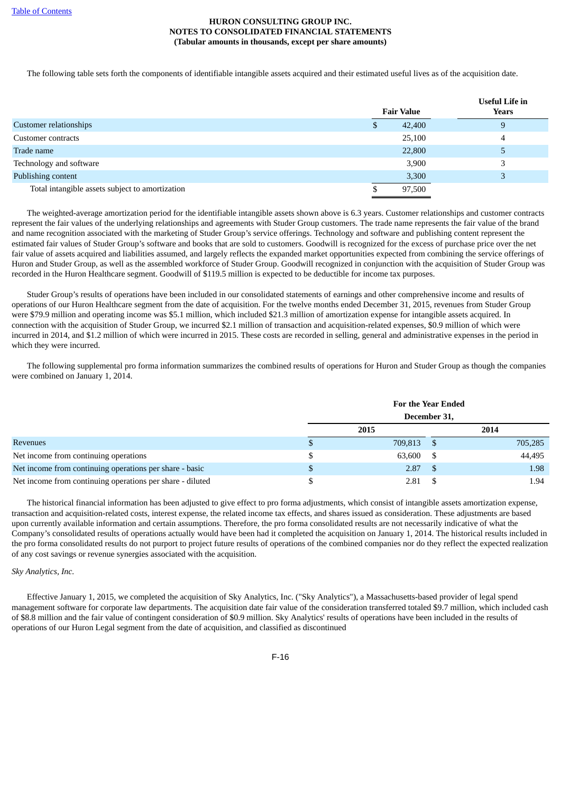The following table sets forth the components of identifiable intangible assets acquired and their estimated useful lives as of the acquisition date.

|                                                 |   |                   | <b>Useful Life in</b> |
|-------------------------------------------------|---|-------------------|-----------------------|
|                                                 |   | <b>Fair Value</b> | <b>Years</b>          |
| <b>Customer relationships</b>                   | D | 42,400            | 9                     |
| Customer contracts                              |   | 25,100            | 4                     |
| Trade name                                      |   | 22,800            | 5                     |
| Technology and software                         |   | 3.900             | л. 1                  |
| Publishing content                              |   | 3,300             |                       |
| Total intangible assets subject to amortization |   | 97,500            |                       |

The weighted-average amortization period for the identifiable intangible assets shown above is 6.3 years. Customer relationships and customer contracts represent the fair values of the underlying relationships and agreements with Studer Group customers. The trade name represents the fair value of the brand and name recognition associated with the marketing of Studer Group's service offerings. Technology and software and publishing content represent the estimated fair values of Studer Group's software and books that are sold to customers. Goodwill is recognized for the excess of purchase price over the net fair value of assets acquired and liabilities assumed, and largely reflects the expanded market opportunities expected from combining the service offerings of Huron and Studer Group, as well as the assembled workforce of Studer Group. Goodwill recognized in conjunction with the acquisition of Studer Group was recorded in the Huron Healthcare segment. Goodwill of \$119.5 million is expected to be deductible for income tax purposes.

Studer Group's results of operations have been included in our consolidated statements of earnings and other comprehensive income and results of operations of our Huron Healthcare segment from the date of acquisition. For the twelve months ended December 31, 2015, revenues from Studer Group were \$79.9 million and operating income was \$5.1 million, which included \$21.3 million of amortization expense for intangible assets acquired. In connection with the acquisition of Studer Group, we incurred \$2.1 million of transaction and acquisition-related expenses, \$0.9 million of which were incurred in 2014, and \$1.2 million of which were incurred in 2015. These costs are recorded in selling, general and administrative expenses in the period in which they were incurred.

The following supplemental pro forma information summarizes the combined results of operations for Huron and Studer Group as though the companies were combined on January 1, 2014.

|                                                           | For the Year Ended<br>December 31, |  |         |  |  |  |  |
|-----------------------------------------------------------|------------------------------------|--|---------|--|--|--|--|
|                                                           | 2015                               |  | 2014    |  |  |  |  |
| <b>Revenues</b>                                           | 709,813                            |  | 705,285 |  |  |  |  |
| Net income from continuing operations                     | 63,600                             |  | 44,495  |  |  |  |  |
| Net income from continuing operations per share - basic   | 2.87                               |  | 1.98    |  |  |  |  |
| Net income from continuing operations per share - diluted | 2.81                               |  | 1.94    |  |  |  |  |

The historical financial information has been adjusted to give effect to pro forma adjustments, which consist of intangible assets amortization expense, transaction and acquisition-related costs, interest expense, the related income tax effects, and shares issued as consideration. These adjustments are based upon currently available information and certain assumptions. Therefore, the pro forma consolidated results are not necessarily indicative of what the Company's consolidated results of operations actually would have been had it completed the acquisition on January 1, 2014. The historical results included in the pro forma consolidated results do not purport to project future results of operations of the combined companies nor do they reflect the expected realization of any cost savings or revenue synergies associated with the acquisition.

# *Sky Analytics, Inc.*

Effective January 1, 2015, we completed the acquisition of Sky Analytics, Inc. ("Sky Analytics"), a Massachusetts-based provider of legal spend management software for corporate law departments. The acquisition date fair value of the consideration transferred totaled \$9.7 million, which included cash of \$8.8 million and the fair value of contingent consideration of \$0.9 million. Sky Analytics' results of operations have been included in the results of operations of our Huron Legal segment from the date of acquisition, and classified as discontinued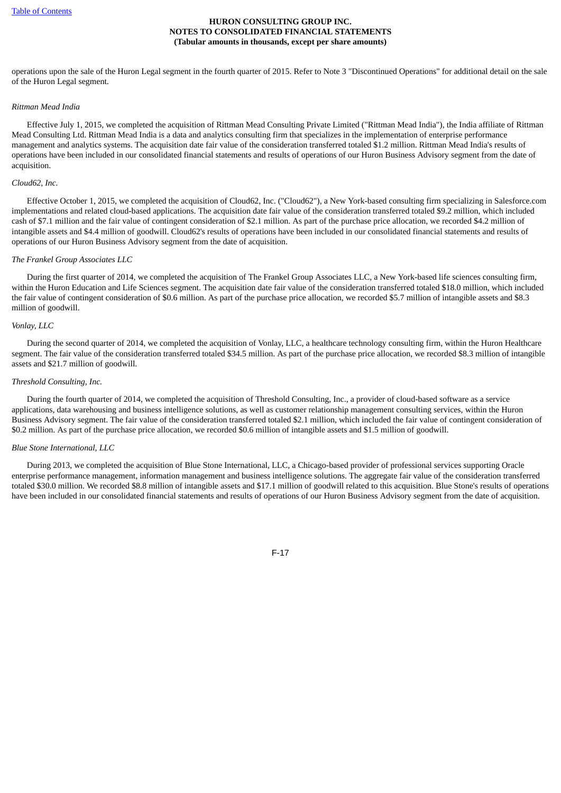operations upon the sale of the Huron Legal segment in the fourth quarter of 2015. Refer to Note 3 "Discontinued Operations" for additional detail on the sale of the Huron Legal segment.

### *Rittman Mead India*

Effective July 1, 2015, we completed the acquisition of Rittman Mead Consulting Private Limited ("Rittman Mead India"), the India affiliate of Rittman Mead Consulting Ltd. Rittman Mead India is a data and analytics consulting firm that specializes in the implementation of enterprise performance management and analytics systems. The acquisition date fair value of the consideration transferred totaled \$1.2 million. Rittman Mead India's results of operations have been included in our consolidated financial statements and results of operations of our Huron Business Advisory segment from the date of acquisition.

### *Cloud62, Inc.*

Effective October 1, 2015, we completed the acquisition of Cloud62, Inc. ("Cloud62"), a New York-based consulting firm specializing in Salesforce.com implementations and related cloud-based applications. The acquisition date fair value of the consideration transferred totaled \$9.2 million, which included cash of \$7.1 million and the fair value of contingent consideration of \$2.1 million. As part of the purchase price allocation, we recorded \$4.2 million of intangible assets and \$4.4 million of goodwill. Cloud62's results of operations have been included in our consolidated financial statements and results of operations of our Huron Business Advisory segment from the date of acquisition.

### *The Frankel Group Associates LLC*

During the first quarter of 2014, we completed the acquisition of The Frankel Group Associates LLC, a New York-based life sciences consulting firm, within the Huron Education and Life Sciences segment. The acquisition date fair value of the consideration transferred totaled \$18.0 million, which included the fair value of contingent consideration of \$0.6 million. As part of the purchase price allocation, we recorded \$5.7 million of intangible assets and \$8.3 million of goodwill.

### *Vonlay, LLC*

During the second quarter of 2014, we completed the acquisition of Vonlay, LLC, a healthcare technology consulting firm, within the Huron Healthcare segment. The fair value of the consideration transferred totaled \$34.5 million. As part of the purchase price allocation, we recorded \$8.3 million of intangible assets and \$21.7 million of goodwill.

### *Threshold Consulting, Inc.*

During the fourth quarter of 2014, we completed the acquisition of Threshold Consulting, Inc., a provider of cloud-based software as a service applications, data warehousing and business intelligence solutions, as well as customer relationship management consulting services, within the Huron Business Advisory segment. The fair value of the consideration transferred totaled \$2.1 million, which included the fair value of contingent consideration of \$0.2 million. As part of the purchase price allocation, we recorded \$0.6 million of intangible assets and \$1.5 million of goodwill.

## *Blue Stone International, LLC*

During 2013, we completed the acquisition of Blue Stone International, LLC, a Chicago-based provider of professional services supporting Oracle enterprise performance management, information management and business intelligence solutions. The aggregate fair value of the consideration transferred totaled \$30.0 million. We recorded \$8.8 million of intangible assets and \$17.1 million of goodwill related to this acquisition. Blue Stone's results of operations have been included in our consolidated financial statements and results of operations of our Huron Business Advisory segment from the date of acquisition.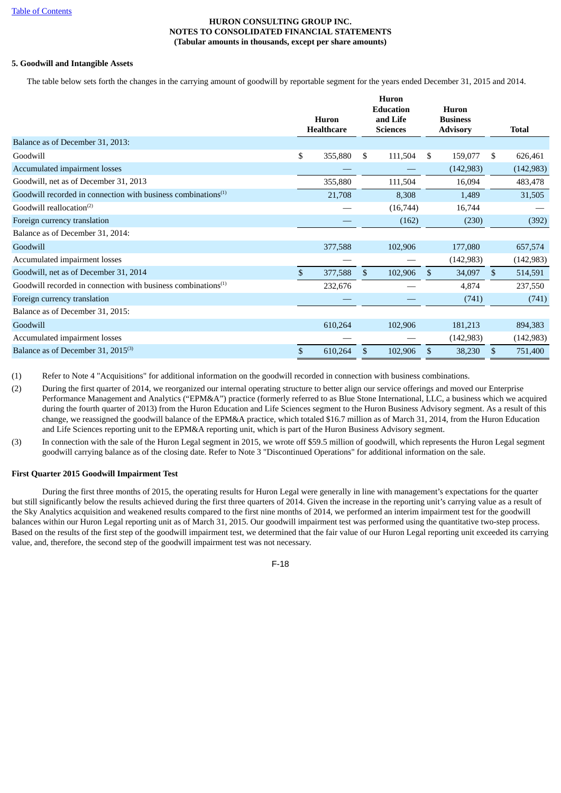## **5. Goodwill and Intangible Assets**

The table below sets forth the changes in the carrying amount of goodwill by reportable segment for the years ended December 31, 2015 and 2014.

|                                                                  | <b>Huron</b><br><b>Healthcare</b> |         | <b>Huron</b><br><b>Education</b><br>and Life |                 |    |                 |     |              |  |  | <b>Huron</b><br><b>Business</b> |  |  |  |
|------------------------------------------------------------------|-----------------------------------|---------|----------------------------------------------|-----------------|----|-----------------|-----|--------------|--|--|---------------------------------|--|--|--|
| Balance as of December 31, 2013:                                 |                                   |         |                                              | <b>Sciences</b> |    | <b>Advisory</b> |     | <b>Total</b> |  |  |                                 |  |  |  |
| Goodwill                                                         | \$                                |         | \$                                           |                 | \$ |                 | \$  |              |  |  |                                 |  |  |  |
|                                                                  |                                   | 355,880 |                                              | 111,504         |    | 159,077         |     | 626,461      |  |  |                                 |  |  |  |
| Accumulated impairment losses                                    |                                   |         |                                              |                 |    | (142, 983)      |     | (142, 983)   |  |  |                                 |  |  |  |
| Goodwill, net as of December 31, 2013                            |                                   | 355,880 |                                              | 111,504         |    | 16,094          |     | 483,478      |  |  |                                 |  |  |  |
| Goodwill recorded in connection with business combinations $(1)$ |                                   | 21,708  |                                              | 8,308           |    | 1,489           |     | 31,505       |  |  |                                 |  |  |  |
| Goodwill reallocation $(2)$                                      |                                   |         |                                              | (16,744)        |    | 16,744          |     |              |  |  |                                 |  |  |  |
| Foreign currency translation                                     |                                   |         |                                              | (162)           |    | (230)           |     | (392)        |  |  |                                 |  |  |  |
| Balance as of December 31, 2014:                                 |                                   |         |                                              |                 |    |                 |     |              |  |  |                                 |  |  |  |
| Goodwill                                                         |                                   | 377,588 |                                              | 102,906         |    | 177,080         |     | 657,574      |  |  |                                 |  |  |  |
| Accumulated impairment losses                                    |                                   |         |                                              |                 |    | (142, 983)      |     | (142, 983)   |  |  |                                 |  |  |  |
| Goodwill, net as of December 31, 2014                            | \$                                | 377,588 | $\mathbb{S}$                                 | 102,906         | \$ | 34,097          | \$. | 514,591      |  |  |                                 |  |  |  |
| Goodwill recorded in connection with business combinations $(1)$ |                                   | 232,676 |                                              |                 |    | 4,874           |     | 237,550      |  |  |                                 |  |  |  |
| Foreign currency translation                                     |                                   |         |                                              |                 |    | (741)           |     | (741)        |  |  |                                 |  |  |  |
| Balance as of December 31, 2015:                                 |                                   |         |                                              |                 |    |                 |     |              |  |  |                                 |  |  |  |
| Goodwill                                                         |                                   | 610,264 |                                              | 102,906         |    | 181,213         |     | 894,383      |  |  |                                 |  |  |  |
| Accumulated impairment losses                                    |                                   |         |                                              |                 |    | (142, 983)      |     | (142, 983)   |  |  |                                 |  |  |  |
| Balance as of December 31, 2015 <sup>(3)</sup>                   | $\mathbb{S}$                      | 610,264 | \$                                           | 102,906         | \$ | 38,230          | \$  | 751,400      |  |  |                                 |  |  |  |

(1) Refer to Note 4 "Acquisitions" for additional information on the goodwill recorded in connection with business combinations.

(2) During the first quarter of 2014, we reorganized our internal operating structure to better align our service offerings and moved our Enterprise Performance Management and Analytics ("EPM&A") practice (formerly referred to as Blue Stone International, LLC, a business which we acquired during the fourth quarter of 2013) from the Huron Education and Life Sciences segment to the Huron Business Advisory segment. As a result of this change, we reassigned the goodwill balance of the EPM&A practice, which totaled \$16.7 million as of March 31, 2014, from the Huron Education and Life Sciences reporting unit to the EPM&A reporting unit, which is part of the Huron Business Advisory segment.

(3) In connection with the sale of the Huron Legal segment in 2015, we wrote off \$59.5 million of goodwill, which represents the Huron Legal segment goodwill carrying balance as of the closing date. Refer to Note 3 "Discontinued Operations" for additional information on the sale.

## **First Quarter 2015 Goodwill Impairment Test**

During the first three months of 2015, the operating results for Huron Legal were generally in line with management's expectations for the quarter but still significantly below the results achieved during the first three quarters of 2014. Given the increase in the reporting unit's carrying value as a result of the Sky Analytics acquisition and weakened results compared to the first nine months of 2014, we performed an interim impairment test for the goodwill balances within our Huron Legal reporting unit as of March 31, 2015. Our goodwill impairment test was performed using the quantitative two-step process. Based on the results of the first step of the goodwill impairment test, we determined that the fair value of our Huron Legal reporting unit exceeded its carrying value, and, therefore, the second step of the goodwill impairment test was not necessary.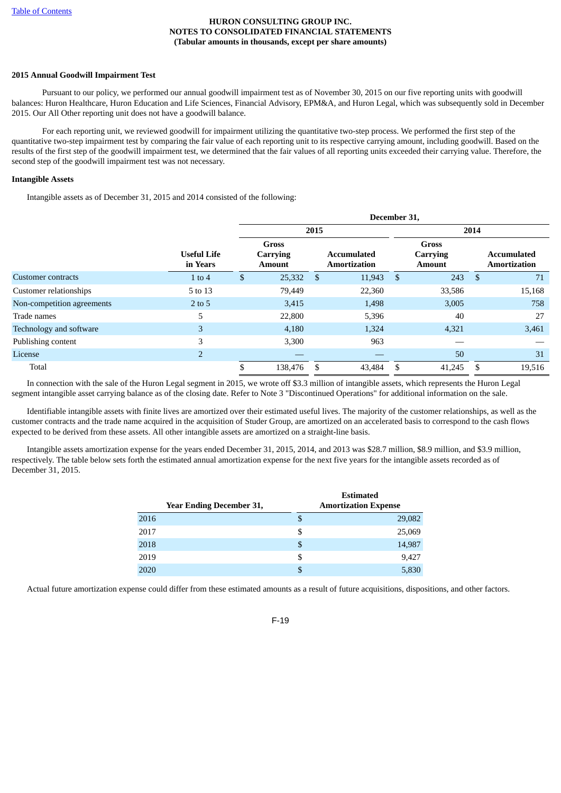#### **2015 Annual Goodwill Impairment Test**

Pursuant to our policy, we performed our annual goodwill impairment test as of November 30, 2015 on our five reporting units with goodwill balances: Huron Healthcare, Huron Education and Life Sciences, Financial Advisory, EPM&A, and Huron Legal, which was subsequently sold in December 2015. Our All Other reporting unit does not have a goodwill balance.

For each reporting unit, we reviewed goodwill for impairment utilizing the quantitative two-step process. We performed the first step of the quantitative two-step impairment test by comparing the fair value of each reporting unit to its respective carrying amount, including goodwill. Based on the results of the first step of the goodwill impairment test, we determined that the fair values of all reporting units exceeded their carrying value. Therefore, the second step of the goodwill impairment test was not necessary.

#### **Intangible Assets**

Intangible assets as of December 31, 2015 and 2014 consisted of the following:

|                            |                                | December 31. |                                           |      |                                           |      |                                    |      |                                           |
|----------------------------|--------------------------------|--------------|-------------------------------------------|------|-------------------------------------------|------|------------------------------------|------|-------------------------------------------|
|                            |                                |              |                                           | 2015 |                                           |      |                                    | 2014 |                                           |
|                            | <b>Useful Life</b><br>in Years |              | <b>Gross</b><br>Carrying<br><b>Amount</b> |      | <b>Accumulated</b><br><b>Amortization</b> |      | Gross<br>Carrying<br><b>Amount</b> |      | <b>Accumulated</b><br><b>Amortization</b> |
| Customer contracts         | $1$ to $4$                     | \$           | 25,332                                    | -\$  | 11,943                                    | - \$ | 243                                | - \$ | 71                                        |
| Customer relationships     | 5 to 13                        |              | 79,449                                    |      | 22,360                                    |      | 33,586                             |      | 15,168                                    |
| Non-competition agreements | $2$ to 5                       |              | 3,415                                     |      | 1,498                                     |      | 3,005                              |      | 758                                       |
| Trade names                | 5                              |              | 22,800                                    |      | 5,396                                     |      | 40                                 |      | 27                                        |
| Technology and software    | 3                              |              | 4,180                                     |      | 1,324                                     |      | 4,321                              |      | 3,461                                     |
| Publishing content         | 3                              |              | 3,300                                     |      | 963                                       |      |                                    |      |                                           |
| License                    | $\overline{2}$                 |              |                                           |      |                                           |      | 50                                 |      | 31                                        |
| Total                      |                                |              | 138,476                                   | - \$ | 43,484                                    | -\$  | 41,245                             |      | 19,516                                    |

In connection with the sale of the Huron Legal segment in 2015, we wrote off \$3.3 million of intangible assets, which represents the Huron Legal segment intangible asset carrying balance as of the closing date. Refer to Note 3 "Discontinued Operations" for additional information on the sale.

Identifiable intangible assets with finite lives are amortized over their estimated useful lives. The majority of the customer relationships, as well as the customer contracts and the trade name acquired in the acquisition of Studer Group, are amortized on an accelerated basis to correspond to the cash flows expected to be derived from these assets. All other intangible assets are amortized on a straight-line basis.

Intangible assets amortization expense for the years ended December 31, 2015, 2014, and 2013 was \$28.7 million, \$8.9 million, and \$3.9 million, respectively. The table below sets forth the estimated annual amortization expense for the next five years for the intangible assets recorded as of December 31, 2015.

|      |                                 | <b>Estimated</b>            |
|------|---------------------------------|-----------------------------|
|      | <b>Year Ending December 31,</b> | <b>Amortization Expense</b> |
| 2016 |                                 | \$<br>29,082                |
| 2017 |                                 | \$<br>25,069                |
| 2018 |                                 | \$<br>14,987                |
| 2019 |                                 | \$<br>9,427                 |
| 2020 |                                 | \$<br>5,830                 |

Actual future amortization expense could differ from these estimated amounts as a result of future acquisitions, dispositions, and other factors.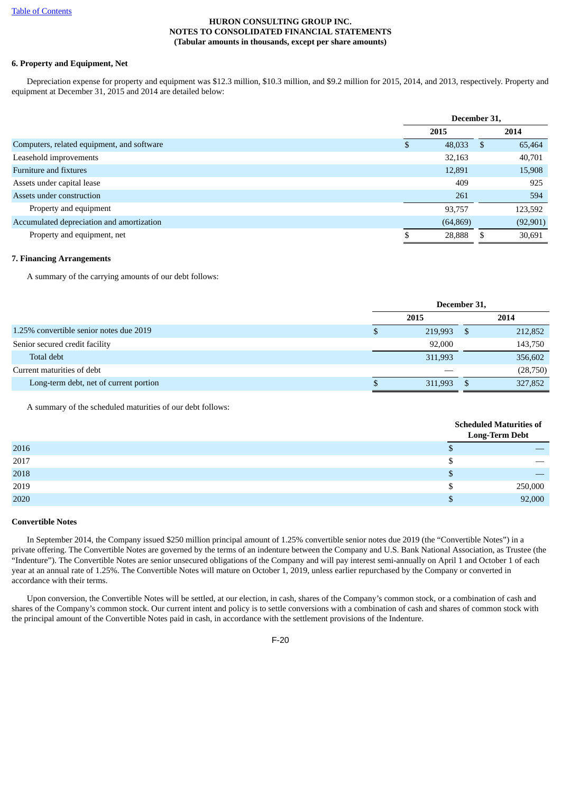## **6. Property and Equipment, Net**

Depreciation expense for property and equipment was \$12.3 million, \$10.3 million, and \$9.2 million for 2015, 2014, and 2013, respectively. Property and equipment at December 31, 2015 and 2014 are detailed below:

|                                            |   | December 31, |      |           |  |  |
|--------------------------------------------|---|--------------|------|-----------|--|--|
|                                            |   | 2015         |      | 2014      |  |  |
| Computers, related equipment, and software | ъ | 48,033       | - \$ | 65,464    |  |  |
| Leasehold improvements                     |   | 32,163       |      | 40,701    |  |  |
| Furniture and fixtures                     |   | 12,891       |      | 15,908    |  |  |
| Assets under capital lease                 |   | 409          |      | 925       |  |  |
| Assets under construction                  |   | 261          |      | 594       |  |  |
| Property and equipment                     |   | 93,757       |      | 123,592   |  |  |
| Accumulated depreciation and amortization  |   | (64, 869)    |      | (92, 901) |  |  |
| Property and equipment, net                |   | 28,888       |      | 30,691    |  |  |

## **7. Financing Arrangements**

A summary of the carrying amounts of our debt follows:

|                                         | December 31,  |               |          |  |  |
|-----------------------------------------|---------------|---------------|----------|--|--|
|                                         | 2015          |               |          |  |  |
| 1.25% convertible senior notes due 2019 | \$<br>219,993 | <sup>\$</sup> | 212,852  |  |  |
| Senior secured credit facility          | 92,000        |               | 143,750  |  |  |
| Total debt                              | 311,993       |               | 356,602  |  |  |
| Current maturities of debt              |               |               | (28,750) |  |  |
| Long-term debt, net of current portion  | 311,993       |               | 327,852  |  |  |

A summary of the scheduled maturities of our debt follows:

|      | <b>Scheduled Maturities of</b><br><b>Long-Term Debt</b> |
|------|---------------------------------------------------------|
| 2016 |                                                         |
| 2017 |                                                         |
| 2018 |                                                         |
| 2019 | 250,000                                                 |
| 2020 | 92,000                                                  |

## **Convertible Notes**

In September 2014, the Company issued \$250 million principal amount of 1.25% convertible senior notes due 2019 (the "Convertible Notes") in a private offering. The Convertible Notes are governed by the terms of an indenture between the Company and U.S. Bank National Association, as Trustee (the "Indenture"). The Convertible Notes are senior unsecured obligations of the Company and will pay interest semi-annually on April 1 and October 1 of each year at an annual rate of 1.25%. The Convertible Notes will mature on October 1, 2019, unless earlier repurchased by the Company or converted in accordance with their terms.

Upon conversion, the Convertible Notes will be settled, at our election, in cash, shares of the Company's common stock, or a combination of cash and shares of the Company's common stock. Our current intent and policy is to settle conversions with a combination of cash and shares of common stock with the principal amount of the Convertible Notes paid in cash, in accordance with the settlement provisions of the Indenture.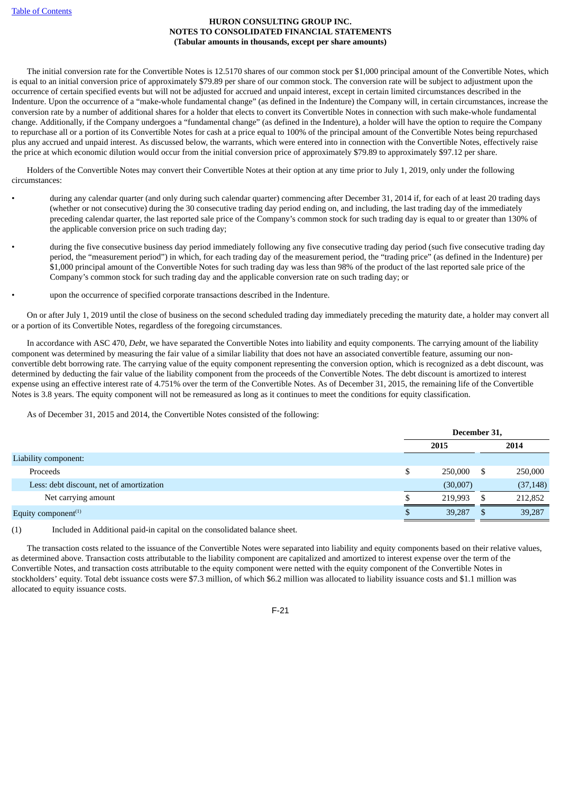The initial conversion rate for the Convertible Notes is 12.5170 shares of our common stock per \$1,000 principal amount of the Convertible Notes, which is equal to an initial conversion price of approximately \$79.89 per share of our common stock. The conversion rate will be subject to adjustment upon the occurrence of certain specified events but will not be adjusted for accrued and unpaid interest, except in certain limited circumstances described in the Indenture. Upon the occurrence of a "make-whole fundamental change" (as defined in the Indenture) the Company will, in certain circumstances, increase the conversion rate by a number of additional shares for a holder that elects to convert its Convertible Notes in connection with such make-whole fundamental change. Additionally, if the Company undergoes a "fundamental change" (as defined in the Indenture), a holder will have the option to require the Company to repurchase all or a portion of its Convertible Notes for cash at a price equal to 100% of the principal amount of the Convertible Notes being repurchased plus any accrued and unpaid interest. As discussed below, the warrants, which were entered into in connection with the Convertible Notes, effectively raise the price at which economic dilution would occur from the initial conversion price of approximately \$79.89 to approximately \$97.12 per share.

Holders of the Convertible Notes may convert their Convertible Notes at their option at any time prior to July 1, 2019, only under the following circumstances:

- during any calendar quarter (and only during such calendar quarter) commencing after December 31, 2014 if, for each of at least 20 trading days (whether or not consecutive) during the 30 consecutive trading day period ending on, and including, the last trading day of the immediately preceding calendar quarter, the last reported sale price of the Company's common stock for such trading day is equal to or greater than 130% of the applicable conversion price on such trading day;
- during the five consecutive business day period immediately following any five consecutive trading day period (such five consecutive trading day period, the "measurement period") in which, for each trading day of the measurement period, the "trading price" (as defined in the Indenture) per \$1,000 principal amount of the Convertible Notes for such trading day was less than 98% of the product of the last reported sale price of the Company's common stock for such trading day and the applicable conversion rate on such trading day; or
- upon the occurrence of specified corporate transactions described in the Indenture.

On or after July 1, 2019 until the close of business on the second scheduled trading day immediately preceding the maturity date, a holder may convert all or a portion of its Convertible Notes, regardless of the foregoing circumstances.

In accordance with ASC 470, *Debt*, we have separated the Convertible Notes into liability and equity components. The carrying amount of the liability component was determined by measuring the fair value of a similar liability that does not have an associated convertible feature, assuming our nonconvertible debt borrowing rate. The carrying value of the equity component representing the conversion option, which is recognized as a debt discount, was determined by deducting the fair value of the liability component from the proceeds of the Convertible Notes. The debt discount is amortized to interest expense using an effective interest rate of 4.751% over the term of the Convertible Notes. As of December 31, 2015, the remaining life of the Convertible Notes is 3.8 years. The equity component will not be remeasured as long as it continues to meet the conditions for equity classification.

As of December 31, 2015 and 2014, the Convertible Notes consisted of the following:

|                                              | December 31, |          |      |           |      |  |
|----------------------------------------------|--------------|----------|------|-----------|------|--|
|                                              | 2015         |          |      |           | 2014 |  |
| Liability component:                         |              |          |      |           |      |  |
| Proceeds                                     | S            | 250,000  | - \$ | 250,000   |      |  |
| Less: debt discount, net of amortization     |              | (30,007) |      | (37, 148) |      |  |
| Net carrying amount                          |              | 219,993  | S    | 212,852   |      |  |
| Equity component <sup><math>(1)</math></sup> |              | 39,287   | \$.  | 39,287    |      |  |

(1) Included in Additional paid-in capital on the consolidated balance sheet.

The transaction costs related to the issuance of the Convertible Notes were separated into liability and equity components based on their relative values, as determined above. Transaction costs attributable to the liability component are capitalized and amortized to interest expense over the term of the Convertible Notes, and transaction costs attributable to the equity component were netted with the equity component of the Convertible Notes in stockholders' equity. Total debt issuance costs were \$7.3 million, of which \$6.2 million was allocated to liability issuance costs and \$1.1 million was allocated to equity issuance costs.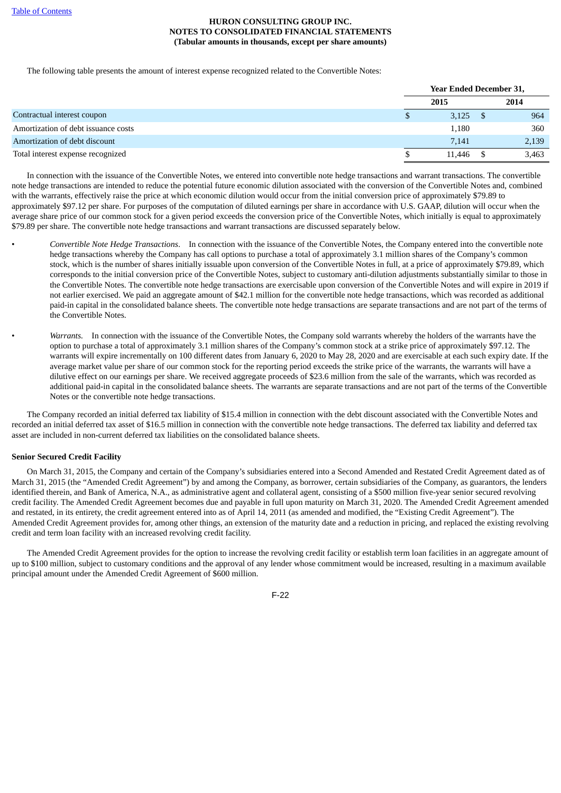The following table presents the amount of interest expense recognized related to the Convertible Notes:

|                                     | <b>Year Ended December 31,</b> |        |  |       |  |
|-------------------------------------|--------------------------------|--------|--|-------|--|
|                                     |                                | 2015   |  | 2014  |  |
| Contractual interest coupon         |                                | 3,125  |  | 964   |  |
| Amortization of debt issuance costs |                                | 1,180  |  | 360   |  |
| Amortization of debt discount       |                                | 7.141  |  | 2,139 |  |
| Total interest expense recognized   |                                | 11.446 |  | 3,463 |  |

In connection with the issuance of the Convertible Notes, we entered into convertible note hedge transactions and warrant transactions. The convertible note hedge transactions are intended to reduce the potential future economic dilution associated with the conversion of the Convertible Notes and, combined with the warrants, effectively raise the price at which economic dilution would occur from the initial conversion price of approximately \$79.89 to approximately \$97.12 per share. For purposes of the computation of diluted earnings per share in accordance with U.S. GAAP, dilution will occur when the average share price of our common stock for a given period exceeds the conversion price of the Convertible Notes, which initially is equal to approximately \$79.89 per share. The convertible note hedge transactions and warrant transactions are discussed separately below.

• *Convertible Note Hedge Transactions*. In connection with the issuance of the Convertible Notes, the Company entered into the convertible note hedge transactions whereby the Company has call options to purchase a total of approximately 3.1 million shares of the Company's common stock, which is the number of shares initially issuable upon conversion of the Convertible Notes in full, at a price of approximately \$79.89, which corresponds to the initial conversion price of the Convertible Notes, subject to customary anti-dilution adjustments substantially similar to those in the Convertible Notes. The convertible note hedge transactions are exercisable upon conversion of the Convertible Notes and will expire in 2019 if not earlier exercised. We paid an aggregate amount of \$42.1 million for the convertible note hedge transactions, which was recorded as additional paid-in capital in the consolidated balance sheets. The convertible note hedge transactions are separate transactions and are not part of the terms of the Convertible Notes.

• *Warrants.* In connection with the issuance of the Convertible Notes, the Company sold warrants whereby the holders of the warrants have the option to purchase a total of approximately 3.1 million shares of the Company's common stock at a strike price of approximately \$97.12. The warrants will expire incrementally on 100 different dates from January 6, 2020 to May 28, 2020 and are exercisable at each such expiry date. If the average market value per share of our common stock for the reporting period exceeds the strike price of the warrants, the warrants will have a dilutive effect on our earnings per share. We received aggregate proceeds of \$23.6 million from the sale of the warrants, which was recorded as additional paid-in capital in the consolidated balance sheets. The warrants are separate transactions and are not part of the terms of the Convertible Notes or the convertible note hedge transactions.

The Company recorded an initial deferred tax liability of \$15.4 million in connection with the debt discount associated with the Convertible Notes and recorded an initial deferred tax asset of \$16.5 million in connection with the convertible note hedge transactions. The deferred tax liability and deferred tax asset are included in non-current deferred tax liabilities on the consolidated balance sheets.

## **Senior Secured Credit Facility**

On March 31, 2015, the Company and certain of the Company's subsidiaries entered into a Second Amended and Restated Credit Agreement dated as of March 31, 2015 (the "Amended Credit Agreement") by and among the Company, as borrower, certain subsidiaries of the Company, as guarantors, the lenders identified therein, and Bank of America, N.A., as administrative agent and collateral agent, consisting of a \$500 million five-year senior secured revolving credit facility. The Amended Credit Agreement becomes due and payable in full upon maturity on March 31, 2020. The Amended Credit Agreement amended and restated, in its entirety, the credit agreement entered into as of April 14, 2011 (as amended and modified, the "Existing Credit Agreement"). The Amended Credit Agreement provides for, among other things, an extension of the maturity date and a reduction in pricing, and replaced the existing revolving credit and term loan facility with an increased revolving credit facility.

The Amended Credit Agreement provides for the option to increase the revolving credit facility or establish term loan facilities in an aggregate amount of up to \$100 million, subject to customary conditions and the approval of any lender whose commitment would be increased, resulting in a maximum available principal amount under the Amended Credit Agreement of \$600 million.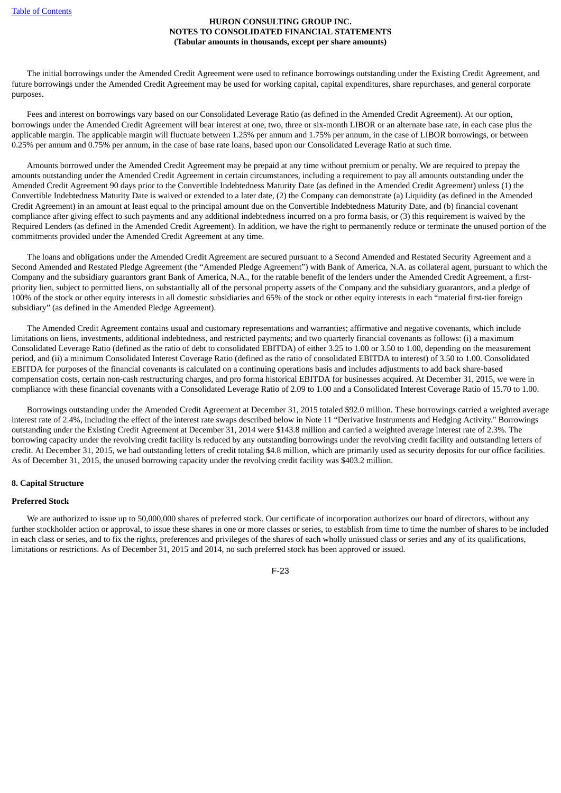The initial borrowings under the Amended Credit Agreement were used to refinance borrowings outstanding under the Existing Credit Agreement, and future borrowings under the Amended Credit Agreement may be used for working capital, capital expenditures, share repurchases, and general corporate purposes.

Fees and interest on borrowings vary based on our Consolidated Leverage Ratio (as defined in the Amended Credit Agreement). At our option, borrowings under the Amended Credit Agreement will bear interest at one, two, three or six-month LIBOR or an alternate base rate, in each case plus the applicable margin. The applicable margin will fluctuate between 1.25% per annum and 1.75% per annum, in the case of LIBOR borrowings, or between 0.25% per annum and 0.75% per annum, in the case of base rate loans, based upon our Consolidated Leverage Ratio at such time.

Amounts borrowed under the Amended Credit Agreement may be prepaid at any time without premium or penalty. We are required to prepay the amounts outstanding under the Amended Credit Agreement in certain circumstances, including a requirement to pay all amounts outstanding under the Amended Credit Agreement 90 days prior to the Convertible Indebtedness Maturity Date (as defined in the Amended Credit Agreement) unless (1) the Convertible Indebtedness Maturity Date is waived or extended to a later date, (2) the Company can demonstrate (a) Liquidity (as defined in the Amended Credit Agreement) in an amount at least equal to the principal amount due on the Convertible Indebtedness Maturity Date, and (b) financial covenant compliance after giving effect to such payments and any additional indebtedness incurred on a pro forma basis, or (3) this requirement is waived by the Required Lenders (as defined in the Amended Credit Agreement). In addition, we have the right to permanently reduce or terminate the unused portion of the commitments provided under the Amended Credit Agreement at any time.

The loans and obligations under the Amended Credit Agreement are secured pursuant to a Second Amended and Restated Security Agreement and a Second Amended and Restated Pledge Agreement (the "Amended Pledge Agreement") with Bank of America, N.A. as collateral agent, pursuant to which the Company and the subsidiary guarantors grant Bank of America, N.A., for the ratable benefit of the lenders under the Amended Credit Agreement, a firstpriority lien, subject to permitted liens, on substantially all of the personal property assets of the Company and the subsidiary guarantors, and a pledge of 100% of the stock or other equity interests in all domestic subsidiaries and 65% of the stock or other equity interests in each "material first-tier foreign subsidiary" (as defined in the Amended Pledge Agreement).

The Amended Credit Agreement contains usual and customary representations and warranties; affirmative and negative covenants, which include limitations on liens, investments, additional indebtedness, and restricted payments; and two quarterly financial covenants as follows: (i) a maximum Consolidated Leverage Ratio (defined as the ratio of debt to consolidated EBITDA) of either 3.25 to 1.00 or 3.50 to 1.00, depending on the measurement period, and (ii) a minimum Consolidated Interest Coverage Ratio (defined as the ratio of consolidated EBITDA to interest) of 3.50 to 1.00. Consolidated EBITDA for purposes of the financial covenants is calculated on a continuing operations basis and includes adjustments to add back share-based compensation costs, certain non-cash restructuring charges, and pro forma historical EBITDA for businesses acquired. At December 31, 2015, we were in compliance with these financial covenants with a Consolidated Leverage Ratio of 2.09 to 1.00 and a Consolidated Interest Coverage Ratio of 15.70 to 1.00.

Borrowings outstanding under the Amended Credit Agreement at December 31, 2015 totaled \$92.0 million. These borrowings carried a weighted average interest rate of 2.4%, including the effect of the interest rate swaps described below in Note 11 "Derivative Instruments and Hedging Activity." Borrowings outstanding under the Existing Credit Agreement at December 31, 2014 were \$143.8 million and carried a weighted average interest rate of 2.3%. The borrowing capacity under the revolving credit facility is reduced by any outstanding borrowings under the revolving credit facility and outstanding letters of credit. At December 31, 2015, we had outstanding letters of credit totaling \$4.8 million, which are primarily used as security deposits for our office facilities. As of December 31, 2015, the unused borrowing capacity under the revolving credit facility was \$403.2 million.

## **8. Capital Structure**

#### **Preferred Stock**

We are authorized to issue up to 50,000,000 shares of preferred stock. Our certificate of incorporation authorizes our board of directors, without any further stockholder action or approval, to issue these shares in one or more classes or series, to establish from time to time the number of shares to be included in each class or series, and to fix the rights, preferences and privileges of the shares of each wholly unissued class or series and any of its qualifications, limitations or restrictions. As of December 31, 2015 and 2014, no such preferred stock has been approved or issued.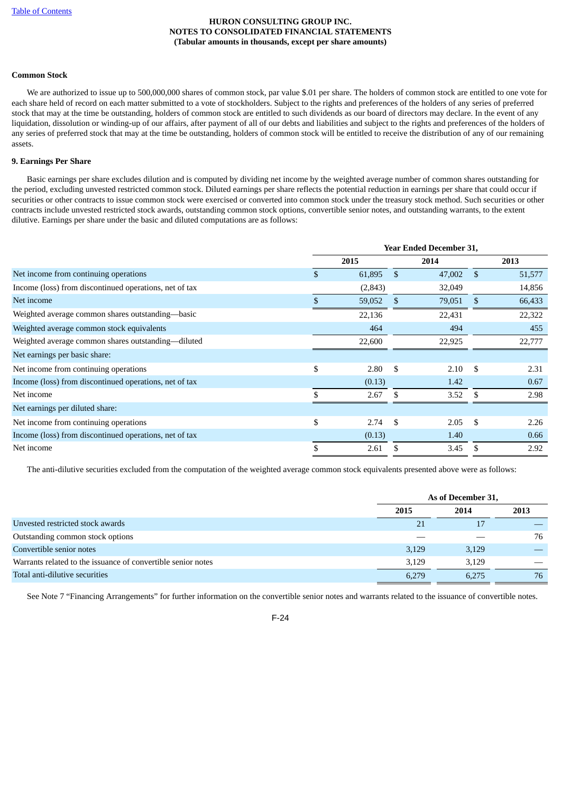#### **Common Stock**

We are authorized to issue up to 500,000,000 shares of common stock, par value \$.01 per share. The holders of common stock are entitled to one vote for each share held of record on each matter submitted to a vote of stockholders. Subject to the rights and preferences of the holders of any series of preferred stock that may at the time be outstanding, holders of common stock are entitled to such dividends as our board of directors may declare. In the event of any liquidation, dissolution or winding-up of our affairs, after payment of all of our debts and liabilities and subject to the rights and preferences of the holders of any series of preferred stock that may at the time be outstanding, holders of common stock will be entitled to receive the distribution of any of our remaining assets.

#### **9. Earnings Per Share**

Basic earnings per share excludes dilution and is computed by dividing net income by the weighted average number of common shares outstanding for the period, excluding unvested restricted common stock. Diluted earnings per share reflects the potential reduction in earnings per share that could occur if securities or other contracts to issue common stock were exercised or converted into common stock under the treasury stock method. Such securities or other contracts include unvested restricted stock awards, outstanding common stock options, convertible senior notes, and outstanding warrants, to the extent dilutive. Earnings per share under the basic and diluted computations are as follows:

|                                                        | <b>Year Ended December 31,</b> |         |     |        |    |        |
|--------------------------------------------------------|--------------------------------|---------|-----|--------|----|--------|
|                                                        |                                | 2015    |     | 2014   |    | 2013   |
| Net income from continuing operations                  | \$                             | 61,895  | -\$ | 47,002 | \$ | 51,577 |
| Income (loss) from discontinued operations, net of tax |                                | (2,843) |     | 32,049 |    | 14,856 |
| Net income                                             | \$                             | 59,052  |     | 79,051 |    | 66,433 |
| Weighted average common shares outstanding-basic       |                                | 22,136  |     | 22,431 |    | 22,322 |
| Weighted average common stock equivalents              |                                | 464     |     | 494    |    | 455    |
| Weighted average common shares outstanding-diluted     |                                | 22,600  |     | 22,925 |    | 22,777 |
| Net earnings per basic share:                          |                                |         |     |        |    |        |
| Net income from continuing operations                  | \$                             | 2.80    | -\$ | 2.10   | -S | 2.31   |
| Income (loss) from discontinued operations, net of tax |                                | (0.13)  |     | 1.42   |    | 0.67   |
| Net income                                             |                                | 2.67    |     | 3.52   |    | 2.98   |
| Net earnings per diluted share:                        |                                |         |     |        |    |        |
| Net income from continuing operations                  | \$                             | 2.74    | \$. | 2.05   | -S | 2.26   |
| Income (loss) from discontinued operations, net of tax |                                | (0.13)  |     | 1.40   |    | 0.66   |
| Net income                                             | \$                             | 2.61    | \$. | 3.45   |    | 2.92   |

The anti-dilutive securities excluded from the computation of the weighted average common stock equivalents presented above were as follows:

|                                                              | As of December 31, |       |      |  |
|--------------------------------------------------------------|--------------------|-------|------|--|
|                                                              | 2015               | 2014  | 2013 |  |
| Unvested restricted stock awards                             | 21                 | 17    |      |  |
| Outstanding common stock options                             |                    |       | 76   |  |
| Convertible senior notes                                     | 3,129              | 3,129 |      |  |
| Warrants related to the issuance of convertible senior notes | 3.129              | 3.129 |      |  |
| Total anti-dilutive securities                               | 6,279              | 6,275 | 76   |  |

See Note 7 "Financing Arrangements" for further information on the convertible senior notes and warrants related to the issuance of convertible notes.

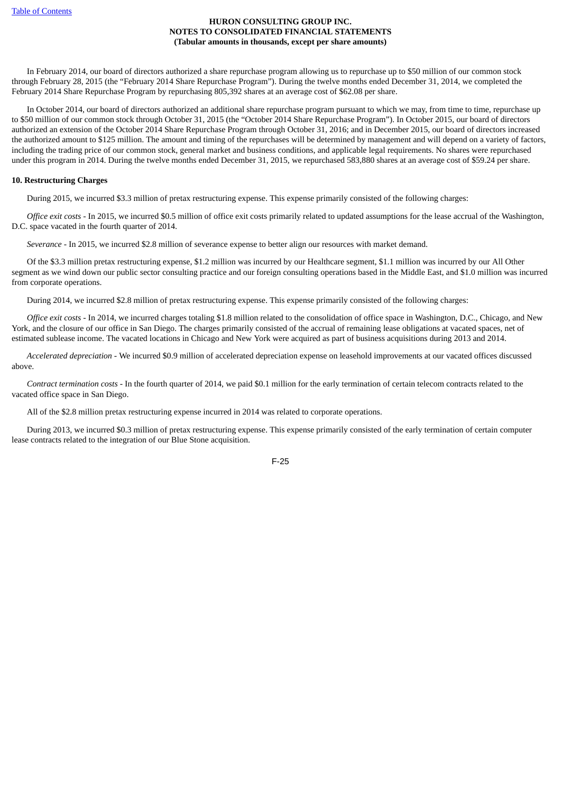In February 2014, our board of directors authorized a share repurchase program allowing us to repurchase up to \$50 million of our common stock through February 28, 2015 (the "February 2014 Share Repurchase Program"). During the twelve months ended December 31, 2014, we completed the February 2014 Share Repurchase Program by repurchasing 805,392 shares at an average cost of \$62.08 per share.

In October 2014, our board of directors authorized an additional share repurchase program pursuant to which we may, from time to time, repurchase up to \$50 million of our common stock through October 31, 2015 (the "October 2014 Share Repurchase Program"). In October 2015, our board of directors authorized an extension of the October 2014 Share Repurchase Program through October 31, 2016; and in December 2015, our board of directors increased the authorized amount to \$125 million. The amount and timing of the repurchases will be determined by management and will depend on a variety of factors, including the trading price of our common stock, general market and business conditions, and applicable legal requirements. No shares were repurchased under this program in 2014. During the twelve months ended December 31, 2015, we repurchased 583,880 shares at an average cost of \$59.24 per share.

#### **10. Restructuring Charges**

During 2015, we incurred \$3.3 million of pretax restructuring expense. This expense primarily consisted of the following charges:

*Office exit costs -* In 2015, we incurred \$0.5 million of office exit costs primarily related to updated assumptions for the lease accrual of the Washington, D.C. space vacated in the fourth quarter of 2014.

*Severance -* In 2015, we incurred \$2.8 million of severance expense to better align our resources with market demand.

Of the \$3.3 million pretax restructuring expense, \$1.2 million was incurred by our Healthcare segment, \$1.1 million was incurred by our All Other segment as we wind down our public sector consulting practice and our foreign consulting operations based in the Middle East, and \$1.0 million was incurred from corporate operations.

During 2014, we incurred \$2.8 million of pretax restructuring expense. This expense primarily consisted of the following charges:

*Office exit costs -* In 2014, we incurred charges totaling \$1.8 million related to the consolidation of office space in Washington, D.C., Chicago, and New York, and the closure of our office in San Diego. The charges primarily consisted of the accrual of remaining lease obligations at vacated spaces, net of estimated sublease income. The vacated locations in Chicago and New York were acquired as part of business acquisitions during 2013 and 2014.

*Accelerated depreciation -* We incurred \$0.9 million of accelerated depreciation expense on leasehold improvements at our vacated offices discussed above.

*Contract termination costs -* In the fourth quarter of 2014, we paid \$0.1 million for the early termination of certain telecom contracts related to the vacated office space in San Diego.

All of the \$2.8 million pretax restructuring expense incurred in 2014 was related to corporate operations.

During 2013, we incurred \$0.3 million of pretax restructuring expense. This expense primarily consisted of the early termination of certain computer lease contracts related to the integration of our Blue Stone acquisition.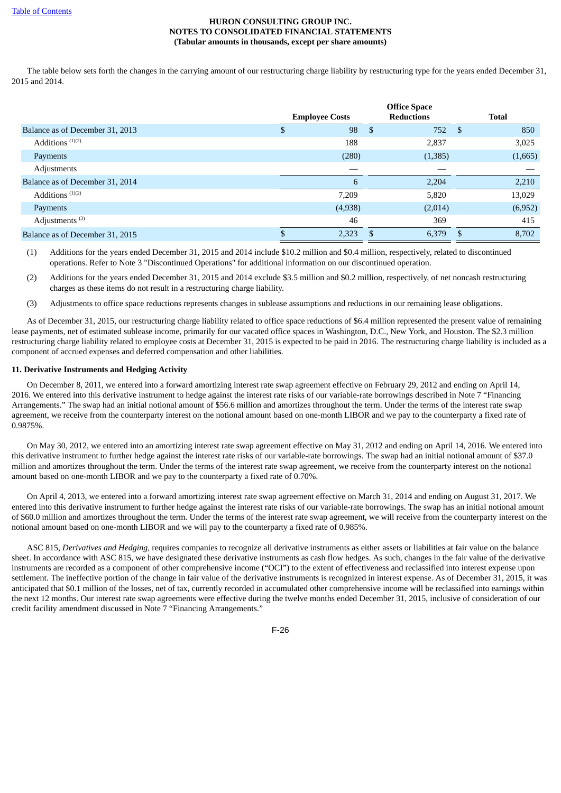The table below sets forth the changes in the carrying amount of our restructuring charge liability by restructuring type for the years ended December 31, 2015 and 2014.

|                                 | <b>Employee Costs</b> |    | <b>Office Space</b><br><b>Reductions</b> |    | <b>Total</b> |
|---------------------------------|-----------------------|----|------------------------------------------|----|--------------|
| Balance as of December 31, 2013 | 98                    | S, | 752                                      | -S | 850          |
| Additions <sup>(1)(2)</sup>     | 188                   |    | 2,837                                    |    | 3,025        |
| Payments                        | (280)                 |    | (1,385)                                  |    | (1,665)      |
| Adjustments                     |                       |    |                                          |    |              |
| Balance as of December 31, 2014 | 6                     |    | 2,204                                    |    | 2,210        |
| Additions <sup>(1)(2)</sup>     | 7,209                 |    | 5,820                                    |    | 13,029       |
| Payments                        | (4,938)               |    | (2,014)                                  |    | (6,952)      |
| Adjustments <sup>(3)</sup>      | 46                    |    | 369                                      |    | 415          |
| Balance as of December 31, 2015 | 2,323                 | -S | 6,379                                    | S  | 8,702        |

(1) Additions for the years ended December 31, 2015 and 2014 include \$10.2 million and \$0.4 million, respectively, related to discontinued operations. Refer to Note 3 "Discontinued Operations" for additional information on our discontinued operation.

(2) Additions for the years ended December 31, 2015 and 2014 exclude \$3.5 million and \$0.2 million, respectively, of net noncash restructuring charges as these items do not result in a restructuring charge liability.

(3) Adjustments to office space reductions represents changes in sublease assumptions and reductions in our remaining lease obligations.

As of December 31, 2015, our restructuring charge liability related to office space reductions of \$6.4 million represented the present value of remaining lease payments, net of estimated sublease income, primarily for our vacated office spaces in Washington, D.C., New York, and Houston. The \$2.3 million restructuring charge liability related to employee costs at December 31, 2015 is expected to be paid in 2016. The restructuring charge liability is included as a component of accrued expenses and deferred compensation and other liabilities.

## **11. Derivative Instruments and Hedging Activity**

On December 8, 2011, we entered into a forward amortizing interest rate swap agreement effective on February 29, 2012 and ending on April 14, 2016. We entered into this derivative instrument to hedge against the interest rate risks of our variable-rate borrowings described in Note 7 "Financing Arrangements." The swap had an initial notional amount of \$56.6 million and amortizes throughout the term. Under the terms of the interest rate swap agreement, we receive from the counterparty interest on the notional amount based on one-month LIBOR and we pay to the counterparty a fixed rate of 0.9875%.

On May 30, 2012, we entered into an amortizing interest rate swap agreement effective on May 31, 2012 and ending on April 14, 2016. We entered into this derivative instrument to further hedge against the interest rate risks of our variable-rate borrowings. The swap had an initial notional amount of \$37.0 million and amortizes throughout the term. Under the terms of the interest rate swap agreement, we receive from the counterparty interest on the notional amount based on one-month LIBOR and we pay to the counterparty a fixed rate of 0.70%.

On April 4, 2013, we entered into a forward amortizing interest rate swap agreement effective on March 31, 2014 and ending on August 31, 2017. We entered into this derivative instrument to further hedge against the interest rate risks of our variable-rate borrowings. The swap has an initial notional amount of \$60.0 million and amortizes throughout the term. Under the terms of the interest rate swap agreement, we will receive from the counterparty interest on the notional amount based on one-month LIBOR and we will pay to the counterparty a fixed rate of 0.985%.

ASC 815, *Derivatives and Hedging*, requires companies to recognize all derivative instruments as either assets or liabilities at fair value on the balance sheet. In accordance with ASC 815, we have designated these derivative instruments as cash flow hedges. As such, changes in the fair value of the derivative instruments are recorded as a component of other comprehensive income ("OCI") to the extent of effectiveness and reclassified into interest expense upon settlement. The ineffective portion of the change in fair value of the derivative instruments is recognized in interest expense. As of December 31, 2015, it was anticipated that \$0.1 million of the losses, net of tax, currently recorded in accumulated other comprehensive income will be reclassified into earnings within the next 12 months. Our interest rate swap agreements were effective during the twelve months ended December 31, 2015, inclusive of consideration of our credit facility amendment discussed in Note 7 "Financing Arrangements."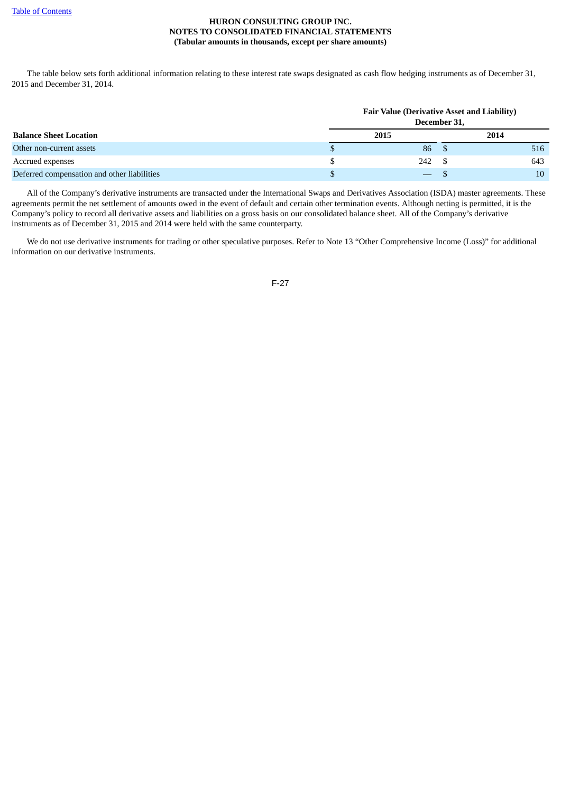The table below sets forth additional information relating to these interest rate swaps designated as cash flow hedging instruments as of December 31, 2015 and December 31, 2014.

| <b>Balance Sheet Location</b>               | <b>Fair Value (Derivative Asset and Liability)</b><br>December 31, |      |    |      |  |  |  |  |  |
|---------------------------------------------|--------------------------------------------------------------------|------|----|------|--|--|--|--|--|
|                                             |                                                                    | 2015 |    | 2014 |  |  |  |  |  |
| Other non-current assets                    |                                                                    | 86   |    | 516  |  |  |  |  |  |
| Accrued expenses                            |                                                                    | 242  | -S | 643  |  |  |  |  |  |
| Deferred compensation and other liabilities |                                                                    | سند  |    | 10   |  |  |  |  |  |

All of the Company's derivative instruments are transacted under the International Swaps and Derivatives Association (ISDA) master agreements. These agreements permit the net settlement of amounts owed in the event of default and certain other termination events. Although netting is permitted, it is the Company's policy to record all derivative assets and liabilities on a gross basis on our consolidated balance sheet. All of the Company's derivative instruments as of December 31, 2015 and 2014 were held with the same counterparty.

We do not use derivative instruments for trading or other speculative purposes. Refer to Note 13 "Other Comprehensive Income (Loss)" for additional information on our derivative instruments.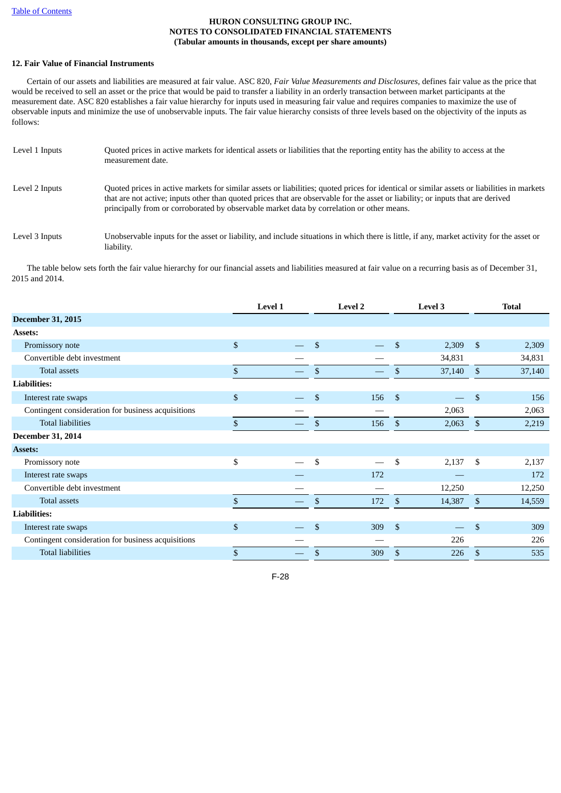## **12. Fair Value of Financial Instruments**

Certain of our assets and liabilities are measured at fair value. ASC 820, *Fair Value Measurements and Disclosures,* defines fair value as the price that would be received to sell an asset or the price that would be paid to transfer a liability in an orderly transaction between market participants at the measurement date. ASC 820 establishes a fair value hierarchy for inputs used in measuring fair value and requires companies to maximize the use of observable inputs and minimize the use of unobservable inputs. The fair value hierarchy consists of three levels based on the objectivity of the inputs as follows:

| Level 1 Inputs | Quoted prices in active markets for identical assets or liabilities that the reporting entity has the ability to access at the<br>measurement date.                                                                                                                                                                                                                        |
|----------------|----------------------------------------------------------------------------------------------------------------------------------------------------------------------------------------------------------------------------------------------------------------------------------------------------------------------------------------------------------------------------|
| Level 2 Inputs | Quoted prices in active markets for similar assets or liabilities; quoted prices for identical or similar assets or liabilities in markets<br>that are not active; inputs other than quoted prices that are observable for the asset or liability; or inputs that are derived<br>principally from or corroborated by observable market data by correlation or other means. |
| Level 3 Inputs | Unobservable inputs for the asset or liability, and include situations in which there is little, if any, market activity for the asset or<br>liability.                                                                                                                                                                                                                    |

The table below sets forth the fair value hierarchy for our financial assets and liabilities measured at fair value on a recurring basis as of December 31, 2015 and 2014.

|                                                    |              | <b>Level 1</b> | <b>Level 2</b> |     | <b>Level 3</b>     |        |                | <b>Total</b> |
|----------------------------------------------------|--------------|----------------|----------------|-----|--------------------|--------|----------------|--------------|
| <b>December 31, 2015</b>                           |              |                |                |     |                    |        |                |              |
| Assets:                                            |              |                |                |     |                    |        |                |              |
| Promissory note                                    | \$           |                | \$             |     | $\mathfrak{L}$     | 2,309  | \$             | 2,309        |
| Convertible debt investment                        |              |                |                |     |                    | 34,831 |                | 34,831       |
| Total assets                                       | \$           |                | \$             |     | \$                 | 37,140 | \$             | 37,140       |
| <b>Liabilities:</b>                                |              |                |                |     |                    |        |                |              |
| Interest rate swaps                                | \$           |                | \$             | 156 | $\mathbf{\hat{S}}$ |        | $\$$           | 156          |
| Contingent consideration for business acquisitions |              |                |                |     |                    | 2,063  |                | 2,063        |
| <b>Total liabilities</b>                           | $\mathbb{S}$ |                | $\mathbb{S}$   | 156 | $\mathfrak{S}$     | 2,063  | $\mathfrak{S}$ | 2,219        |
| <b>December 31, 2014</b>                           |              |                |                |     |                    |        |                |              |
| <b>Assets:</b>                                     |              |                |                |     |                    |        |                |              |
| Promissory note                                    | \$           |                | \$             |     | \$                 | 2,137  | \$             | 2,137        |
| Interest rate swaps                                |              |                |                | 172 |                    |        |                | 172          |
| Convertible debt investment                        |              |                |                |     |                    | 12,250 |                | 12,250       |
| <b>Total assets</b>                                | $\mathbb{S}$ |                | \$             | 172 | $\mathfrak{S}$     | 14,387 | \$             | 14,559       |
| <b>Liabilities:</b>                                |              |                |                |     |                    |        |                |              |
| Interest rate swaps                                | \$           |                | $\mathbb{S}$   | 309 | $\mathbb{S}$       |        | \$             | 309          |
| Contingent consideration for business acquisitions |              |                |                |     |                    | 226    |                | 226          |
| <b>Total liabilities</b>                           | \$           |                | \$             | 309 | $\mathfrak{s}$     | 226    | \$             | 535          |
|                                                    |              |                |                |     |                    |        |                |              |

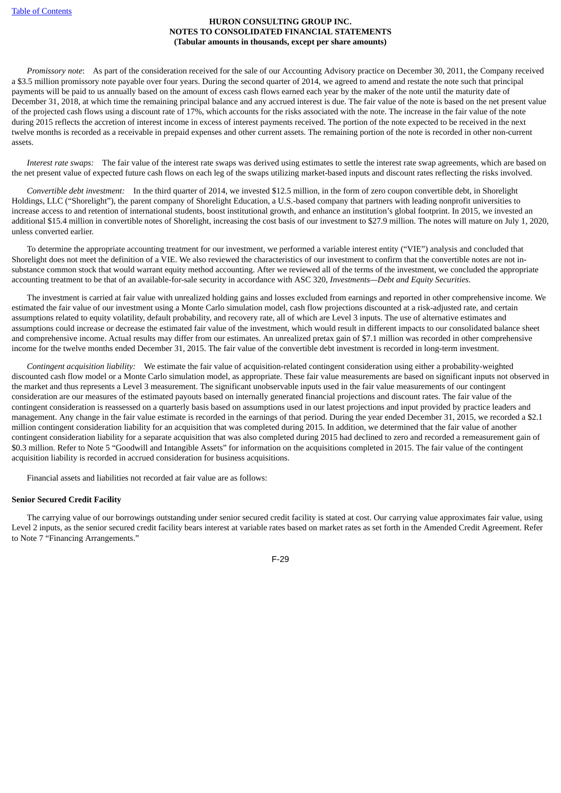*Promissory note*: As part of the consideration received for the sale of our Accounting Advisory practice on December 30, 2011, the Company received a \$3.5 million promissory note payable over four years. During the second quarter of 2014, we agreed to amend and restate the note such that principal payments will be paid to us annually based on the amount of excess cash flows earned each year by the maker of the note until the maturity date of December 31, 2018, at which time the remaining principal balance and any accrued interest is due. The fair value of the note is based on the net present value of the projected cash flows using a discount rate of 17%, which accounts for the risks associated with the note. The increase in the fair value of the note during 2015 reflects the accretion of interest income in excess of interest payments received. The portion of the note expected to be received in the next twelve months is recorded as a receivable in prepaid expenses and other current assets. The remaining portion of the note is recorded in other non-current assets.

*Interest rate swaps:* The fair value of the interest rate swaps was derived using estimates to settle the interest rate swap agreements, which are based on the net present value of expected future cash flows on each leg of the swaps utilizing market-based inputs and discount rates reflecting the risks involved.

*Convertible debt investment:* In the third quarter of 2014, we invested \$12.5 million, in the form of zero coupon convertible debt, in Shorelight Holdings, LLC ("Shorelight"), the parent company of Shorelight Education, a U.S.-based company that partners with leading nonprofit universities to increase access to and retention of international students, boost institutional growth, and enhance an institution's global footprint. In 2015, we invested an additional \$15.4 million in convertible notes of Shorelight, increasing the cost basis of our investment to \$27.9 million. The notes will mature on July 1, 2020, unless converted earlier.

To determine the appropriate accounting treatment for our investment, we performed a variable interest entity ("VIE") analysis and concluded that Shorelight does not meet the definition of a VIE. We also reviewed the characteristics of our investment to confirm that the convertible notes are not insubstance common stock that would warrant equity method accounting. After we reviewed all of the terms of the investment, we concluded the appropriate accounting treatment to be that of an available-for-sale security in accordance with ASC 320, *Investments—Debt and Equity Securities*.

The investment is carried at fair value with unrealized holding gains and losses excluded from earnings and reported in other comprehensive income. We estimated the fair value of our investment using a Monte Carlo simulation model, cash flow projections discounted at a risk-adjusted rate, and certain assumptions related to equity volatility, default probability, and recovery rate, all of which are Level 3 inputs. The use of alternative estimates and assumptions could increase or decrease the estimated fair value of the investment, which would result in different impacts to our consolidated balance sheet and comprehensive income. Actual results may differ from our estimates. An unrealized pretax gain of \$7.1 million was recorded in other comprehensive income for the twelve months ended December 31, 2015. The fair value of the convertible debt investment is recorded in long-term investment.

*Contingent acquisition liability:* We estimate the fair value of acquisition-related contingent consideration using either a probability-weighted discounted cash flow model or a Monte Carlo simulation model, as appropriate. These fair value measurements are based on significant inputs not observed in the market and thus represents a Level 3 measurement. The significant unobservable inputs used in the fair value measurements of our contingent consideration are our measures of the estimated payouts based on internally generated financial projections and discount rates. The fair value of the contingent consideration is reassessed on a quarterly basis based on assumptions used in our latest projections and input provided by practice leaders and management. Any change in the fair value estimate is recorded in the earnings of that period. During the year ended December 31, 2015, we recorded a \$2.1 million contingent consideration liability for an acquisition that was completed during 2015. In addition, we determined that the fair value of another contingent consideration liability for a separate acquisition that was also completed during 2015 had declined to zero and recorded a remeasurement gain of \$0.3 million. Refer to Note 5 "Goodwill and Intangible Assets" for information on the acquisitions completed in 2015. The fair value of the contingent acquisition liability is recorded in accrued consideration for business acquisitions.

Financial assets and liabilities not recorded at fair value are as follows:

## **Senior Secured Credit Facility**

The carrying value of our borrowings outstanding under senior secured credit facility is stated at cost. Our carrying value approximates fair value, using Level 2 inputs, as the senior secured credit facility bears interest at variable rates based on market rates as set forth in the Amended Credit Agreement. Refer to Note 7 "Financing Arrangements."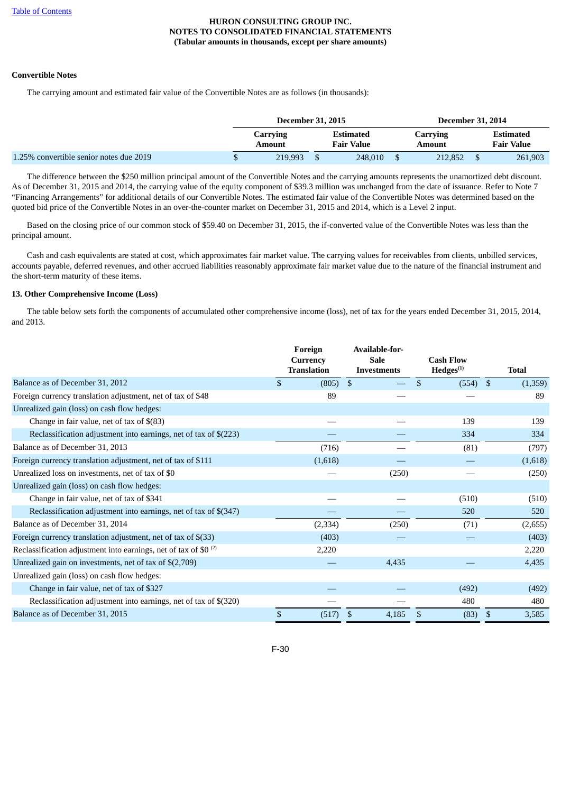## **Convertible Notes**

The carrying amount and estimated fair value of the Convertible Notes are as follows (in thousands):

|                                         |  | <b>December 31, 2015</b> |  |                                |  | <b>December 31, 2014</b> |  |                                |  |
|-----------------------------------------|--|--------------------------|--|--------------------------------|--|--------------------------|--|--------------------------------|--|
|                                         |  | Carrying<br>Amount       |  | <b>Estimated</b><br>Fair Value |  | Carrving<br>Amount       |  | Estimated<br><b>Fair Value</b> |  |
| 1.25% convertible senior notes due 2019 |  | 219.993                  |  | 248,010                        |  | 212,852                  |  | 261,903                        |  |

The difference between the \$250 million principal amount of the Convertible Notes and the carrying amounts represents the unamortized debt discount. As of December 31, 2015 and 2014, the carrying value of the equity component of \$39.3 million was unchanged from the date of issuance. Refer to Note 7 "Financing Arrangements" for additional details of our Convertible Notes. The estimated fair value of the Convertible Notes was determined based on the quoted bid price of the Convertible Notes in an over-the-counter market on December 31, 2015 and 2014, which is a Level 2 input.

Based on the closing price of our common stock of \$59.40 on December 31, 2015, the if-converted value of the Convertible Notes was less than the principal amount.

Cash and cash equivalents are stated at cost, which approximates fair market value. The carrying values for receivables from clients, unbilled services, accounts payable, deferred revenues, and other accrued liabilities reasonably approximate fair market value due to the nature of the financial instrument and the short-term maturity of these items.

## **13. Other Comprehensive Income (Loss)**

The table below sets forth the components of accumulated other comprehensive income (loss), net of tax for the years ended December 31, 2015, 2014, and 2013.

|                                                                             | Foreign<br><b>Currency</b><br><b>Translation</b> | <b>Available-for-</b><br><b>Sale</b><br><b>Investments</b> |       |     | <b>Cash Flow</b><br>$Hedges^{(1)}$ |                | <b>Total</b> |
|-----------------------------------------------------------------------------|--------------------------------------------------|------------------------------------------------------------|-------|-----|------------------------------------|----------------|--------------|
| Balance as of December 31, 2012                                             | \$<br>(805)                                      | $\mathbb{S}$                                               |       | \$  | (554)                              | -\$            | (1,359)      |
| Foreign currency translation adjustment, net of tax of \$48                 | 89                                               |                                                            |       |     |                                    |                | 89           |
| Unrealized gain (loss) on cash flow hedges:                                 |                                                  |                                                            |       |     |                                    |                |              |
| Change in fair value, net of tax of \$(83)                                  |                                                  |                                                            |       |     | 139                                |                | 139          |
| Reclassification adjustment into earnings, net of tax of \$(223)            |                                                  |                                                            |       |     | 334                                |                | 334          |
| Balance as of December 31, 2013                                             | (716)                                            |                                                            |       |     | (81)                               |                | (797)        |
| Foreign currency translation adjustment, net of tax of \$111                | (1,618)                                          |                                                            |       |     |                                    |                | (1,618)      |
| Unrealized loss on investments, net of tax of \$0                           |                                                  |                                                            | (250) |     |                                    |                | (250)        |
| Unrealized gain (loss) on cash flow hedges:                                 |                                                  |                                                            |       |     |                                    |                |              |
| Change in fair value, net of tax of \$341                                   |                                                  |                                                            |       |     | (510)                              |                | (510)        |
| Reclassification adjustment into earnings, net of tax of \$(347)            |                                                  |                                                            |       |     | 520                                |                | 520          |
| Balance as of December 31, 2014                                             | (2, 334)                                         |                                                            | (250) |     | (71)                               |                | (2,655)      |
| Foreign currency translation adjustment, net of tax of \$(33)               | (403)                                            |                                                            |       |     |                                    |                | (403)        |
| Reclassification adjustment into earnings, net of tax of \$0 <sup>(2)</sup> | 2,220                                            |                                                            |       |     |                                    |                | 2,220        |
| Unrealized gain on investments, net of tax of \$(2,709)                     |                                                  |                                                            | 4,435 |     |                                    |                | 4,435        |
| Unrealized gain (loss) on cash flow hedges:                                 |                                                  |                                                            |       |     |                                    |                |              |
| Change in fair value, net of tax of \$327                                   |                                                  |                                                            |       |     | (492)                              |                | (492)        |
| Reclassification adjustment into earnings, net of tax of \$(320)            |                                                  |                                                            |       |     | 480                                |                | 480          |
| Balance as of December 31, 2015                                             | \$<br>(517)                                      | \$                                                         | 4,185 | \$. | (83)                               | $\mathfrak{S}$ | 3,585        |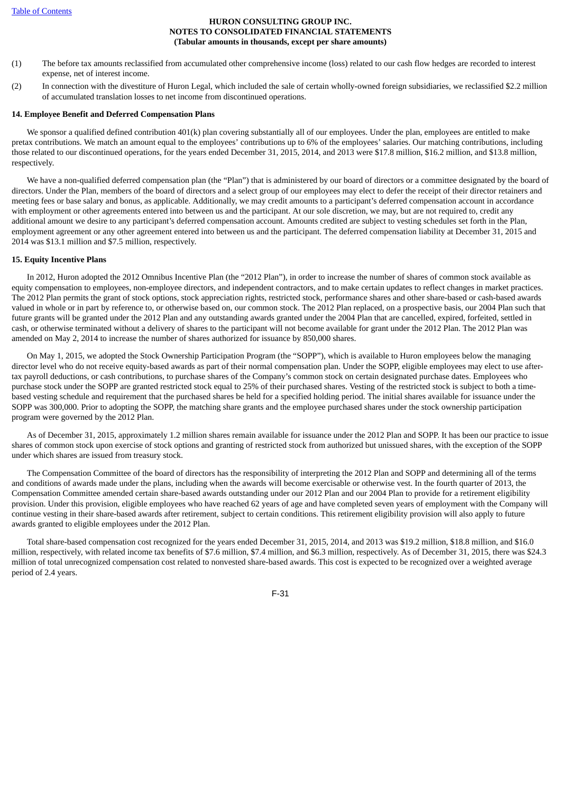- (1) The before tax amounts reclassified from accumulated other comprehensive income (loss) related to our cash flow hedges are recorded to interest expense, net of interest income.
- (2) In connection with the divestiture of Huron Legal, which included the sale of certain wholly-owned foreign subsidiaries, we reclassified \$2.2 million of accumulated translation losses to net income from discontinued operations.

## **14. Employee Benefit and Deferred Compensation Plans**

We sponsor a qualified defined contribution 401(k) plan covering substantially all of our employees. Under the plan, employees are entitled to make pretax contributions. We match an amount equal to the employees' contributions up to 6% of the employees' salaries. Our matching contributions, including those related to our discontinued operations, for the years ended December 31, 2015, 2014, and 2013 were \$17.8 million, \$16.2 million, and \$13.8 million, respectively.

We have a non-qualified deferred compensation plan (the "Plan") that is administered by our board of directors or a committee designated by the board of directors. Under the Plan, members of the board of directors and a select group of our employees may elect to defer the receipt of their director retainers and meeting fees or base salary and bonus, as applicable. Additionally, we may credit amounts to a participant's deferred compensation account in accordance with employment or other agreements entered into between us and the participant. At our sole discretion, we may, but are not required to, credit any additional amount we desire to any participant's deferred compensation account. Amounts credited are subject to vesting schedules set forth in the Plan, employment agreement or any other agreement entered into between us and the participant. The deferred compensation liability at December 31, 2015 and 2014 was \$13.1 million and \$7.5 million, respectively.

## **15. Equity Incentive Plans**

In 2012, Huron adopted the 2012 Omnibus Incentive Plan (the "2012 Plan"), in order to increase the number of shares of common stock available as equity compensation to employees, non-employee directors, and independent contractors, and to make certain updates to reflect changes in market practices. The 2012 Plan permits the grant of stock options, stock appreciation rights, restricted stock, performance shares and other share-based or cash-based awards valued in whole or in part by reference to, or otherwise based on, our common stock. The 2012 Plan replaced, on a prospective basis, our 2004 Plan such that future grants will be granted under the 2012 Plan and any outstanding awards granted under the 2004 Plan that are cancelled, expired, forfeited, settled in cash, or otherwise terminated without a delivery of shares to the participant will not become available for grant under the 2012 Plan. The 2012 Plan was amended on May 2, 2014 to increase the number of shares authorized for issuance by 850,000 shares.

On May 1, 2015, we adopted the Stock Ownership Participation Program (the "SOPP"), which is available to Huron employees below the managing director level who do not receive equity-based awards as part of their normal compensation plan. Under the SOPP, eligible employees may elect to use aftertax payroll deductions, or cash contributions, to purchase shares of the Company's common stock on certain designated purchase dates. Employees who purchase stock under the SOPP are granted restricted stock equal to 25% of their purchased shares. Vesting of the restricted stock is subject to both a timebased vesting schedule and requirement that the purchased shares be held for a specified holding period. The initial shares available for issuance under the SOPP was 300,000. Prior to adopting the SOPP, the matching share grants and the employee purchased shares under the stock ownership participation program were governed by the 2012 Plan.

As of December 31, 2015, approximately 1.2 million shares remain available for issuance under the 2012 Plan and SOPP. It has been our practice to issue shares of common stock upon exercise of stock options and granting of restricted stock from authorized but unissued shares, with the exception of the SOPP under which shares are issued from treasury stock.

The Compensation Committee of the board of directors has the responsibility of interpreting the 2012 Plan and SOPP and determining all of the terms and conditions of awards made under the plans, including when the awards will become exercisable or otherwise vest. In the fourth quarter of 2013, the Compensation Committee amended certain share-based awards outstanding under our 2012 Plan and our 2004 Plan to provide for a retirement eligibility provision. Under this provision, eligible employees who have reached 62 years of age and have completed seven years of employment with the Company will continue vesting in their share-based awards after retirement, subject to certain conditions. This retirement eligibility provision will also apply to future awards granted to eligible employees under the 2012 Plan.

Total share-based compensation cost recognized for the years ended December 31, 2015, 2014, and 2013 was \$19.2 million, \$18.8 million, and \$16.0 million, respectively, with related income tax benefits of \$7.6 million, \$7.4 million, and \$6.3 million, respectively. As of December 31, 2015, there was \$24.3 million of total unrecognized compensation cost related to nonvested share-based awards. This cost is expected to be recognized over a weighted average period of 2.4 years.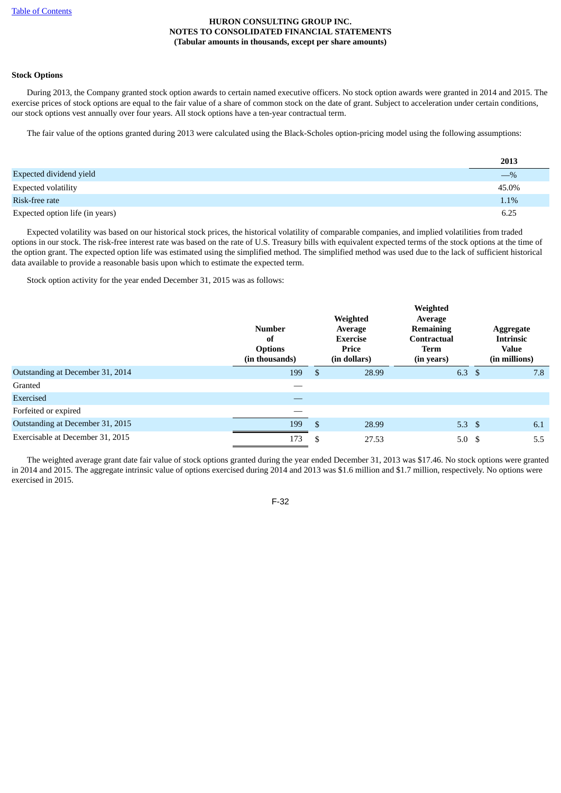## **Stock Options**

During 2013, the Company granted stock option awards to certain named executive officers. No stock option awards were granted in 2014 and 2015. The exercise prices of stock options are equal to the fair value of a share of common stock on the date of grant. Subject to acceleration under certain conditions, our stock options vest annually over four years. All stock options have a ten-year contractual term.

The fair value of the options granted during 2013 were calculated using the Black-Scholes option-pricing model using the following assumptions:

|                                 | 2013  |
|---------------------------------|-------|
| Expected dividend yield         | $-$ % |
| Expected volatility             | 45.0% |
| Risk-free rate                  | 1.1%  |
| Expected option life (in years) | 6.25  |

Expected volatility was based on our historical stock prices, the historical volatility of comparable companies, and implied volatilities from traded options in our stock. The risk-free interest rate was based on the rate of U.S. Treasury bills with equivalent expected terms of the stock options at the time of the option grant. The expected option life was estimated using the simplified method. The simplified method was used due to the lack of sufficient historical data available to provide a reasonable basis upon which to estimate the expected term.

Stock option activity for the year ended December 31, 2015 was as follows:

|                                  | <b>Number</b><br>of<br><b>Options</b><br>(in thousands) |      | Weighted<br>Average<br><b>Exercise</b><br>Price<br>(in dollars) | Weighted<br>Average<br><b>Remaining</b><br><b>Contractual</b><br>Term<br>(in years) |      | <b>Aggregate</b><br><b>Intrinsic</b><br><b>Value</b><br>(in millions) |
|----------------------------------|---------------------------------------------------------|------|-----------------------------------------------------------------|-------------------------------------------------------------------------------------|------|-----------------------------------------------------------------------|
| Outstanding at December 31, 2014 | 199                                                     | \$   | 28.99                                                           | 6.3 \$                                                                              |      | 7.8                                                                   |
| Granted                          | _                                                       |      |                                                                 |                                                                                     |      |                                                                       |
| Exercised                        |                                                         |      |                                                                 |                                                                                     |      |                                                                       |
| Forfeited or expired             |                                                         |      |                                                                 |                                                                                     |      |                                                                       |
| Outstanding at December 31, 2015 | 199                                                     | - \$ | 28.99                                                           | 5.3 $\sqrt{3}$                                                                      |      | 6.1                                                                   |
| Exercisable at December 31, 2015 | 173                                                     | S    | 27.53                                                           | 5.0                                                                                 | - \$ | 5.5                                                                   |

The weighted average grant date fair value of stock options granted during the year ended December 31, 2013 was \$17.46. No stock options were granted in 2014 and 2015. The aggregate intrinsic value of options exercised during 2014 and 2013 was \$1.6 million and \$1.7 million, respectively. No options were exercised in 2015.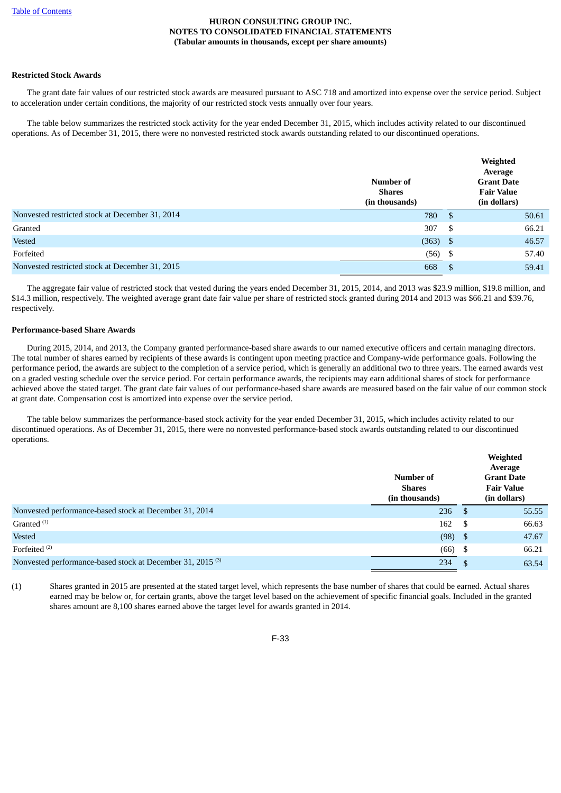#### **Restricted Stock Awards**

The grant date fair values of our restricted stock awards are measured pursuant to ASC 718 and amortized into expense over the service period. Subject to acceleration under certain conditions, the majority of our restricted stock vests annually over four years.

The table below summarizes the restricted stock activity for the year ended December 31, 2015, which includes activity related to our discontinued operations. As of December 31, 2015, there were no nonvested restricted stock awards outstanding related to our discontinued operations.

|                                                 | Number of<br><b>Shares</b><br>(in thousands) |      | Weighted<br>Average<br><b>Grant Date</b><br><b>Fair Value</b><br>(in dollars) |
|-------------------------------------------------|----------------------------------------------|------|-------------------------------------------------------------------------------|
| Nonvested restricted stock at December 31, 2014 | 780                                          | \$   | 50.61                                                                         |
| Granted                                         | 307                                          | \$   | 66.21                                                                         |
| Vested                                          | (363)                                        | - \$ | 46.57                                                                         |
| Forfeited                                       | (56)                                         | \$   | 57.40                                                                         |
| Nonvested restricted stock at December 31, 2015 | 668                                          | \$   | 59.41                                                                         |

The aggregate fair value of restricted stock that vested during the years ended December 31, 2015, 2014, and 2013 was \$23.9 million, \$19.8 million, and \$14.3 million, respectively. The weighted average grant date fair value per share of restricted stock granted during 2014 and 2013 was \$66.21 and \$39.76, respectively.

#### **Performance-based Share Awards**

During 2015, 2014, and 2013, the Company granted performance-based share awards to our named executive officers and certain managing directors. The total number of shares earned by recipients of these awards is contingent upon meeting practice and Company-wide performance goals. Following the performance period, the awards are subject to the completion of a service period, which is generally an additional two to three years. The earned awards vest on a graded vesting schedule over the service period. For certain performance awards, the recipients may earn additional shares of stock for performance achieved above the stated target. The grant date fair values of our performance-based share awards are measured based on the fair value of our common stock at grant date. Compensation cost is amortized into expense over the service period.

The table below summarizes the performance-based stock activity for the year ended December 31, 2015, which includes activity related to our discontinued operations. As of December 31, 2015, there were no nonvested performance-based stock awards outstanding related to our discontinued operations.

|                                                                       | Number of<br><b>Shares</b><br>(in thousands) |      | Weighted<br>Average<br><b>Grant Date</b><br><b>Fair Value</b><br>(in dollars) |
|-----------------------------------------------------------------------|----------------------------------------------|------|-------------------------------------------------------------------------------|
| Nonvested performance-based stock at December 31, 2014                | 236                                          | -\$  | 55.55                                                                         |
| Granted <sup>(1)</sup>                                                | 162                                          | -S   | 66.63                                                                         |
| Vested                                                                | (98)                                         | - \$ | 47.67                                                                         |
| Forfeited <sup>(2)</sup>                                              | (66)                                         | - \$ | 66.21                                                                         |
| Nonvested performance-based stock at December 31, 2015 <sup>(3)</sup> | 234                                          |      | 63.54                                                                         |

(1) Shares granted in 2015 are presented at the stated target level, which represents the base number of shares that could be earned. Actual shares earned may be below or, for certain grants, above the target level based on the achievement of specific financial goals. Included in the granted shares amount are 8,100 shares earned above the target level for awards granted in 2014.

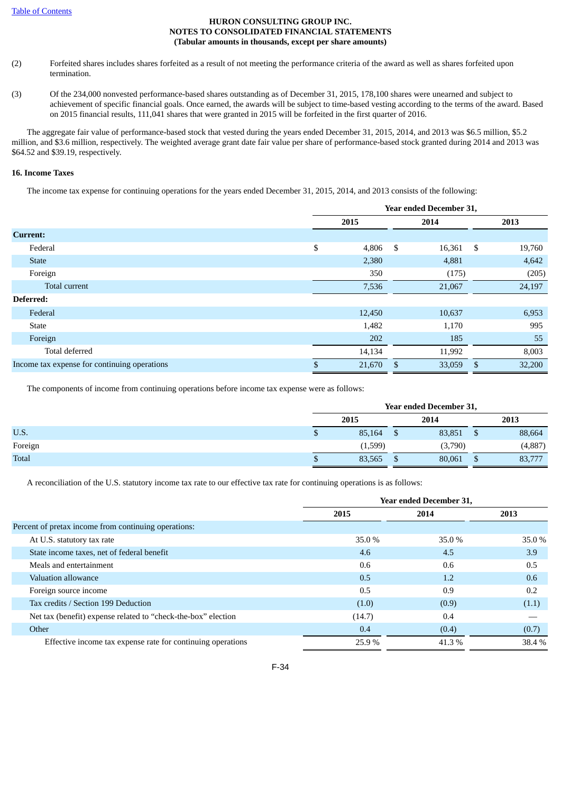- (2) Forfeited shares includes shares forfeited as a result of not meeting the performance criteria of the award as well as shares forfeited upon termination.
- (3) Of the 234,000 nonvested performance-based shares outstanding as of December 31, 2015, 178,100 shares were unearned and subject to achievement of specific financial goals. Once earned, the awards will be subject to time-based vesting according to the terms of the award. Based on 2015 financial results, 111,041 shares that were granted in 2015 will be forfeited in the first quarter of 2016.

The aggregate fair value of performance-based stock that vested during the years ended December 31, 2015, 2014, and 2013 was \$6.5 million, \$5.2 million, and \$3.6 million, respectively. The weighted average grant date fair value per share of performance-based stock granted during 2014 and 2013 was \$64.52 and \$39.19, respectively.

#### **16. Income Taxes**

The income tax expense for continuing operations for the years ended December 31, 2015, 2014, and 2013 consists of the following:

|                                              | <b>Year ended December 31,</b> |        |      |        |     |        |
|----------------------------------------------|--------------------------------|--------|------|--------|-----|--------|
|                                              |                                | 2015   |      | 2014   |     | 2013   |
| <b>Current:</b>                              |                                |        |      |        |     |        |
| Federal                                      | \$                             | 4,806  | - \$ | 16,361 | -\$ | 19,760 |
| <b>State</b>                                 |                                | 2,380  |      | 4,881  |     | 4,642  |
| Foreign                                      |                                | 350    |      | (175)  |     | (205)  |
| <b>Total current</b>                         |                                | 7,536  |      | 21,067 |     | 24,197 |
| Deferred:                                    |                                |        |      |        |     |        |
| Federal                                      |                                | 12,450 |      | 10,637 |     | 6,953  |
| State                                        |                                | 1,482  |      | 1,170  |     | 995    |
| Foreign                                      |                                | 202    |      | 185    |     | 55     |
| Total deferred                               |                                | 14,134 |      | 11,992 |     | 8,003  |
| Income tax expense for continuing operations | \$                             | 21,670 | - \$ | 33,059 | \$  | 32,200 |

The components of income from continuing operations before income tax expense were as follows:

|         | Year ended December 31, |         |  |         |  |         |
|---------|-------------------------|---------|--|---------|--|---------|
|         |                         | 2015    |  | 2014    |  | 2013    |
| U.S.    | ۰                       | 85,164  |  | 83,851  |  | 88,664  |
| Foreign |                         | (1,599) |  | (3,790) |  | (4,887) |
| Total   | τυ                      | 83,565  |  | 80,061  |  | 83,777  |

A reconciliation of the U.S. statutory income tax rate to our effective tax rate for continuing operations is as follows:

|                                                               | <b>Year ended December 31,</b> |       |        |  |  |
|---------------------------------------------------------------|--------------------------------|-------|--------|--|--|
|                                                               | 2015                           | 2014  | 2013   |  |  |
| Percent of pretax income from continuing operations:          |                                |       |        |  |  |
| At U.S. statutory tax rate                                    | 35.0%                          | 35.0% | 35.0 % |  |  |
| State income taxes, net of federal benefit                    | 4.6                            | 4.5   | 3.9    |  |  |
| Meals and entertainment                                       | 0.6                            | 0.6   | 0.5    |  |  |
| Valuation allowance                                           | 0.5                            | 1.2   | 0.6    |  |  |
| Foreign source income                                         | 0.5                            | 0.9   | 0.2    |  |  |
| Tax credits / Section 199 Deduction                           | (1.0)                          | (0.9) | (1.1)  |  |  |
| Net tax (benefit) expense related to "check-the-box" election | (14.7)                         | 0.4   |        |  |  |
| Other                                                         | 0.4                            | (0.4) | (0.7)  |  |  |
| Effective income tax expense rate for continuing operations   | 25.9%                          | 41.3% | 38.4 % |  |  |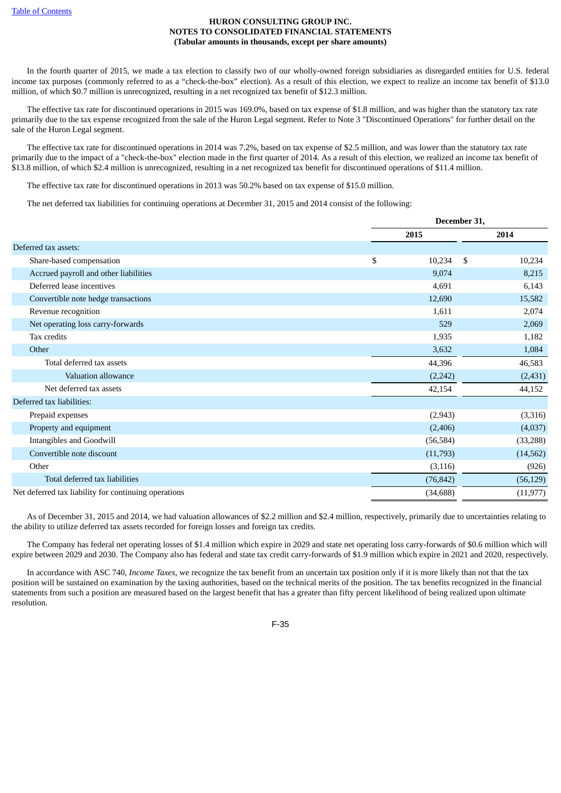In the fourth quarter of 2015, we made a tax election to classify two of our wholly-owned foreign subsidiaries as disregarded entities for U.S. federal income tax purposes (commonly referred to as a "check-the-box" election). As a result of this election, we expect to realize an income tax benefit of \$13.0 million, of which \$0.7 million is unrecognized, resulting in a net recognized tax benefit of \$12.3 million.

The effective tax rate for discontinued operations in 2015 was 169.0%, based on tax expense of \$1.8 million, and was higher than the statutory tax rate primarily due to the tax expense recognized from the sale of the Huron Legal segment. Refer to Note 3 "Discontinued Operations" for further detail on the sale of the Huron Legal segment.

The effective tax rate for discontinued operations in 2014 was 7.2%, based on tax expense of \$2.5 million, and was lower than the statutory tax rate primarily due to the impact of a "check-the-box" election made in the first quarter of 2014. As a result of this election, we realized an income tax benefit of \$13.8 million, of which \$2.4 million is unrecognized, resulting in a net recognized tax benefit for discontinued operations of \$11.4 million.

The effective tax rate for discontinued operations in 2013 was 50.2% based on tax expense of \$15.0 million.

The net deferred tax liabilities for continuing operations at December 31, 2015 and 2014 consist of the following:

|                                                      | December 31, |              |  |  |
|------------------------------------------------------|--------------|--------------|--|--|
|                                                      | 2015         | 2014         |  |  |
| Deferred tax assets:                                 |              |              |  |  |
| Share-based compensation                             | \$<br>10,234 | \$<br>10,234 |  |  |
| Accrued payroll and other liabilities                | 9,074        | 8,215        |  |  |
| Deferred lease incentives                            | 4,691        | 6,143        |  |  |
| Convertible note hedge transactions                  | 12,690       | 15,582       |  |  |
| Revenue recognition                                  | 1,611        | 2,074        |  |  |
| Net operating loss carry-forwards                    | 529          | 2,069        |  |  |
| Tax credits                                          | 1,935        | 1,182        |  |  |
| Other                                                | 3,632        | 1,084        |  |  |
| Total deferred tax assets                            | 44,396       | 46,583       |  |  |
| Valuation allowance                                  | (2, 242)     | (2, 431)     |  |  |
| Net deferred tax assets                              | 42,154       | 44,152       |  |  |
| Deferred tax liabilities:                            |              |              |  |  |
| Prepaid expenses                                     | (2,943)      | (3,316)      |  |  |
| Property and equipment                               | (2,406)      | (4,037)      |  |  |
| Intangibles and Goodwill                             | (56, 584)    | (33, 288)    |  |  |
| Convertible note discount                            | (11,793)     | (14, 562)    |  |  |
| Other                                                | (3, 116)     | (926)        |  |  |
| Total deferred tax liabilities                       | (76, 842)    | (56, 129)    |  |  |
| Net deferred tax liability for continuing operations | (34, 688)    | (11, 977)    |  |  |

As of December 31, 2015 and 2014, we had valuation allowances of \$2.2 million and \$2.4 million, respectively, primarily due to uncertainties relating to the ability to utilize deferred tax assets recorded for foreign losses and foreign tax credits.

The Company has federal net operating losses of \$1.4 million which expire in 2029 and state net operating loss carry-forwards of \$0.6 million which will expire between 2029 and 2030. The Company also has federal and state tax credit carry-forwards of \$1.9 million which expire in 2021 and 2020, respectively.

In accordance with ASC 740, *Income Taxes*, we recognize the tax benefit from an uncertain tax position only if it is more likely than not that the tax position will be sustained on examination by the taxing authorities, based on the technical merits of the position. The tax benefits recognized in the financial statements from such a position are measured based on the largest benefit that has a greater than fifty percent likelihood of being realized upon ultimate resolution.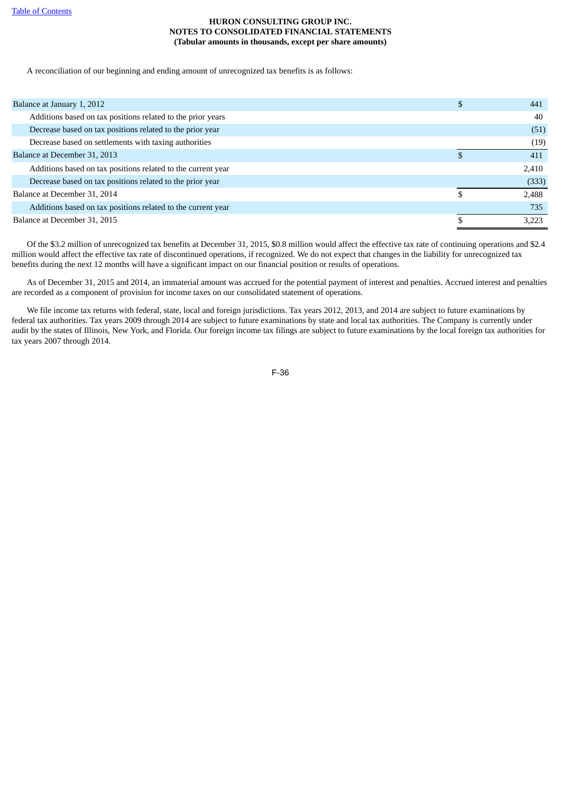A reconciliation of our beginning and ending amount of unrecognized tax benefits is as follows:

| Balance at January 1, 2012                                   | 441   |
|--------------------------------------------------------------|-------|
| Additions based on tax positions related to the prior years  | 40    |
| Decrease based on tax positions related to the prior year    | (51)  |
| Decrease based on settlements with taxing authorities        | (19)  |
| Balance at December 31, 2013                                 | 411   |
| Additions based on tax positions related to the current year | 2,410 |
| Decrease based on tax positions related to the prior year    | (333) |
| Balance at December 31, 2014                                 | 2.488 |
| Additions based on tax positions related to the current year | 735   |
| Balance at December 31, 2015                                 | 3.223 |

Of the \$3.2 million of unrecognized tax benefits at December 31, 2015, \$0.8 million would affect the effective tax rate of continuing operations and \$2.4 million would affect the effective tax rate of discontinued operations, if recognized. We do not expect that changes in the liability for unrecognized tax benefits during the next 12 months will have a significant impact on our financial position or results of operations.

As of December 31, 2015 and 2014, an immaterial amount was accrued for the potential payment of interest and penalties. Accrued interest and penalties are recorded as a component of provision for income taxes on our consolidated statement of operations.

We file income tax returns with federal, state, local and foreign jurisdictions. Tax years 2012, 2013, and 2014 are subject to future examinations by federal tax authorities. Tax years 2009 through 2014 are subject to future examinations by state and local tax authorities. The Company is currently under audit by the states of Illinois, New York, and Florida. Our foreign income tax filings are subject to future examinations by the local foreign tax authorities for tax years 2007 through 2014.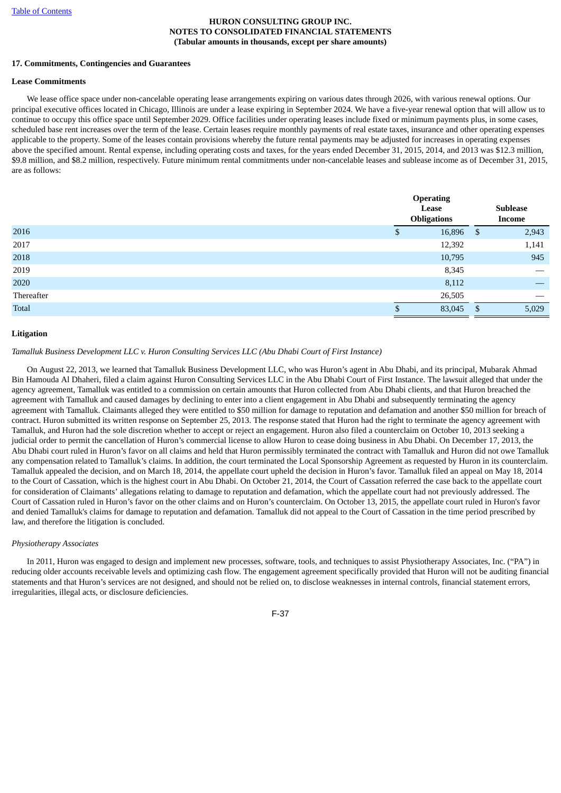## **17. Commitments, Contingencies and Guarantees**

#### **Lease Commitments**

We lease office space under non-cancelable operating lease arrangements expiring on various dates through 2026, with various renewal options. Our principal executive offices located in Chicago, Illinois are under a lease expiring in September 2024. We have a five-year renewal option that will allow us to continue to occupy this office space until September 2029. Office facilities under operating leases include fixed or minimum payments plus, in some cases, scheduled base rent increases over the term of the lease. Certain leases require monthly payments of real estate taxes, insurance and other operating expenses applicable to the property. Some of the leases contain provisions whereby the future rental payments may be adjusted for increases in operating expenses above the specified amount. Rental expense, including operating costs and taxes, for the years ended December 31, 2015, 2014, and 2013 was \$12.3 million, \$9.8 million, and \$8.2 million, respectively. Future minimum rental commitments under non-cancelable leases and sublease income as of December 31, 2015, are as follows:

|              |   | <b>Operating</b><br><b>Lease</b><br><b>Obligations</b> |      | <b>Sublease</b><br>Income |
|--------------|---|--------------------------------------------------------|------|---------------------------|
| 2016         | D | 16,896 \$                                              |      | 2,943                     |
| 2017         |   | 12,392                                                 |      | 1,141                     |
| 2018         |   | 10,795                                                 |      | 945                       |
| 2019         |   | 8,345                                                  |      |                           |
| 2020         |   | 8,112                                                  |      |                           |
| Thereafter   |   | 26,505                                                 |      |                           |
| <b>Total</b> |   | 83,045                                                 | - \$ | 5,029                     |

#### **Litigation**

## *Tamalluk Business Development LLC v. Huron Consulting Services LLC (Abu Dhabi Court of First Instance)*

On August 22, 2013, we learned that Tamalluk Business Development LLC, who was Huron's agent in Abu Dhabi, and its principal, Mubarak Ahmad Bin Hamouda Al Dhaheri, filed a claim against Huron Consulting Services LLC in the Abu Dhabi Court of First Instance. The lawsuit alleged that under the agency agreement, Tamalluk was entitled to a commission on certain amounts that Huron collected from Abu Dhabi clients, and that Huron breached the agreement with Tamalluk and caused damages by declining to enter into a client engagement in Abu Dhabi and subsequently terminating the agency agreement with Tamalluk. Claimants alleged they were entitled to \$50 million for damage to reputation and defamation and another \$50 million for breach of contract. Huron submitted its written response on September 25, 2013. The response stated that Huron had the right to terminate the agency agreement with Tamalluk, and Huron had the sole discretion whether to accept or reject an engagement. Huron also filed a counterclaim on October 10, 2013 seeking a judicial order to permit the cancellation of Huron's commercial license to allow Huron to cease doing business in Abu Dhabi. On December 17, 2013, the Abu Dhabi court ruled in Huron's favor on all claims and held that Huron permissibly terminated the contract with Tamalluk and Huron did not owe Tamalluk any compensation related to Tamalluk's claims. In addition, the court terminated the Local Sponsorship Agreement as requested by Huron in its counterclaim. Tamalluk appealed the decision, and on March 18, 2014, the appellate court upheld the decision in Huron's favor. Tamalluk filed an appeal on May 18, 2014 to the Court of Cassation, which is the highest court in Abu Dhabi. On October 21, 2014, the Court of Cassation referred the case back to the appellate court for consideration of Claimants' allegations relating to damage to reputation and defamation, which the appellate court had not previously addressed. The Court of Cassation ruled in Huron's favor on the other claims and on Huron's counterclaim. On October 13, 2015, the appellate court ruled in Huron's favor and denied Tamalluk's claims for damage to reputation and defamation. Tamalluk did not appeal to the Court of Cassation in the time period prescribed by law, and therefore the litigation is concluded.

## *Physiotherapy Associates*

In 2011, Huron was engaged to design and implement new processes, software, tools, and techniques to assist Physiotherapy Associates, Inc. ("PA") in reducing older accounts receivable levels and optimizing cash flow. The engagement agreement specifically provided that Huron will not be auditing financial statements and that Huron's services are not designed, and should not be relied on, to disclose weaknesses in internal controls, financial statement errors, irregularities, illegal acts, or disclosure deficiencies.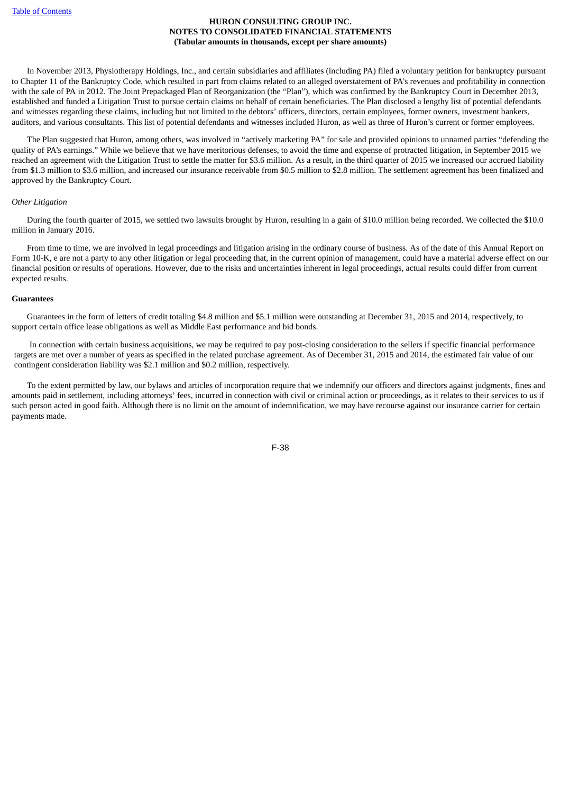In November 2013, Physiotherapy Holdings, Inc., and certain subsidiaries and affiliates (including PA) filed a voluntary petition for bankruptcy pursuant to Chapter 11 of the Bankruptcy Code, which resulted in part from claims related to an alleged overstatement of PA's revenues and profitability in connection with the sale of PA in 2012. The Joint Prepackaged Plan of Reorganization (the "Plan"), which was confirmed by the Bankruptcy Court in December 2013, established and funded a Litigation Trust to pursue certain claims on behalf of certain beneficiaries. The Plan disclosed a lengthy list of potential defendants and witnesses regarding these claims, including but not limited to the debtors' officers, directors, certain employees, former owners, investment bankers, auditors, and various consultants. This list of potential defendants and witnesses included Huron, as well as three of Huron's current or former employees.

The Plan suggested that Huron, among others, was involved in "actively marketing PA" for sale and provided opinions to unnamed parties "defending the quality of PA's earnings." While we believe that we have meritorious defenses, to avoid the time and expense of protracted litigation, in September 2015 we reached an agreement with the Litigation Trust to settle the matter for \$3.6 million. As a result, in the third quarter of 2015 we increased our accrued liability from \$1.3 million to \$3.6 million, and increased our insurance receivable from \$0.5 million to \$2.8 million. The settlement agreement has been finalized and approved by the Bankruptcy Court.

#### *Other Litigation*

During the fourth quarter of 2015, we settled two lawsuits brought by Huron, resulting in a gain of \$10.0 million being recorded. We collected the \$10.0 million in January 2016.

From time to time, we are involved in legal proceedings and litigation arising in the ordinary course of business. As of the date of this Annual Report on Form 10-K, e are not a party to any other litigation or legal proceeding that, in the current opinion of management, could have a material adverse effect on our financial position or results of operations. However, due to the risks and uncertainties inherent in legal proceedings, actual results could differ from current expected results.

#### **Guarantees**

Guarantees in the form of letters of credit totaling \$4.8 million and \$5.1 million were outstanding at December 31, 2015 and 2014, respectively, to support certain office lease obligations as well as Middle East performance and bid bonds.

In connection with certain business acquisitions, we may be required to pay post-closing consideration to the sellers if specific financial performance targets are met over a number of years as specified in the related purchase agreement. As of December 31, 2015 and 2014, the estimated fair value of our contingent consideration liability was \$2.1 million and \$0.2 million, respectively.

To the extent permitted by law, our bylaws and articles of incorporation require that we indemnify our officers and directors against judgments, fines and amounts paid in settlement, including attorneys' fees, incurred in connection with civil or criminal action or proceedings, as it relates to their services to us if such person acted in good faith. Although there is no limit on the amount of indemnification, we may have recourse against our insurance carrier for certain payments made.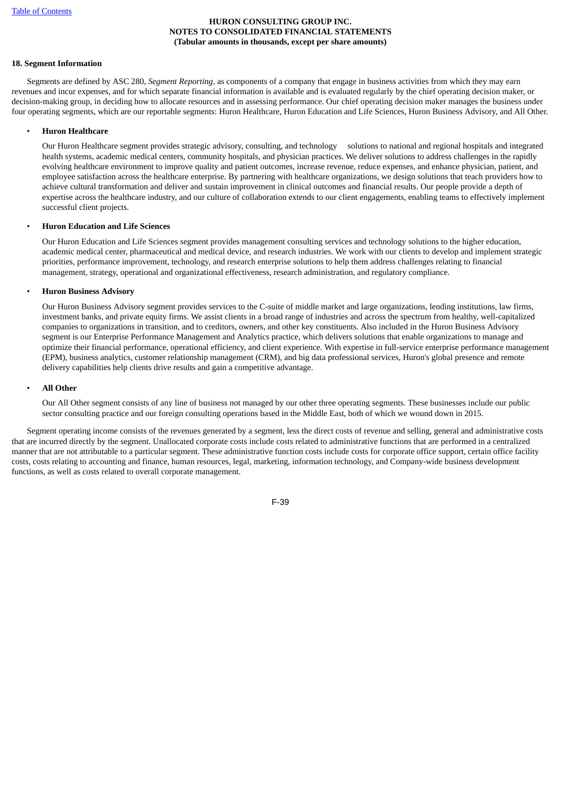## **18. Segment Information**

Segments are defined by ASC 280, *Segment Reporting*, as components of a company that engage in business activities from which they may earn revenues and incur expenses, and for which separate financial information is available and is evaluated regularly by the chief operating decision maker, or decision-making group, in deciding how to allocate resources and in assessing performance. Our chief operating decision maker manages the business under four operating segments, which are our reportable segments: Huron Healthcare, Huron Education and Life Sciences, Huron Business Advisory, and All Other.

#### • **Huron Healthcare**

Our Huron Healthcare segment provides strategic advisory, consulting, and technology solutions to national and regional hospitals and integrated health systems, academic medical centers, community hospitals, and physician practices. We deliver solutions to address challenges in the rapidly evolving healthcare environment to improve quality and patient outcomes, increase revenue, reduce expenses, and enhance physician, patient, and employee satisfaction across the healthcare enterprise. By partnering with healthcare organizations, we design solutions that teach providers how to achieve cultural transformation and deliver and sustain improvement in clinical outcomes and financial results. Our people provide a depth of expertise across the healthcare industry, and our culture of collaboration extends to our client engagements, enabling teams to effectively implement successful client projects.

#### • **Huron Education and Life Sciences**

Our Huron Education and Life Sciences segment provides management consulting services and technology solutions to the higher education, academic medical center, pharmaceutical and medical device, and research industries. We work with our clients to develop and implement strategic priorities, performance improvement, technology, and research enterprise solutions to help them address challenges relating to financial management, strategy, operational and organizational effectiveness, research administration, and regulatory compliance.

## • **Huron Business Advisory**

Our Huron Business Advisory segment provides services to the C-suite of middle market and large organizations, lending institutions, law firms, investment banks, and private equity firms. We assist clients in a broad range of industries and across the spectrum from healthy, well-capitalized companies to organizations in transition, and to creditors, owners, and other key constituents. Also included in the Huron Business Advisory segment is our Enterprise Performance Management and Analytics practice, which delivers solutions that enable organizations to manage and optimize their financial performance, operational efficiency, and client experience. With expertise in full-service enterprise performance management (EPM), business analytics, customer relationship management (CRM), and big data professional services, Huron's global presence and remote delivery capabilities help clients drive results and gain a competitive advantage.

## • **All Other**

Our All Other segment consists of any line of business not managed by our other three operating segments. These businesses include our public sector consulting practice and our foreign consulting operations based in the Middle East, both of which we wound down in 2015.

Segment operating income consists of the revenues generated by a segment, less the direct costs of revenue and selling, general and administrative costs that are incurred directly by the segment. Unallocated corporate costs include costs related to administrative functions that are performed in a centralized manner that are not attributable to a particular segment. These administrative function costs include costs for corporate office support, certain office facility costs, costs relating to accounting and finance, human resources, legal, marketing, information technology, and Company-wide business development functions, as well as costs related to overall corporate management.

$$
F-39
$$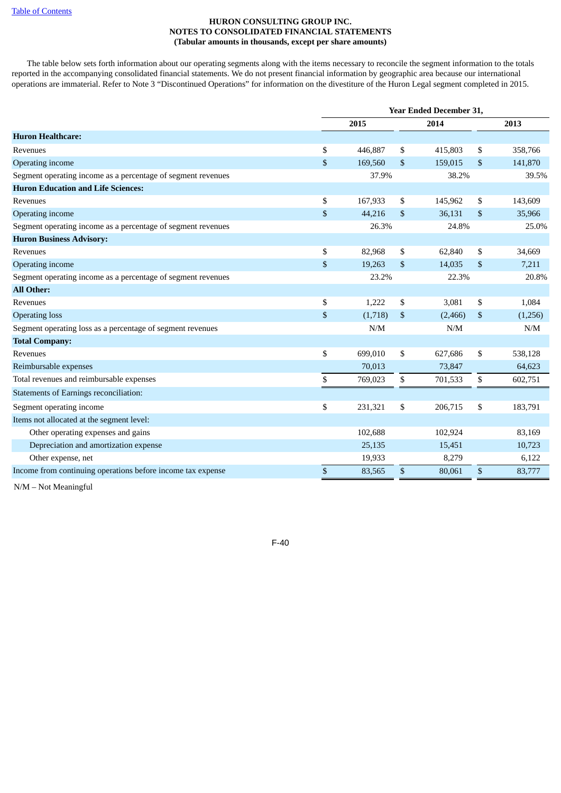The table below sets forth information about our operating segments along with the items necessary to reconcile the segment information to the totals reported in the accompanying consolidated financial statements. We do not present financial information by geographic area because our international operations are immaterial. Refer to Note 3 "Discontinued Operations" for information on the divestiture of the Huron Legal segment completed in 2015.

|                                                              | <b>Year Ended December 31,</b> |         |              |         |      |         |  |  |  |  |
|--------------------------------------------------------------|--------------------------------|---------|--------------|---------|------|---------|--|--|--|--|
|                                                              | 2015                           |         |              | 2014    |      | 2013    |  |  |  |  |
| <b>Huron Healthcare:</b>                                     |                                |         |              |         |      |         |  |  |  |  |
| Revenues                                                     | \$                             | 446,887 | \$           | 415,803 | \$   | 358,766 |  |  |  |  |
| Operating income                                             | \$                             | 169,560 | \$           | 159,015 | \$   | 141,870 |  |  |  |  |
| Segment operating income as a percentage of segment revenues |                                | 37.9%   |              | 38.2%   |      | 39.5%   |  |  |  |  |
| <b>Huron Education and Life Sciences:</b>                    |                                |         |              |         |      |         |  |  |  |  |
| Revenues                                                     | \$                             | 167,933 | \$           | 145,962 | \$   | 143,609 |  |  |  |  |
| Operating income                                             | \$                             | 44,216  | \$           | 36,131  | \$   | 35,966  |  |  |  |  |
| Segment operating income as a percentage of segment revenues |                                | 26.3%   |              | 24.8%   |      | 25.0%   |  |  |  |  |
| <b>Huron Business Advisory:</b>                              |                                |         |              |         |      |         |  |  |  |  |
| Revenues                                                     | \$                             | 82,968  | \$           | 62,840  | \$   | 34,669  |  |  |  |  |
| Operating income                                             | \$                             | 19,263  | \$           | 14,035  | \$   | 7,211   |  |  |  |  |
| Segment operating income as a percentage of segment revenues |                                | 23.2%   |              | 22.3%   |      | 20.8%   |  |  |  |  |
| <b>All Other:</b>                                            |                                |         |              |         |      |         |  |  |  |  |
| Revenues                                                     | \$                             | 1,222   | \$           | 3,081   | \$   | 1,084   |  |  |  |  |
| <b>Operating loss</b>                                        | \$                             | (1,718) | \$           | (2,466) | \$   | (1,256) |  |  |  |  |
| Segment operating loss as a percentage of segment revenues   |                                | N/M     |              | N/M     |      | N/M     |  |  |  |  |
| <b>Total Company:</b>                                        |                                |         |              |         |      |         |  |  |  |  |
| Revenues                                                     | \$                             | 699,010 | \$           | 627,686 | \$   | 538,128 |  |  |  |  |
| Reimbursable expenses                                        |                                | 70,013  |              | 73,847  |      | 64,623  |  |  |  |  |
| Total revenues and reimbursable expenses                     | \$                             | 769,023 | \$           | 701,533 | \$   | 602,751 |  |  |  |  |
| Statements of Earnings reconciliation:                       |                                |         |              |         |      |         |  |  |  |  |
| Segment operating income                                     | \$                             | 231,321 | \$           | 206,715 | \$   | 183,791 |  |  |  |  |
| Items not allocated at the segment level:                    |                                |         |              |         |      |         |  |  |  |  |
| Other operating expenses and gains                           |                                | 102,688 |              | 102,924 |      | 83,169  |  |  |  |  |
| Depreciation and amortization expense                        |                                | 25,135  |              | 15,451  |      | 10,723  |  |  |  |  |
| Other expense, net                                           |                                | 19,933  |              | 8,279   |      | 6,122   |  |  |  |  |
| Income from continuing operations before income tax expense  | $\mathbb{S}$                   | 83,565  | $\mathbb{S}$ | 80,061  | $\$$ | 83,777  |  |  |  |  |

N/M – Not Meaningful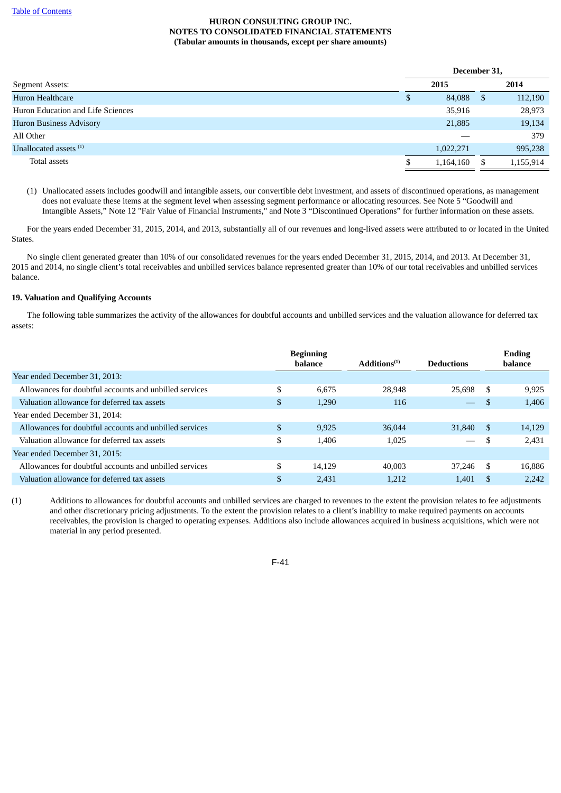|                                   | December 31, |           |      |           |  |  |  |
|-----------------------------------|--------------|-----------|------|-----------|--|--|--|
| <b>Segment Assets:</b>            |              | 2015      | 2014 |           |  |  |  |
| Huron Healthcare                  |              | 84,088    | S    | 112,190   |  |  |  |
| Huron Education and Life Sciences |              | 35,916    |      | 28,973    |  |  |  |
| <b>Huron Business Advisory</b>    |              | 21,885    |      | 19,134    |  |  |  |
| All Other                         |              |           |      | 379       |  |  |  |
| Unallocated assets <sup>(1)</sup> |              | 1,022,271 |      | 995,238   |  |  |  |
| Total assets                      |              | 1,164,160 |      | 1,155,914 |  |  |  |

(1) Unallocated assets includes goodwill and intangible assets, our convertible debt investment, and assets of discontinued operations, as management does not evaluate these items at the segment level when assessing segment performance or allocating resources. See Note 5 "Goodwill and Intangible Assets," Note 12 "Fair Value of Financial Instruments," and Note 3 "Discontinued Operations" for further information on these assets.

For the years ended December 31, 2015, 2014, and 2013, substantially all of our revenues and long-lived assets were attributed to or located in the United States.

No single client generated greater than 10% of our consolidated revenues for the years ended December 31, 2015, 2014, and 2013. At December 31, 2015 and 2014, no single client's total receivables and unbilled services balance represented greater than 10% of our total receivables and unbilled services balance.

## **19. Valuation and Qualifying Accounts**

The following table summarizes the activity of the allowances for doubtful accounts and unbilled services and the valuation allowance for deferred tax assets:

|                                                        | <b>Beginning</b><br><b>balance</b> | Additions <sup>(1)</sup> | <b>Deductions</b> |     | Ending<br>balance |
|--------------------------------------------------------|------------------------------------|--------------------------|-------------------|-----|-------------------|
| Year ended December 31, 2013:                          |                                    |                          |                   |     |                   |
| Allowances for doubtful accounts and unbilled services | \$<br>6.675                        | 28,948                   | 25,698            | -S  | 9.925             |
| Valuation allowance for deferred tax assets            | \$<br>1.290                        | 116                      |                   | \$  | 1.406             |
| Year ended December 31, 2014:                          |                                    |                          |                   |     |                   |
| Allowances for doubtful accounts and unbilled services | \$<br>9,925                        | 36,044                   | 31,840            | -\$ | 14.129            |
| Valuation allowance for deferred tax assets            | \$<br>1,406                        | 1,025                    |                   | S   | 2,431             |
| Year ended December 31, 2015:                          |                                    |                          |                   |     |                   |
| Allowances for doubtful accounts and unbilled services | \$<br>14.129                       | 40,003                   | 37.246            | -\$ | 16.886            |
| Valuation allowance for deferred tax assets            | \$<br>2.431                        | 1.212                    | 1,401             | -S  | 2.242             |

(1) Additions to allowances for doubtful accounts and unbilled services are charged to revenues to the extent the provision relates to fee adjustments and other discretionary pricing adjustments. To the extent the provision relates to a client's inability to make required payments on accounts receivables, the provision is charged to operating expenses. Additions also include allowances acquired in business acquisitions, which were not material in any period presented.

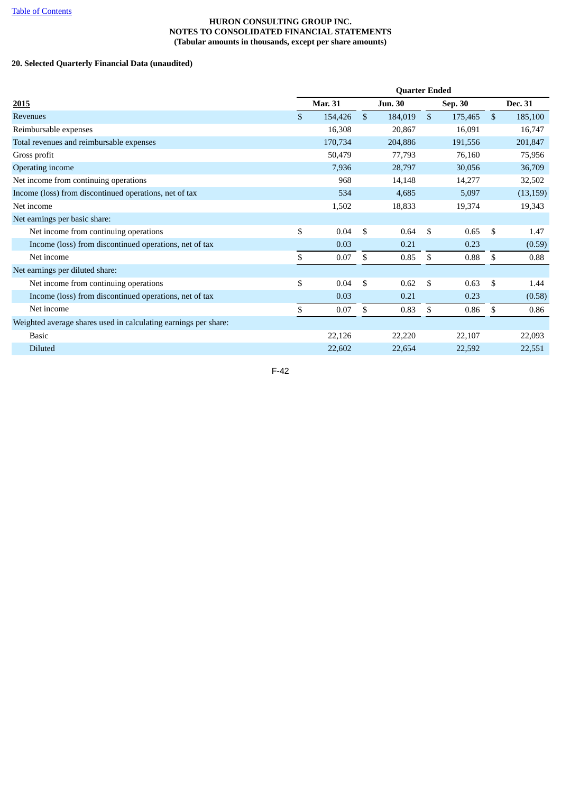# **20. Selected Quarterly Financial Data (unaudited)**

|                                                                 | <b>Quarter Ended</b> |                                  |              |         |                |         |               |                |
|-----------------------------------------------------------------|----------------------|----------------------------------|--------------|---------|----------------|---------|---------------|----------------|
| 2015                                                            |                      | <b>Jun. 30</b><br><b>Mar. 31</b> |              |         | <b>Sep. 30</b> |         |               | <b>Dec. 31</b> |
| Revenues                                                        | $\mathfrak{S}$       | 154,426                          | $\mathbb{S}$ | 184,019 | $\mathfrak{S}$ | 175,465 | <sup>\$</sup> | 185,100        |
| Reimbursable expenses                                           |                      | 16,308                           |              | 20,867  |                | 16,091  |               | 16,747         |
| Total revenues and reimbursable expenses                        |                      | 170,734                          |              | 204,886 |                | 191,556 |               | 201,847        |
| Gross profit                                                    |                      | 50,479                           |              | 77,793  |                | 76,160  |               | 75,956         |
| Operating income                                                |                      | 7,936                            |              | 28,797  |                | 30,056  |               | 36,709         |
| Net income from continuing operations                           |                      | 968                              |              | 14,148  |                | 14,277  |               | 32,502         |
| Income (loss) from discontinued operations, net of tax          |                      | 534                              |              | 4,685   |                | 5,097   |               | (13, 159)      |
| Net income                                                      |                      | 1,502                            |              | 18,833  |                | 19,374  |               | 19,343         |
| Net earnings per basic share:                                   |                      |                                  |              |         |                |         |               |                |
| Net income from continuing operations                           | \$                   | 0.04                             | \$           | 0.64    | \$             | 0.65    | \$            | 1.47           |
| Income (loss) from discontinued operations, net of tax          |                      | 0.03                             |              | 0.21    |                | 0.23    |               | (0.59)         |
| Net income                                                      | \$                   | 0.07                             | \$           | 0.85    | \$             | 0.88    | \$            | 0.88           |
| Net earnings per diluted share:                                 |                      |                                  |              |         |                |         |               |                |
| Net income from continuing operations                           | \$                   | 0.04                             | \$           | 0.62    | \$             | 0.63    | \$            | 1.44           |
| Income (loss) from discontinued operations, net of tax          |                      | 0.03                             |              | 0.21    |                | 0.23    |               | (0.58)         |
| Net income                                                      | \$                   | 0.07                             | \$           | 0.83    | \$             | 0.86    | \$            | 0.86           |
| Weighted average shares used in calculating earnings per share: |                      |                                  |              |         |                |         |               |                |
| <b>Basic</b>                                                    |                      | 22,126                           |              | 22,220  |                | 22,107  |               | 22,093         |
| <b>Diluted</b>                                                  |                      | 22,602                           |              | 22,654  |                | 22,592  |               | 22,551         |
|                                                                 |                      |                                  |              |         |                |         |               |                |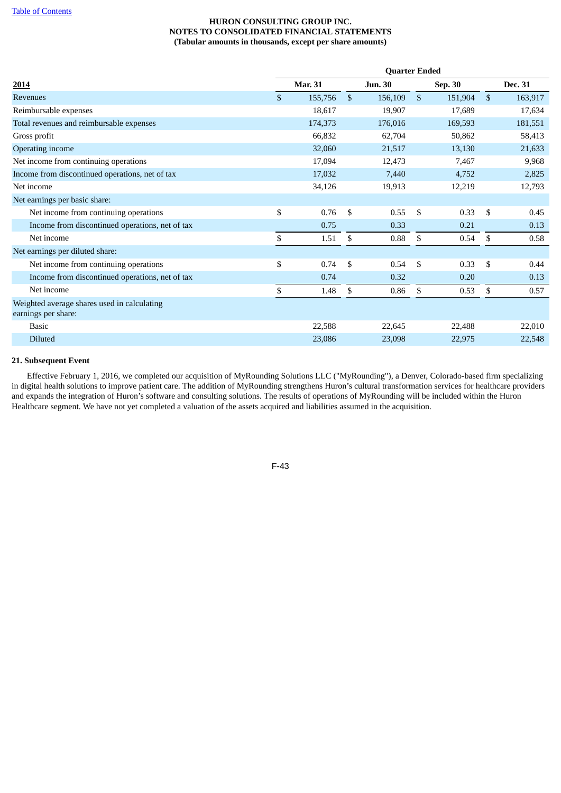|                                                                    |                | <b>Quarter Ended</b>             |              |                |              |         |                |         |
|--------------------------------------------------------------------|----------------|----------------------------------|--------------|----------------|--------------|---------|----------------|---------|
| 2014                                                               |                | <b>Jun. 30</b><br><b>Mar. 31</b> |              | <b>Sep. 30</b> |              |         | <b>Dec. 31</b> |         |
| <b>Revenues</b>                                                    | $\mathfrak{S}$ | 155,756                          | $\mathbb{S}$ | 156,109        | $\mathbb{S}$ | 151,904 | $\mathfrak{F}$ | 163,917 |
| Reimbursable expenses                                              |                | 18,617                           |              | 19,907         |              | 17,689  |                | 17,634  |
| Total revenues and reimbursable expenses                           |                | 174,373                          |              | 176,016        |              | 169,593 |                | 181,551 |
| Gross profit                                                       |                | 66,832                           |              | 62,704         |              | 50,862  |                | 58,413  |
| Operating income                                                   |                | 32,060                           |              | 21,517         |              | 13,130  |                | 21,633  |
| Net income from continuing operations                              |                | 17,094                           |              | 12,473         |              | 7,467   |                | 9,968   |
| Income from discontinued operations, net of tax                    |                | 17,032                           |              | 7,440          |              | 4,752   |                | 2,825   |
| Net income                                                         |                | 34,126                           |              | 19,913         |              | 12,219  |                | 12,793  |
| Net earnings per basic share:                                      |                |                                  |              |                |              |         |                |         |
| Net income from continuing operations                              | \$             | 0.76                             | \$           | 0.55           | \$           | 0.33    | \$             | 0.45    |
| Income from discontinued operations, net of tax                    |                | 0.75                             |              | 0.33           |              | 0.21    |                | 0.13    |
| Net income                                                         | \$             | 1.51                             | \$           | 0.88           | \$           | 0.54    | \$             | 0.58    |
| Net earnings per diluted share:                                    |                |                                  |              |                |              |         |                |         |
| Net income from continuing operations                              | \$             | 0.74                             | \$           | 0.54           | \$           | 0.33    | \$             | 0.44    |
| Income from discontinued operations, net of tax                    |                | 0.74                             |              | 0.32           |              | 0.20    |                | 0.13    |
| Net income                                                         | \$             | 1.48                             | \$           | 0.86           | \$           | 0.53    | \$             | 0.57    |
| Weighted average shares used in calculating<br>earnings per share: |                |                                  |              |                |              |         |                |         |
| <b>Basic</b>                                                       |                | 22,588                           |              | 22,645         |              | 22,488  |                | 22,010  |
| <b>Diluted</b>                                                     |                | 23,086                           |              | 23,098         |              | 22,975  |                | 22,548  |

## **21. Subsequent Event**

Effective February 1, 2016, we completed our acquisition of MyRounding Solutions LLC ("MyRounding"), a Denver, Colorado-based firm specializing in digital health solutions to improve patient care. The addition of MyRounding strengthens Huron's cultural transformation services for healthcare providers and expands the integration of Huron's software and consulting solutions. The results of operations of MyRounding will be included within the Huron Healthcare segment. We have not yet completed a valuation of the assets acquired and liabilities assumed in the acquisition.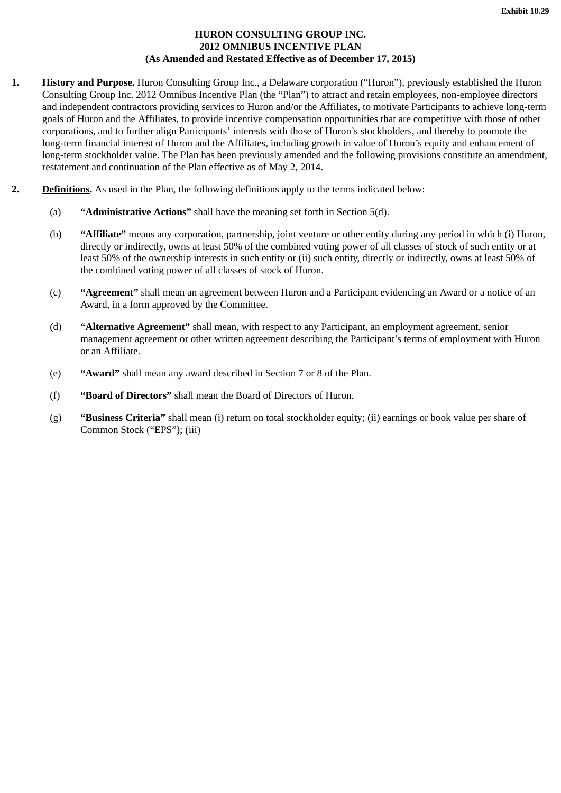# **HURON CONSULTING GROUP INC. 2012 OMNIBUS INCENTIVE PLAN (As Amended and Restated Effective as of December 17, 2015)**

- **1. History and Purpose.** Huron Consulting Group Inc., a Delaware corporation ("Huron"), previously established the Huron Consulting Group Inc. 2012 Omnibus Incentive Plan (the "Plan") to attract and retain employees, non-employee directors and independent contractors providing services to Huron and/or the Affiliates, to motivate Participants to achieve long-term goals of Huron and the Affiliates, to provide incentive compensation opportunities that are competitive with those of other corporations, and to further align Participants' interests with those of Huron's stockholders, and thereby to promote the long-term financial interest of Huron and the Affiliates, including growth in value of Huron's equity and enhancement of long-term stockholder value. The Plan has been previously amended and the following provisions constitute an amendment, restatement and continuation of the Plan effective as of May 2, 2014.
- **2. Definitions.** As used in the Plan, the following definitions apply to the terms indicated below:
	- (a) **"Administrative Actions"** shall have the meaning set forth in Section 5(d).
	- (b) **"Affiliate"** means any corporation, partnership, joint venture or other entity during any period in which (i) Huron, directly or indirectly, owns at least 50% of the combined voting power of all classes of stock of such entity or at least 50% of the ownership interests in such entity or (ii) such entity, directly or indirectly, owns at least 50% of the combined voting power of all classes of stock of Huron.
	- (c) **"Agreement"** shall mean an agreement between Huron and a Participant evidencing an Award or a notice of an Award, in a form approved by the Committee.
	- (d) **"Alternative Agreement"** shall mean, with respect to any Participant, an employment agreement, senior management agreement or other written agreement describing the Participant's terms of employment with Huron or an Affiliate.
	- (e) **"Award"** shall mean any award described in Section 7 or 8 of the Plan.
	- (f) **"Board of Directors"** shall mean the Board of Directors of Huron.
	- (g) **"Business Criteria"** shall mean (i) return on total stockholder equity; (ii) earnings or book value per share of Common Stock ("EPS"); (iii)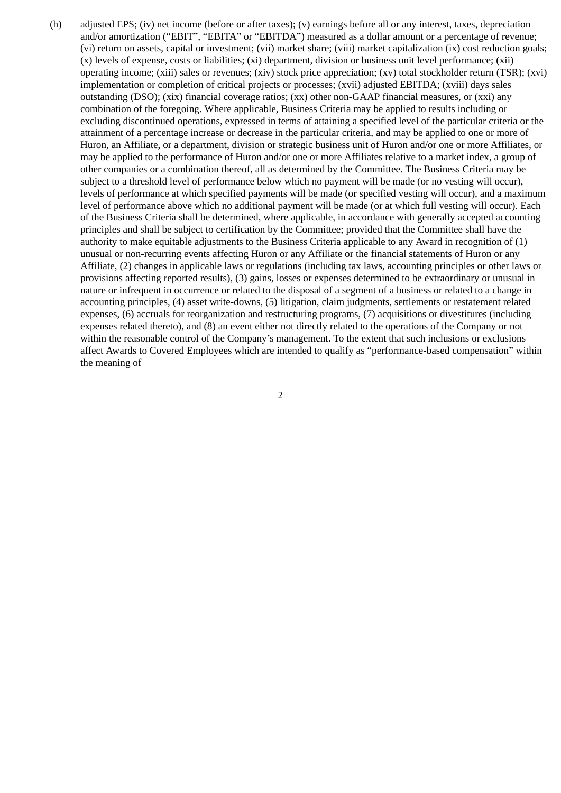(h) adjusted EPS; (iv) net income (before or after taxes); (v) earnings before all or any interest, taxes, depreciation and/or amortization ("EBIT", "EBITA" or "EBITDA") measured as a dollar amount or a percentage of revenue; (vi) return on assets, capital or investment; (vii) market share; (viii) market capitalization (ix) cost reduction goals; (x) levels of expense, costs or liabilities; (xi) department, division or business unit level performance; (xii) operating income; (xiii) sales or revenues; (xiv) stock price appreciation; (xv) total stockholder return (TSR); (xvi) implementation or completion of critical projects or processes; (xvii) adjusted EBITDA; (xviii) days sales outstanding (DSO); (xix) financial coverage ratios; (xx) other non-GAAP financial measures, or (xxi) any combination of the foregoing. Where applicable, Business Criteria may be applied to results including or excluding discontinued operations, expressed in terms of attaining a specified level of the particular criteria or the attainment of a percentage increase or decrease in the particular criteria, and may be applied to one or more of Huron, an Affiliate, or a department, division or strategic business unit of Huron and/or one or more Affiliates, or may be applied to the performance of Huron and/or one or more Affiliates relative to a market index, a group of other companies or a combination thereof, all as determined by the Committee. The Business Criteria may be subject to a threshold level of performance below which no payment will be made (or no vesting will occur), levels of performance at which specified payments will be made (or specified vesting will occur), and a maximum level of performance above which no additional payment will be made (or at which full vesting will occur). Each of the Business Criteria shall be determined, where applicable, in accordance with generally accepted accounting principles and shall be subject to certification by the Committee; provided that the Committee shall have the authority to make equitable adjustments to the Business Criteria applicable to any Award in recognition of (1) unusual or non-recurring events affecting Huron or any Affiliate or the financial statements of Huron or any Affiliate, (2) changes in applicable laws or regulations (including tax laws, accounting principles or other laws or provisions affecting reported results), (3) gains, losses or expenses determined to be extraordinary or unusual in nature or infrequent in occurrence or related to the disposal of a segment of a business or related to a change in accounting principles, (4) asset write-downs, (5) litigation, claim judgments, settlements or restatement related expenses, (6) accruals for reorganization and restructuring programs, (7) acquisitions or divestitures (including expenses related thereto), and (8) an event either not directly related to the operations of the Company or not within the reasonable control of the Company's management. To the extent that such inclusions or exclusions affect Awards to Covered Employees which are intended to qualify as "performance-based compensation" within the meaning of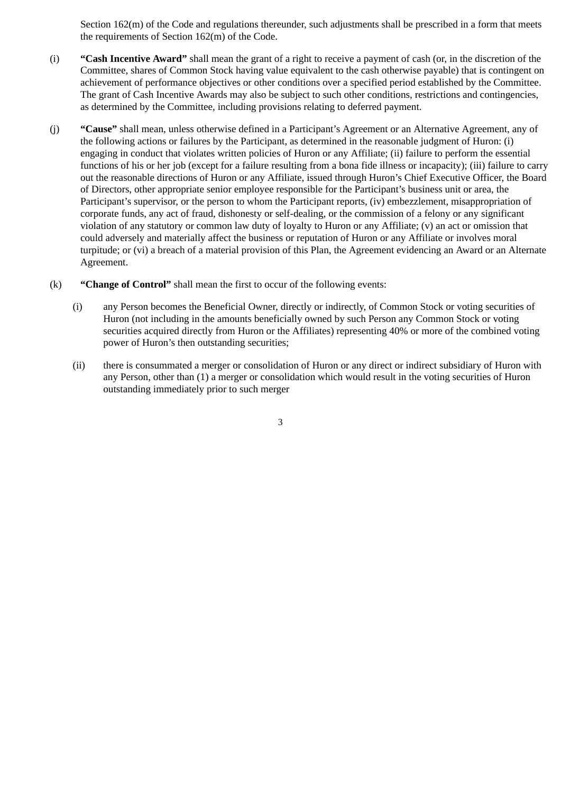Section 162(m) of the Code and regulations thereunder, such adjustments shall be prescribed in a form that meets the requirements of Section 162(m) of the Code.

- (i) **"Cash Incentive Award"** shall mean the grant of a right to receive a payment of cash (or, in the discretion of the Committee, shares of Common Stock having value equivalent to the cash otherwise payable) that is contingent on achievement of performance objectives or other conditions over a specified period established by the Committee. The grant of Cash Incentive Awards may also be subject to such other conditions, restrictions and contingencies, as determined by the Committee, including provisions relating to deferred payment.
- (j) **"Cause"** shall mean, unless otherwise defined in a Participant's Agreement or an Alternative Agreement, any of the following actions or failures by the Participant, as determined in the reasonable judgment of Huron: (i) engaging in conduct that violates written policies of Huron or any Affiliate; (ii) failure to perform the essential functions of his or her job (except for a failure resulting from a bona fide illness or incapacity); (iii) failure to carry out the reasonable directions of Huron or any Affiliate, issued through Huron's Chief Executive Officer, the Board of Directors, other appropriate senior employee responsible for the Participant's business unit or area, the Participant's supervisor, or the person to whom the Participant reports, (iv) embezzlement, misappropriation of corporate funds, any act of fraud, dishonesty or self-dealing, or the commission of a felony or any significant violation of any statutory or common law duty of loyalty to Huron or any Affiliate; (v) an act or omission that could adversely and materially affect the business or reputation of Huron or any Affiliate or involves moral turpitude; or (vi) a breach of a material provision of this Plan, the Agreement evidencing an Award or an Alternate Agreement.
- (k) **"Change of Control"** shall mean the first to occur of the following events:
	- (i) any Person becomes the Beneficial Owner, directly or indirectly, of Common Stock or voting securities of Huron (not including in the amounts beneficially owned by such Person any Common Stock or voting securities acquired directly from Huron or the Affiliates) representing 40% or more of the combined voting power of Huron's then outstanding securities;
	- (ii) there is consummated a merger or consolidation of Huron or any direct or indirect subsidiary of Huron with any Person, other than (1) a merger or consolidation which would result in the voting securities of Huron outstanding immediately prior to such merger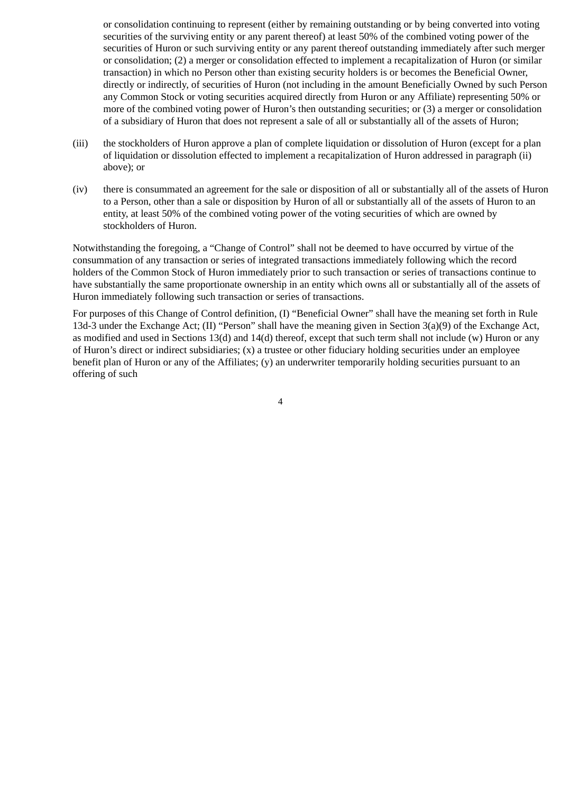or consolidation continuing to represent (either by remaining outstanding or by being converted into voting securities of the surviving entity or any parent thereof) at least 50% of the combined voting power of the securities of Huron or such surviving entity or any parent thereof outstanding immediately after such merger or consolidation; (2) a merger or consolidation effected to implement a recapitalization of Huron (or similar transaction) in which no Person other than existing security holders is or becomes the Beneficial Owner, directly or indirectly, of securities of Huron (not including in the amount Beneficially Owned by such Person any Common Stock or voting securities acquired directly from Huron or any Affiliate) representing 50% or more of the combined voting power of Huron's then outstanding securities; or (3) a merger or consolidation of a subsidiary of Huron that does not represent a sale of all or substantially all of the assets of Huron;

- (iii) the stockholders of Huron approve a plan of complete liquidation or dissolution of Huron (except for a plan of liquidation or dissolution effected to implement a recapitalization of Huron addressed in paragraph (ii) above); or
- (iv) there is consummated an agreement for the sale or disposition of all or substantially all of the assets of Huron to a Person, other than a sale or disposition by Huron of all or substantially all of the assets of Huron to an entity, at least 50% of the combined voting power of the voting securities of which are owned by stockholders of Huron.

Notwithstanding the foregoing, a "Change of Control" shall not be deemed to have occurred by virtue of the consummation of any transaction or series of integrated transactions immediately following which the record holders of the Common Stock of Huron immediately prior to such transaction or series of transactions continue to have substantially the same proportionate ownership in an entity which owns all or substantially all of the assets of Huron immediately following such transaction or series of transactions.

For purposes of this Change of Control definition, (I) "Beneficial Owner" shall have the meaning set forth in Rule 13d-3 under the Exchange Act; (II) "Person" shall have the meaning given in Section 3(a)(9) of the Exchange Act, as modified and used in Sections 13(d) and 14(d) thereof, except that such term shall not include (w) Huron or any of Huron's direct or indirect subsidiaries; (x) a trustee or other fiduciary holding securities under an employee benefit plan of Huron or any of the Affiliates; (y) an underwriter temporarily holding securities pursuant to an offering of such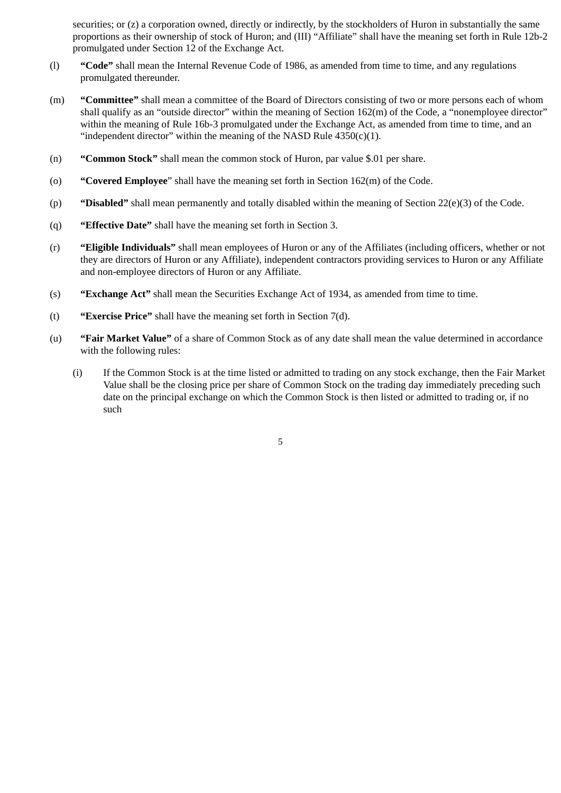securities; or (z) a corporation owned, directly or indirectly, by the stockholders of Huron in substantially the same proportions as their ownership of stock of Huron; and (III) "Affiliate" shall have the meaning set forth in Rule 12b-2 promulgated under Section 12 of the Exchange Act.

- (l) **"Code"** shall mean the Internal Revenue Code of 1986, as amended from time to time, and any regulations promulgated thereunder.
- (m) **"Committee"** shall mean a committee of the Board of Directors consisting of two or more persons each of whom shall qualify as an "outside director" within the meaning of Section 162(m) of the Code, a "nonemployee director" within the meaning of Rule 16b-3 promulgated under the Exchange Act, as amended from time to time, and an "independent director" within the meaning of the NASD Rule  $4350(c)(1)$ .
- (n) **"Common Stock"** shall mean the common stock of Huron, par value \$.01 per share.
- (o) **"Covered Employee**" shall have the meaning set forth in Section 162(m) of the Code.
- (p) **"Disabled"** shall mean permanently and totally disabled within the meaning of Section 22(e)(3) of the Code.
- (q) **"Effective Date"** shall have the meaning set forth in Section 3.
- (r) **"Eligible Individuals"** shall mean employees of Huron or any of the Affiliates (including officers, whether or not they are directors of Huron or any Affiliate), independent contractors providing services to Huron or any Affiliate and non-employee directors of Huron or any Affiliate.
- (s) **"Exchange Act"** shall mean the Securities Exchange Act of 1934, as amended from time to time.
- (t) **"Exercise Price"** shall have the meaning set forth in Section 7(d).
- (u) **"Fair Market Value"** of a share of Common Stock as of any date shall mean the value determined in accordance with the following rules:
	- (i) If the Common Stock is at the time listed or admitted to trading on any stock exchange, then the Fair Market Value shall be the closing price per share of Common Stock on the trading day immediately preceding such date on the principal exchange on which the Common Stock is then listed or admitted to trading or, if no such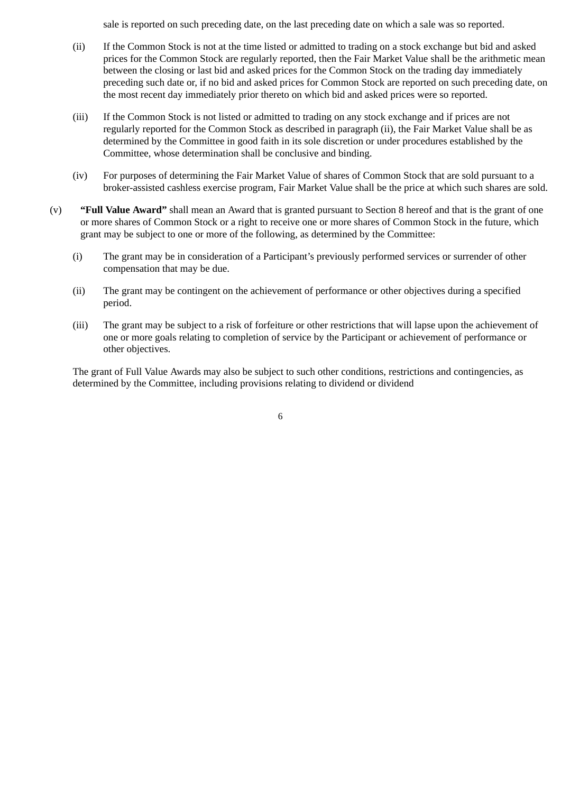sale is reported on such preceding date, on the last preceding date on which a sale was so reported.

- (ii) If the Common Stock is not at the time listed or admitted to trading on a stock exchange but bid and asked prices for the Common Stock are regularly reported, then the Fair Market Value shall be the arithmetic mean between the closing or last bid and asked prices for the Common Stock on the trading day immediately preceding such date or, if no bid and asked prices for Common Stock are reported on such preceding date, on the most recent day immediately prior thereto on which bid and asked prices were so reported.
- (iii) If the Common Stock is not listed or admitted to trading on any stock exchange and if prices are not regularly reported for the Common Stock as described in paragraph (ii), the Fair Market Value shall be as determined by the Committee in good faith in its sole discretion or under procedures established by the Committee, whose determination shall be conclusive and binding.
- (iv) For purposes of determining the Fair Market Value of shares of Common Stock that are sold pursuant to a broker-assisted cashless exercise program, Fair Market Value shall be the price at which such shares are sold.
- (v) **"Full Value Award"** shall mean an Award that is granted pursuant to Section 8 hereof and that is the grant of one or more shares of Common Stock or a right to receive one or more shares of Common Stock in the future, which grant may be subject to one or more of the following, as determined by the Committee:
	- (i) The grant may be in consideration of a Participant's previously performed services or surrender of other compensation that may be due.
	- (ii) The grant may be contingent on the achievement of performance or other objectives during a specified period.
	- (iii) The grant may be subject to a risk of forfeiture or other restrictions that will lapse upon the achievement of one or more goals relating to completion of service by the Participant or achievement of performance or other objectives.

The grant of Full Value Awards may also be subject to such other conditions, restrictions and contingencies, as determined by the Committee, including provisions relating to dividend or dividend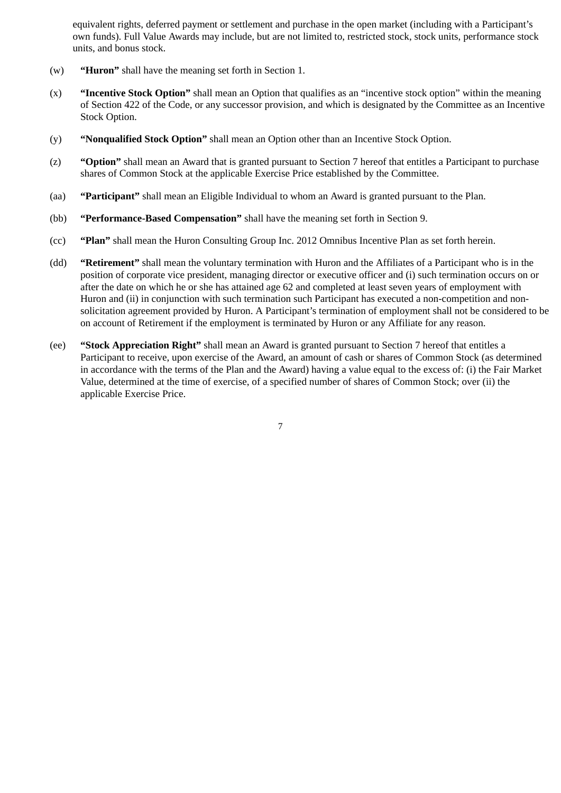equivalent rights, deferred payment or settlement and purchase in the open market (including with a Participant's own funds). Full Value Awards may include, but are not limited to, restricted stock, stock units, performance stock units, and bonus stock.

- (w) **"Huron"** shall have the meaning set forth in Section 1.
- (x) **"Incentive Stock Option"** shall mean an Option that qualifies as an "incentive stock option" within the meaning of Section 422 of the Code, or any successor provision, and which is designated by the Committee as an Incentive Stock Option.
- (y) **"Nonqualified Stock Option"** shall mean an Option other than an Incentive Stock Option.
- (z) **"Option"** shall mean an Award that is granted pursuant to Section 7 hereof that entitles a Participant to purchase shares of Common Stock at the applicable Exercise Price established by the Committee.
- (aa) **"Participant"** shall mean an Eligible Individual to whom an Award is granted pursuant to the Plan.
- (bb) **"Performance-Based Compensation"** shall have the meaning set forth in Section 9.
- (cc) **"Plan"** shall mean the Huron Consulting Group Inc. 2012 Omnibus Incentive Plan as set forth herein.
- (dd) **"Retirement"** shall mean the voluntary termination with Huron and the Affiliates of a Participant who is in the position of corporate vice president, managing director or executive officer and (i) such termination occurs on or after the date on which he or she has attained age 62 and completed at least seven years of employment with Huron and (ii) in conjunction with such termination such Participant has executed a non-competition and nonsolicitation agreement provided by Huron. A Participant's termination of employment shall not be considered to be on account of Retirement if the employment is terminated by Huron or any Affiliate for any reason.
- (ee) **"Stock Appreciation Right"** shall mean an Award is granted pursuant to Section 7 hereof that entitles a Participant to receive, upon exercise of the Award, an amount of cash or shares of Common Stock (as determined in accordance with the terms of the Plan and the Award) having a value equal to the excess of: (i) the Fair Market Value, determined at the time of exercise, of a specified number of shares of Common Stock; over (ii) the applicable Exercise Price.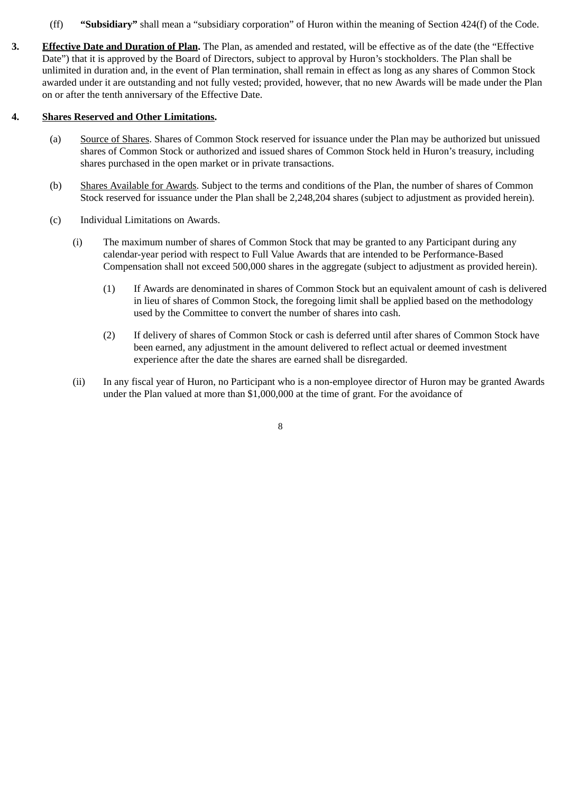- (ff) **"Subsidiary"** shall mean a "subsidiary corporation" of Huron within the meaning of Section 424(f) of the Code.
- **3. Effective Date and Duration of Plan.** The Plan, as amended and restated, will be effective as of the date (the "Effective Date") that it is approved by the Board of Directors, subject to approval by Huron's stockholders. The Plan shall be unlimited in duration and, in the event of Plan termination, shall remain in effect as long as any shares of Common Stock awarded under it are outstanding and not fully vested; provided, however, that no new Awards will be made under the Plan on or after the tenth anniversary of the Effective Date.

## **4. Shares Reserved and Other Limitations.**

- (a) Source of Shares. Shares of Common Stock reserved for issuance under the Plan may be authorized but unissued shares of Common Stock or authorized and issued shares of Common Stock held in Huron's treasury, including shares purchased in the open market or in private transactions.
- (b) Shares Available for Awards. Subject to the terms and conditions of the Plan, the number of shares of Common Stock reserved for issuance under the Plan shall be 2,248,204 shares (subject to adjustment as provided herein).
- (c) Individual Limitations on Awards.
	- (i) The maximum number of shares of Common Stock that may be granted to any Participant during any calendar-year period with respect to Full Value Awards that are intended to be Performance-Based Compensation shall not exceed 500,000 shares in the aggregate (subject to adjustment as provided herein).
		- (1) If Awards are denominated in shares of Common Stock but an equivalent amount of cash is delivered in lieu of shares of Common Stock, the foregoing limit shall be applied based on the methodology used by the Committee to convert the number of shares into cash.
		- (2) If delivery of shares of Common Stock or cash is deferred until after shares of Common Stock have been earned, any adjustment in the amount delivered to reflect actual or deemed investment experience after the date the shares are earned shall be disregarded.
	- (ii) In any fiscal year of Huron, no Participant who is a non-employee director of Huron may be granted Awards under the Plan valued at more than \$1,000,000 at the time of grant. For the avoidance of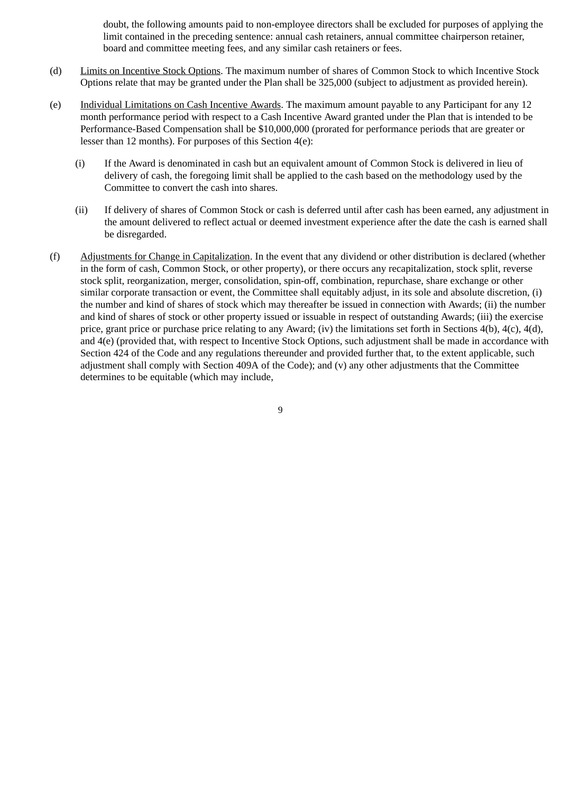doubt, the following amounts paid to non-employee directors shall be excluded for purposes of applying the limit contained in the preceding sentence: annual cash retainers, annual committee chairperson retainer, board and committee meeting fees, and any similar cash retainers or fees.

- (d) Limits on Incentive Stock Options. The maximum number of shares of Common Stock to which Incentive Stock Options relate that may be granted under the Plan shall be 325,000 (subject to adjustment as provided herein).
- (e) Individual Limitations on Cash Incentive Awards. The maximum amount payable to any Participant for any 12 month performance period with respect to a Cash Incentive Award granted under the Plan that is intended to be Performance-Based Compensation shall be \$10,000,000 (prorated for performance periods that are greater or lesser than 12 months). For purposes of this Section 4(e):
	- (i) If the Award is denominated in cash but an equivalent amount of Common Stock is delivered in lieu of delivery of cash, the foregoing limit shall be applied to the cash based on the methodology used by the Committee to convert the cash into shares.
	- (ii) If delivery of shares of Common Stock or cash is deferred until after cash has been earned, any adjustment in the amount delivered to reflect actual or deemed investment experience after the date the cash is earned shall be disregarded.
- (f) Adjustments for Change in Capitalization. In the event that any dividend or other distribution is declared (whether in the form of cash, Common Stock, or other property), or there occurs any recapitalization, stock split, reverse stock split, reorganization, merger, consolidation, spin-off, combination, repurchase, share exchange or other similar corporate transaction or event, the Committee shall equitably adjust, in its sole and absolute discretion, (i) the number and kind of shares of stock which may thereafter be issued in connection with Awards; (ii) the number and kind of shares of stock or other property issued or issuable in respect of outstanding Awards; (iii) the exercise price, grant price or purchase price relating to any Award; (iv) the limitations set forth in Sections 4(b), 4(c), 4(d), and 4(e) (provided that, with respect to Incentive Stock Options, such adjustment shall be made in accordance with Section 424 of the Code and any regulations thereunder and provided further that, to the extent applicable, such adjustment shall comply with Section 409A of the Code); and (v) any other adjustments that the Committee determines to be equitable (which may include,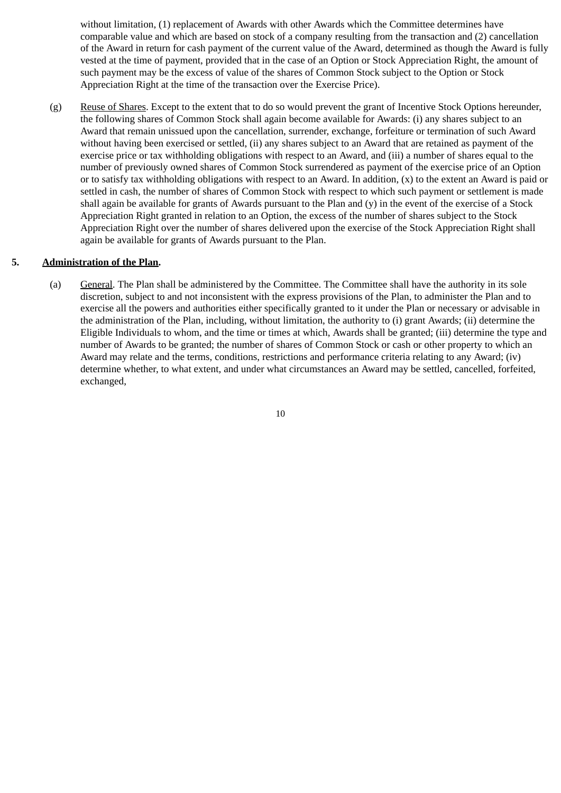without limitation, (1) replacement of Awards with other Awards which the Committee determines have comparable value and which are based on stock of a company resulting from the transaction and (2) cancellation of the Award in return for cash payment of the current value of the Award, determined as though the Award is fully vested at the time of payment, provided that in the case of an Option or Stock Appreciation Right, the amount of such payment may be the excess of value of the shares of Common Stock subject to the Option or Stock Appreciation Right at the time of the transaction over the Exercise Price).

(g) Reuse of Shares. Except to the extent that to do so would prevent the grant of Incentive Stock Options hereunder, the following shares of Common Stock shall again become available for Awards: (i) any shares subject to an Award that remain unissued upon the cancellation, surrender, exchange, forfeiture or termination of such Award without having been exercised or settled, (ii) any shares subject to an Award that are retained as payment of the exercise price or tax withholding obligations with respect to an Award, and (iii) a number of shares equal to the number of previously owned shares of Common Stock surrendered as payment of the exercise price of an Option or to satisfy tax withholding obligations with respect to an Award. In addition, (x) to the extent an Award is paid or settled in cash, the number of shares of Common Stock with respect to which such payment or settlement is made shall again be available for grants of Awards pursuant to the Plan and  $(v)$  in the event of the exercise of a Stock Appreciation Right granted in relation to an Option, the excess of the number of shares subject to the Stock Appreciation Right over the number of shares delivered upon the exercise of the Stock Appreciation Right shall again be available for grants of Awards pursuant to the Plan.

# **5. Administration of the Plan.**

(a) General. The Plan shall be administered by the Committee. The Committee shall have the authority in its sole discretion, subject to and not inconsistent with the express provisions of the Plan, to administer the Plan and to exercise all the powers and authorities either specifically granted to it under the Plan or necessary or advisable in the administration of the Plan, including, without limitation, the authority to (i) grant Awards; (ii) determine the Eligible Individuals to whom, and the time or times at which, Awards shall be granted; (iii) determine the type and number of Awards to be granted; the number of shares of Common Stock or cash or other property to which an Award may relate and the terms, conditions, restrictions and performance criteria relating to any Award; (iv) determine whether, to what extent, and under what circumstances an Award may be settled, cancelled, forfeited, exchanged,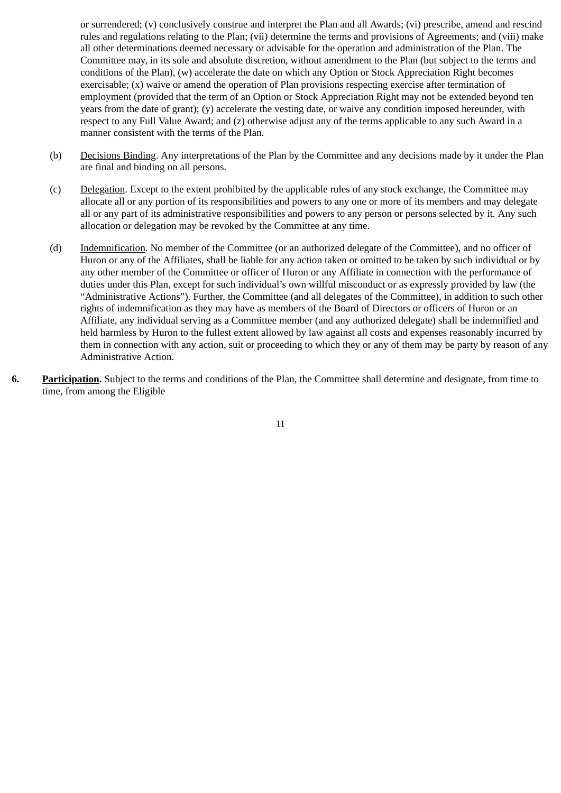or surrendered; (v) conclusively construe and interpret the Plan and all Awards; (vi) prescribe, amend and rescind rules and regulations relating to the Plan; (vii) determine the terms and provisions of Agreements; and (viii) make all other determinations deemed necessary or advisable for the operation and administration of the Plan. The Committee may, in its sole and absolute discretion, without amendment to the Plan (but subject to the terms and conditions of the Plan), (w) accelerate the date on which any Option or Stock Appreciation Right becomes exercisable; (x) waive or amend the operation of Plan provisions respecting exercise after termination of employment (provided that the term of an Option or Stock Appreciation Right may not be extended beyond ten years from the date of grant); (y) accelerate the vesting date, or waive any condition imposed hereunder, with respect to any Full Value Award; and (z) otherwise adjust any of the terms applicable to any such Award in a manner consistent with the terms of the Plan.

- (b) Decisions Binding. Any interpretations of the Plan by the Committee and any decisions made by it under the Plan are final and binding on all persons.
- (c) Delegation. Except to the extent prohibited by the applicable rules of any stock exchange, the Committee may allocate all or any portion of its responsibilities and powers to any one or more of its members and may delegate all or any part of its administrative responsibilities and powers to any person or persons selected by it. Any such allocation or delegation may be revoked by the Committee at any time.
- (d) Indemnification. No member of the Committee (or an authorized delegate of the Committee), and no officer of Huron or any of the Affiliates, shall be liable for any action taken or omitted to be taken by such individual or by any other member of the Committee or officer of Huron or any Affiliate in connection with the performance of duties under this Plan, except for such individual's own willful misconduct or as expressly provided by law (the "Administrative Actions"). Further, the Committee (and all delegates of the Committee), in addition to such other rights of indemnification as they may have as members of the Board of Directors or officers of Huron or an Affiliate, any individual serving as a Committee member (and any authorized delegate) shall be indemnified and held harmless by Huron to the fullest extent allowed by law against all costs and expenses reasonably incurred by them in connection with any action, suit or proceeding to which they or any of them may be party by reason of any Administrative Action.
- **6. Participation.** Subject to the terms and conditions of the Plan, the Committee shall determine and designate, from time to time, from among the Eligible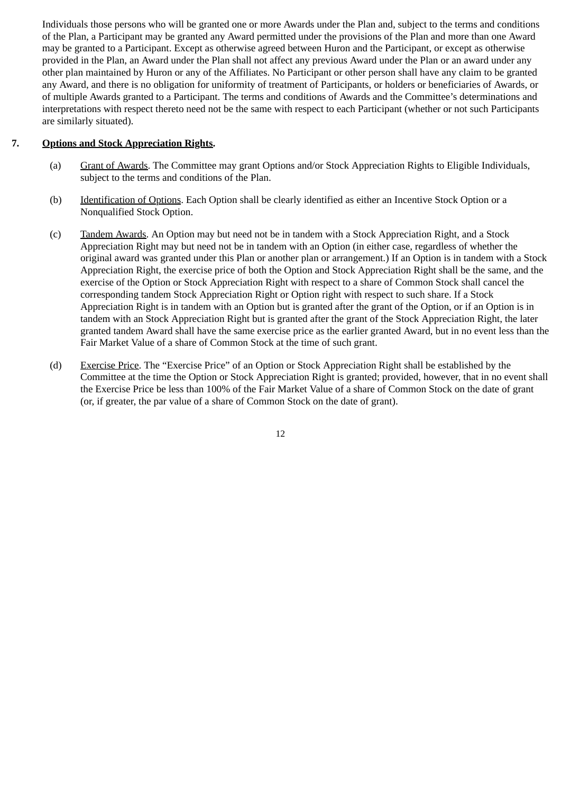Individuals those persons who will be granted one or more Awards under the Plan and, subject to the terms and conditions of the Plan, a Participant may be granted any Award permitted under the provisions of the Plan and more than one Award may be granted to a Participant. Except as otherwise agreed between Huron and the Participant, or except as otherwise provided in the Plan, an Award under the Plan shall not affect any previous Award under the Plan or an award under any other plan maintained by Huron or any of the Affiliates. No Participant or other person shall have any claim to be granted any Award, and there is no obligation for uniformity of treatment of Participants, or holders or beneficiaries of Awards, or of multiple Awards granted to a Participant. The terms and conditions of Awards and the Committee's determinations and interpretations with respect thereto need not be the same with respect to each Participant (whether or not such Participants are similarly situated).

## **7. Options and Stock Appreciation Rights.**

- (a) Grant of Awards. The Committee may grant Options and/or Stock Appreciation Rights to Eligible Individuals, subject to the terms and conditions of the Plan.
- (b) Identification of Options. Each Option shall be clearly identified as either an Incentive Stock Option or a Nonqualified Stock Option.
- (c) Tandem Awards. An Option may but need not be in tandem with a Stock Appreciation Right, and a Stock Appreciation Right may but need not be in tandem with an Option (in either case, regardless of whether the original award was granted under this Plan or another plan or arrangement.) If an Option is in tandem with a Stock Appreciation Right, the exercise price of both the Option and Stock Appreciation Right shall be the same, and the exercise of the Option or Stock Appreciation Right with respect to a share of Common Stock shall cancel the corresponding tandem Stock Appreciation Right or Option right with respect to such share. If a Stock Appreciation Right is in tandem with an Option but is granted after the grant of the Option, or if an Option is in tandem with an Stock Appreciation Right but is granted after the grant of the Stock Appreciation Right, the later granted tandem Award shall have the same exercise price as the earlier granted Award, but in no event less than the Fair Market Value of a share of Common Stock at the time of such grant.
- (d) Exercise Price. The "Exercise Price" of an Option or Stock Appreciation Right shall be established by the Committee at the time the Option or Stock Appreciation Right is granted; provided, however, that in no event shall the Exercise Price be less than 100% of the Fair Market Value of a share of Common Stock on the date of grant (or, if greater, the par value of a share of Common Stock on the date of grant).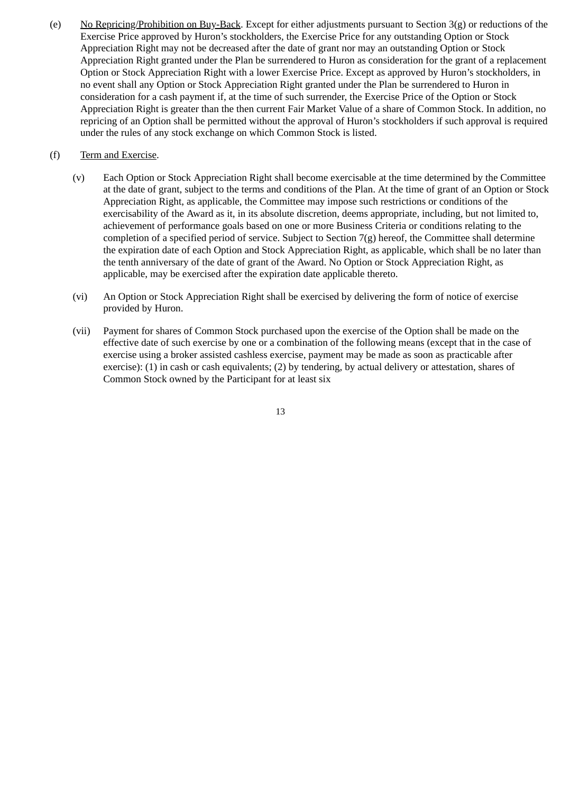(e) No Repricing/Prohibition on Buy-Back. Except for either adjustments pursuant to Section 3(g) or reductions of the Exercise Price approved by Huron's stockholders, the Exercise Price for any outstanding Option or Stock Appreciation Right may not be decreased after the date of grant nor may an outstanding Option or Stock Appreciation Right granted under the Plan be surrendered to Huron as consideration for the grant of a replacement Option or Stock Appreciation Right with a lower Exercise Price. Except as approved by Huron's stockholders, in no event shall any Option or Stock Appreciation Right granted under the Plan be surrendered to Huron in consideration for a cash payment if, at the time of such surrender, the Exercise Price of the Option or Stock Appreciation Right is greater than the then current Fair Market Value of a share of Common Stock. In addition, no repricing of an Option shall be permitted without the approval of Huron's stockholders if such approval is required under the rules of any stock exchange on which Common Stock is listed.

## (f) Term and Exercise.

- (v) Each Option or Stock Appreciation Right shall become exercisable at the time determined by the Committee at the date of grant, subject to the terms and conditions of the Plan. At the time of grant of an Option or Stock Appreciation Right, as applicable, the Committee may impose such restrictions or conditions of the exercisability of the Award as it, in its absolute discretion, deems appropriate, including, but not limited to, achievement of performance goals based on one or more Business Criteria or conditions relating to the completion of a specified period of service. Subject to Section 7(g) hereof, the Committee shall determine the expiration date of each Option and Stock Appreciation Right, as applicable, which shall be no later than the tenth anniversary of the date of grant of the Award. No Option or Stock Appreciation Right, as applicable, may be exercised after the expiration date applicable thereto.
- (vi) An Option or Stock Appreciation Right shall be exercised by delivering the form of notice of exercise provided by Huron.
- (vii) Payment for shares of Common Stock purchased upon the exercise of the Option shall be made on the effective date of such exercise by one or a combination of the following means (except that in the case of exercise using a broker assisted cashless exercise, payment may be made as soon as practicable after exercise): (1) in cash or cash equivalents; (2) by tendering, by actual delivery or attestation, shares of Common Stock owned by the Participant for at least six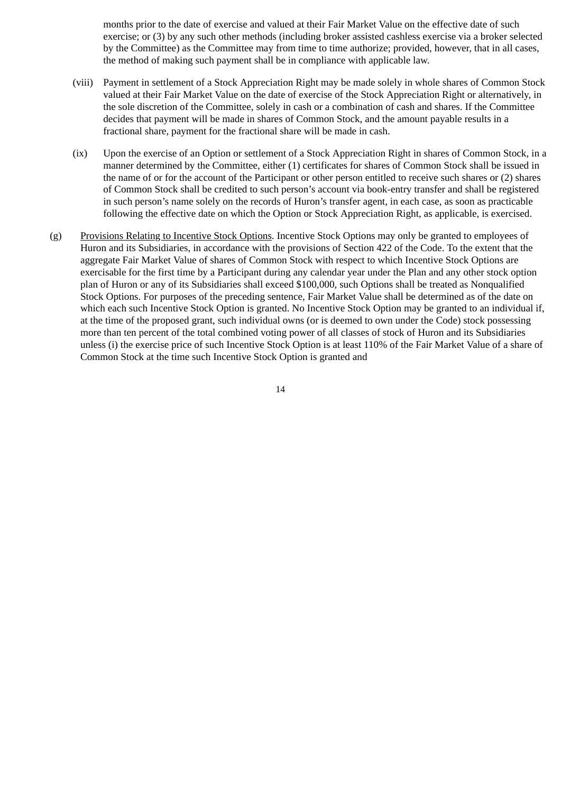months prior to the date of exercise and valued at their Fair Market Value on the effective date of such exercise; or (3) by any such other methods (including broker assisted cashless exercise via a broker selected by the Committee) as the Committee may from time to time authorize; provided, however, that in all cases, the method of making such payment shall be in compliance with applicable law.

- (viii) Payment in settlement of a Stock Appreciation Right may be made solely in whole shares of Common Stock valued at their Fair Market Value on the date of exercise of the Stock Appreciation Right or alternatively, in the sole discretion of the Committee, solely in cash or a combination of cash and shares. If the Committee decides that payment will be made in shares of Common Stock, and the amount payable results in a fractional share, payment for the fractional share will be made in cash.
- (ix) Upon the exercise of an Option or settlement of a Stock Appreciation Right in shares of Common Stock, in a manner determined by the Committee, either (1) certificates for shares of Common Stock shall be issued in the name of or for the account of the Participant or other person entitled to receive such shares or (2) shares of Common Stock shall be credited to such person's account via book-entry transfer and shall be registered in such person's name solely on the records of Huron's transfer agent, in each case, as soon as practicable following the effective date on which the Option or Stock Appreciation Right, as applicable, is exercised.
- (g) Provisions Relating to Incentive Stock Options. Incentive Stock Options may only be granted to employees of Huron and its Subsidiaries, in accordance with the provisions of Section 422 of the Code. To the extent that the aggregate Fair Market Value of shares of Common Stock with respect to which Incentive Stock Options are exercisable for the first time by a Participant during any calendar year under the Plan and any other stock option plan of Huron or any of its Subsidiaries shall exceed \$100,000, such Options shall be treated as Nonqualified Stock Options. For purposes of the preceding sentence, Fair Market Value shall be determined as of the date on which each such Incentive Stock Option is granted. No Incentive Stock Option may be granted to an individual if, at the time of the proposed grant, such individual owns (or is deemed to own under the Code) stock possessing more than ten percent of the total combined voting power of all classes of stock of Huron and its Subsidiaries unless (i) the exercise price of such Incentive Stock Option is at least 110% of the Fair Market Value of a share of Common Stock at the time such Incentive Stock Option is granted and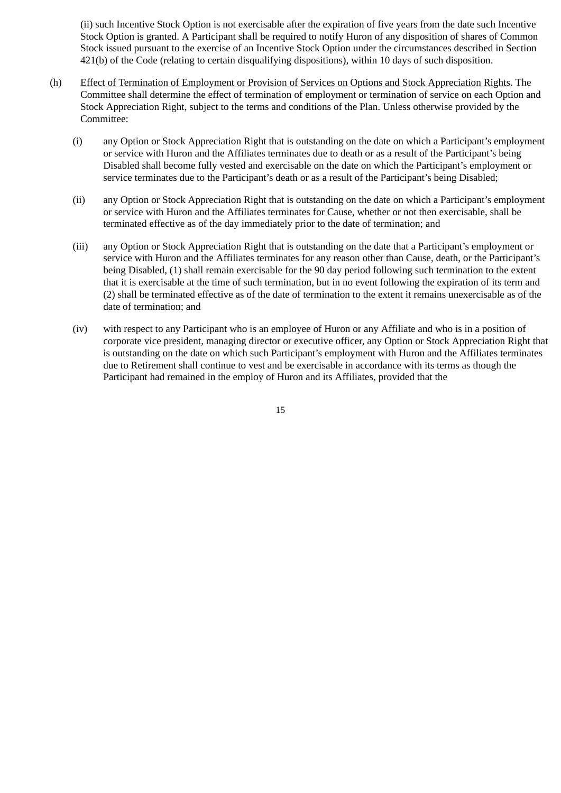(ii) such Incentive Stock Option is not exercisable after the expiration of five years from the date such Incentive Stock Option is granted. A Participant shall be required to notify Huron of any disposition of shares of Common Stock issued pursuant to the exercise of an Incentive Stock Option under the circumstances described in Section 421(b) of the Code (relating to certain disqualifying dispositions), within 10 days of such disposition.

- (h) Effect of Termination of Employment or Provision of Services on Options and Stock Appreciation Rights. The Committee shall determine the effect of termination of employment or termination of service on each Option and Stock Appreciation Right, subject to the terms and conditions of the Plan. Unless otherwise provided by the Committee:
	- (i) any Option or Stock Appreciation Right that is outstanding on the date on which a Participant's employment or service with Huron and the Affiliates terminates due to death or as a result of the Participant's being Disabled shall become fully vested and exercisable on the date on which the Participant's employment or service terminates due to the Participant's death or as a result of the Participant's being Disabled;
	- (ii) any Option or Stock Appreciation Right that is outstanding on the date on which a Participant's employment or service with Huron and the Affiliates terminates for Cause, whether or not then exercisable, shall be terminated effective as of the day immediately prior to the date of termination; and
	- (iii) any Option or Stock Appreciation Right that is outstanding on the date that a Participant's employment or service with Huron and the Affiliates terminates for any reason other than Cause, death, or the Participant's being Disabled, (1) shall remain exercisable for the 90 day period following such termination to the extent that it is exercisable at the time of such termination, but in no event following the expiration of its term and (2) shall be terminated effective as of the date of termination to the extent it remains unexercisable as of the date of termination; and
	- (iv) with respect to any Participant who is an employee of Huron or any Affiliate and who is in a position of corporate vice president, managing director or executive officer, any Option or Stock Appreciation Right that is outstanding on the date on which such Participant's employment with Huron and the Affiliates terminates due to Retirement shall continue to vest and be exercisable in accordance with its terms as though the Participant had remained in the employ of Huron and its Affiliates, provided that the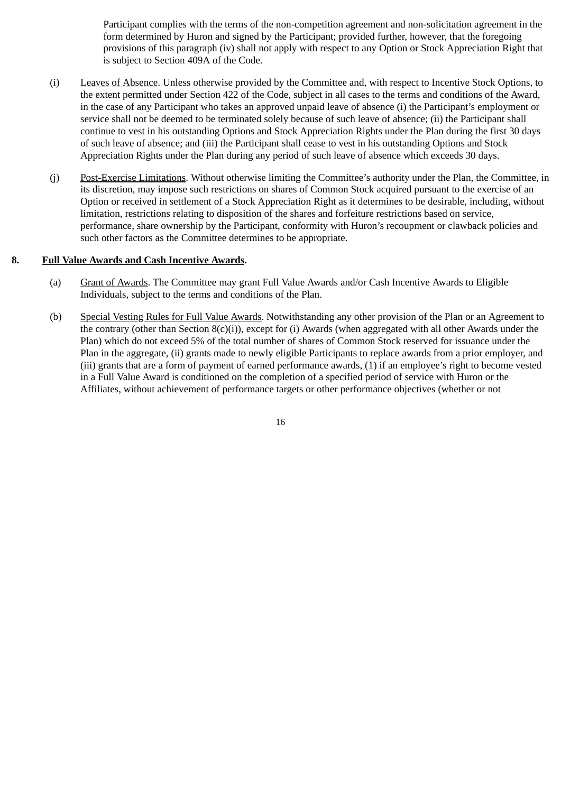Participant complies with the terms of the non-competition agreement and non-solicitation agreement in the form determined by Huron and signed by the Participant; provided further, however, that the foregoing provisions of this paragraph (iv) shall not apply with respect to any Option or Stock Appreciation Right that is subject to Section 409A of the Code.

- (i) Leaves of Absence. Unless otherwise provided by the Committee and, with respect to Incentive Stock Options, to the extent permitted under Section 422 of the Code, subject in all cases to the terms and conditions of the Award, in the case of any Participant who takes an approved unpaid leave of absence (i) the Participant's employment or service shall not be deemed to be terminated solely because of such leave of absence; (ii) the Participant shall continue to vest in his outstanding Options and Stock Appreciation Rights under the Plan during the first 30 days of such leave of absence; and (iii) the Participant shall cease to vest in his outstanding Options and Stock Appreciation Rights under the Plan during any period of such leave of absence which exceeds 30 days.
- (j) Post-Exercise Limitations. Without otherwise limiting the Committee's authority under the Plan, the Committee, in its discretion, may impose such restrictions on shares of Common Stock acquired pursuant to the exercise of an Option or received in settlement of a Stock Appreciation Right as it determines to be desirable, including, without limitation, restrictions relating to disposition of the shares and forfeiture restrictions based on service, performance, share ownership by the Participant, conformity with Huron's recoupment or clawback policies and such other factors as the Committee determines to be appropriate.

## **8. Full Value Awards and Cash Incentive Awards.**

- (a) Grant of Awards. The Committee may grant Full Value Awards and/or Cash Incentive Awards to Eligible Individuals, subject to the terms and conditions of the Plan.
- (b) Special Vesting Rules for Full Value Awards. Notwithstanding any other provision of the Plan or an Agreement to the contrary (other than Section 8(c)(i)), except for (i) Awards (when aggregated with all other Awards under the Plan) which do not exceed 5% of the total number of shares of Common Stock reserved for issuance under the Plan in the aggregate, (ii) grants made to newly eligible Participants to replace awards from a prior employer, and (iii) grants that are a form of payment of earned performance awards, (1) if an employee's right to become vested in a Full Value Award is conditioned on the completion of a specified period of service with Huron or the Affiliates, without achievement of performance targets or other performance objectives (whether or not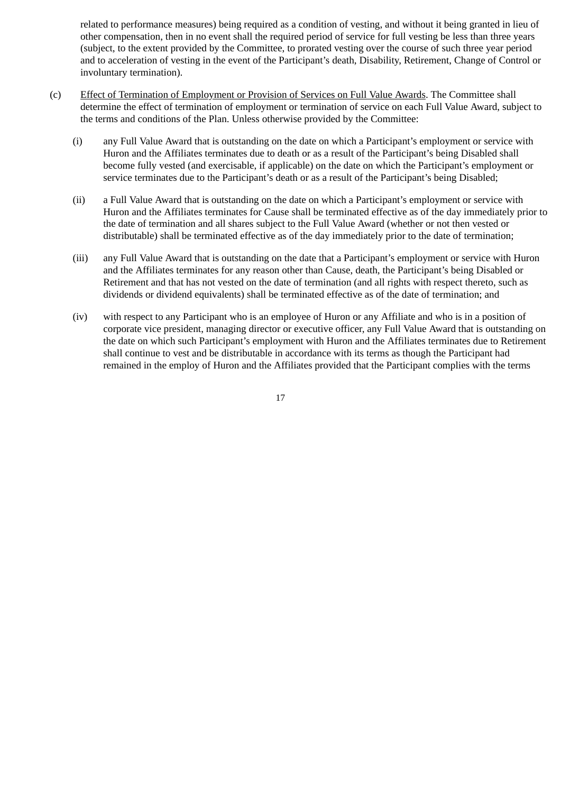related to performance measures) being required as a condition of vesting, and without it being granted in lieu of other compensation, then in no event shall the required period of service for full vesting be less than three years (subject, to the extent provided by the Committee, to prorated vesting over the course of such three year period and to acceleration of vesting in the event of the Participant's death, Disability, Retirement, Change of Control or involuntary termination).

- (c) Effect of Termination of Employment or Provision of Services on Full Value Awards. The Committee shall determine the effect of termination of employment or termination of service on each Full Value Award, subject to the terms and conditions of the Plan. Unless otherwise provided by the Committee:
	- (i) any Full Value Award that is outstanding on the date on which a Participant's employment or service with Huron and the Affiliates terminates due to death or as a result of the Participant's being Disabled shall become fully vested (and exercisable, if applicable) on the date on which the Participant's employment or service terminates due to the Participant's death or as a result of the Participant's being Disabled;
	- (ii) a Full Value Award that is outstanding on the date on which a Participant's employment or service with Huron and the Affiliates terminates for Cause shall be terminated effective as of the day immediately prior to the date of termination and all shares subject to the Full Value Award (whether or not then vested or distributable) shall be terminated effective as of the day immediately prior to the date of termination;
	- (iii) any Full Value Award that is outstanding on the date that a Participant's employment or service with Huron and the Affiliates terminates for any reason other than Cause, death, the Participant's being Disabled or Retirement and that has not vested on the date of termination (and all rights with respect thereto, such as dividends or dividend equivalents) shall be terminated effective as of the date of termination; and
	- (iv) with respect to any Participant who is an employee of Huron or any Affiliate and who is in a position of corporate vice president, managing director or executive officer, any Full Value Award that is outstanding on the date on which such Participant's employment with Huron and the Affiliates terminates due to Retirement shall continue to vest and be distributable in accordance with its terms as though the Participant had remained in the employ of Huron and the Affiliates provided that the Participant complies with the terms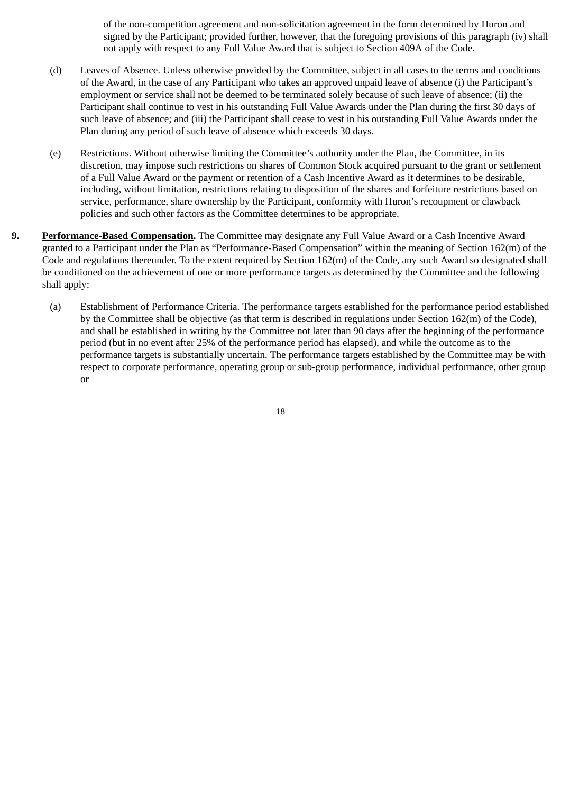of the non-competition agreement and non-solicitation agreement in the form determined by Huron and signed by the Participant; provided further, however, that the foregoing provisions of this paragraph (iv) shall not apply with respect to any Full Value Award that is subject to Section 409A of the Code.

- (d) Leaves of Absence. Unless otherwise provided by the Committee, subject in all cases to the terms and conditions of the Award, in the case of any Participant who takes an approved unpaid leave of absence (i) the Participant's employment or service shall not be deemed to be terminated solely because of such leave of absence; (ii) the Participant shall continue to vest in his outstanding Full Value Awards under the Plan during the first 30 days of such leave of absence; and (iii) the Participant shall cease to vest in his outstanding Full Value Awards under the Plan during any period of such leave of absence which exceeds 30 days.
- (e) Restrictions. Without otherwise limiting the Committee's authority under the Plan, the Committee, in its discretion, may impose such restrictions on shares of Common Stock acquired pursuant to the grant or settlement of a Full Value Award or the payment or retention of a Cash Incentive Award as it determines to be desirable, including, without limitation, restrictions relating to disposition of the shares and forfeiture restrictions based on service, performance, share ownership by the Participant, conformity with Huron's recoupment or clawback policies and such other factors as the Committee determines to be appropriate.
- **9. Performance-Based Compensation.** The Committee may designate any Full Value Award or a Cash Incentive Award granted to a Participant under the Plan as "Performance-Based Compensation" within the meaning of Section 162(m) of the Code and regulations thereunder. To the extent required by Section 162(m) of the Code, any such Award so designated shall be conditioned on the achievement of one or more performance targets as determined by the Committee and the following shall apply:
	- (a) Establishment of Performance Criteria. The performance targets established for the performance period established by the Committee shall be objective (as that term is described in regulations under Section 162(m) of the Code), and shall be established in writing by the Committee not later than 90 days after the beginning of the performance period (but in no event after 25% of the performance period has elapsed), and while the outcome as to the performance targets is substantially uncertain. The performance targets established by the Committee may be with respect to corporate performance, operating group or sub-group performance, individual performance, other group or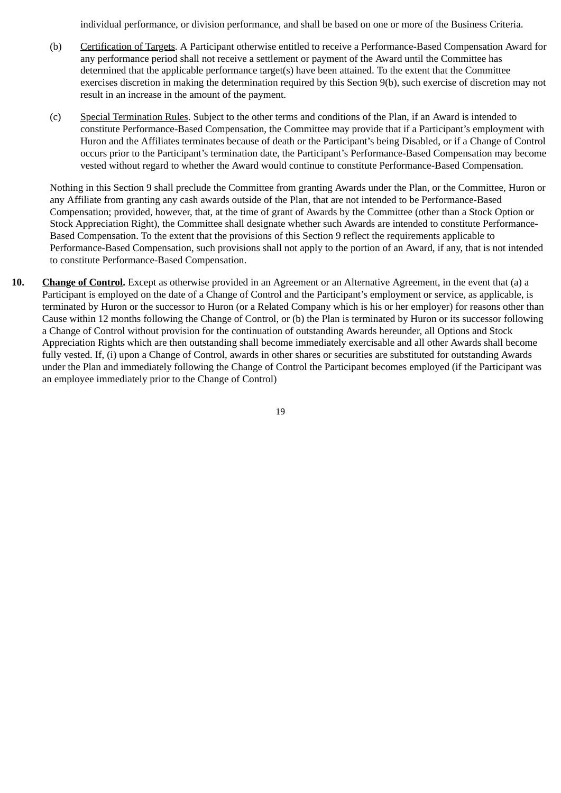individual performance, or division performance, and shall be based on one or more of the Business Criteria.

- (b) Certification of Targets. A Participant otherwise entitled to receive a Performance-Based Compensation Award for any performance period shall not receive a settlement or payment of the Award until the Committee has determined that the applicable performance target(s) have been attained. To the extent that the Committee exercises discretion in making the determination required by this Section 9(b), such exercise of discretion may not result in an increase in the amount of the payment.
- (c) Special Termination Rules. Subject to the other terms and conditions of the Plan, if an Award is intended to constitute Performance-Based Compensation, the Committee may provide that if a Participant's employment with Huron and the Affiliates terminates because of death or the Participant's being Disabled, or if a Change of Control occurs prior to the Participant's termination date, the Participant's Performance-Based Compensation may become vested without regard to whether the Award would continue to constitute Performance-Based Compensation.

Nothing in this Section 9 shall preclude the Committee from granting Awards under the Plan, or the Committee, Huron or any Affiliate from granting any cash awards outside of the Plan, that are not intended to be Performance-Based Compensation; provided, however, that, at the time of grant of Awards by the Committee (other than a Stock Option or Stock Appreciation Right), the Committee shall designate whether such Awards are intended to constitute Performance-Based Compensation. To the extent that the provisions of this Section 9 reflect the requirements applicable to Performance-Based Compensation, such provisions shall not apply to the portion of an Award, if any, that is not intended to constitute Performance-Based Compensation.

**10.** Change of Control. Except as otherwise provided in an Agreement or an Alternative Agreement, in the event that (a) a Participant is employed on the date of a Change of Control and the Participant's employment or service, as applicable, is terminated by Huron or the successor to Huron (or a Related Company which is his or her employer) for reasons other than Cause within 12 months following the Change of Control, or (b) the Plan is terminated by Huron or its successor following a Change of Control without provision for the continuation of outstanding Awards hereunder, all Options and Stock Appreciation Rights which are then outstanding shall become immediately exercisable and all other Awards shall become fully vested. If, (i) upon a Change of Control, awards in other shares or securities are substituted for outstanding Awards under the Plan and immediately following the Change of Control the Participant becomes employed (if the Participant was an employee immediately prior to the Change of Control)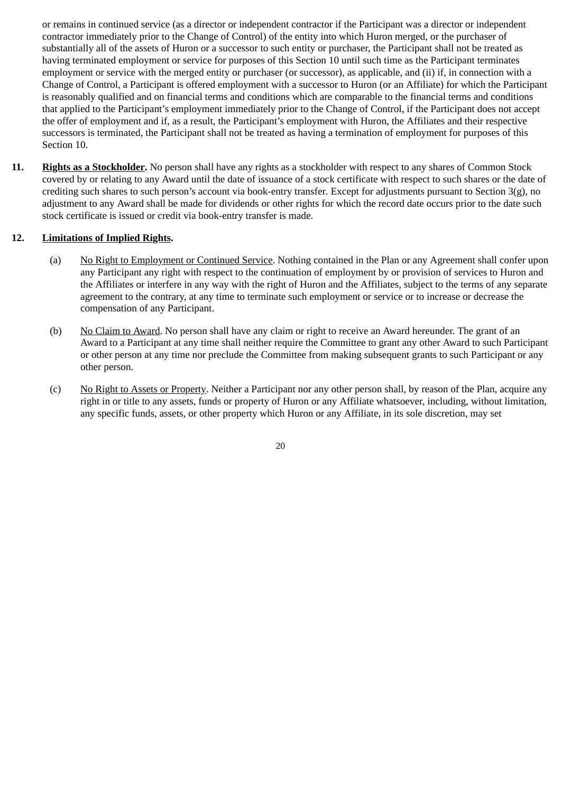or remains in continued service (as a director or independent contractor if the Participant was a director or independent contractor immediately prior to the Change of Control) of the entity into which Huron merged, or the purchaser of substantially all of the assets of Huron or a successor to such entity or purchaser, the Participant shall not be treated as having terminated employment or service for purposes of this Section 10 until such time as the Participant terminates employment or service with the merged entity or purchaser (or successor), as applicable, and (ii) if, in connection with a Change of Control, a Participant is offered employment with a successor to Huron (or an Affiliate) for which the Participant is reasonably qualified and on financial terms and conditions which are comparable to the financial terms and conditions that applied to the Participant's employment immediately prior to the Change of Control, if the Participant does not accept the offer of employment and if, as a result, the Participant's employment with Huron, the Affiliates and their respective successors is terminated, the Participant shall not be treated as having a termination of employment for purposes of this Section 10.

**11. Rights as a Stockholder.** No person shall have any rights as a stockholder with respect to any shares of Common Stock covered by or relating to any Award until the date of issuance of a stock certificate with respect to such shares or the date of crediting such shares to such person's account via book-entry transfer. Except for adjustments pursuant to Section 3(g), no adjustment to any Award shall be made for dividends or other rights for which the record date occurs prior to the date such stock certificate is issued or credit via book-entry transfer is made.

# **12. Limitations of Implied Rights.**

- (a) No Right to Employment or Continued Service. Nothing contained in the Plan or any Agreement shall confer upon any Participant any right with respect to the continuation of employment by or provision of services to Huron and the Affiliates or interfere in any way with the right of Huron and the Affiliates, subject to the terms of any separate agreement to the contrary, at any time to terminate such employment or service or to increase or decrease the compensation of any Participant.
- (b) No Claim to Award. No person shall have any claim or right to receive an Award hereunder. The grant of an Award to a Participant at any time shall neither require the Committee to grant any other Award to such Participant or other person at any time nor preclude the Committee from making subsequent grants to such Participant or any other person.
- (c) No Right to Assets or Property. Neither a Participant nor any other person shall, by reason of the Plan, acquire any right in or title to any assets, funds or property of Huron or any Affiliate whatsoever, including, without limitation, any specific funds, assets, or other property which Huron or any Affiliate, in its sole discretion, may set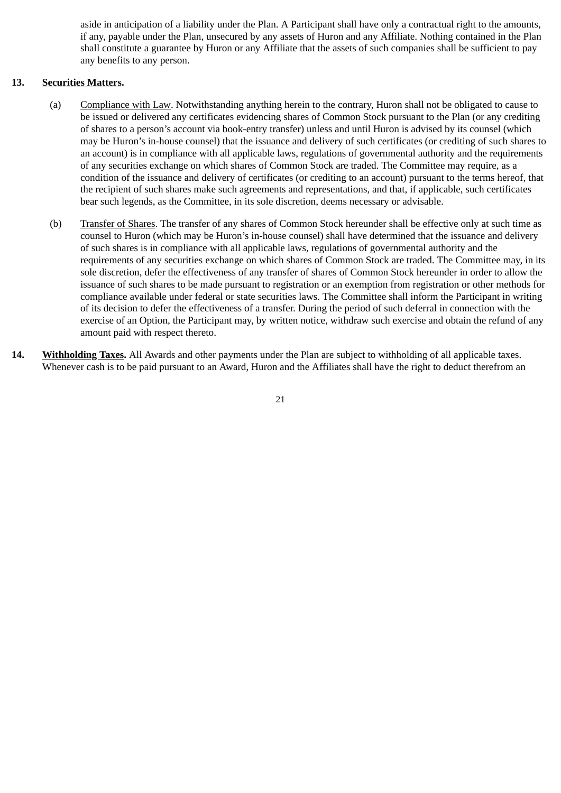aside in anticipation of a liability under the Plan. A Participant shall have only a contractual right to the amounts, if any, payable under the Plan, unsecured by any assets of Huron and any Affiliate. Nothing contained in the Plan shall constitute a guarantee by Huron or any Affiliate that the assets of such companies shall be sufficient to pay any benefits to any person.

## **13. Securities Matters.**

- (a) Compliance with Law. Notwithstanding anything herein to the contrary, Huron shall not be obligated to cause to be issued or delivered any certificates evidencing shares of Common Stock pursuant to the Plan (or any crediting of shares to a person's account via book-entry transfer) unless and until Huron is advised by its counsel (which may be Huron's in-house counsel) that the issuance and delivery of such certificates (or crediting of such shares to an account) is in compliance with all applicable laws, regulations of governmental authority and the requirements of any securities exchange on which shares of Common Stock are traded. The Committee may require, as a condition of the issuance and delivery of certificates (or crediting to an account) pursuant to the terms hereof, that the recipient of such shares make such agreements and representations, and that, if applicable, such certificates bear such legends, as the Committee, in its sole discretion, deems necessary or advisable.
- (b) Transfer of Shares. The transfer of any shares of Common Stock hereunder shall be effective only at such time as counsel to Huron (which may be Huron's in-house counsel) shall have determined that the issuance and delivery of such shares is in compliance with all applicable laws, regulations of governmental authority and the requirements of any securities exchange on which shares of Common Stock are traded. The Committee may, in its sole discretion, defer the effectiveness of any transfer of shares of Common Stock hereunder in order to allow the issuance of such shares to be made pursuant to registration or an exemption from registration or other methods for compliance available under federal or state securities laws. The Committee shall inform the Participant in writing of its decision to defer the effectiveness of a transfer. During the period of such deferral in connection with the exercise of an Option, the Participant may, by written notice, withdraw such exercise and obtain the refund of any amount paid with respect thereto.
- **14. Withholding Taxes.** All Awards and other payments under the Plan are subject to withholding of all applicable taxes. Whenever cash is to be paid pursuant to an Award, Huron and the Affiliates shall have the right to deduct therefrom an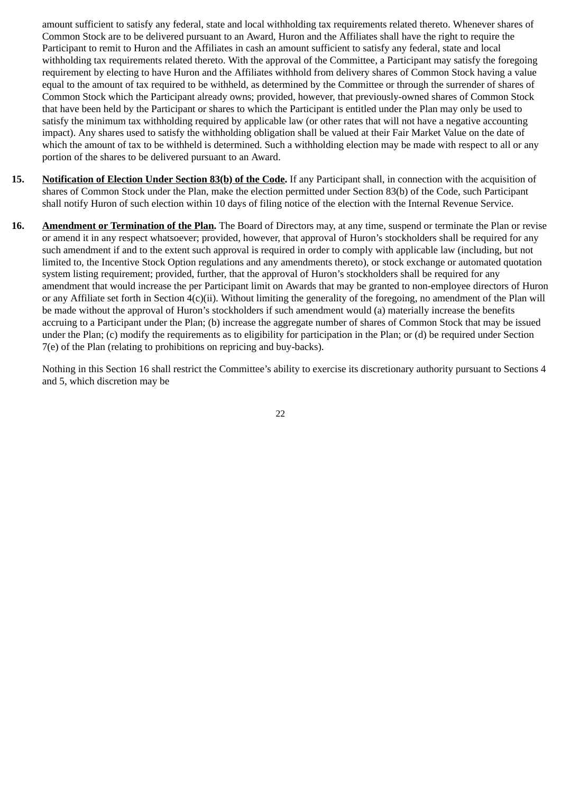amount sufficient to satisfy any federal, state and local withholding tax requirements related thereto. Whenever shares of Common Stock are to be delivered pursuant to an Award, Huron and the Affiliates shall have the right to require the Participant to remit to Huron and the Affiliates in cash an amount sufficient to satisfy any federal, state and local withholding tax requirements related thereto. With the approval of the Committee, a Participant may satisfy the foregoing requirement by electing to have Huron and the Affiliates withhold from delivery shares of Common Stock having a value equal to the amount of tax required to be withheld, as determined by the Committee or through the surrender of shares of Common Stock which the Participant already owns; provided, however, that previously-owned shares of Common Stock that have been held by the Participant or shares to which the Participant is entitled under the Plan may only be used to satisfy the minimum tax withholding required by applicable law (or other rates that will not have a negative accounting impact). Any shares used to satisfy the withholding obligation shall be valued at their Fair Market Value on the date of which the amount of tax to be withheld is determined. Such a withholding election may be made with respect to all or any portion of the shares to be delivered pursuant to an Award.

- **15. Notification of Election Under Section 83(b) of the Code.** If any Participant shall, in connection with the acquisition of shares of Common Stock under the Plan, make the election permitted under Section 83(b) of the Code, such Participant shall notify Huron of such election within 10 days of filing notice of the election with the Internal Revenue Service.
- **16. Amendment or Termination of the Plan.** The Board of Directors may, at any time, suspend or terminate the Plan or revise or amend it in any respect whatsoever; provided, however, that approval of Huron's stockholders shall be required for any such amendment if and to the extent such approval is required in order to comply with applicable law (including, but not limited to, the Incentive Stock Option regulations and any amendments thereto), or stock exchange or automated quotation system listing requirement; provided, further, that the approval of Huron's stockholders shall be required for any amendment that would increase the per Participant limit on Awards that may be granted to non-employee directors of Huron or any Affiliate set forth in Section 4(c)(ii). Without limiting the generality of the foregoing, no amendment of the Plan will be made without the approval of Huron's stockholders if such amendment would (a) materially increase the benefits accruing to a Participant under the Plan; (b) increase the aggregate number of shares of Common Stock that may be issued under the Plan; (c) modify the requirements as to eligibility for participation in the Plan; or (d) be required under Section 7(e) of the Plan (relating to prohibitions on repricing and buy-backs).

Nothing in this Section 16 shall restrict the Committee's ability to exercise its discretionary authority pursuant to Sections 4 and 5, which discretion may be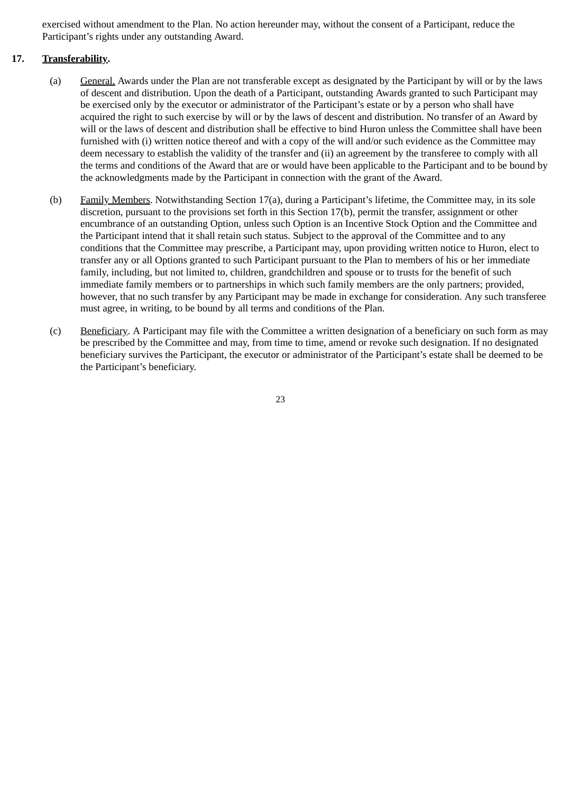exercised without amendment to the Plan. No action hereunder may, without the consent of a Participant, reduce the Participant's rights under any outstanding Award.

# **17. Transferability.**

- (a) General. Awards under the Plan are not transferable except as designated by the Participant by will or by the laws of descent and distribution. Upon the death of a Participant, outstanding Awards granted to such Participant may be exercised only by the executor or administrator of the Participant's estate or by a person who shall have acquired the right to such exercise by will or by the laws of descent and distribution. No transfer of an Award by will or the laws of descent and distribution shall be effective to bind Huron unless the Committee shall have been furnished with (i) written notice thereof and with a copy of the will and/or such evidence as the Committee may deem necessary to establish the validity of the transfer and (ii) an agreement by the transferee to comply with all the terms and conditions of the Award that are or would have been applicable to the Participant and to be bound by the acknowledgments made by the Participant in connection with the grant of the Award.
- (b) Family Members. Notwithstanding Section 17(a), during a Participant's lifetime, the Committee may, in its sole discretion, pursuant to the provisions set forth in this Section 17(b), permit the transfer, assignment or other encumbrance of an outstanding Option, unless such Option is an Incentive Stock Option and the Committee and the Participant intend that it shall retain such status. Subject to the approval of the Committee and to any conditions that the Committee may prescribe, a Participant may, upon providing written notice to Huron, elect to transfer any or all Options granted to such Participant pursuant to the Plan to members of his or her immediate family, including, but not limited to, children, grandchildren and spouse or to trusts for the benefit of such immediate family members or to partnerships in which such family members are the only partners; provided, however, that no such transfer by any Participant may be made in exchange for consideration. Any such transferee must agree, in writing, to be bound by all terms and conditions of the Plan.
- (c) Beneficiary. A Participant may file with the Committee a written designation of a beneficiary on such form as may be prescribed by the Committee and may, from time to time, amend or revoke such designation. If no designated beneficiary survives the Participant, the executor or administrator of the Participant's estate shall be deemed to be the Participant's beneficiary.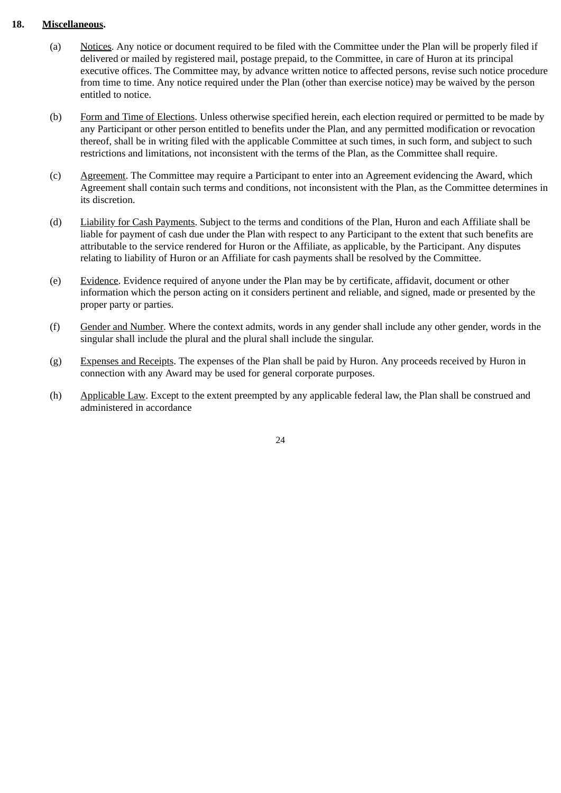## **18. Miscellaneous.**

- (a) Notices. Any notice or document required to be filed with the Committee under the Plan will be properly filed if delivered or mailed by registered mail, postage prepaid, to the Committee, in care of Huron at its principal executive offices. The Committee may, by advance written notice to affected persons, revise such notice procedure from time to time. Any notice required under the Plan (other than exercise notice) may be waived by the person entitled to notice.
- (b) Form and Time of Elections. Unless otherwise specified herein, each election required or permitted to be made by any Participant or other person entitled to benefits under the Plan, and any permitted modification or revocation thereof, shall be in writing filed with the applicable Committee at such times, in such form, and subject to such restrictions and limitations, not inconsistent with the terms of the Plan, as the Committee shall require.
- (c) Agreement. The Committee may require a Participant to enter into an Agreement evidencing the Award, which Agreement shall contain such terms and conditions, not inconsistent with the Plan, as the Committee determines in its discretion.
- (d) Liability for Cash Payments. Subject to the terms and conditions of the Plan, Huron and each Affiliate shall be liable for payment of cash due under the Plan with respect to any Participant to the extent that such benefits are attributable to the service rendered for Huron or the Affiliate, as applicable, by the Participant. Any disputes relating to liability of Huron or an Affiliate for cash payments shall be resolved by the Committee.
- (e) Evidence. Evidence required of anyone under the Plan may be by certificate, affidavit, document or other information which the person acting on it considers pertinent and reliable, and signed, made or presented by the proper party or parties.
- (f) Gender and Number. Where the context admits, words in any gender shall include any other gender, words in the singular shall include the plural and the plural shall include the singular.
- (g) Expenses and Receipts. The expenses of the Plan shall be paid by Huron. Any proceeds received by Huron in connection with any Award may be used for general corporate purposes.
- (h) Applicable Law. Except to the extent preempted by any applicable federal law, the Plan shall be construed and administered in accordance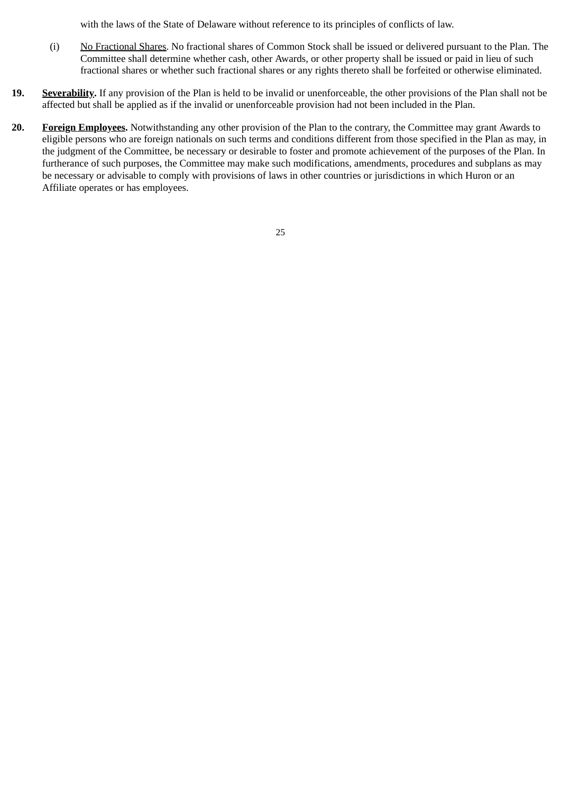with the laws of the State of Delaware without reference to its principles of conflicts of law.

- (i) No Fractional Shares. No fractional shares of Common Stock shall be issued or delivered pursuant to the Plan. The Committee shall determine whether cash, other Awards, or other property shall be issued or paid in lieu of such fractional shares or whether such fractional shares or any rights thereto shall be forfeited or otherwise eliminated.
- **19. Severability.** If any provision of the Plan is held to be invalid or unenforceable, the other provisions of the Plan shall not be affected but shall be applied as if the invalid or unenforceable provision had not been included in the Plan.
- **20. Foreign Employees.** Notwithstanding any other provision of the Plan to the contrary, the Committee may grant Awards to eligible persons who are foreign nationals on such terms and conditions different from those specified in the Plan as may, in the judgment of the Committee, be necessary or desirable to foster and promote achievement of the purposes of the Plan. In furtherance of such purposes, the Committee may make such modifications, amendments, procedures and subplans as may be necessary or advisable to comply with provisions of laws in other countries or jurisdictions in which Huron or an Affiliate operates or has employees.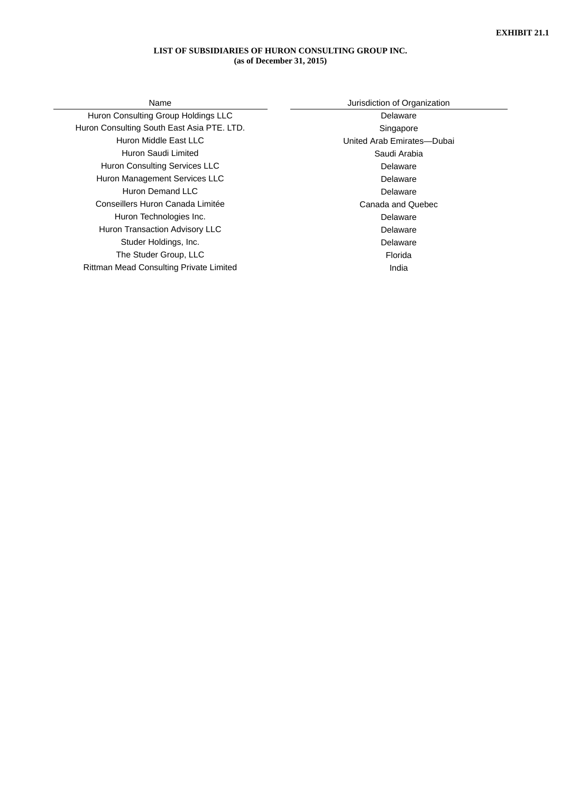### **LIST OF SUBSIDIARIES OF HURON CONSULTING GROUP INC. (as of December 31, 2015)**

Huron Consulting Group Holdings LLC Delaware Huron Consulting South East Asia PTE. LTD. **Singapore** Singapore Huron Middle East LLC **No. 1998** United Arab Emirates—Dubai Huron Saudi Limited **Saudi Arabia** Saudi Arabia Huron Consulting Services LLC **Delaware** Huron Management Services LLC **Delaware** Delaware Huron Demand LLC Delaware Conseillers Huron Canada Limitée Conseillers Huron Canada Limitée Huron Technologies Inc. **Delaware** Delaware Huron Transaction Advisory LLC **Community** Change and Delaware Studer Holdings, Inc. **Delaware Delaware** The Studer Group, LLC Florida Rittman Mead Consulting Private Limited **India** India

Name **Name** Jurisdiction of Organization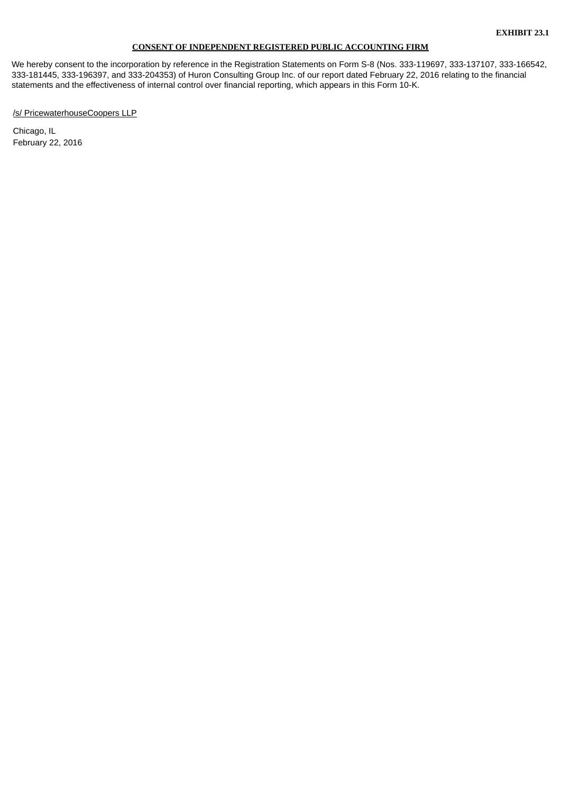### **CONSENT OF INDEPENDENT REGISTERED PUBLIC ACCOUNTING FIRM**

We hereby consent to the incorporation by reference in the Registration Statements on Form S-8 (Nos. 333-119697, 333-137107, 333-166542, 333-181445, 333-196397, and 333-204353) of Huron Consulting Group Inc. of our report dated February 22, 2016 relating to the financial statements and the effectiveness of internal control over financial reporting, which appears in this Form 10-K.

/s/ PricewaterhouseCoopers LLP

Chicago, IL February 22, 2016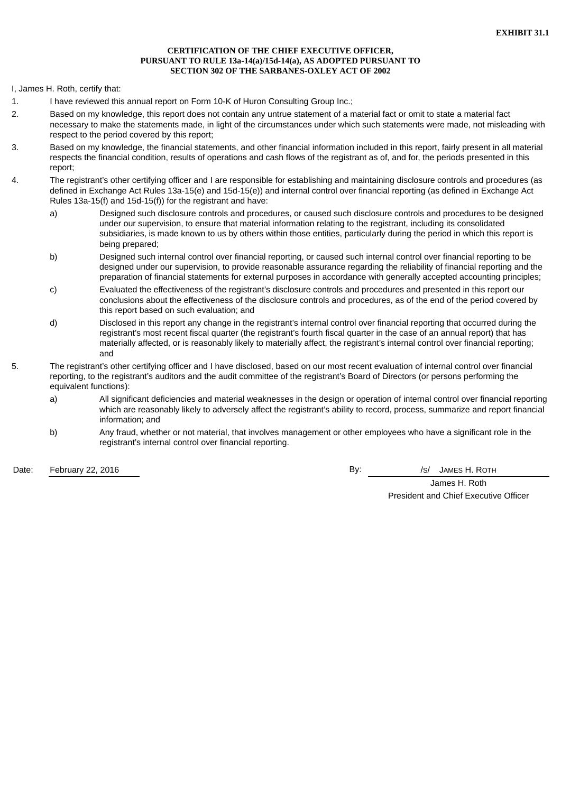### **CERTIFICATION OF THE CHIEF EXECUTIVE OFFICER, PURSUANT TO RULE 13a-14(a)/15d-14(a), AS ADOPTED PURSUANT TO SECTION 302 OF THE SARBANES-OXLEY ACT OF 2002**

I, James H. Roth, certify that:

- 1. I have reviewed this annual report on Form 10-K of Huron Consulting Group Inc.;
- 2. Based on my knowledge, this report does not contain any untrue statement of a material fact or omit to state a material fact necessary to make the statements made, in light of the circumstances under which such statements were made, not misleading with respect to the period covered by this report;
- 3. Based on my knowledge, the financial statements, and other financial information included in this report, fairly present in all material respects the financial condition, results of operations and cash flows of the registrant as of, and for, the periods presented in this report;
- 4. The registrant's other certifying officer and I are responsible for establishing and maintaining disclosure controls and procedures (as defined in Exchange Act Rules 13a-15(e) and 15d-15(e)) and internal control over financial reporting (as defined in Exchange Act Rules 13a-15(f) and 15d-15(f)) for the registrant and have:
	- a) Designed such disclosure controls and procedures, or caused such disclosure controls and procedures to be designed under our supervision, to ensure that material information relating to the registrant, including its consolidated subsidiaries, is made known to us by others within those entities, particularly during the period in which this report is being prepared;
	- b) Designed such internal control over financial reporting, or caused such internal control over financial reporting to be designed under our supervision, to provide reasonable assurance regarding the reliability of financial reporting and the preparation of financial statements for external purposes in accordance with generally accepted accounting principles;
	- c) Evaluated the effectiveness of the registrant's disclosure controls and procedures and presented in this report our conclusions about the effectiveness of the disclosure controls and procedures, as of the end of the period covered by this report based on such evaluation; and
	- d) Disclosed in this report any change in the registrant's internal control over financial reporting that occurred during the registrant's most recent fiscal quarter (the registrant's fourth fiscal quarter in the case of an annual report) that has materially affected, or is reasonably likely to materially affect, the registrant's internal control over financial reporting; and
- 5. The registrant's other certifying officer and I have disclosed, based on our most recent evaluation of internal control over financial reporting, to the registrant's auditors and the audit committee of the registrant's Board of Directors (or persons performing the equivalent functions):
	- a) All significant deficiencies and material weaknesses in the design or operation of internal control over financial reporting which are reasonably likely to adversely affect the registrant's ability to record, process, summarize and report financial information; and
	- b) Any fraud, whether or not material, that involves management or other employees who have a significant role in the registrant's internal control over financial reporting.

Date: February 22, 2016 **By:** By: *ISI* JAMES H. ROTH

James H. Roth President and Chief Executive Officer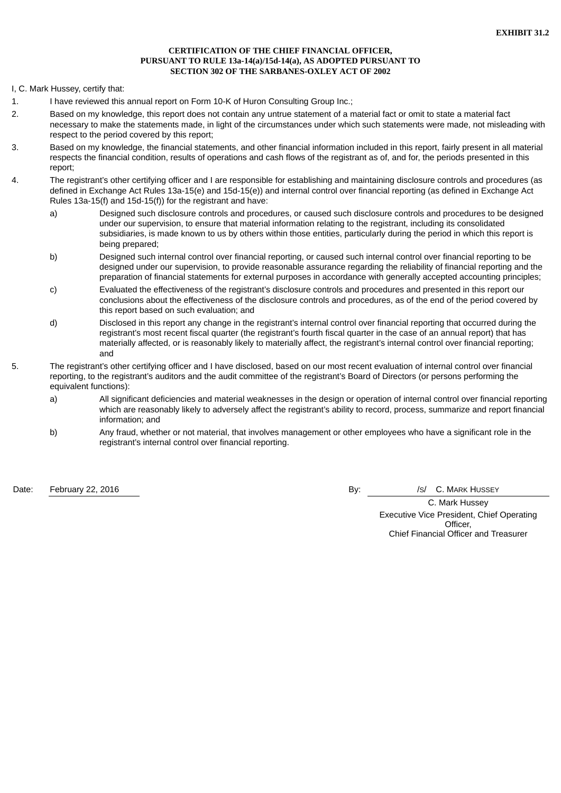### **CERTIFICATION OF THE CHIEF FINANCIAL OFFICER, PURSUANT TO RULE 13a-14(a)/15d-14(a), AS ADOPTED PURSUANT TO SECTION 302 OF THE SARBANES-OXLEY ACT OF 2002**

I, C. Mark Hussey, certify that:

- 1. I have reviewed this annual report on Form 10-K of Huron Consulting Group Inc.;
- 2. Based on my knowledge, this report does not contain any untrue statement of a material fact or omit to state a material fact necessary to make the statements made, in light of the circumstances under which such statements were made, not misleading with respect to the period covered by this report;
- 3. Based on my knowledge, the financial statements, and other financial information included in this report, fairly present in all material respects the financial condition, results of operations and cash flows of the registrant as of, and for, the periods presented in this report;
- 4. The registrant's other certifying officer and I are responsible for establishing and maintaining disclosure controls and procedures (as defined in Exchange Act Rules 13a-15(e) and 15d-15(e)) and internal control over financial reporting (as defined in Exchange Act Rules 13a-15(f) and 15d-15(f)) for the registrant and have:
	- a) Designed such disclosure controls and procedures, or caused such disclosure controls and procedures to be designed under our supervision, to ensure that material information relating to the registrant, including its consolidated subsidiaries, is made known to us by others within those entities, particularly during the period in which this report is being prepared;
	- b) Designed such internal control over financial reporting, or caused such internal control over financial reporting to be designed under our supervision, to provide reasonable assurance regarding the reliability of financial reporting and the preparation of financial statements for external purposes in accordance with generally accepted accounting principles;
	- c) Evaluated the effectiveness of the registrant's disclosure controls and procedures and presented in this report our conclusions about the effectiveness of the disclosure controls and procedures, as of the end of the period covered by this report based on such evaluation; and
	- d) Disclosed in this report any change in the registrant's internal control over financial reporting that occurred during the registrant's most recent fiscal quarter (the registrant's fourth fiscal quarter in the case of an annual report) that has materially affected, or is reasonably likely to materially affect, the registrant's internal control over financial reporting; and
- 5. The registrant's other certifying officer and I have disclosed, based on our most recent evaluation of internal control over financial reporting, to the registrant's auditors and the audit committee of the registrant's Board of Directors (or persons performing the equivalent functions):
	- a) All significant deficiencies and material weaknesses in the design or operation of internal control over financial reporting which are reasonably likely to adversely affect the registrant's ability to record, process, summarize and report financial information; and
	- b) Any fraud, whether or not material, that involves management or other employees who have a significant role in the registrant's internal control over financial reporting.

Date: February 22, 2016 **By: By:** *ISI* C. MARK HUSSEY

C. Mark Hussey Executive Vice President, Chief Operating Officer, Chief Financial Officer and Treasurer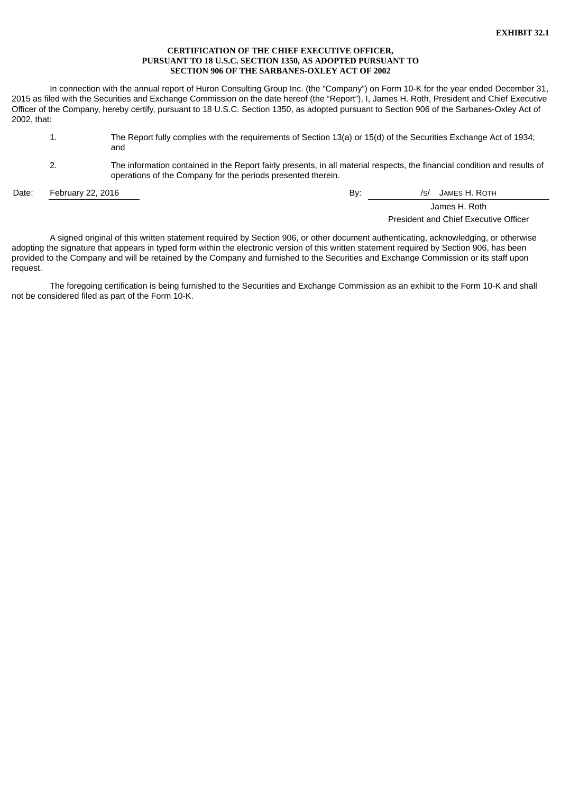### **CERTIFICATION OF THE CHIEF EXECUTIVE OFFICER, PURSUANT TO 18 U.S.C. SECTION 1350, AS ADOPTED PURSUANT TO SECTION 906 OF THE SARBANES-OXLEY ACT OF 2002**

In connection with the annual report of Huron Consulting Group Inc. (the "Company") on Form 10-K for the year ended December 31, 2015 as filed with the Securities and Exchange Commission on the date hereof (the "Report"), I, James H. Roth, President and Chief Executive Officer of the Company, hereby certify, pursuant to 18 U.S.C. Section 1350, as adopted pursuant to Section 906 of the Sarbanes-Oxley Act of 2002, that:

| The Report fully complies with the requirements of Section 13(a) or 15(d) of the Securities Exchange Act of 1934; |
|-------------------------------------------------------------------------------------------------------------------|
| and                                                                                                               |

2. The information contained in the Report fairly presents, in all material respects, the financial condition and results of operations of the Company for the periods presented therein.

Date: February 22, 2016 **By:** By: *ISI* JAMES H. ROTH

James H. Roth

President and Chief Executive Officer

A signed original of this written statement required by Section 906, or other document authenticating, acknowledging, or otherwise adopting the signature that appears in typed form within the electronic version of this written statement required by Section 906, has been provided to the Company and will be retained by the Company and furnished to the Securities and Exchange Commission or its staff upon request.

The foregoing certification is being furnished to the Securities and Exchange Commission as an exhibit to the Form 10-K and shall not be considered filed as part of the Form 10-K.